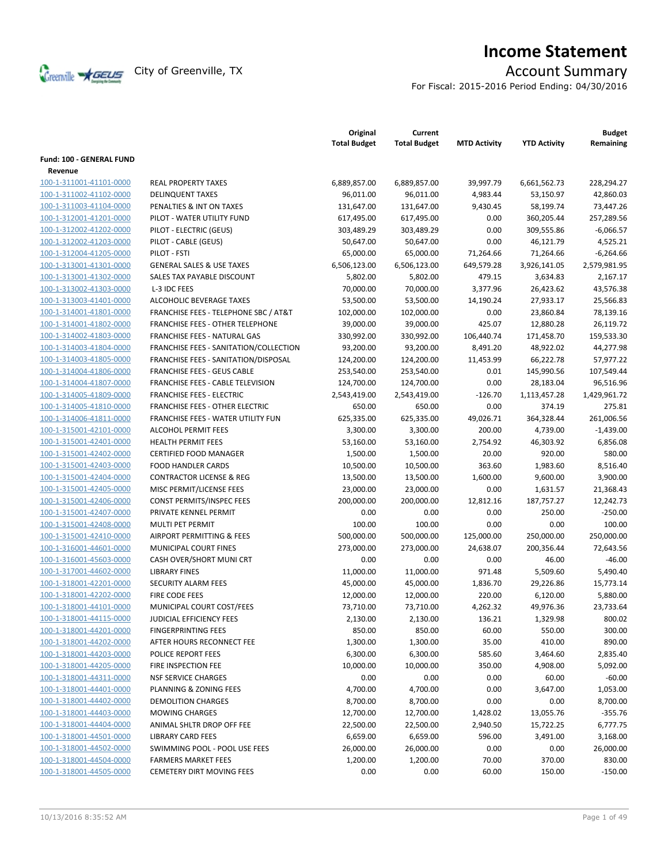

# **Income Statement**

For Fiscal: 2015-2016 Period Ending: 04/30/2016

|                                                    |                                                                | Original<br><b>Total Budget</b> | Current<br><b>Total Budget</b> | <b>MTD Activity</b> | <b>YTD Activity</b> | <b>Budget</b><br>Remaining |
|----------------------------------------------------|----------------------------------------------------------------|---------------------------------|--------------------------------|---------------------|---------------------|----------------------------|
| Fund: 100 - GENERAL FUND                           |                                                                |                                 |                                |                     |                     |                            |
| Revenue                                            |                                                                |                                 |                                |                     |                     |                            |
| 100-1-311001-41101-0000                            | <b>REAL PROPERTY TAXES</b>                                     | 6,889,857.00                    | 6,889,857.00                   | 39,997.79           | 6,661,562.73        | 228,294.27                 |
| 100-1-311002-41102-0000                            | <b>DELINQUENT TAXES</b>                                        | 96,011.00                       | 96,011.00                      | 4,983.44            | 53,150.97           | 42,860.03                  |
| 100-1-311003-41104-0000                            | PENALTIES & INT ON TAXES                                       | 131,647.00                      | 131,647.00                     | 9,430.45            | 58,199.74           | 73,447.26                  |
| 100-1-312001-41201-0000                            | PILOT - WATER UTILITY FUND                                     | 617,495.00                      | 617,495.00                     | 0.00                | 360,205.44          | 257,289.56                 |
| 100-1-312002-41202-0000                            | PILOT - ELECTRIC (GEUS)                                        | 303,489.29                      | 303,489.29                     | 0.00                | 309,555.86          | $-6,066.57$                |
| 100-1-312002-41203-0000                            | PILOT - CABLE (GEUS)                                           | 50,647.00                       | 50,647.00                      | 0.00                | 46,121.79           | 4,525.21                   |
| 100-1-312004-41205-0000                            | PILOT - FSTI                                                   | 65,000.00                       | 65,000.00                      | 71,264.66           | 71,264.66           | $-6,264.66$                |
| 100-1-313001-41301-0000                            | <b>GENERAL SALES &amp; USE TAXES</b>                           | 6,506,123.00                    | 6,506,123.00                   | 649,579.28          | 3,926,141.05        | 2,579,981.95               |
| 100-1-313001-41302-0000                            | SALES TAX PAYABLE DISCOUNT                                     | 5,802.00                        | 5,802.00                       | 479.15              | 3,634.83            | 2,167.17                   |
| 100-1-313002-41303-0000                            | L-3 IDC FEES                                                   | 70,000.00                       | 70,000.00                      | 3,377.96            | 26,423.62           | 43,576.38                  |
| 100-1-313003-41401-0000                            | ALCOHOLIC BEVERAGE TAXES                                       | 53,500.00                       | 53,500.00                      | 14,190.24           | 27,933.17           | 25,566.83                  |
| 100-1-314001-41801-0000                            | <b>FRANCHISE FEES - TELEPHONE SBC / AT&amp;T</b>               | 102,000.00                      | 102,000.00                     | 0.00                | 23,860.84           | 78,139.16                  |
| 100-1-314001-41802-0000                            | FRANCHISE FEES - OTHER TELEPHONE                               | 39,000.00                       | 39,000.00                      | 425.07              | 12,880.28           | 26,119.72                  |
| 100-1-314002-41803-0000                            | FRANCHISE FEES - NATURAL GAS                                   | 330,992.00                      | 330,992.00                     | 106,440.74          | 171,458.70          | 159,533.30                 |
| 100-1-314003-41804-0000                            | FRANCHISE FEES - SANITATION/COLLECTION                         | 93,200.00                       | 93,200.00                      | 8,491.20            | 48,922.02           | 44,277.98                  |
| 100-1-314003-41805-0000                            | FRANCHISE FEES - SANITATION/DISPOSAL                           | 124,200.00                      | 124,200.00                     | 11,453.99           | 66,222.78           | 57,977.22                  |
| 100-1-314004-41806-0000                            | <b>FRANCHISE FEES - GEUS CABLE</b>                             | 253,540.00                      | 253,540.00                     | 0.01                | 145,990.56          | 107,549.44                 |
| 100-1-314004-41807-0000                            | FRANCHISE FEES - CABLE TELEVISION                              | 124,700.00                      | 124,700.00                     | 0.00                | 28,183.04           | 96,516.96                  |
| 100-1-314005-41809-0000                            | <b>FRANCHISE FEES - ELECTRIC</b>                               | 2,543,419.00                    | 2,543,419.00                   | $-126.70$           | 1,113,457.28        | 1,429,961.72               |
| 100-1-314005-41810-0000                            | <b>FRANCHISE FEES - OTHER ELECTRIC</b>                         | 650.00                          | 650.00                         | 0.00                | 374.19              | 275.81                     |
| 100-1-314006-41811-0000                            | FRANCHISE FEES - WATER UTILITY FUN                             | 625,335.00                      | 625,335.00                     | 49,026.71           | 364,328.44          | 261,006.56                 |
| 100-1-315001-42101-0000                            | <b>ALCOHOL PERMIT FEES</b>                                     | 3,300.00                        | 3,300.00                       | 200.00              | 4,739.00            | $-1,439.00$                |
| 100-1-315001-42401-0000                            | <b>HEALTH PERMIT FEES</b>                                      | 53,160.00                       | 53,160.00                      | 2,754.92            | 46,303.92           | 6,856.08                   |
| 100-1-315001-42402-0000                            | <b>CERTIFIED FOOD MANAGER</b>                                  | 1,500.00                        | 1,500.00                       | 20.00               | 920.00              | 580.00                     |
| 100-1-315001-42403-0000                            | <b>FOOD HANDLER CARDS</b>                                      | 10,500.00                       | 10,500.00                      | 363.60              | 1,983.60            | 8,516.40                   |
| 100-1-315001-42404-0000                            | <b>CONTRACTOR LICENSE &amp; REG</b>                            | 13,500.00                       | 13,500.00                      | 1,600.00            | 9,600.00            | 3,900.00                   |
| 100-1-315001-42405-0000                            | MISC PERMIT/LICENSE FEES                                       | 23,000.00                       | 23,000.00                      | 0.00                | 1,631.57            | 21,368.43                  |
| 100-1-315001-42406-0000                            | CONST PERMITS/INSPEC FEES                                      | 200,000.00                      | 200,000.00                     | 12,812.16           | 187,757.27          | 12,242.73                  |
| 100-1-315001-42407-0000                            | PRIVATE KENNEL PERMIT                                          | 0.00                            | 0.00                           | 0.00                | 250.00              | $-250.00$                  |
| 100-1-315001-42408-0000                            | MULTI PET PERMIT                                               | 100.00                          | 100.00                         | 0.00                | 0.00                | 100.00                     |
| 100-1-315001-42410-0000                            | AIRPORT PERMITTING & FEES                                      | 500,000.00                      | 500,000.00                     | 125,000.00          | 250,000.00          | 250,000.00                 |
| 100-1-316001-44601-0000                            | <b>MUNICIPAL COURT FINES</b>                                   | 273,000.00                      | 273,000.00                     | 24,638.07           | 200,356.44          | 72,643.56                  |
| 100-1-316001-45603-0000                            | CASH OVER/SHORT MUNI CRT                                       | 0.00                            | 0.00                           | 0.00                | 46.00               | $-46.00$                   |
| 100-1-317001-44602-0000                            | <b>LIBRARY FINES</b>                                           | 11,000.00                       | 11,000.00                      | 971.48              | 5,509.60            | 5,490.40                   |
| 100-1-318001-42201-0000                            | <b>SECURITY ALARM FEES</b>                                     | 45,000.00                       | 45,000.00                      | 1,836.70            | 29,226.86           | 15,773.14                  |
| 100-1-318001-42202-0000<br>100-1-318001-44101-0000 | FIRE CODE FEES<br>MUNICIPAL COURT COST/FEES                    | 12,000.00                       | 12,000.00<br>73,710.00         | 220.00<br>4,262.32  | 6,120.00            | 5,880.00<br>23,733.64      |
| 100-1-318001-44115-0000                            | JUDICIAL EFFICIENCY FEES                                       | 73,710.00                       |                                | 136.21              | 49,976.36           | 800.02                     |
| 100-1-318001-44201-0000                            | <b>FINGERPRINTING FEES</b>                                     | 2,130.00<br>850.00              | 2,130.00<br>850.00             | 60.00               | 1,329.98<br>550.00  | 300.00                     |
| 100-1-318001-44202-0000                            | AFTER HOURS RECONNECT FEE                                      | 1,300.00                        |                                | 35.00               | 410.00              | 890.00                     |
| 100-1-318001-44203-0000                            | <b>POLICE REPORT FEES</b>                                      | 6,300.00                        | 1,300.00<br>6,300.00           | 585.60              | 3,464.60            |                            |
| 100-1-318001-44205-0000                            | FIRE INSPECTION FEE                                            | 10,000.00                       | 10,000.00                      | 350.00              | 4,908.00            | 2,835.40<br>5,092.00       |
| 100-1-318001-44311-0000                            | <b>NSF SERVICE CHARGES</b>                                     | 0.00                            | 0.00                           | 0.00                | 60.00               | $-60.00$                   |
| 100-1-318001-44401-0000                            | PLANNING & ZONING FEES                                         | 4,700.00                        | 4,700.00                       | 0.00                | 3,647.00            | 1,053.00                   |
| 100-1-318001-44402-0000                            | <b>DEMOLITION CHARGES</b>                                      | 8,700.00                        | 8,700.00                       | 0.00                | 0.00                | 8,700.00                   |
|                                                    |                                                                |                                 |                                |                     |                     |                            |
| 100-1-318001-44403-0000<br>100-1-318001-44404-0000 | <b>MOWING CHARGES</b>                                          | 12,700.00                       | 12,700.00                      | 1,428.02            | 13,055.76           | $-355.76$<br>6,777.75      |
| 100-1-318001-44501-0000                            | ANIMAL SHLTR DROP OFF FEE<br><b>LIBRARY CARD FEES</b>          | 22,500.00<br>6,659.00           | 22,500.00<br>6,659.00          | 2,940.50<br>596.00  | 15,722.25           | 3,168.00                   |
|                                                    | SWIMMING POOL - POOL USE FEES                                  |                                 |                                |                     | 3,491.00            |                            |
| 100-1-318001-44502-0000                            |                                                                | 26,000.00                       | 26,000.00                      | 0.00                | 0.00                | 26,000.00                  |
| 100-1-318001-44504-0000<br>100-1-318001-44505-0000 | <b>FARMERS MARKET FEES</b><br><b>CEMETERY DIRT MOVING FEES</b> | 1,200.00                        | 1,200.00                       | 70.00               | 370.00              | 830.00                     |
|                                                    |                                                                | 0.00                            | 0.00                           | 60.00               | 150.00              | $-150.00$                  |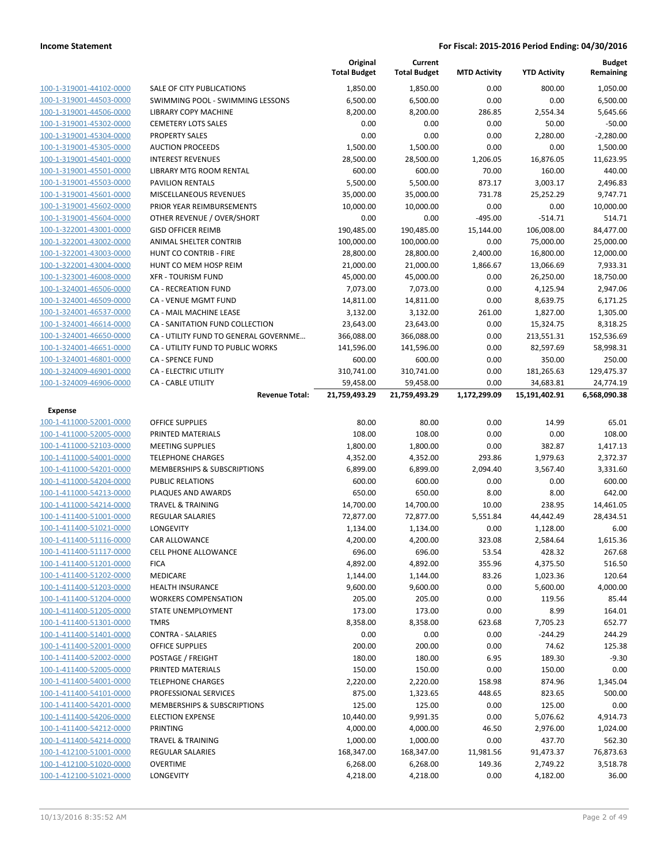|                                                    |                                                        | Original<br><b>Total Budget</b> | Current<br><b>Total Budget</b> | <b>MTD Activity</b> | <b>YTD Activity</b>   | <b>Budget</b><br>Remaining |
|----------------------------------------------------|--------------------------------------------------------|---------------------------------|--------------------------------|---------------------|-----------------------|----------------------------|
| 100-1-319001-44102-0000                            | SALE OF CITY PUBLICATIONS                              | 1,850.00                        | 1,850.00                       | 0.00                | 800.00                | 1,050.00                   |
| 100-1-319001-44503-0000                            | SWIMMING POOL - SWIMMING LESSONS                       | 6,500.00                        | 6,500.00                       | 0.00                | 0.00                  | 6,500.00                   |
| 100-1-319001-44506-0000                            | <b>LIBRARY COPY MACHINE</b>                            | 8,200.00                        | 8,200.00                       | 286.85              | 2,554.34              | 5,645.66                   |
| 100-1-319001-45302-0000                            | <b>CEMETERY LOTS SALES</b>                             | 0.00                            | 0.00                           | 0.00                | 50.00                 | $-50.00$                   |
| 100-1-319001-45304-0000                            | <b>PROPERTY SALES</b>                                  | 0.00                            | 0.00                           | 0.00                | 2,280.00              | $-2,280.00$                |
| 100-1-319001-45305-0000                            | <b>AUCTION PROCEEDS</b>                                | 1,500.00                        | 1,500.00                       | 0.00                | 0.00                  | 1,500.00                   |
| 100-1-319001-45401-0000                            | <b>INTEREST REVENUES</b>                               | 28,500.00                       | 28,500.00                      | 1,206.05            | 16,876.05             | 11,623.95                  |
| 100-1-319001-45501-0000                            | LIBRARY MTG ROOM RENTAL                                | 600.00                          | 600.00                         | 70.00               | 160.00                | 440.00                     |
| 100-1-319001-45503-0000                            | <b>PAVILION RENTALS</b>                                | 5,500.00                        | 5,500.00                       | 873.17              | 3,003.17              | 2,496.83                   |
| 100-1-319001-45601-0000                            | MISCELLANEOUS REVENUES                                 | 35,000.00                       | 35,000.00                      | 731.78              | 25,252.29             | 9,747.71                   |
| 100-1-319001-45602-0000                            | PRIOR YEAR REIMBURSEMENTS                              | 10,000.00                       | 10,000.00                      | 0.00                | 0.00                  | 10,000.00                  |
| 100-1-319001-45604-0000                            | OTHER REVENUE / OVER/SHORT                             | 0.00                            | 0.00                           | $-495.00$           | $-514.71$             | 514.71                     |
| 100-1-322001-43001-0000                            | <b>GISD OFFICER REIMB</b>                              | 190,485.00                      | 190,485.00                     | 15,144.00           | 106,008.00            | 84,477.00                  |
| 100-1-322001-43002-0000                            | ANIMAL SHELTER CONTRIB                                 | 100,000.00                      | 100,000.00                     | 0.00                | 75,000.00             | 25,000.00                  |
| 100-1-322001-43003-0000                            | HUNT CO CONTRIB - FIRE                                 | 28,800.00                       | 28,800.00                      | 2,400.00            | 16,800.00             | 12,000.00                  |
| 100-1-322001-43004-0000                            | HUNT CO MEM HOSP REIM<br><b>XFR - TOURISM FUND</b>     | 21,000.00                       | 21,000.00                      | 1,866.67<br>0.00    | 13,066.69             | 7,933.31                   |
| 100-1-323001-46008-0000<br>100-1-324001-46506-0000 | <b>CA - RECREATION FUND</b>                            | 45,000.00<br>7,073.00           | 45,000.00<br>7,073.00          | 0.00                | 26,250.00<br>4,125.94 | 18,750.00<br>2,947.06      |
| 100-1-324001-46509-0000                            | CA - VENUE MGMT FUND                                   | 14,811.00                       | 14,811.00                      | 0.00                | 8,639.75              | 6,171.25                   |
| 100-1-324001-46537-0000                            | CA - MAIL MACHINE LEASE                                | 3,132.00                        | 3,132.00                       | 261.00              | 1,827.00              | 1,305.00                   |
| 100-1-324001-46614-0000                            | CA - SANITATION FUND COLLECTION                        | 23,643.00                       | 23,643.00                      | 0.00                | 15,324.75             | 8,318.25                   |
| 100-1-324001-46650-0000                            | CA - UTILITY FUND TO GENERAL GOVERNME                  | 366,088.00                      | 366,088.00                     | 0.00                | 213,551.31            | 152,536.69                 |
| 100-1-324001-46651-0000                            | CA - UTILITY FUND TO PUBLIC WORKS                      | 141,596.00                      | 141,596.00                     | 0.00                | 82,597.69             | 58,998.31                  |
| 100-1-324001-46801-0000                            | <b>CA - SPENCE FUND</b>                                | 600.00                          | 600.00                         | 0.00                | 350.00                | 250.00                     |
| 100-1-324009-46901-0000                            | <b>CA - ELECTRIC UTILITY</b>                           | 310,741.00                      | 310,741.00                     | 0.00                | 181,265.63            | 129,475.37                 |
| 100-1-324009-46906-0000                            | CA - CABLE UTILITY                                     | 59,458.00                       | 59,458.00                      | 0.00                | 34,683.81             | 24,774.19                  |
|                                                    | <b>Revenue Total:</b>                                  | 21,759,493.29                   | 21,759,493.29                  | 1,172,299.09        | 15,191,402.91         | 6,568,090.38               |
| <b>Expense</b>                                     |                                                        |                                 |                                |                     |                       |                            |
| 100-1-411000-52001-0000                            | <b>OFFICE SUPPLIES</b>                                 | 80.00                           | 80.00                          | 0.00                | 14.99                 | 65.01                      |
| 100-1-411000-52005-0000                            | PRINTED MATERIALS                                      | 108.00                          | 108.00                         | 0.00                | 0.00                  | 108.00                     |
| 100-1-411000-52103-0000                            | <b>MEETING SUPPLIES</b>                                | 1,800.00                        | 1,800.00                       | 0.00                | 382.87                | 1,417.13                   |
| 100-1-411000-54001-0000                            | <b>TELEPHONE CHARGES</b>                               | 4,352.00                        | 4,352.00                       | 293.86              | 1,979.63              | 2,372.37                   |
| 100-1-411000-54201-0000                            | MEMBERSHIPS & SUBSCRIPTIONS<br><b>PUBLIC RELATIONS</b> | 6,899.00                        | 6,899.00                       | 2,094.40            | 3,567.40              | 3,331.60                   |
| 100-1-411000-54204-0000                            | PLAQUES AND AWARDS                                     | 600.00<br>650.00                | 600.00<br>650.00               | 0.00                | 0.00<br>8.00          | 600.00<br>642.00           |
| 100-1-411000-54213-0000<br>100-1-411000-54214-0000 | <b>TRAVEL &amp; TRAINING</b>                           | 14,700.00                       | 14,700.00                      | 8.00<br>10.00       | 238.95                | 14,461.05                  |
| 100-1-411400-51001-0000                            | <b>REGULAR SALARIES</b>                                | 72,877.00                       | 72,877.00                      | 5,551.84            | 44,442.49             | 28,434.51                  |
| 100-1-411400-51021-0000                            | LONGEVITY                                              | 1,134.00                        | 1,134.00                       | 0.00                | 1,128.00              | 6.00                       |
| 100-1-411400-51116-0000                            | CAR ALLOWANCE                                          | 4,200.00                        | 4,200.00                       | 323.08              | 2,584.64              | 1,615.36                   |
| 100-1-411400-51117-0000                            | <b>CELL PHONE ALLOWANCE</b>                            | 696.00                          | 696.00                         | 53.54               | 428.32                | 267.68                     |
| 100-1-411400-51201-0000                            | <b>FICA</b>                                            | 4,892.00                        | 4,892.00                       | 355.96              | 4,375.50              | 516.50                     |
| 100-1-411400-51202-0000                            | MEDICARE                                               | 1,144.00                        | 1,144.00                       | 83.26               | 1,023.36              | 120.64                     |
| 100-1-411400-51203-0000                            | <b>HEALTH INSURANCE</b>                                | 9,600.00                        | 9,600.00                       | 0.00                | 5,600.00              | 4,000.00                   |
| 100-1-411400-51204-0000                            | <b>WORKERS COMPENSATION</b>                            | 205.00                          | 205.00                         | 0.00                | 119.56                | 85.44                      |
| 100-1-411400-51205-0000                            | STATE UNEMPLOYMENT                                     | 173.00                          | 173.00                         | 0.00                | 8.99                  | 164.01                     |
| 100-1-411400-51301-0000                            | <b>TMRS</b>                                            | 8,358.00                        | 8,358.00                       | 623.68              | 7,705.23              | 652.77                     |
| 100-1-411400-51401-0000                            | <b>CONTRA - SALARIES</b>                               | 0.00                            | 0.00                           | 0.00                | $-244.29$             | 244.29                     |
| 100-1-411400-52001-0000                            | OFFICE SUPPLIES                                        | 200.00                          | 200.00                         | 0.00                | 74.62                 | 125.38                     |
| 100-1-411400-52002-0000                            | POSTAGE / FREIGHT                                      | 180.00                          | 180.00                         | 6.95                | 189.30                | $-9.30$                    |
| 100-1-411400-52005-0000                            | PRINTED MATERIALS                                      | 150.00                          | 150.00                         | 0.00                | 150.00                | 0.00                       |
| 100-1-411400-54001-0000                            | <b>TELEPHONE CHARGES</b>                               | 2,220.00                        | 2,220.00                       | 158.98              | 874.96                | 1,345.04                   |
| 100-1-411400-54101-0000                            | PROFESSIONAL SERVICES                                  | 875.00                          | 1,323.65                       | 448.65              | 823.65                | 500.00                     |
| 100-1-411400-54201-0000                            |                                                        | 125.00                          | 125.00                         | 0.00                | 125.00                | 0.00                       |
|                                                    | MEMBERSHIPS & SUBSCRIPTIONS                            |                                 |                                |                     |                       |                            |
| 100-1-411400-54206-0000                            | <b>ELECTION EXPENSE</b>                                | 10,440.00                       | 9,991.35                       | 0.00                | 5,076.62              | 4,914.73                   |
| 100-1-411400-54212-0000                            | <b>PRINTING</b>                                        | 4,000.00                        | 4,000.00                       | 46.50               | 2,976.00              | 1,024.00                   |
| 100-1-411400-54214-0000                            | <b>TRAVEL &amp; TRAINING</b>                           | 1,000.00                        | 1,000.00                       | 0.00                | 437.70                | 562.30                     |
| 100-1-412100-51001-0000                            | <b>REGULAR SALARIES</b>                                | 168,347.00                      | 168,347.00                     | 11,981.56           | 91,473.37             | 76,873.63                  |
| 100-1-412100-51020-0000<br>100-1-412100-51021-0000 | <b>OVERTIME</b><br>LONGEVITY                           | 6,268.00<br>4,218.00            | 6,268.00<br>4,218.00           | 149.36<br>0.00      | 2,749.22<br>4,182.00  | 3,518.78<br>36.00          |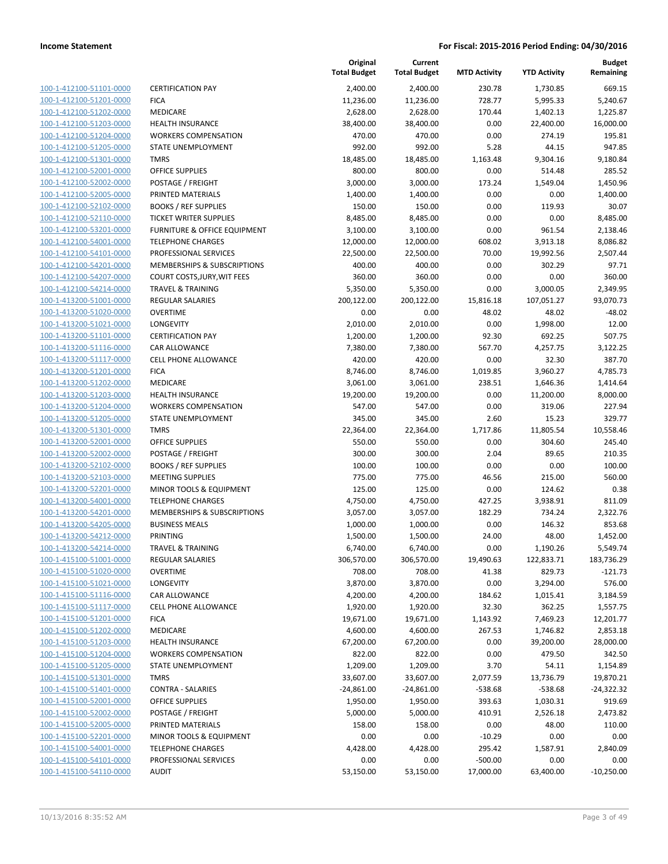| 100-1-412100-51101-0000        |
|--------------------------------|
| 100-1-412100-51201-0000        |
| 100-1-412100-51202-0000        |
| 100-1-412100-51203-0000        |
| 100-1-412100-51204-0000        |
| 100-1-412100-51205-0000        |
| 100-1-412100-51301-0000        |
| 100-1-412100-52001-0000        |
| 100-1-412100-52002-0000        |
| 100-1-412100-52005-0000        |
| 100-1-412100-52102-0000        |
| 100-1-412100-52110-0000        |
| 100-1-412100-53201-0000        |
| 100-1-412100-54001-0000        |
| <u>100-1-412100-54101-0000</u> |
| 100-1-412100-54201-0000        |
| 100-1-412100-54207-0000        |
| 100-1-412100-54214-0000        |
| 100-1-413200-51001-0000        |
| <u>100-1-413200-51020-0000</u> |
| 100-1-413200-51021-0000        |
| 100-1-413200-51101-0000        |
| 100-1-413200-51116-0000        |
| 100-1-413200-51117-0000        |
| 100-1-413200-51201-0000        |
| 100-1-413200-51202-0000        |
| 100-1-413200-51203-0000        |
| 100-1-413200-51204-0000        |
| 100-1-413200-51205-0000        |
| <u>100-1-413200-51301-0000</u> |
| 100-1-413200-52001-0000        |
| 100-1-413200-52002-0000        |
| 100-1-413200-52102-0000        |
| 100-1-413200-52103-0000        |
| 100-1-413200-52201-0000        |
| 100-1-413200-54001-0000        |
| 100-1-413200-54201-0000        |
| 100-1-413200-54205-0000        |
| 100-1-413200-54212-0000        |
| 100-1-413200-54214-0000        |
| 100-1-415100-51001-0000        |
| <u>100-1-415100-51020-0000</u> |
| 100-1-415100-51021-0000        |
| <u>100-1-415100-51116-0000</u> |
| <u>100-1-415100-51117-0000</u> |
| 100-1-415100-51201-0000        |
| <u>100-1-415100-51202-0000</u> |
| 100-1-415100-51203-0000        |
| <u>100-1-415100-51204-0000</u> |
| 100-1-415100-51205-0000        |
| 100-1-415100-51301-0000        |
| 100-1-415100-51401-0000        |
| 100-1-415100-52001-0000        |
|                                |
| <u>100-1-415100-52002-0000</u> |
| <u>100-1-415100-52005-0000</u> |
| <u>100-1-415100-52201-0000</u> |
| <u>100-1-415100-54001-0000</u> |
| 100-1-415100-54101-0000        |
| 100-1-415100-54110-0000        |

|                                                    |                                            | Original<br><b>Total Budget</b> | Current<br><b>Total Budget</b> | <b>MTD Activity</b> | <b>YTD Activity</b> | Budget<br>Remaining |
|----------------------------------------------------|--------------------------------------------|---------------------------------|--------------------------------|---------------------|---------------------|---------------------|
| 100-1-412100-51101-0000                            | <b>CERTIFICATION PAY</b>                   | 2,400.00                        | 2,400.00                       | 230.78              | 1,730.85            | 669.15              |
| 100-1-412100-51201-0000                            | <b>FICA</b>                                | 11,236.00                       | 11,236.00                      | 728.77              | 5,995.33            | 5,240.67            |
| 100-1-412100-51202-0000                            | MEDICARE                                   | 2,628.00                        | 2,628.00                       | 170.44              | 1,402.13            | 1,225.87            |
| 100-1-412100-51203-0000                            | <b>HEALTH INSURANCE</b>                    | 38,400.00                       | 38,400.00                      | 0.00                | 22,400.00           | 16,000.00           |
| 100-1-412100-51204-0000                            | <b>WORKERS COMPENSATION</b>                | 470.00                          | 470.00                         | 0.00                | 274.19              | 195.81              |
| 100-1-412100-51205-0000                            | STATE UNEMPLOYMENT                         | 992.00                          | 992.00                         | 5.28                | 44.15               | 947.85              |
| 100-1-412100-51301-0000                            | <b>TMRS</b>                                | 18,485.00                       | 18,485.00                      | 1,163.48            | 9,304.16            | 9,180.84            |
| 100-1-412100-52001-0000                            | OFFICE SUPPLIES                            | 800.00                          | 800.00                         | 0.00                | 514.48              | 285.52              |
| 100-1-412100-52002-0000                            | POSTAGE / FREIGHT                          | 3,000.00                        | 3,000.00                       | 173.24              | 1,549.04            | 1,450.96            |
| 100-1-412100-52005-0000                            | PRINTED MATERIALS                          | 1,400.00                        | 1,400.00                       | 0.00                | 0.00                | 1,400.00            |
| 100-1-412100-52102-0000                            | <b>BOOKS / REF SUPPLIES</b>                | 150.00                          | 150.00                         | 0.00                | 119.93              | 30.07               |
| 100-1-412100-52110-0000                            | <b>TICKET WRITER SUPPLIES</b>              | 8,485.00                        | 8,485.00                       | 0.00                | 0.00                | 8,485.00            |
| 100-1-412100-53201-0000                            | FURNITURE & OFFICE EQUIPMENT               | 3,100.00                        | 3,100.00                       | 0.00                | 961.54              | 2,138.46            |
| 100-1-412100-54001-0000                            | <b>TELEPHONE CHARGES</b>                   | 12,000.00                       | 12,000.00                      | 608.02              | 3,913.18            | 8,086.82            |
| 100-1-412100-54101-0000                            | PROFESSIONAL SERVICES                      | 22,500.00                       | 22,500.00                      | 70.00               | 19,992.56           | 2,507.44            |
| 100-1-412100-54201-0000                            | MEMBERSHIPS & SUBSCRIPTIONS                | 400.00                          | 400.00                         | 0.00                | 302.29              | 97.71               |
| 100-1-412100-54207-0000                            | COURT COSTS, JURY, WIT FEES                | 360.00                          | 360.00                         | 0.00                | 0.00                | 360.00              |
| 100-1-412100-54214-0000                            | <b>TRAVEL &amp; TRAINING</b>               | 5,350.00                        | 5,350.00                       | 0.00                | 3,000.05            | 2,349.95            |
| 100-1-413200-51001-0000                            | <b>REGULAR SALARIES</b><br><b>OVERTIME</b> | 200,122.00                      | 200,122.00                     | 15,816.18           | 107,051.27          | 93,070.73           |
| 100-1-413200-51020-0000<br>100-1-413200-51021-0000 | LONGEVITY                                  | 0.00                            | 0.00<br>2,010.00               | 48.02<br>0.00       | 48.02               | $-48.02$            |
| 100-1-413200-51101-0000                            | <b>CERTIFICATION PAY</b>                   | 2,010.00<br>1,200.00            | 1,200.00                       | 92.30               | 1,998.00<br>692.25  | 12.00<br>507.75     |
| 100-1-413200-51116-0000                            | CAR ALLOWANCE                              | 7,380.00                        | 7,380.00                       | 567.70              | 4,257.75            | 3,122.25            |
| 100-1-413200-51117-0000                            | CELL PHONE ALLOWANCE                       | 420.00                          | 420.00                         | 0.00                | 32.30               | 387.70              |
| 100-1-413200-51201-0000                            | <b>FICA</b>                                | 8,746.00                        | 8,746.00                       | 1,019.85            | 3,960.27            | 4,785.73            |
| 100-1-413200-51202-0000                            | MEDICARE                                   | 3,061.00                        | 3,061.00                       | 238.51              | 1,646.36            | 1,414.64            |
| 100-1-413200-51203-0000                            | <b>HEALTH INSURANCE</b>                    | 19,200.00                       | 19,200.00                      | 0.00                | 11,200.00           | 8,000.00            |
| 100-1-413200-51204-0000                            | <b>WORKERS COMPENSATION</b>                | 547.00                          | 547.00                         | 0.00                | 319.06              | 227.94              |
| 100-1-413200-51205-0000                            | STATE UNEMPLOYMENT                         | 345.00                          | 345.00                         | 2.60                | 15.23               | 329.77              |
| 100-1-413200-51301-0000                            | <b>TMRS</b>                                | 22,364.00                       | 22,364.00                      | 1,717.86            | 11,805.54           | 10,558.46           |
| 100-1-413200-52001-0000                            | <b>OFFICE SUPPLIES</b>                     | 550.00                          | 550.00                         | 0.00                | 304.60              | 245.40              |
| 100-1-413200-52002-0000                            | POSTAGE / FREIGHT                          | 300.00                          | 300.00                         | 2.04                | 89.65               | 210.35              |
| 100-1-413200-52102-0000                            | <b>BOOKS / REF SUPPLIES</b>                | 100.00                          | 100.00                         | 0.00                | 0.00                | 100.00              |
| 100-1-413200-52103-0000                            | <b>MEETING SUPPLIES</b>                    | 775.00                          | 775.00                         | 46.56               | 215.00              | 560.00              |
| 100-1-413200-52201-0000                            | MINOR TOOLS & EQUIPMENT                    | 125.00                          | 125.00                         | 0.00                | 124.62              | 0.38                |
| 100-1-413200-54001-0000                            | <b>TELEPHONE CHARGES</b>                   | 4,750.00                        | 4,750.00                       | 427.25              | 3,938.91            | 811.09              |
| 100-1-413200-54201-0000                            | <b>MEMBERSHIPS &amp; SUBSCRIPTIONS</b>     | 3,057.00                        | 3,057.00                       | 182.29              | 734.24              | 2,322.76            |
| 100-1-413200-54205-0000                            | <b>BUSINESS MEALS</b>                      | 1,000.00                        | 1,000.00                       | 0.00                | 146.32              | 853.68              |
| 100-1-413200-54212-0000                            | <b>PRINTING</b>                            | 1,500.00                        | 1,500.00                       | 24.00               | 48.00               | 1,452.00            |
| 100-1-413200-54214-0000                            | TRAVEL & TRAINING                          | 6,740.00                        | 6,740.00                       | 0.00                | 1,190.26            | 5,549.74            |
| 100-1-415100-51001-0000                            | <b>REGULAR SALARIES</b>                    | 306,570.00                      | 306,570.00                     | 19,490.63           | 122,833.71          | 183,736.29          |
| 100-1-415100-51020-0000                            | <b>OVERTIME</b>                            | 708.00                          | 708.00                         | 41.38               | 829.73              | $-121.73$           |
| 100-1-415100-51021-0000                            | LONGEVITY                                  | 3,870.00                        | 3,870.00                       | 0.00                | 3,294.00            | 576.00              |
| 100-1-415100-51116-0000                            | CAR ALLOWANCE                              | 4,200.00                        | 4,200.00                       | 184.62              | 1,015.41            | 3,184.59            |
| 100-1-415100-51117-0000                            | CELL PHONE ALLOWANCE                       | 1,920.00                        | 1,920.00                       | 32.30               | 362.25              | 1,557.75            |
| 100-1-415100-51201-0000                            | <b>FICA</b>                                | 19,671.00                       | 19,671.00                      | 1,143.92            | 7,469.23            | 12,201.77           |
| 100-1-415100-51202-0000                            | MEDICARE                                   | 4,600.00                        | 4,600.00                       | 267.53              | 1,746.82            | 2,853.18            |
| 100-1-415100-51203-0000                            | <b>HEALTH INSURANCE</b>                    | 67,200.00                       | 67,200.00                      | 0.00                | 39,200.00           | 28,000.00           |
| 100-1-415100-51204-0000                            | <b>WORKERS COMPENSATION</b>                | 822.00                          | 822.00                         | 0.00                | 479.50              | 342.50              |
| 100-1-415100-51205-0000                            | STATE UNEMPLOYMENT                         | 1,209.00                        | 1,209.00                       | 3.70                | 54.11               | 1,154.89            |
| 100-1-415100-51301-0000                            | <b>TMRS</b>                                | 33,607.00                       | 33,607.00                      | 2,077.59            | 13,736.79           | 19,870.21           |
| 100-1-415100-51401-0000                            | <b>CONTRA - SALARIES</b>                   | $-24,861.00$                    | $-24,861.00$                   | $-538.68$           | $-538.68$           | $-24,322.32$        |
| 100-1-415100-52001-0000                            | OFFICE SUPPLIES                            | 1,950.00                        | 1,950.00                       | 393.63              | 1,030.31            | 919.69              |
| 100-1-415100-52002-0000                            | POSTAGE / FREIGHT                          | 5,000.00                        | 5,000.00                       | 410.91              | 2,526.18            | 2,473.82            |
| 100-1-415100-52005-0000                            | PRINTED MATERIALS                          | 158.00                          | 158.00                         | 0.00                | 48.00               | 110.00              |
| 100-1-415100-52201-0000                            | MINOR TOOLS & EQUIPMENT                    | 0.00                            | 0.00                           | $-10.29$            | 0.00                | 0.00                |
| 100-1-415100-54001-0000                            | <b>TELEPHONE CHARGES</b>                   | 4,428.00                        | 4,428.00                       | 295.42              | 1,587.91            | 2,840.09            |
| 100-1-415100-54101-0000                            | PROFESSIONAL SERVICES                      | 0.00                            | 0.00                           | $-500.00$           | 0.00                | 0.00                |
| 100-1-415100-54110-0000                            | <b>AUDIT</b>                               | 53,150.00                       | 53,150.00                      | 17,000.00           | 63,400.00           | $-10,250.00$        |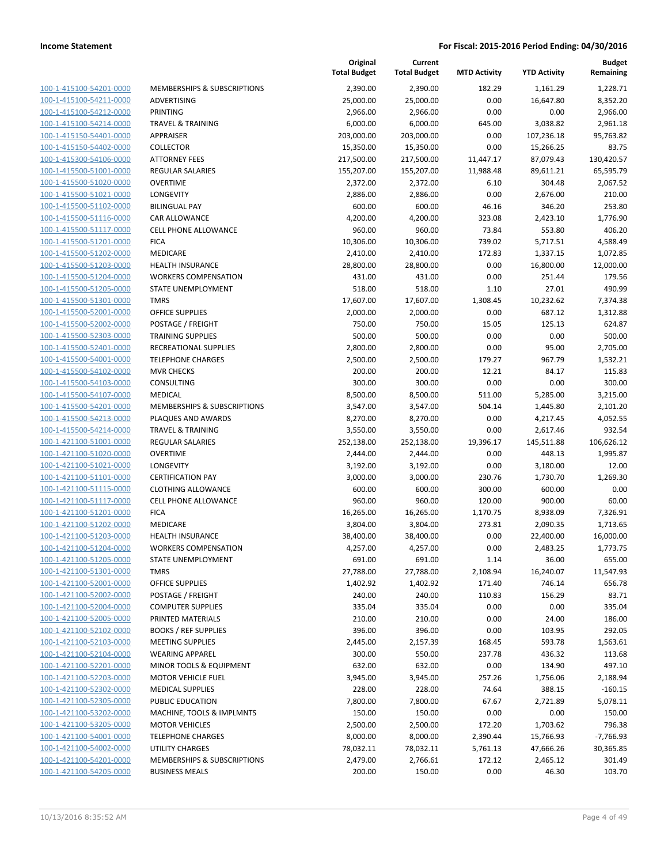|                                                    |                                                    | Original<br><b>Total Budget</b> | Current<br><b>Total Budget</b> | <b>MTD Activity</b> | <b>YTD Activity</b>    | <b>Budget</b><br>Remaining |
|----------------------------------------------------|----------------------------------------------------|---------------------------------|--------------------------------|---------------------|------------------------|----------------------------|
| 100-1-415100-54201-0000                            | MEMBERSHIPS & SUBSCRIPTIONS                        | 2,390.00                        | 2,390.00                       | 182.29              | 1,161.29               | 1,228.71                   |
| 100-1-415100-54211-0000                            | ADVERTISING                                        | 25,000.00                       | 25,000.00                      | 0.00                | 16,647.80              | 8,352.20                   |
| 100-1-415100-54212-0000                            | <b>PRINTING</b>                                    | 2,966.00                        | 2,966.00                       | 0.00                | 0.00                   | 2,966.00                   |
| 100-1-415100-54214-0000                            | <b>TRAVEL &amp; TRAINING</b>                       | 6,000.00                        | 6,000.00                       | 645.00              | 3,038.82               | 2,961.18                   |
| 100-1-415150-54401-0000                            | APPRAISER                                          | 203,000.00                      | 203,000.00                     | 0.00                | 107,236.18             | 95,763.82                  |
| 100-1-415150-54402-0000                            | <b>COLLECTOR</b>                                   | 15,350.00                       | 15,350.00                      | 0.00                | 15,266.25              | 83.75                      |
| 100-1-415300-54106-0000                            | <b>ATTORNEY FEES</b>                               | 217,500.00                      | 217,500.00                     | 11,447.17           | 87,079.43              | 130,420.57                 |
| 100-1-415500-51001-0000                            | <b>REGULAR SALARIES</b>                            | 155,207.00                      | 155,207.00                     | 11,988.48           | 89,611.21              | 65,595.79                  |
| 100-1-415500-51020-0000                            | <b>OVERTIME</b>                                    | 2,372.00                        | 2,372.00                       | 6.10                | 304.48                 | 2,067.52                   |
| 100-1-415500-51021-0000                            | LONGEVITY                                          | 2,886.00                        | 2,886.00                       | 0.00                | 2,676.00               | 210.00                     |
| 100-1-415500-51102-0000                            | <b>BILINGUAL PAY</b>                               | 600.00                          | 600.00                         | 46.16               | 346.20                 | 253.80                     |
| 100-1-415500-51116-0000                            | CAR ALLOWANCE                                      | 4,200.00                        | 4,200.00                       | 323.08              | 2,423.10               | 1,776.90                   |
| 100-1-415500-51117-0000                            | <b>CELL PHONE ALLOWANCE</b>                        | 960.00                          | 960.00                         | 73.84               | 553.80                 | 406.20                     |
| 100-1-415500-51201-0000                            | <b>FICA</b>                                        | 10,306.00                       | 10,306.00                      | 739.02              | 5,717.51               | 4,588.49                   |
| 100-1-415500-51202-0000                            | MEDICARE                                           | 2,410.00                        | 2,410.00                       | 172.83              | 1,337.15               | 1,072.85                   |
| 100-1-415500-51203-0000                            | <b>HEALTH INSURANCE</b>                            | 28,800.00                       | 28,800.00                      | 0.00                | 16,800.00              | 12,000.00                  |
| 100-1-415500-51204-0000                            | <b>WORKERS COMPENSATION</b>                        | 431.00                          | 431.00                         | 0.00                | 251.44                 | 179.56                     |
| 100-1-415500-51205-0000                            | STATE UNEMPLOYMENT                                 | 518.00                          | 518.00                         | 1.10                | 27.01                  | 490.99                     |
| 100-1-415500-51301-0000                            | <b>TMRS</b>                                        | 17,607.00                       | 17,607.00                      | 1,308.45            | 10,232.62              | 7,374.38                   |
| 100-1-415500-52001-0000                            | <b>OFFICE SUPPLIES</b>                             | 2,000.00                        | 2,000.00                       | 0.00                | 687.12                 | 1,312.88                   |
| 100-1-415500-52002-0000                            | POSTAGE / FREIGHT                                  | 750.00                          | 750.00                         | 15.05               | 125.13                 | 624.87                     |
| 100-1-415500-52303-0000                            | <b>TRAINING SUPPLIES</b>                           | 500.00                          | 500.00                         | 0.00                | 0.00                   | 500.00                     |
| 100-1-415500-52401-0000                            | <b>RECREATIONAL SUPPLIES</b>                       | 2,800.00                        | 2,800.00                       | 0.00                | 95.00                  | 2,705.00                   |
| 100-1-415500-54001-0000                            | <b>TELEPHONE CHARGES</b>                           | 2,500.00                        | 2,500.00                       | 179.27              | 967.79                 | 1,532.21                   |
| 100-1-415500-54102-0000                            | <b>MVR CHECKS</b>                                  | 200.00                          | 200.00                         | 12.21               | 84.17                  | 115.83                     |
| 100-1-415500-54103-0000                            | CONSULTING                                         | 300.00                          | 300.00                         | 0.00                | 0.00                   | 300.00                     |
| 100-1-415500-54107-0000                            | <b>MEDICAL</b>                                     | 8,500.00                        | 8,500.00                       | 511.00              | 5,285.00               | 3,215.00                   |
| 100-1-415500-54201-0000                            | <b>MEMBERSHIPS &amp; SUBSCRIPTIONS</b>             | 3,547.00                        | 3,547.00                       | 504.14              | 1,445.80               | 2,101.20                   |
| 100-1-415500-54213-0000                            | PLAQUES AND AWARDS                                 | 8,270.00                        | 8,270.00                       | 0.00                | 4,217.45               | 4,052.55                   |
| 100-1-415500-54214-0000                            | <b>TRAVEL &amp; TRAINING</b>                       | 3,550.00                        | 3,550.00                       | 0.00                | 2,617.46               | 932.54                     |
| 100-1-421100-51001-0000                            | REGULAR SALARIES                                   | 252,138.00                      | 252,138.00                     | 19,396.17           | 145,511.88             | 106,626.12                 |
| 100-1-421100-51020-0000                            | <b>OVERTIME</b>                                    | 2,444.00                        | 2,444.00                       | 0.00                | 448.13                 | 1,995.87                   |
| 100-1-421100-51021-0000                            | LONGEVITY                                          | 3,192.00                        | 3,192.00                       | 0.00                | 3,180.00               | 12.00                      |
| 100-1-421100-51101-0000                            | <b>CERTIFICATION PAY</b>                           | 3,000.00                        | 3,000.00                       | 230.76              | 1,730.70               | 1,269.30                   |
| 100-1-421100-51115-0000                            | <b>CLOTHING ALLOWANCE</b>                          | 600.00                          | 600.00                         | 300.00              | 600.00                 | 0.00                       |
| 100-1-421100-51117-0000                            | <b>CELL PHONE ALLOWANCE</b>                        | 960.00                          | 960.00                         | 120.00              | 900.00                 | 60.00                      |
| 100-1-421100-51201-0000                            | <b>FICA</b>                                        | 16,265.00                       | 16,265.00                      | 1,170.75            | 8,938.09               | 7,326.91                   |
| 100-1-421100-51202-0000                            | MEDICARE                                           | 3,804.00                        | 3,804.00                       | 273.81              | 2,090.35               | 1,713.65                   |
| 100-1-421100-51203-0000                            | <b>HEALTH INSURANCE</b>                            | 38,400.00                       | 38,400.00                      | 0.00                | 22,400.00              | 16,000.00                  |
| 100-1-421100-51204-0000                            | <b>WORKERS COMPENSATION</b>                        | 4,257.00                        | 4,257.00                       | 0.00                | 2,483.25               | 1,773.75                   |
| 100-1-421100-51205-0000                            | <b>STATE UNEMPLOYMENT</b>                          | 691.00                          | 691.00                         | 1.14                | 36.00                  | 655.00                     |
| 100-1-421100-51301-0000                            | <b>TMRS</b>                                        | 27,788.00                       | 27,788.00                      | 2,108.94            | 16,240.07              | 11,547.93                  |
| 100-1-421100-52001-0000                            | <b>OFFICE SUPPLIES</b>                             | 1,402.92                        | 1,402.92                       | 171.40              | 746.14                 | 656.78                     |
| 100-1-421100-52002-0000                            | POSTAGE / FREIGHT                                  | 240.00                          | 240.00                         | 110.83              | 156.29                 | 83.71                      |
| 100-1-421100-52004-0000                            | <b>COMPUTER SUPPLIES</b>                           | 335.04                          | 335.04                         | 0.00                | 0.00                   | 335.04                     |
| 100-1-421100-52005-0000                            | PRINTED MATERIALS                                  | 210.00                          | 210.00                         | 0.00                | 24.00                  | 186.00                     |
| 100-1-421100-52102-0000                            | <b>BOOKS / REF SUPPLIES</b>                        | 396.00                          | 396.00                         | 0.00                | 103.95                 | 292.05                     |
| 100-1-421100-52103-0000                            | <b>MEETING SUPPLIES</b>                            | 2,445.00                        | 2,157.39                       | 168.45              | 593.78                 | 1,563.61                   |
| 100-1-421100-52104-0000                            | <b>WEARING APPAREL</b>                             | 300.00                          | 550.00                         | 237.78              | 436.32                 | 113.68                     |
| 100-1-421100-52201-0000                            | MINOR TOOLS & EQUIPMENT                            | 632.00                          | 632.00                         | 0.00                | 134.90                 | 497.10                     |
| 100-1-421100-52203-0000                            | <b>MOTOR VEHICLE FUEL</b>                          | 3,945.00                        | 3,945.00                       | 257.26              | 1,756.06               | 2,188.94                   |
| 100-1-421100-52302-0000                            | <b>MEDICAL SUPPLIES</b>                            | 228.00                          | 228.00                         | 74.64               | 388.15                 | $-160.15$                  |
| 100-1-421100-52305-0000<br>100-1-421100-53202-0000 | PUBLIC EDUCATION                                   | 7,800.00                        | 7,800.00                       | 67.67               | 2,721.89               | 5,078.11                   |
| 100-1-421100-53205-0000                            | MACHINE, TOOLS & IMPLMNTS<br><b>MOTOR VEHICLES</b> | 150.00<br>2,500.00              | 150.00<br>2,500.00             | 0.00<br>172.20      | 0.00<br>1,703.62       | 150.00<br>796.38           |
| 100-1-421100-54001-0000                            | <b>TELEPHONE CHARGES</b>                           | 8,000.00                        | 8,000.00                       | 2,390.44            |                        | $-7,766.93$                |
| 100-1-421100-54002-0000                            | UTILITY CHARGES                                    | 78,032.11                       | 78,032.11                      | 5,761.13            | 15,766.93<br>47,666.26 | 30,365.85                  |
| 100-1-421100-54201-0000                            | MEMBERSHIPS & SUBSCRIPTIONS                        | 2,479.00                        | 2,766.61                       | 172.12              | 2,465.12               | 301.49                     |
| 100-1-421100-54205-0000                            | <b>BUSINESS MEALS</b>                              | 200.00                          | 150.00                         | 0.00                | 46.30                  | 103.70                     |
|                                                    |                                                    |                                 |                                |                     |                        |                            |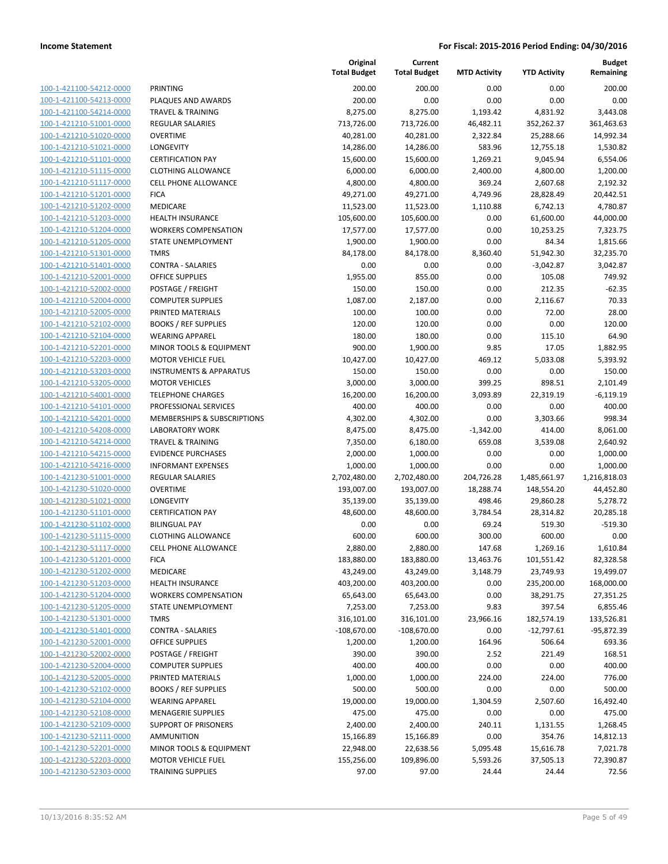| 100-1-421100-54212-0000        |
|--------------------------------|
| 100-1-421100-54213-0000        |
| 100-1-421100-54214-0000        |
| <u>100-1-421210-51001-0000</u> |
| 100-1-421210-51020-0000        |
| 100-1-421210-51021-0000        |
| 100-1-421210-51101-0000        |
| 100-1-421210-51115-0000        |
| <u>100-1-421210-51117-0000</u> |
| 100-1-421210-51201-0000        |
| 100-1-421210-51202-0000        |
| 100-1-421210-51203-0000        |
| 100-1-421210-51204-0000        |
| <u>100-1-421210-51205-0000</u> |
| 100-1-421210-51301-0000        |
| 100-1-421210-51401-0000        |
| 100-1-421210-52001-0000        |
| 100-1-421210-52002-0000        |
| <u>100-1-421210-52004-0000</u> |
| 100-1-421210-52005-0000        |
| 100-1-421210-52102-0000        |
|                                |
| 100-1-421210-52104-0000        |
| 100-1-421210-52201-0000        |
| <u>100-1-421210-52203-0000</u> |
| 100-1-421210-53203-0000        |
| 100-1-421210-53205-0000        |
| 100-1-421210-54001-0000        |
| 100-1-421210-54101-0000        |
| <u>100-1-421210-54201-0000</u> |
| 100-1-421210-54208-0000        |
| 100-1-421210-54214-0000        |
| 100-1-421210-54215-0000        |
| 100-1-421210-54216-0000        |
| <u>100-1-421230-51001-0000</u> |
| 100-1-421230-51020-0000        |
| 100-1-421230-51021-0000        |
| 100-1-421230-51101-0000        |
| 100-1-421230-51102-0000        |
| 100-1-421230-51115-0000        |
| 100-1-421230-51117-0000        |
| 100-1-421230-51201-0000        |
| <u>100-1-421230-51202-0000</u> |
| 100-1-421230-51203-0000        |
| 100-1-421230-51204-0000        |
| <u>100-1-421230-51205-0000</u> |
| 100-1-421230-51301-0000        |
| <u>100-1-421230-51401-0000</u> |
| 100-1-421230-52001-0000        |
| 100-1-421230-52002-0000        |
| <u>100-1-421230-52004-0000</u> |
| 100-1-421230-52005-0000        |
| 100-1-421230-52102-0000        |
| 100-1-421230-52104-0000        |
| 100-1-421230-52108-0000        |
| <u>100-1-421230-52109-0000</u> |
|                                |
| <u>100-1-421230-52111-0000</u> |
| <u>100-1-421230-52201-0000</u> |
| 100-1-421230-52203-0000        |
| <u>100-1-421230-52303-0000</u> |

| PRINTING                               |
|----------------------------------------|
| PLAQUES AND AWARDS                     |
| <b>TRAVEL &amp; TRAINING</b>           |
| <b>REGULAR SALARIES</b>                |
| <b>OVERTIME</b>                        |
| LONGEVITY                              |
| <b>CERTIFICATION PAY</b>               |
| <b>CLOTHING ALLOWANCE</b>              |
| <b>CELL PHONE ALLOWANCE</b>            |
| <b>FICA</b>                            |
| <b>MEDICARE</b>                        |
| <b>HEALTH INSURANCE</b>                |
| <b>WORKERS COMPENSATION</b>            |
| STATE UNEMPLOYMENT                     |
| TMRS                                   |
| <b>CONTRA - SALARIES</b>               |
| OFFICE SUPPLIES                        |
| POSTAGE / FREIGHT                      |
| <b>COMPUTER SUPPLIES</b>               |
| PRINTED MATERIALS                      |
| <b>BOOKS / REF SUPPLIES</b>            |
| <b>WEARING APPAREL</b>                 |
| MINOR TOOLS & EQUIPMENT                |
| <b>MOTOR VEHICLE FUEL</b>              |
| <b>INSTRUMENTS &amp; APPARATUS</b>     |
| <b>MOTOR VEHICLES</b>                  |
| <b>TELEPHONE CHARGES</b>               |
| <b>PROFESSIONAL SERVICES</b>           |
| <b>MEMBERSHIPS &amp; SUBSCRIPTIONS</b> |
| <b>LABORATORY WORK</b>                 |
| <b>TRAVEL &amp; TRAINING</b>           |
| <b>EVIDENCE PURCHASES</b>              |
| <b>INFORMANT EXPENSES</b>              |
| <b>REGULAR SALARIES</b>                |
| OVERTIME                               |
| LONGEVITY<br><b>CERTIFICATION PAY</b>  |
| <b>BILINGUAL PAY</b>                   |
| <b>CLOTHING ALLOWANCE</b>              |
| <b>CELL PHONE ALLOWANCE</b>            |
| <b>FICA</b>                            |
| <b>MEDICARE</b>                        |
| <b>HEALTH INSURANCE</b>                |
| <b>WORKERS COMPENSATION</b>            |
| STATE UNEMPLOYMENT                     |
| <b>TMRS</b>                            |
| <b>CONTRA - SALARIES</b>               |
| <b>OFFICE SUPPLIES</b>                 |
| <b>POSTAGE / FREIGHT</b>               |
| <b>COMPUTER SUPPLIES</b>               |
| PRINTED MATERIALS                      |
| <b>BOOKS / REF SUPPLIES</b>            |
| <b>WEARING APPAREL</b>                 |
| <b>MENAGERIE SUPPLIES</b>              |
| <b>SUPPORT OF PRISONERS</b>            |
| <b>AMMUNITION</b>                      |
| <b>MINOR TOOLS &amp; EQUIPMENT</b>     |
| <b>MOTOR VEHICLE FUEL</b>              |
|                                        |

|                                                    |                                                        | Original<br><b>Total Budget</b> | Current<br><b>Total Budget</b> | <b>MTD Activity</b> | <b>YTD Activity</b> | <b>Budget</b><br>Remaining |
|----------------------------------------------------|--------------------------------------------------------|---------------------------------|--------------------------------|---------------------|---------------------|----------------------------|
| 100-1-421100-54212-0000                            | <b>PRINTING</b>                                        | 200.00                          | 200.00                         | 0.00                | 0.00                | 200.00                     |
| 100-1-421100-54213-0000                            | PLAQUES AND AWARDS                                     | 200.00                          | 0.00                           | 0.00                | 0.00                | 0.00                       |
| 100-1-421100-54214-0000                            | <b>TRAVEL &amp; TRAINING</b>                           | 8,275.00                        | 8,275.00                       | 1,193.42            | 4,831.92            | 3,443.08                   |
| 100-1-421210-51001-0000                            | REGULAR SALARIES                                       | 713,726.00                      | 713,726.00                     | 46,482.11           | 352,262.37          | 361,463.63                 |
| 100-1-421210-51020-0000                            | <b>OVERTIME</b>                                        | 40,281.00                       | 40,281.00                      | 2,322.84            | 25,288.66           | 14,992.34                  |
| 100-1-421210-51021-0000                            | LONGEVITY                                              | 14,286.00                       | 14,286.00                      | 583.96              | 12,755.18           | 1,530.82                   |
| 100-1-421210-51101-0000                            | <b>CERTIFICATION PAY</b>                               | 15,600.00                       | 15,600.00                      | 1,269.21            | 9,045.94            | 6,554.06                   |
| 100-1-421210-51115-0000                            | <b>CLOTHING ALLOWANCE</b>                              | 6,000.00                        | 6,000.00                       | 2,400.00            | 4,800.00            | 1,200.00                   |
| 100-1-421210-51117-0000                            | <b>CELL PHONE ALLOWANCE</b>                            | 4,800.00                        | 4,800.00                       | 369.24              | 2,607.68            | 2,192.32                   |
| 100-1-421210-51201-0000                            | <b>FICA</b>                                            | 49,271.00                       | 49,271.00                      | 4,749.96            | 28,828.49           | 20,442.51                  |
| 100-1-421210-51202-0000                            | MEDICARE                                               | 11,523.00                       | 11,523.00                      | 1,110.88            | 6,742.13            | 4,780.87                   |
| 100-1-421210-51203-0000                            | HEALTH INSURANCE                                       | 105,600.00                      | 105,600.00                     | 0.00                | 61,600.00           | 44,000.00                  |
| 100-1-421210-51204-0000                            | <b>WORKERS COMPENSATION</b>                            | 17,577.00                       | 17,577.00                      | 0.00                | 10,253.25           | 7,323.75                   |
| 100-1-421210-51205-0000                            | STATE UNEMPLOYMENT                                     | 1,900.00                        | 1,900.00                       | 0.00                | 84.34               | 1,815.66                   |
| 100-1-421210-51301-0000                            | <b>TMRS</b>                                            | 84,178.00                       | 84,178.00                      | 8,360.40            | 51,942.30           | 32,235.70                  |
| 100-1-421210-51401-0000                            | <b>CONTRA - SALARIES</b>                               | 0.00                            | 0.00                           | 0.00                | $-3,042.87$         | 3,042.87                   |
| 100-1-421210-52001-0000                            | <b>OFFICE SUPPLIES</b>                                 | 1,955.00                        | 855.00                         | 0.00                | 105.08              | 749.92                     |
| 100-1-421210-52002-0000                            | POSTAGE / FREIGHT                                      | 150.00                          | 150.00                         | 0.00                | 212.35              | $-62.35$                   |
| 100-1-421210-52004-0000                            | <b>COMPUTER SUPPLIES</b>                               | 1,087.00                        | 2,187.00                       | 0.00                | 2,116.67            | 70.33                      |
| 100-1-421210-52005-0000                            | PRINTED MATERIALS                                      | 100.00                          | 100.00                         | 0.00                | 72.00               | 28.00                      |
| 100-1-421210-52102-0000                            | <b>BOOKS / REF SUPPLIES</b>                            | 120.00                          | 120.00                         | 0.00                | 0.00                | 120.00                     |
| 100-1-421210-52104-0000                            | <b>WEARING APPAREL</b>                                 | 180.00                          | 180.00                         | 0.00                | 115.10              | 64.90                      |
| 100-1-421210-52201-0000                            | MINOR TOOLS & EQUIPMENT                                | 900.00                          | 1,900.00                       | 9.85                | 17.05               | 1,882.95                   |
| 100-1-421210-52203-0000                            | <b>MOTOR VEHICLE FUEL</b>                              | 10,427.00                       | 10,427.00                      | 469.12              | 5,033.08            | 5.393.92                   |
| 100-1-421210-53203-0000                            | <b>INSTRUMENTS &amp; APPARATUS</b>                     | 150.00                          | 150.00                         | 0.00                | 0.00                | 150.00                     |
| 100-1-421210-53205-0000                            | <b>MOTOR VEHICLES</b>                                  | 3,000.00                        | 3,000.00                       | 399.25              | 898.51              | 2,101.49                   |
| 100-1-421210-54001-0000                            | <b>TELEPHONE CHARGES</b>                               | 16,200.00                       | 16,200.00                      | 3,093.89            | 22,319.19           | $-6,119.19$                |
| 100-1-421210-54101-0000                            | PROFESSIONAL SERVICES                                  | 400.00                          | 400.00                         | 0.00                | 0.00                | 400.00                     |
| 100-1-421210-54201-0000                            | MEMBERSHIPS & SUBSCRIPTIONS                            | 4,302.00                        | 4,302.00                       | 0.00                | 3,303.66            | 998.34                     |
| 100-1-421210-54208-0000                            | <b>LABORATORY WORK</b>                                 | 8,475.00                        | 8,475.00                       | $-1,342.00$         | 414.00              | 8,061.00                   |
| 100-1-421210-54214-0000                            | <b>TRAVEL &amp; TRAINING</b>                           | 7,350.00                        | 6,180.00                       | 659.08              | 3,539.08            | 2,640.92                   |
| 100-1-421210-54215-0000<br>100-1-421210-54216-0000 | <b>EVIDENCE PURCHASES</b><br><b>INFORMANT EXPENSES</b> | 2,000.00                        | 1,000.00                       | 0.00<br>0.00        | 0.00<br>0.00        | 1,000.00                   |
| 100-1-421230-51001-0000                            | <b>REGULAR SALARIES</b>                                | 1,000.00<br>2,702,480.00        | 1,000.00<br>2,702,480.00       | 204,726.28          | 1,485,661.97        | 1,000.00<br>1,216,818.03   |
| 100-1-421230-51020-0000                            | <b>OVERTIME</b>                                        | 193,007.00                      | 193,007.00                     | 18,288.74           | 148,554.20          | 44,452.80                  |
| 100-1-421230-51021-0000                            | LONGEVITY                                              | 35,139.00                       | 35,139.00                      | 498.46              | 29,860.28           | 5,278.72                   |
| 100-1-421230-51101-0000                            | <b>CERTIFICATION PAY</b>                               | 48,600.00                       | 48,600.00                      | 3,784.54            | 28,314.82           | 20,285.18                  |
| 100-1-421230-51102-0000                            | <b>BILINGUAL PAY</b>                                   | 0.00                            | 0.00                           | 69.24               | 519.30              | $-519.30$                  |
| 100-1-421230-51115-0000                            | <b>CLOTHING ALLOWANCE</b>                              | 600.00                          | 600.00                         | 300.00              | 600.00              | 0.00                       |
| 100-1-421230-51117-0000                            | <b>CELL PHONE ALLOWANCE</b>                            | 2,880.00                        | 2,880.00                       | 147.68              | 1,269.16            | 1,610.84                   |
| 100-1-421230-51201-0000                            | <b>FICA</b>                                            | 183,880.00                      | 183,880.00                     | 13,463.76           | 101,551.42          | 82,328.58                  |
| 100-1-421230-51202-0000                            | MEDICARE                                               | 43,249.00                       | 43,249.00                      | 3,148.79            | 23,749.93           | 19,499.07                  |
| 100-1-421230-51203-0000                            | <b>HEALTH INSURANCE</b>                                | 403,200.00                      | 403,200.00                     | 0.00                | 235,200.00          | 168,000.00                 |
| 100-1-421230-51204-0000                            | <b>WORKERS COMPENSATION</b>                            | 65,643.00                       | 65,643.00                      | 0.00                | 38,291.75           | 27,351.25                  |
| 100-1-421230-51205-0000                            | STATE UNEMPLOYMENT                                     | 7,253.00                        | 7,253.00                       | 9.83                | 397.54              | 6,855.46                   |
| 100-1-421230-51301-0000                            | <b>TMRS</b>                                            | 316,101.00                      | 316,101.00                     | 23,966.16           | 182,574.19          | 133,526.81                 |
| 100-1-421230-51401-0000                            | <b>CONTRA - SALARIES</b>                               | $-108,670.00$                   | $-108,670.00$                  | 0.00                | $-12,797.61$        | $-95,872.39$               |
| 100-1-421230-52001-0000                            | OFFICE SUPPLIES                                        | 1,200.00                        | 1,200.00                       | 164.96              | 506.64              | 693.36                     |
| 100-1-421230-52002-0000                            | POSTAGE / FREIGHT                                      | 390.00                          | 390.00                         | 2.52                | 221.49              | 168.51                     |
| 100-1-421230-52004-0000                            | <b>COMPUTER SUPPLIES</b>                               | 400.00                          | 400.00                         | 0.00                | 0.00                | 400.00                     |
| 100-1-421230-52005-0000                            | PRINTED MATERIALS                                      | 1,000.00                        | 1,000.00                       | 224.00              | 224.00              | 776.00                     |
| 100-1-421230-52102-0000                            | <b>BOOKS / REF SUPPLIES</b>                            | 500.00                          | 500.00                         | 0.00                | 0.00                | 500.00                     |
| 100-1-421230-52104-0000                            | <b>WEARING APPAREL</b>                                 | 19,000.00                       | 19,000.00                      | 1,304.59            | 2,507.60            | 16,492.40                  |
| 100-1-421230-52108-0000                            | <b>MENAGERIE SUPPLIES</b>                              | 475.00                          | 475.00                         | 0.00                | 0.00                | 475.00                     |
| 100-1-421230-52109-0000                            | <b>SUPPORT OF PRISONERS</b>                            | 2,400.00                        | 2,400.00                       | 240.11              | 1,131.55            | 1,268.45                   |
| 100-1-421230-52111-0000                            | AMMUNITION                                             | 15,166.89                       | 15,166.89                      | 0.00                | 354.76              | 14,812.13                  |
| 100-1-421230-52201-0000                            | MINOR TOOLS & EQUIPMENT                                | 22,948.00                       | 22,638.56                      | 5,095.48            | 15,616.78           | 7,021.78                   |
| 100-1-421230-52203-0000                            | <b>MOTOR VEHICLE FUEL</b>                              | 155,256.00                      | 109,896.00                     | 5,593.26            | 37,505.13           | 72,390.87                  |
| 100-1-421230-52303-0000                            | <b>TRAINING SUPPLIES</b>                               | 97.00                           | 97.00                          | 24.44               | 24.44               | 72.56                      |
|                                                    |                                                        |                                 |                                |                     |                     |                            |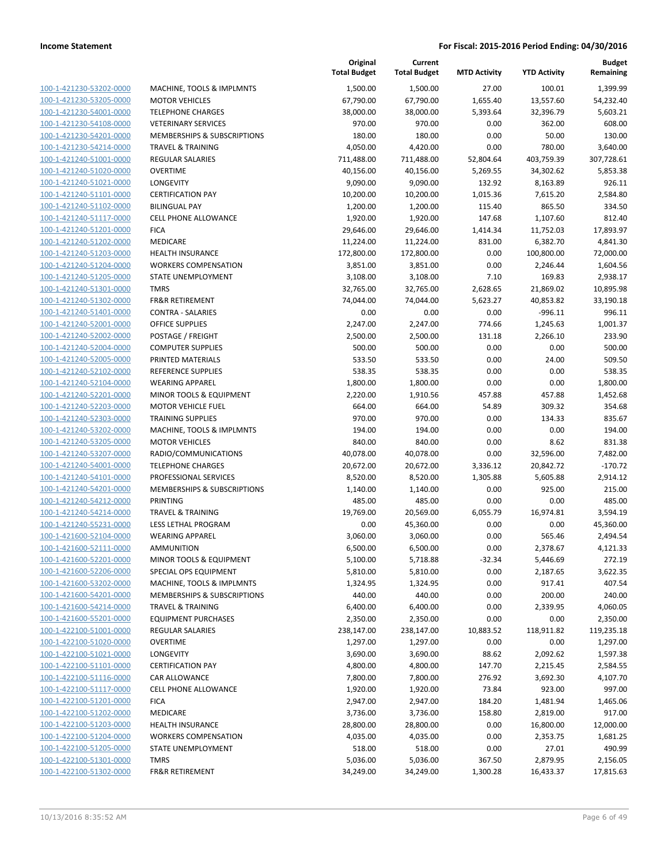| 100-1-421230-53202-0000             |
|-------------------------------------|
| 100-1-421230-53205-0000             |
| 100-1-421230-54001-0000             |
| <u>100-1-421230-54108-0000</u>      |
|                                     |
| 100-1-421230-54201-0000             |
| 100-1-421230-54214-0000             |
| 100-1-421240-51001-0000             |
| 100-1-421240-51020-0000             |
| <u>100-1-421240-51021-0000</u>      |
| 100-1-421240-51101-0000             |
| 100-1-421240-51102-0000             |
| 100-1-421240-51117-0000             |
|                                     |
| 100-1-421240-51201-0000             |
| <u>100-1-421240-51202-0000</u>      |
| 100-1-421240-51203-0000             |
| 100-1-421240-51204-0000             |
| 100-1-421240-51205-0000             |
| 100-1-421240-51301-0000             |
| <u>100-1-421240-51302-0000</u>      |
| 100-1-421240-51401-0000             |
| 100-1-421240-52001-                 |
| -0000                               |
| 100-1-421240-52002-0000             |
| 100-1-421240-52004-0000             |
| <u>100-1-421240-52005-0000</u>      |
| 100-1-421240-52102-0000             |
| 100-1-421240-52104-0000             |
| 100-1-421240-52201-0000             |
| 100-1-421240-52203-0000             |
| <u>100-1-421240-52303-0000</u>      |
| 100-1-421240-53202-0000             |
|                                     |
| 100-1-421240-53205-0000             |
| 100-1-421240-53207-0000             |
| 100-1-421240-54001-0000             |
| <u>100-1-421240-54101-0000</u>      |
| 100-1-421240-54201-0000             |
| 100-1-421240-54212-0000             |
| 100-1-421240-54214-0000             |
| 100-1-421240-55231-0000             |
|                                     |
| 100-1-421600-52104-0000             |
| 100-1-421600-52111-0000             |
| 100-1-421600-52201-0000             |
| <u>100-1-421600-52206-0000</u>      |
| <u>100-1-421600-53202-0000</u>      |
| 100-1-421600-54201-0000             |
| 100-1-421600-54214-0000             |
| 100-1-421600-55201-0000             |
|                                     |
| 100-1-422100-51001-0000             |
| 100-1-422100-51020-0000             |
| 100-1-422100-51021-0000             |
| <u>100-1-422100-51101-0000</u>      |
| 100-1-422100-51116-0000             |
| 100-1-422100-51117-0000             |
| 100-1-422100-51201-0000             |
| 100-1-422100-51202-0000             |
| <u>100-1-422100-51203-0000</u>      |
|                                     |
| 1-422100-51204-0000<br><u> 100-</u> |
| 100-1-422100-51205-0000             |
| <u>100-1-422100-51301-0000</u>      |
| <u>100-1-422100-51302-0000</u>      |
|                                     |

|                                                    |                                                             | Original<br><b>Total Budget</b> | Current<br><b>Total Budget</b> | <b>MTD Activity</b> | <b>YTD Activity</b> | <b>Budget</b><br>Remaining |
|----------------------------------------------------|-------------------------------------------------------------|---------------------------------|--------------------------------|---------------------|---------------------|----------------------------|
| 100-1-421230-53202-0000                            | MACHINE, TOOLS & IMPLMNTS                                   | 1,500.00                        | 1,500.00                       | 27.00               | 100.01              | 1,399.99                   |
| 100-1-421230-53205-0000                            | <b>MOTOR VEHICLES</b>                                       | 67,790.00                       | 67,790.00                      | 1,655.40            | 13,557.60           | 54,232.40                  |
| 100-1-421230-54001-0000                            | <b>TELEPHONE CHARGES</b>                                    | 38,000.00                       | 38,000.00                      | 5,393.64            | 32,396.79           | 5,603.21                   |
| 100-1-421230-54108-0000                            | <b>VETERINARY SERVICES</b>                                  | 970.00                          | 970.00                         | 0.00                | 362.00              | 608.00                     |
| 100-1-421230-54201-0000                            | MEMBERSHIPS & SUBSCRIPTIONS                                 | 180.00                          | 180.00                         | 0.00                | 50.00               | 130.00                     |
| 100-1-421230-54214-0000                            | <b>TRAVEL &amp; TRAINING</b>                                | 4,050.00                        | 4,420.00                       | 0.00                | 780.00              | 3,640.00                   |
| 100-1-421240-51001-0000                            | <b>REGULAR SALARIES</b>                                     | 711,488.00                      | 711,488.00                     | 52,804.64           | 403,759.39          | 307,728.61                 |
| 100-1-421240-51020-0000                            | <b>OVERTIME</b>                                             | 40,156.00                       | 40,156.00                      | 5,269.55            | 34,302.62           | 5,853.38                   |
| 100-1-421240-51021-0000                            | LONGEVITY                                                   | 9,090.00                        | 9,090.00                       | 132.92              | 8,163.89            | 926.11                     |
| 100-1-421240-51101-0000                            | <b>CERTIFICATION PAY</b>                                    | 10,200.00                       | 10,200.00                      | 1,015.36            | 7,615.20            | 2,584.80                   |
| 100-1-421240-51102-0000                            | <b>BILINGUAL PAY</b>                                        | 1,200.00                        | 1,200.00                       | 115.40              | 865.50              | 334.50                     |
| 100-1-421240-51117-0000                            | <b>CELL PHONE ALLOWANCE</b>                                 | 1,920.00                        | 1,920.00                       | 147.68              | 1,107.60            | 812.40                     |
| 100-1-421240-51201-0000                            | <b>FICA</b>                                                 | 29,646.00                       | 29,646.00                      | 1,414.34            | 11,752.03           | 17,893.97                  |
| 100-1-421240-51202-0000                            | MEDICARE                                                    | 11,224.00                       | 11,224.00                      | 831.00              | 6,382.70            | 4,841.30                   |
| 100-1-421240-51203-0000                            | <b>HEALTH INSURANCE</b>                                     | 172,800.00                      | 172,800.00                     | 0.00                | 100,800.00          | 72,000.00                  |
| 100-1-421240-51204-0000                            | <b>WORKERS COMPENSATION</b>                                 | 3,851.00                        | 3,851.00                       | 0.00                | 2,246.44            | 1,604.56                   |
| 100-1-421240-51205-0000                            | STATE UNEMPLOYMENT                                          | 3,108.00                        | 3,108.00                       | 7.10                | 169.83              | 2,938.17                   |
| 100-1-421240-51301-0000                            | <b>TMRS</b>                                                 | 32,765.00                       | 32,765.00                      | 2,628.65            | 21,869.02           | 10,895.98                  |
| 100-1-421240-51302-0000                            | <b>FR&amp;R RETIREMENT</b>                                  | 74,044.00                       | 74,044.00                      | 5,623.27            | 40,853.82           | 33,190.18                  |
| 100-1-421240-51401-0000                            | <b>CONTRA - SALARIES</b>                                    | 0.00                            | 0.00                           | 0.00                | $-996.11$           | 996.11                     |
| 100-1-421240-52001-0000                            | <b>OFFICE SUPPLIES</b>                                      | 2,247.00                        | 2,247.00                       | 774.66              | 1,245.63            | 1,001.37                   |
| 100-1-421240-52002-0000                            | POSTAGE / FREIGHT                                           | 2,500.00                        | 2,500.00                       | 131.18              | 2,266.10            | 233.90                     |
| 100-1-421240-52004-0000                            | <b>COMPUTER SUPPLIES</b>                                    | 500.00                          | 500.00                         | 0.00                | 0.00                | 500.00                     |
| 100-1-421240-52005-0000                            | PRINTED MATERIALS                                           | 533.50                          | 533.50                         | 0.00                | 24.00               | 509.50                     |
| 100-1-421240-52102-0000                            | REFERENCE SUPPLIES                                          | 538.35                          | 538.35                         | 0.00                | 0.00                | 538.35                     |
| 100-1-421240-52104-0000                            | <b>WEARING APPAREL</b>                                      | 1,800.00                        | 1,800.00                       | 0.00                | 0.00                | 1,800.00                   |
| 100-1-421240-52201-0000                            | MINOR TOOLS & EQUIPMENT                                     | 2,220.00                        | 1,910.56                       | 457.88              | 457.88              | 1,452.68                   |
| 100-1-421240-52203-0000                            | <b>MOTOR VEHICLE FUEL</b>                                   | 664.00                          | 664.00                         | 54.89               | 309.32              | 354.68                     |
| 100-1-421240-52303-0000                            | <b>TRAINING SUPPLIES</b>                                    | 970.00                          | 970.00                         | 0.00                | 134.33              | 835.67                     |
| 100-1-421240-53202-0000                            | MACHINE, TOOLS & IMPLMNTS                                   | 194.00                          | 194.00                         | 0.00                | 0.00                | 194.00                     |
| 100-1-421240-53205-0000                            | <b>MOTOR VEHICLES</b>                                       | 840.00                          | 840.00                         | 0.00                | 8.62                | 831.38                     |
| 100-1-421240-53207-0000                            | RADIO/COMMUNICATIONS                                        | 40,078.00                       | 40,078.00                      | 0.00                | 32,596.00           | 7,482.00                   |
| 100-1-421240-54001-0000                            | <b>TELEPHONE CHARGES</b>                                    | 20,672.00                       | 20,672.00                      | 3,336.12            | 20,842.72           | $-170.72$                  |
| 100-1-421240-54101-0000                            | PROFESSIONAL SERVICES                                       | 8,520.00                        | 8,520.00                       | 1,305.88            | 5,605.88            | 2,914.12                   |
| 100-1-421240-54201-0000                            | MEMBERSHIPS & SUBSCRIPTIONS                                 | 1,140.00                        | 1,140.00                       | 0.00                | 925.00              | 215.00                     |
| 100-1-421240-54212-0000                            | PRINTING                                                    | 485.00                          | 485.00                         | 0.00                | 0.00                | 485.00                     |
| 100-1-421240-54214-0000                            | <b>TRAVEL &amp; TRAINING</b>                                | 19,769.00                       | 20,569.00                      | 6,055.79            | 16,974.81           | 3,594.19                   |
| 100-1-421240-55231-0000                            | LESS LETHAL PROGRAM                                         | 0.00                            | 45,360.00                      | 0.00                | 0.00                | 45,360.00                  |
| 100-1-421600-52104-0000                            | <b>WEARING APPAREL</b>                                      | 3,060.00                        | 3,060.00                       | 0.00                | 565.46              | 2,494.54                   |
| 100-1-421600-52111-0000                            | AMMUNITION                                                  | 6,500.00                        | 6,500.00                       | 0.00                | 2,378.67            | 4,121.33                   |
| 100-1-421600-52201-0000                            | MINOR TOOLS & EQUIPMENT                                     | 5,100.00                        | 5,718.88                       | $-32.34$            | 5,446.69            | 272.19                     |
| 100-1-421600-52206-0000<br>100-1-421600-53202-0000 | SPECIAL OPS EQUIPMENT                                       | 5,810.00                        | 5,810.00                       | 0.00                | 2,187.65            | 3,622.35                   |
|                                                    | MACHINE, TOOLS & IMPLMNTS                                   | 1,324.95                        | 1,324.95                       | 0.00                | 917.41              | 407.54                     |
| 100-1-421600-54201-0000<br>100-1-421600-54214-0000 | MEMBERSHIPS & SUBSCRIPTIONS<br><b>TRAVEL &amp; TRAINING</b> | 440.00<br>6,400.00              | 440.00<br>6,400.00             | 0.00<br>0.00        | 200.00<br>2,339.95  | 240.00<br>4,060.05         |
| 100-1-421600-55201-0000                            | <b>EQUIPMENT PURCHASES</b>                                  | 2,350.00                        | 2,350.00                       | 0.00                | 0.00                | 2,350.00                   |
| 100-1-422100-51001-0000                            | <b>REGULAR SALARIES</b>                                     | 238,147.00                      | 238,147.00                     | 10,883.52           | 118,911.82          | 119,235.18                 |
| 100-1-422100-51020-0000                            | <b>OVERTIME</b>                                             | 1,297.00                        | 1,297.00                       | 0.00                | 0.00                | 1,297.00                   |
| 100-1-422100-51021-0000                            | LONGEVITY                                                   | 3,690.00                        | 3,690.00                       | 88.62               | 2,092.62            | 1,597.38                   |
| 100-1-422100-51101-0000                            | <b>CERTIFICATION PAY</b>                                    | 4,800.00                        | 4,800.00                       | 147.70              | 2,215.45            | 2,584.55                   |
| 100-1-422100-51116-0000                            | CAR ALLOWANCE                                               | 7,800.00                        | 7,800.00                       | 276.92              | 3,692.30            | 4,107.70                   |
| 100-1-422100-51117-0000                            | <b>CELL PHONE ALLOWANCE</b>                                 | 1,920.00                        | 1,920.00                       | 73.84               | 923.00              | 997.00                     |
| 100-1-422100-51201-0000                            | <b>FICA</b>                                                 | 2,947.00                        | 2,947.00                       | 184.20              | 1,481.94            | 1,465.06                   |
| 100-1-422100-51202-0000                            | MEDICARE                                                    | 3,736.00                        | 3,736.00                       | 158.80              | 2,819.00            | 917.00                     |
| 100-1-422100-51203-0000                            | <b>HEALTH INSURANCE</b>                                     | 28,800.00                       | 28,800.00                      | 0.00                | 16,800.00           | 12,000.00                  |
| 100-1-422100-51204-0000                            | <b>WORKERS COMPENSATION</b>                                 | 4,035.00                        | 4,035.00                       | 0.00                | 2,353.75            | 1,681.25                   |
| 100-1-422100-51205-0000                            | STATE UNEMPLOYMENT                                          | 518.00                          | 518.00                         | 0.00                | 27.01               | 490.99                     |
| 100-1-422100-51301-0000                            | <b>TMRS</b>                                                 | 5,036.00                        | 5,036.00                       | 367.50              | 2,879.95            | 2,156.05                   |
| 100-1-422100-51302-0000                            | <b>FR&amp;R RETIREMENT</b>                                  | 34,249.00                       | 34,249.00                      | 1,300.28            | 16,433.37           | 17,815.63                  |
|                                                    |                                                             |                                 |                                |                     |                     |                            |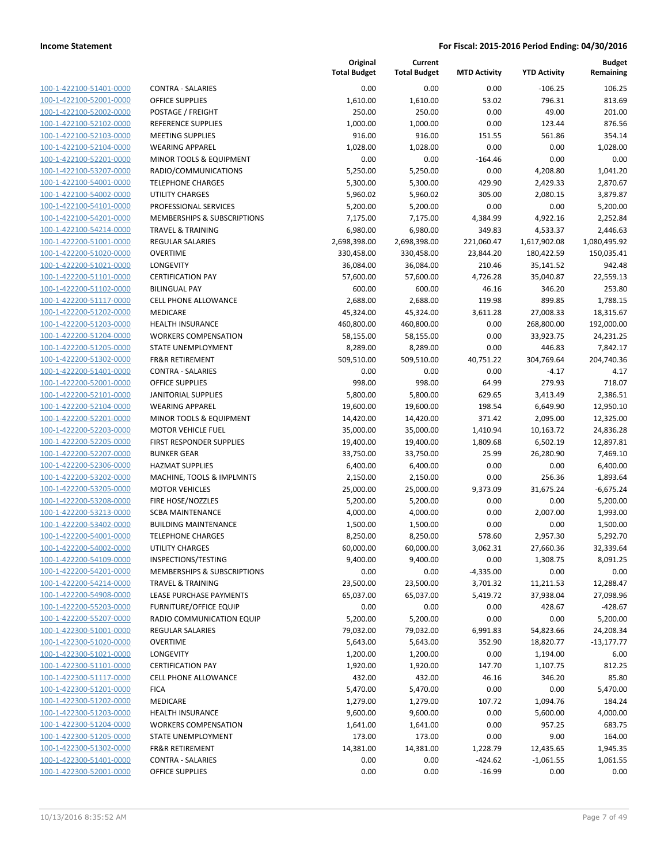100-1-422100-51401-0000 100-1-422100-52001-0000 100-1-422100-52002-0000 100-1-422100-52102-0000 100-1-422100-52103-0000 100-1-422100-52104-0000 100-1-422100-52201-0000 100-1-422100-53207-0000 100-1-422100-54001-0000 100-1-422100-54002-0000 100-1-422100-54101-0000 100-1-422100-54201-0000 100-1-422100-54214-0000 100-1-422200-51001-0000 100-1-422200-51020-0000 100-1-422200-51021-0000 100-1-422200-51101-0000 100-1-422200-51102-0000 100-1-422200-51117-0000 100-1-422200-51202-0000 100-1-422200-51203-0000 100-1-422200-51204-0000 100-1-422200-51205-0000 100-1-422200-51302-0000 100-1-422200-51401-0000 100-1-422200-52001-0000 100-1-422200-52101-0000 100-1-422200-52104-0000 100-1-422200-52201-0000 100-1-422200-52203-0000 100-1-422200-52205-0000 100-1-422200-52207-0000 100-1-422200-52306-0000 100-1-422200-53202-0000 100-1-422200-53205-0000 100-1-422200-53208-0000 100-1-422200-53213-0000 100-1-422200-53402-0000 100-1-422200-54001-0000 100-1-422200-54002-0000 100-1-422200-54109-0000 100-1-422200-54201-0000 100-1-422200-54214-0000 100-1-422200-54908-0000 100-1-422200-55203-0000 100-1-422200-55207-0000 100-1-422300-51001-0000 100-1-422300-51020-0000 100-1-422300-51021-0000 100-1-422300-51101-0000 100-1-422300-51117-0000 100-1-422300-51201-0000 100-1-422300-51202-0000 100-1-422300-51203-0000 100-1-422300-51204-0000 100-1-422300-51205-0000 100-1-422300-51302-0000 100-1-422300-51401-0000 100-1-422300-52001-0000

|                                        | Original            | Current             |                     |                     | <b>Budget</b> |
|----------------------------------------|---------------------|---------------------|---------------------|---------------------|---------------|
|                                        | <b>Total Budget</b> | <b>Total Budget</b> | <b>MTD Activity</b> | <b>YTD Activity</b> | Remaining     |
| <b>CONTRA - SALARIES</b>               | 0.00                | 0.00                | 0.00                | $-106.25$           | 106.25        |
| <b>OFFICE SUPPLIES</b>                 | 1,610.00            | 1,610.00            | 53.02               | 796.31              | 813.69        |
| POSTAGE / FREIGHT                      | 250.00              | 250.00              | 0.00                | 49.00               | 201.00        |
| <b>REFERENCE SUPPLIES</b>              | 1,000.00            | 1,000.00            | 0.00                | 123.44              | 876.56        |
| <b>MEETING SUPPLIES</b>                | 916.00              | 916.00              | 151.55              | 561.86              | 354.14        |
| <b>WEARING APPAREL</b>                 | 1,028.00            | 1,028.00            | 0.00                | 0.00                | 1,028.00      |
| MINOR TOOLS & EQUIPMENT                | 0.00                | 0.00                | $-164.46$           | 0.00                | 0.00          |
| RADIO/COMMUNICATIONS                   | 5,250.00            | 5,250.00            | 0.00                | 4,208.80            | 1,041.20      |
| <b>TELEPHONE CHARGES</b>               | 5,300.00            | 5,300.00            | 429.90              | 2,429.33            | 2,870.67      |
| <b>UTILITY CHARGES</b>                 | 5,960.02            | 5,960.02            | 305.00              | 2,080.15            | 3,879.87      |
| PROFESSIONAL SERVICES                  | 5,200.00            | 5,200.00            | 0.00                | 0.00                | 5,200.00      |
| <b>MEMBERSHIPS &amp; SUBSCRIPTIONS</b> | 7,175.00            | 7,175.00            | 4,384.99            | 4,922.16            | 2,252.84      |
| <b>TRAVEL &amp; TRAINING</b>           | 6,980.00            | 6,980.00            | 349.83              | 4,533.37            | 2,446.63      |
| <b>REGULAR SALARIES</b>                | 2,698,398.00        | 2,698,398.00        | 221,060.47          | 1,617,902.08        | 1,080,495.92  |
| <b>OVERTIME</b>                        | 330,458.00          | 330,458.00          | 23,844.20           | 180,422.59          | 150,035.41    |
| <b>LONGEVITY</b>                       | 36,084.00           | 36,084.00           | 210.46              | 35,141.52           | 942.48        |
| <b>CERTIFICATION PAY</b>               | 57,600.00           | 57,600.00           | 4,726.28            | 35,040.87           | 22,559.13     |
| <b>BILINGUAL PAY</b>                   | 600.00              | 600.00              | 46.16               | 346.20              | 253.80        |
| <b>CELL PHONE ALLOWANCE</b>            | 2,688.00            | 2,688.00            | 119.98              | 899.85              | 1,788.15      |
| <b>MEDICARE</b>                        | 45,324.00           | 45,324.00           | 3,611.28            | 27,008.33           | 18,315.67     |
| <b>HEALTH INSURANCE</b>                | 460,800.00          | 460,800.00          | 0.00                | 268,800.00          | 192,000.00    |
| <b>WORKERS COMPENSATION</b>            | 58,155.00           | 58,155.00           | 0.00                | 33,923.75           | 24,231.25     |
| STATE UNEMPLOYMENT                     | 8,289.00            | 8,289.00            | 0.00                | 446.83              | 7,842.17      |
| <b>FR&amp;R RETIREMENT</b>             | 509,510.00          | 509,510.00          | 40,751.22           | 304,769.64          | 204,740.36    |
| <b>CONTRA - SALARIES</b>               | 0.00                | 0.00                | 0.00                | $-4.17$             | 4.17          |
| <b>OFFICE SUPPLIES</b>                 | 998.00              | 998.00              | 64.99               | 279.93              | 718.07        |
| <b>JANITORIAL SUPPLIES</b>             | 5,800.00            | 5,800.00            | 629.65              | 3,413.49            | 2,386.51      |
| <b>WEARING APPAREL</b>                 | 19,600.00           | 19,600.00           | 198.54              | 6,649.90            | 12,950.10     |
| MINOR TOOLS & EQUIPMENT                | 14,420.00           | 14,420.00           | 371.42              | 2,095.00            | 12,325.00     |
| <b>MOTOR VEHICLE FUEL</b>              | 35,000.00           | 35,000.00           | 1,410.94            | 10,163.72           | 24,836.28     |
| FIRST RESPONDER SUPPLIES               | 19,400.00           | 19,400.00           | 1,809.68            | 6,502.19            | 12,897.81     |
| <b>BUNKER GEAR</b>                     | 33,750.00           | 33,750.00           | 25.99               | 26,280.90           | 7,469.10      |
| <b>HAZMAT SUPPLIES</b>                 | 6,400.00            | 6,400.00            | 0.00                | 0.00                | 6,400.00      |
| MACHINE, TOOLS & IMPLMNTS              | 2,150.00            | 2,150.00            | 0.00                | 256.36              | 1,893.64      |
| <b>MOTOR VEHICLES</b>                  | 25,000.00           | 25,000.00           | 9,373.09            | 31,675.24           | $-6,675.24$   |
| FIRE HOSE/NOZZLES                      | 5,200.00            | 5,200.00            | 0.00                | 0.00                | 5,200.00      |
| <b>SCBA MAINTENANCE</b>                | 4,000.00            | 4,000.00            | 0.00                | 2,007.00            | 1,993.00      |
| <b>BUILDING MAINTENANCE</b>            | 1,500.00            | 1,500.00            | 0.00                | 0.00                | 1,500.00      |
| <b>TELEPHONE CHARGES</b>               | 8,250.00            | 8,250.00            | 578.60              | 2,957.30            | 5,292.70      |
| UTILITY CHARGES                        | 60,000.00           | 60,000.00           | 3,062.31            | 27,660.36           | 32,339.64     |
| INSPECTIONS/TESTING                    | 9,400.00            | 9,400.00            | 0.00                | 1,308.75            | 8,091.25      |
| MEMBERSHIPS & SUBSCRIPTIONS            | 0.00                | 0.00                | $-4,335.00$         | 0.00                | 0.00          |
| <b>TRAVEL &amp; TRAINING</b>           | 23,500.00           | 23,500.00           | 3,701.32            | 11,211.53           | 12,288.47     |
| LEASE PURCHASE PAYMENTS                | 65,037.00           | 65,037.00           | 5,419.72            | 37,938.04           | 27,098.96     |
| <b>FURNITURE/OFFICE EQUIP</b>          | 0.00                | 0.00                | 0.00                | 428.67              | -428.67       |
| RADIO COMMUNICATION EQUIP              | 5,200.00            | 5,200.00            | 0.00                | 0.00                | 5,200.00      |
| <b>REGULAR SALARIES</b>                | 79,032.00           | 79,032.00           | 6,991.83            | 54,823.66           | 24,208.34     |
| <b>OVERTIME</b>                        | 5,643.00            | 5,643.00            | 352.90              | 18,820.77           | $-13,177.77$  |
| LONGEVITY                              | 1,200.00            | 1,200.00            | 0.00                | 1,194.00            | 6.00          |
| <b>CERTIFICATION PAY</b>               | 1,920.00            | 1,920.00            | 147.70              | 1,107.75            | 812.25        |
| <b>CELL PHONE ALLOWANCE</b>            | 432.00              | 432.00              | 46.16               | 346.20              | 85.80         |
| <b>FICA</b>                            | 5,470.00            | 5,470.00            | 0.00                | 0.00                | 5,470.00      |
| <b>MEDICARE</b>                        | 1,279.00            | 1,279.00            | 107.72              | 1,094.76            | 184.24        |
| <b>HEALTH INSURANCE</b>                | 9,600.00            | 9,600.00            | 0.00                | 5,600.00            | 4,000.00      |
| <b>WORKERS COMPENSATION</b>            | 1,641.00            | 1,641.00            | 0.00                | 957.25              | 683.75        |
| STATE UNEMPLOYMENT                     | 173.00              | 173.00              | 0.00                | 9.00                | 164.00        |
| <b>FR&amp;R RETIREMENT</b>             | 14,381.00           | 14,381.00           | 1,228.79            | 12,435.65           | 1,945.35      |
| <b>CONTRA - SALARIES</b>               | 0.00                | 0.00                | $-424.62$           | $-1,061.55$         | 1,061.55      |
| <b>OFFICE SUPPLIES</b>                 | 0.00                | 0.00                | $-16.99$            | 0.00                | 0.00          |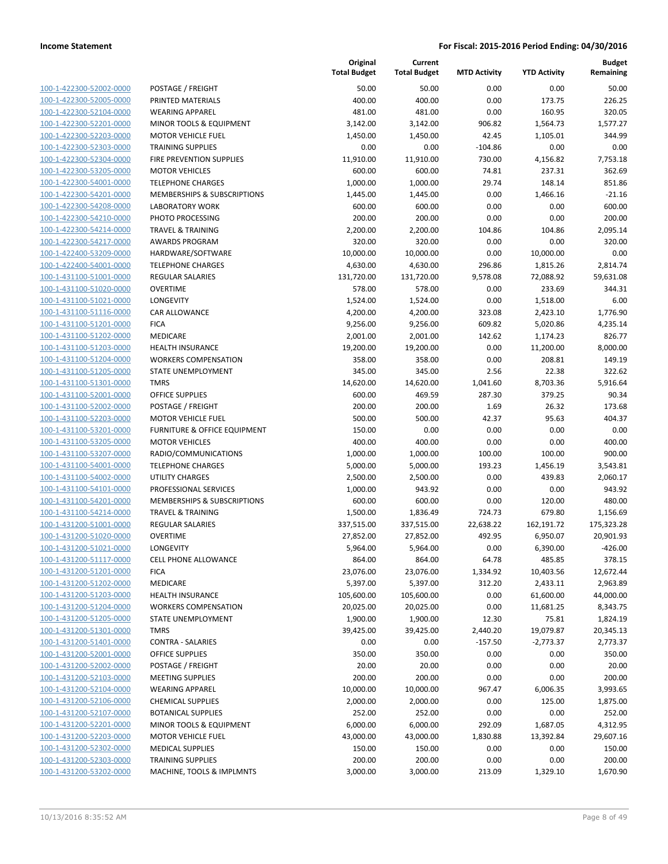| 100-1-422300-52002-0000        |
|--------------------------------|
| 100-1-422300-52005-0000        |
| 100-1-422300-52104-0000        |
| 100-1-422300-52201-0000        |
| <u>100-1-422300-52203-0000</u> |
| <u>100-1-422300-52303-0000</u> |
| 100-1-422300-52304-0000        |
| 100-1-422300-53205-0000        |
| 100-1-422300-54001-0000        |
| <u>100-1-422300-54201-0000</u> |
| <u>100-1-422300-54208-0000</u> |
| 100-1-422300-54210-0000        |
| 100-1-422300-54214-0000        |
| 100-1-422300-54217-0000        |
| <u>100-1-422400-53209-0000</u> |
| 100-1-422400-54001-0000        |
| 100-1-431100-51001-0000        |
| 100-1-431100-51020-0000        |
| 100-1-431100-51021-0000        |
|                                |
| <u>100-1-431100-51116-0000</u> |
| <u>100-1-431100-51201-0000</u> |
| 100-1-431100-51202-0000        |
| 100-1-431100-51203-0000        |
| 100-1-431100-51204-0000        |
| <u>100-1-431100-51205-0000</u> |
| 100-1-431100-51301-0000        |
| 100-1-431100-52001-0000        |
| 100-1-431100-52002-0000        |
| 100-1-431100-52203-0000        |
| <u>100-1-431100-53201-0000</u> |
| <u>100-1-431100-53205-0000</u> |
| 100-1-431100-53207-0000        |
| 100-1-431100-54001-0000        |
| 100-1-431100-54002-0000        |
| <u>100-1-431100-54101-0000</u> |
| 100-1-431100-54201-0000        |
| 100-1-431100-54214-0000        |
| 100-1-431200-51001-0000        |
| 100-1-431200-51020-0000        |
| 100-1-431200-51021-0000        |
| 100-1-431200-51117-0000        |
| 100-1-431200-51201-0000        |
| 100-1-431200-51202-0000        |
| <u>100-1-431200-51203-0000</u> |
| <u>100-1-431200-51204-0000</u> |
|                                |
| <u>100-1-431200-51205-0000</u> |
| <u>100-1-431200-51301-0000</u> |
| 100-1-431200-51401-0000        |
| <u>100-1-431200-52001-0000</u> |
| <u>100-1-431200-52002-0000</u> |
| <u>100-1-431200-52103-0000</u> |
| 100-1-431200-52104-0000        |
| 100-1-431200-52106-0000        |
| <u>100-1-431200-52107-0000</u> |
| <u>100-1-431200-52201-0000</u> |
| <u>100-1-431200-52203-0000</u> |
| <u>100-1-431200-52302-0000</u> |
| <u>100-1-431200-52303-0000</u> |
| 100-1-431200-53202-0000        |
|                                |

|                         |                              | Original<br><b>Total Budget</b> | Current<br><b>Total Budget</b> | <b>MTD Activity</b> | <b>YTD Activity</b> | <b>Budget</b><br>Remaining |
|-------------------------|------------------------------|---------------------------------|--------------------------------|---------------------|---------------------|----------------------------|
| 100-1-422300-52002-0000 | POSTAGE / FREIGHT            | 50.00                           | 50.00                          | 0.00                | 0.00                | 50.00                      |
| 100-1-422300-52005-0000 | PRINTED MATERIALS            | 400.00                          | 400.00                         | 0.00                | 173.75              | 226.25                     |
| 100-1-422300-52104-0000 | <b>WEARING APPAREL</b>       | 481.00                          | 481.00                         | 0.00                | 160.95              | 320.05                     |
| 100-1-422300-52201-0000 | MINOR TOOLS & EQUIPMENT      | 3,142.00                        | 3,142.00                       | 906.82              | 1,564.73            | 1,577.27                   |
| 100-1-422300-52203-0000 | <b>MOTOR VEHICLE FUEL</b>    | 1,450.00                        | 1,450.00                       | 42.45               | 1,105.01            | 344.99                     |
| 100-1-422300-52303-0000 | <b>TRAINING SUPPLIES</b>     | 0.00                            | 0.00                           | $-104.86$           | 0.00                | 0.00                       |
| 100-1-422300-52304-0000 | FIRE PREVENTION SUPPLIES     | 11,910.00                       | 11,910.00                      | 730.00              | 4,156.82            | 7,753.18                   |
| 100-1-422300-53205-0000 | <b>MOTOR VEHICLES</b>        | 600.00                          | 600.00                         | 74.81               | 237.31              | 362.69                     |
| 100-1-422300-54001-0000 | <b>TELEPHONE CHARGES</b>     | 1,000.00                        | 1,000.00                       | 29.74               | 148.14              | 851.86                     |
| 100-1-422300-54201-0000 | MEMBERSHIPS & SUBSCRIPTIONS  | 1,445.00                        | 1,445.00                       | 0.00                | 1,466.16            | $-21.16$                   |
| 100-1-422300-54208-0000 | <b>LABORATORY WORK</b>       | 600.00                          | 600.00                         | 0.00                | 0.00                | 600.00                     |
| 100-1-422300-54210-0000 | PHOTO PROCESSING             | 200.00                          | 200.00                         | 0.00                | 0.00                | 200.00                     |
| 100-1-422300-54214-0000 | <b>TRAVEL &amp; TRAINING</b> | 2,200.00                        | 2,200.00                       | 104.86              | 104.86              | 2,095.14                   |
| 100-1-422300-54217-0000 | <b>AWARDS PROGRAM</b>        | 320.00                          | 320.00                         | 0.00                | 0.00                | 320.00                     |
| 100-1-422400-53209-0000 | HARDWARE/SOFTWARE            | 10,000.00                       | 10,000.00                      | 0.00                | 10,000.00           | 0.00                       |
| 100-1-422400-54001-0000 | <b>TELEPHONE CHARGES</b>     | 4,630.00                        | 4,630.00                       | 296.86              | 1,815.26            | 2,814.74                   |
| 100-1-431100-51001-0000 | <b>REGULAR SALARIES</b>      | 131,720.00                      | 131,720.00                     | 9,578.08            | 72,088.92           | 59,631.08                  |
| 100-1-431100-51020-0000 | <b>OVERTIME</b>              | 578.00                          | 578.00                         | 0.00                | 233.69              | 344.31                     |
| 100-1-431100-51021-0000 | LONGEVITY                    | 1,524.00                        | 1,524.00                       | 0.00                | 1,518.00            | 6.00                       |
| 100-1-431100-51116-0000 | <b>CAR ALLOWANCE</b>         | 4,200.00                        | 4,200.00                       | 323.08              | 2,423.10            | 1,776.90                   |
| 100-1-431100-51201-0000 | <b>FICA</b>                  | 9,256.00                        | 9,256.00                       | 609.82              | 5,020.86            | 4,235.14                   |
| 100-1-431100-51202-0000 | MEDICARE                     | 2,001.00                        | 2,001.00                       | 142.62              | 1,174.23            | 826.77                     |
| 100-1-431100-51203-0000 | <b>HEALTH INSURANCE</b>      | 19,200.00                       | 19,200.00                      | 0.00                | 11,200.00           | 8,000.00                   |
| 100-1-431100-51204-0000 | <b>WORKERS COMPENSATION</b>  | 358.00                          | 358.00                         | 0.00                | 208.81              | 149.19                     |
| 100-1-431100-51205-0000 | STATE UNEMPLOYMENT           | 345.00                          | 345.00                         | 2.56                | 22.38               | 322.62                     |
| 100-1-431100-51301-0000 | <b>TMRS</b>                  | 14,620.00                       | 14,620.00                      | 1,041.60            | 8,703.36            | 5,916.64                   |
| 100-1-431100-52001-0000 | <b>OFFICE SUPPLIES</b>       | 600.00                          | 469.59                         | 287.30              | 379.25              | 90.34                      |
| 100-1-431100-52002-0000 | POSTAGE / FREIGHT            | 200.00                          | 200.00                         | 1.69                | 26.32               | 173.68                     |
| 100-1-431100-52203-0000 | <b>MOTOR VEHICLE FUEL</b>    | 500.00                          | 500.00                         | 42.37               | 95.63               | 404.37                     |
| 100-1-431100-53201-0000 | FURNITURE & OFFICE EQUIPMENT | 150.00                          | 0.00                           | 0.00                | 0.00                | 0.00                       |
| 100-1-431100-53205-0000 | <b>MOTOR VEHICLES</b>        | 400.00                          | 400.00                         | 0.00                | 0.00                | 400.00                     |
| 100-1-431100-53207-0000 | RADIO/COMMUNICATIONS         | 1,000.00                        | 1,000.00                       | 100.00              | 100.00              | 900.00                     |
| 100-1-431100-54001-0000 | <b>TELEPHONE CHARGES</b>     | 5,000.00                        | 5,000.00                       | 193.23              | 1,456.19            | 3,543.81                   |
| 100-1-431100-54002-0000 | <b>UTILITY CHARGES</b>       | 2,500.00                        | 2,500.00                       | 0.00                | 439.83              | 2,060.17                   |
| 100-1-431100-54101-0000 | PROFESSIONAL SERVICES        | 1,000.00                        | 943.92                         | 0.00                | 0.00                | 943.92                     |
| 100-1-431100-54201-0000 | MEMBERSHIPS & SUBSCRIPTIONS  | 600.00                          | 600.00                         | 0.00                | 120.00              | 480.00                     |
| 100-1-431100-54214-0000 | <b>TRAVEL &amp; TRAINING</b> | 1,500.00                        | 1,836.49                       | 724.73              | 679.80              | 1,156.69                   |
| 100-1-431200-51001-0000 | REGULAR SALARIES             | 337,515.00                      | 337,515.00                     | 22,638.22           | 162,191.72          | 175,323.28                 |
| 100-1-431200-51020-0000 | <b>OVERTIME</b>              | 27,852.00                       | 27,852.00                      | 492.95              | 6,950.07            | 20,901.93                  |
| 100-1-431200-51021-0000 | LONGEVITY                    | 5,964.00                        | 5,964.00                       | 0.00                | 6,390.00            | $-426.00$                  |
| 100-1-431200-51117-0000 | <b>CELL PHONE ALLOWANCE</b>  | 864.00                          | 864.00                         | 64.78               | 485.85              | 378.15                     |
| 100-1-431200-51201-0000 | <b>FICA</b>                  | 23,076.00                       | 23,076.00                      | 1,334.92            | 10,403.56           | 12,672.44                  |
| 100-1-431200-51202-0000 | MEDICARE                     | 5,397.00                        | 5,397.00                       | 312.20              | 2,433.11            | 2,963.89                   |
| 100-1-431200-51203-0000 | <b>HEALTH INSURANCE</b>      | 105,600.00                      | 105,600.00                     | 0.00                | 61,600.00           | 44,000.00                  |
| 100-1-431200-51204-0000 | <b>WORKERS COMPENSATION</b>  | 20,025.00                       | 20,025.00                      | 0.00                | 11,681.25           | 8,343.75                   |
| 100-1-431200-51205-0000 | STATE UNEMPLOYMENT           | 1,900.00                        | 1,900.00                       | 12.30               | 75.81               | 1,824.19                   |
| 100-1-431200-51301-0000 | <b>TMRS</b>                  | 39,425.00                       | 39,425.00                      | 2,440.20            | 19,079.87           | 20,345.13                  |
| 100-1-431200-51401-0000 | <b>CONTRA - SALARIES</b>     | 0.00                            | 0.00                           | $-157.50$           | $-2,773.37$         | 2,773.37                   |
| 100-1-431200-52001-0000 | <b>OFFICE SUPPLIES</b>       | 350.00                          | 350.00                         | 0.00                | 0.00                | 350.00                     |
| 100-1-431200-52002-0000 | POSTAGE / FREIGHT            | 20.00                           | 20.00                          | 0.00                | 0.00                | 20.00                      |
| 100-1-431200-52103-0000 | <b>MEETING SUPPLIES</b>      | 200.00                          | 200.00                         | 0.00                | 0.00                | 200.00                     |
| 100-1-431200-52104-0000 | <b>WEARING APPAREL</b>       | 10,000.00                       | 10,000.00                      | 967.47              | 6,006.35            | 3,993.65                   |
| 100-1-431200-52106-0000 | <b>CHEMICAL SUPPLIES</b>     | 2,000.00                        | 2,000.00                       | 0.00                | 125.00              | 1,875.00                   |
| 100-1-431200-52107-0000 | <b>BOTANICAL SUPPLIES</b>    | 252.00                          | 252.00                         | 0.00                | 0.00                | 252.00                     |
| 100-1-431200-52201-0000 | MINOR TOOLS & EQUIPMENT      | 6,000.00                        | 6,000.00                       | 292.09              | 1,687.05            | 4,312.95                   |
| 100-1-431200-52203-0000 | <b>MOTOR VEHICLE FUEL</b>    | 43,000.00                       | 43,000.00                      | 1,830.88            | 13,392.84           | 29,607.16                  |
| 100-1-431200-52302-0000 | <b>MEDICAL SUPPLIES</b>      | 150.00                          | 150.00                         | 0.00                | 0.00                | 150.00                     |
| 100-1-431200-52303-0000 | <b>TRAINING SUPPLIES</b>     | 200.00                          | 200.00                         | 0.00                | 0.00                | 200.00                     |
| 100-1-431200-53202-0000 | MACHINE, TOOLS & IMPLMNTS    | 3,000.00                        | 3,000.00                       | 213.09              | 1,329.10            | 1,670.90                   |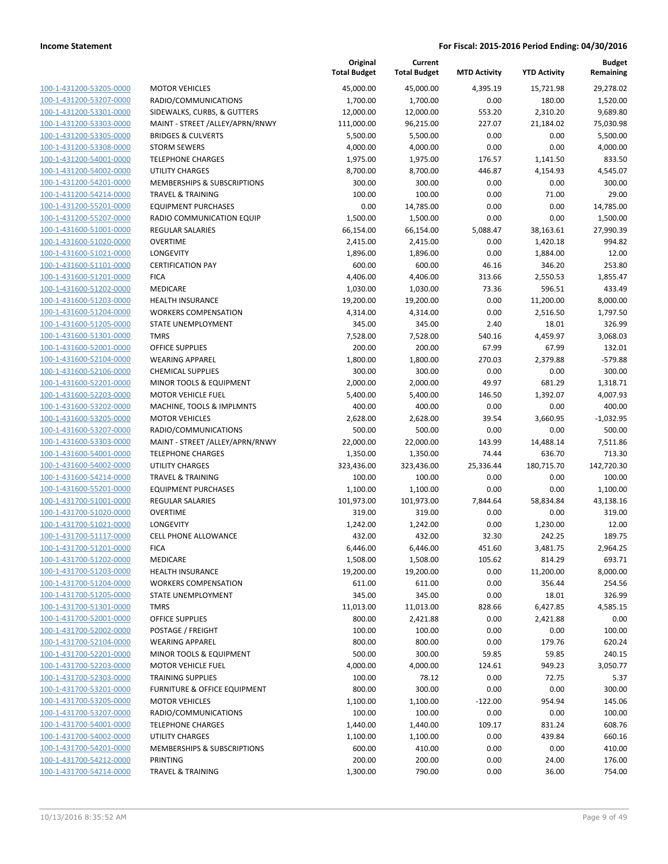**Current**

**Original**

**Budget Remaining**

|                                                    |                                     | <b>Total Budget</b> | <b>Total Budget</b> | <b>MTD Activity</b> | <b>YTD Activity</b> | Remaining       |
|----------------------------------------------------|-------------------------------------|---------------------|---------------------|---------------------|---------------------|-----------------|
| 100-1-431200-53205-0000                            | <b>MOTOR VEHICLES</b>               | 45,000.00           | 45,000.00           | 4,395.19            | 15,721.98           | 29,278.02       |
| 100-1-431200-53207-0000                            | RADIO/COMMUNICATIONS                | 1,700.00            | 1,700.00            | 0.00                | 180.00              | 1,520.00        |
| 100-1-431200-53301-0000                            | SIDEWALKS, CURBS, & GUTTERS         | 12,000.00           | 12,000.00           | 553.20              | 2,310.20            | 9,689.80        |
| 100-1-431200-53303-0000                            | MAINT - STREET /ALLEY/APRN/RNWY     | 111,000.00          | 96,215.00           | 227.07              | 21,184.02           | 75,030.98       |
| 100-1-431200-53305-0000                            | <b>BRIDGES &amp; CULVERTS</b>       | 5,500.00            | 5,500.00            | 0.00                | 0.00                | 5,500.00        |
| 100-1-431200-53308-0000                            | <b>STORM SEWERS</b>                 | 4,000.00            | 4,000.00            | 0.00                | 0.00                | 4,000.00        |
| 100-1-431200-54001-0000                            | <b>TELEPHONE CHARGES</b>            | 1,975.00            | 1,975.00            | 176.57              | 1,141.50            | 833.50          |
| 100-1-431200-54002-0000                            | <b>UTILITY CHARGES</b>              | 8,700.00            | 8,700.00            | 446.87              | 4,154.93            | 4,545.07        |
| 100-1-431200-54201-0000                            | MEMBERSHIPS & SUBSCRIPTIONS         | 300.00              | 300.00              | 0.00                | 0.00                | 300.00          |
| 100-1-431200-54214-0000                            | <b>TRAVEL &amp; TRAINING</b>        | 100.00              | 100.00              | 0.00                | 71.00               | 29.00           |
| 100-1-431200-55201-0000                            | <b>EQUIPMENT PURCHASES</b>          | 0.00                | 14,785.00           | 0.00                | 0.00                | 14,785.00       |
| 100-1-431200-55207-0000                            | RADIO COMMUNICATION EQUIP           | 1,500.00            | 1,500.00            | 0.00                | 0.00                | 1,500.00        |
| 100-1-431600-51001-0000                            | <b>REGULAR SALARIES</b>             | 66,154.00           | 66,154.00           | 5,088.47            | 38,163.61           | 27,990.39       |
| 100-1-431600-51020-0000                            | <b>OVERTIME</b>                     | 2,415.00            | 2,415.00            | 0.00                | 1,420.18            | 994.82          |
| 100-1-431600-51021-0000                            | LONGEVITY                           | 1,896.00            | 1,896.00            | 0.00                | 1,884.00            | 12.00           |
| 100-1-431600-51101-0000                            | <b>CERTIFICATION PAY</b>            | 600.00              | 600.00              | 46.16               | 346.20              | 253.80          |
| 100-1-431600-51201-0000                            | <b>FICA</b>                         | 4,406.00            | 4,406.00            | 313.66              | 2,550.53            | 1,855.47        |
| 100-1-431600-51202-0000                            | MEDICARE                            | 1,030.00            | 1,030.00            | 73.36               | 596.51              | 433.49          |
| 100-1-431600-51203-0000                            | HEALTH INSURANCE                    | 19,200.00           | 19,200.00           | 0.00                | 11,200.00           | 8,000.00        |
| 100-1-431600-51204-0000                            | <b>WORKERS COMPENSATION</b>         | 4,314.00            | 4,314.00            | 0.00                | 2,516.50            | 1,797.50        |
| 100-1-431600-51205-0000                            | STATE UNEMPLOYMENT                  | 345.00              | 345.00              | 2.40                | 18.01               | 326.99          |
| 100-1-431600-51301-0000                            | <b>TMRS</b>                         | 7,528.00            | 7,528.00            | 540.16              | 4,459.97            | 3,068.03        |
| 100-1-431600-52001-0000                            | <b>OFFICE SUPPLIES</b>              | 200.00              | 200.00              | 67.99               | 67.99               | 132.01          |
| 100-1-431600-52104-0000                            | <b>WEARING APPAREL</b>              | 1,800.00            | 1,800.00            | 270.03              | 2,379.88            | $-579.88$       |
| 100-1-431600-52106-0000                            | <b>CHEMICAL SUPPLIES</b>            | 300.00              | 300.00              | 0.00                | 0.00                | 300.00          |
| 100-1-431600-52201-0000                            | MINOR TOOLS & EQUIPMENT             | 2,000.00            | 2,000.00            | 49.97               | 681.29              | 1,318.71        |
| 100-1-431600-52203-0000                            | <b>MOTOR VEHICLE FUEL</b>           | 5,400.00            | 5,400.00            | 146.50              | 1,392.07            | 4,007.93        |
| 100-1-431600-53202-0000                            | MACHINE, TOOLS & IMPLMNTS           | 400.00              | 400.00              | 0.00                | 0.00                | 400.00          |
| 100-1-431600-53205-0000                            | <b>MOTOR VEHICLES</b>               | 2,628.00            | 2,628.00            | 39.54               | 3,660.95            | $-1,032.95$     |
| 100-1-431600-53207-0000                            | RADIO/COMMUNICATIONS                | 500.00              | 500.00              | 0.00                | 0.00                | 500.00          |
| 100-1-431600-53303-0000                            | MAINT - STREET /ALLEY/APRN/RNWY     | 22,000.00           | 22,000.00           | 143.99              | 14,488.14           | 7,511.86        |
| 100-1-431600-54001-0000                            | <b>TELEPHONE CHARGES</b>            | 1,350.00            | 1,350.00            | 74.44               | 636.70              | 713.30          |
| 100-1-431600-54002-0000                            | <b>UTILITY CHARGES</b>              | 323,436.00          | 323,436.00          | 25,336.44           | 180,715.70          | 142,720.30      |
| 100-1-431600-54214-0000                            | <b>TRAVEL &amp; TRAINING</b>        | 100.00              | 100.00              | 0.00                | 0.00                | 100.00          |
| 100-1-431600-55201-0000                            | <b>EQUIPMENT PURCHASES</b>          | 1,100.00            | 1,100.00            | 0.00                | 0.00                | 1,100.00        |
| 100-1-431700-51001-0000                            | <b>REGULAR SALARIES</b>             | 101,973.00          | 101,973.00          | 7,844.64            | 58,834.84           | 43,138.16       |
| 100-1-431700-51020-0000<br>100-1-431700-51021-0000 | <b>OVERTIME</b><br><b>LONGEVITY</b> | 319.00              | 319.00              | 0.00                | 0.00                | 319.00<br>12.00 |
| 100-1-431700-51117-0000                            | <b>CELL PHONE ALLOWANCE</b>         | 1,242.00<br>432.00  | 1,242.00<br>432.00  | 0.00<br>32.30       | 1,230.00<br>242.25  | 189.75          |
| 100-1-431700-51201-0000                            | <b>FICA</b>                         | 6,446.00            | 6,446.00            | 451.60              | 3,481.75            | 2,964.25        |
| 100-1-431700-51202-0000                            | MEDICARE                            | 1,508.00            | 1,508.00            | 105.62              | 814.29              | 693.71          |
| 100-1-431700-51203-0000                            | <b>HEALTH INSURANCE</b>             | 19,200.00           | 19,200.00           | 0.00                | 11,200.00           | 8,000.00        |
| 100-1-431700-51204-0000                            | <b>WORKERS COMPENSATION</b>         | 611.00              | 611.00              | 0.00                | 356.44              | 254.56          |
| 100-1-431700-51205-0000                            | <b>STATE UNEMPLOYMENT</b>           | 345.00              | 345.00              | 0.00                | 18.01               | 326.99          |
| 100-1-431700-51301-0000                            | <b>TMRS</b>                         | 11,013.00           | 11,013.00           | 828.66              | 6,427.85            | 4,585.15        |
| 100-1-431700-52001-0000                            | <b>OFFICE SUPPLIES</b>              | 800.00              | 2,421.88            | 0.00                | 2,421.88            | 0.00            |
| 100-1-431700-52002-0000                            | POSTAGE / FREIGHT                   | 100.00              | 100.00              | 0.00                | 0.00                | 100.00          |
| 100-1-431700-52104-0000                            | <b>WEARING APPAREL</b>              | 800.00              | 800.00              | 0.00                | 179.76              | 620.24          |
| 100-1-431700-52201-0000                            | MINOR TOOLS & EQUIPMENT             | 500.00              | 300.00              | 59.85               | 59.85               | 240.15          |
| 100-1-431700-52203-0000                            | MOTOR VEHICLE FUEL                  | 4,000.00            | 4,000.00            | 124.61              | 949.23              | 3,050.77        |
| 100-1-431700-52303-0000                            | <b>TRAINING SUPPLIES</b>            | 100.00              | 78.12               | 0.00                | 72.75               | 5.37            |
| 100-1-431700-53201-0000                            | FURNITURE & OFFICE EQUIPMENT        | 800.00              | 300.00              | 0.00                | 0.00                | 300.00          |
| 100-1-431700-53205-0000                            | <b>MOTOR VEHICLES</b>               | 1,100.00            | 1,100.00            | $-122.00$           | 954.94              | 145.06          |
| 100-1-431700-53207-0000                            | RADIO/COMMUNICATIONS                | 100.00              | 100.00              | 0.00                | 0.00                | 100.00          |
| 100-1-431700-54001-0000                            | <b>TELEPHONE CHARGES</b>            | 1,440.00            | 1,440.00            | 109.17              | 831.24              | 608.76          |
| 100-1-431700-54002-0000                            | UTILITY CHARGES                     | 1,100.00            | 1,100.00            | 0.00                | 439.84              | 660.16          |
| 100-1-431700-54201-0000                            | MEMBERSHIPS & SUBSCRIPTIONS         | 600.00              | 410.00              | 0.00                | 0.00                | 410.00          |
| 100-1-431700-54212-0000                            | PRINTING                            | 200.00              | 200.00              | 0.00                | 24.00               | 176.00          |
| 100-1-431700-54214-0000                            | <b>TRAVEL &amp; TRAINING</b>        | 1,300.00            | 790.00              | 0.00                | 36.00               | 754.00          |
|                                                    |                                     |                     |                     |                     |                     |                 |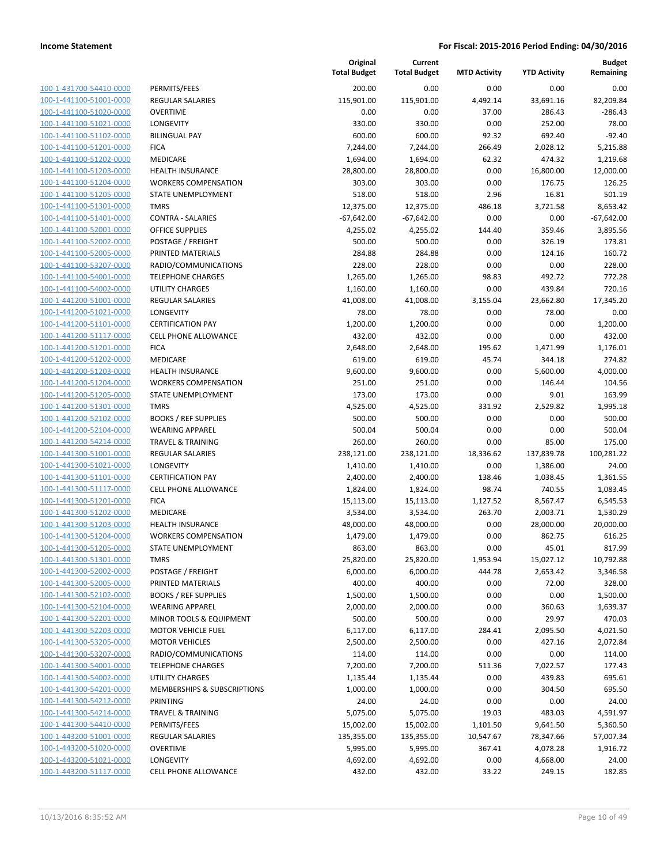| 100-1-431700-54410-0000        |
|--------------------------------|
| 100-1-441100-51001-0000        |
| 100-1-441100-51020-0000        |
| 100-1-441100-51021-0000        |
| 100-1-441100-51102-0000        |
| 100-1-441100-51201-0000        |
| 100-1-441100-51202-0000        |
| 100-1-441100-51203-0000        |
| 100-1-441100-51204-0000        |
| 100-1-441100-51205-0000        |
| 100-1-441100-51301-0000        |
| 100-1-441100-51401-<br>-0000   |
| 100-1-441100-52001-0000        |
| 100-1-441100-52002-0000        |
| <u>100-1-441100-52005-0000</u> |
| 100-1-441100-53207-0000        |
| 100-1-441100-54001-0000        |
| 100-1-441100-54002-0000        |
| 100-1-441200-51001-0000        |
| 100-1-441200-51021-0000        |
| 100-1-441200-51101-0000        |
| 100-1-441200-51117-0000        |
|                                |
| 100-1-441200-51201-0000        |
| 100-1-441200-51202-0000        |
| 100-1-441200-51203-0000        |
| 100-1-441200-51204-0000        |
| 100-1-441200-51205-0000        |
| 100-1-441200-51301-0000        |
| 100-1-441200-52102-0000        |
| 100-1-441200-52104-0000        |
| 100-1-441200-54214-0000        |
| 100-1-441300-51001-0000        |
| 100-1-441300-51021-0000        |
| 100-1-441300-51101-0000        |
| 100-1-441300-51117-0000        |
| 100-1-441300-51201-0000        |
| 100-1-441300-51202-0000        |
| 100-1-441300-51203-0000        |
| 100-1-441300-51204-0000        |
| 100-1-441300-51205-0000        |
| 100-1-441300-51301-0000        |
| <u>100-1-441300-52002-0000</u> |
| 100-1-441300-52005-0000        |
| <u>100-1-441300-52102-0000</u> |
| <u>100-1-441300-52104-0000</u> |
| 100-1-441300-52201-0000        |
| 100-1-441300-52203-0000        |
| 100-1-441300-53205-0000        |
| <u>100-1-441300-53207-0000</u> |
|                                |
| <u>100-1-441300-54001-0000</u> |
| <u>100-1-441300-54002-0000</u> |
| 100-1-441300-54201-0000        |
| 100-1-441300-54212-0000        |
| <u>100-1-441300-54214-0000</u> |
| <u>100-1-441300-54410-0000</u> |
| <u>100-1-443200-51001-0000</u> |
| 100-1-443200-51020-0000        |
| 100-1-443200-51021-0000        |
| 100-1-443200-51117-0000        |

|                         |                              | Original<br><b>Total Budget</b> | Current<br><b>Total Budget</b> | <b>MTD Activity</b> | <b>YTD Activity</b> | <b>Budget</b><br>Remaining |
|-------------------------|------------------------------|---------------------------------|--------------------------------|---------------------|---------------------|----------------------------|
| 100-1-431700-54410-0000 | PERMITS/FEES                 | 200.00                          | 0.00                           | 0.00                | 0.00                | 0.00                       |
| 100-1-441100-51001-0000 | <b>REGULAR SALARIES</b>      | 115,901.00                      | 115,901.00                     | 4,492.14            | 33,691.16           | 82,209.84                  |
| 100-1-441100-51020-0000 | <b>OVERTIME</b>              | 0.00                            | 0.00                           | 37.00               | 286.43              | $-286.43$                  |
| 100-1-441100-51021-0000 | <b>LONGEVITY</b>             | 330.00                          | 330.00                         | 0.00                | 252.00              | 78.00                      |
| 100-1-441100-51102-0000 | <b>BILINGUAL PAY</b>         | 600.00                          | 600.00                         | 92.32               | 692.40              | $-92.40$                   |
| 100-1-441100-51201-0000 | <b>FICA</b>                  | 7,244.00                        | 7,244.00                       | 266.49              | 2,028.12            | 5,215.88                   |
| 100-1-441100-51202-0000 | MEDICARE                     | 1,694.00                        | 1,694.00                       | 62.32               | 474.32              | 1,219.68                   |
| 100-1-441100-51203-0000 | <b>HEALTH INSURANCE</b>      | 28,800.00                       | 28,800.00                      | 0.00                | 16,800.00           | 12,000.00                  |
| 100-1-441100-51204-0000 | <b>WORKERS COMPENSATION</b>  | 303.00                          | 303.00                         | 0.00                | 176.75              | 126.25                     |
| 100-1-441100-51205-0000 | STATE UNEMPLOYMENT           | 518.00                          | 518.00                         | 2.96                | 16.81               | 501.19                     |
| 100-1-441100-51301-0000 | <b>TMRS</b>                  | 12,375.00                       | 12,375.00                      | 486.18              | 3,721.58            | 8,653.42                   |
| 100-1-441100-51401-0000 | <b>CONTRA - SALARIES</b>     | $-67,642.00$                    | $-67,642.00$                   | 0.00                | 0.00                | $-67,642.00$               |
| 100-1-441100-52001-0000 | <b>OFFICE SUPPLIES</b>       | 4,255.02                        | 4,255.02                       | 144.40              | 359.46              | 3,895.56                   |
| 100-1-441100-52002-0000 | POSTAGE / FREIGHT            | 500.00                          | 500.00                         | 0.00                | 326.19              | 173.81                     |
| 100-1-441100-52005-0000 | PRINTED MATERIALS            | 284.88                          | 284.88                         | 0.00                | 124.16              | 160.72                     |
| 100-1-441100-53207-0000 | RADIO/COMMUNICATIONS         | 228.00                          | 228.00                         | 0.00                | 0.00                | 228.00                     |
| 100-1-441100-54001-0000 | <b>TELEPHONE CHARGES</b>     | 1,265.00                        | 1,265.00                       | 98.83               | 492.72              | 772.28                     |
| 100-1-441100-54002-0000 | <b>UTILITY CHARGES</b>       | 1,160.00                        | 1,160.00                       | 0.00                | 439.84              | 720.16                     |
| 100-1-441200-51001-0000 | <b>REGULAR SALARIES</b>      | 41,008.00                       | 41,008.00                      | 3,155.04            | 23,662.80           | 17,345.20                  |
| 100-1-441200-51021-0000 | LONGEVITY                    | 78.00                           | 78.00                          | 0.00                | 78.00               | 0.00                       |
| 100-1-441200-51101-0000 | <b>CERTIFICATION PAY</b>     | 1,200.00                        | 1,200.00                       | 0.00                | 0.00                | 1,200.00                   |
| 100-1-441200-51117-0000 | <b>CELL PHONE ALLOWANCE</b>  | 432.00                          | 432.00                         | 0.00                | 0.00                | 432.00                     |
| 100-1-441200-51201-0000 | <b>FICA</b>                  | 2,648.00                        | 2,648.00                       | 195.62              | 1,471.99            | 1,176.01                   |
| 100-1-441200-51202-0000 | MEDICARE                     | 619.00                          | 619.00                         | 45.74               | 344.18              | 274.82                     |
| 100-1-441200-51203-0000 | <b>HEALTH INSURANCE</b>      | 9,600.00                        | 9,600.00                       | 0.00                | 5,600.00            | 4,000.00                   |
| 100-1-441200-51204-0000 | <b>WORKERS COMPENSATION</b>  | 251.00                          | 251.00                         | 0.00                | 146.44              | 104.56                     |
| 100-1-441200-51205-0000 | STATE UNEMPLOYMENT           | 173.00                          | 173.00                         | 0.00                | 9.01                | 163.99                     |
| 100-1-441200-51301-0000 | <b>TMRS</b>                  | 4,525.00                        | 4,525.00                       | 331.92              | 2,529.82            | 1,995.18                   |
| 100-1-441200-52102-0000 | <b>BOOKS / REF SUPPLIES</b>  | 500.00                          | 500.00                         | 0.00                | 0.00                | 500.00                     |
| 100-1-441200-52104-0000 | <b>WEARING APPAREL</b>       | 500.04                          | 500.04                         | 0.00                | 0.00                | 500.04                     |
| 100-1-441200-54214-0000 | <b>TRAVEL &amp; TRAINING</b> | 260.00                          | 260.00                         | 0.00                | 85.00               | 175.00                     |
| 100-1-441300-51001-0000 | REGULAR SALARIES             | 238,121.00                      | 238,121.00                     | 18,336.62           | 137,839.78          | 100,281.22                 |
| 100-1-441300-51021-0000 | LONGEVITY                    | 1,410.00                        | 1,410.00                       | 0.00                | 1,386.00            | 24.00                      |
| 100-1-441300-51101-0000 | <b>CERTIFICATION PAY</b>     | 2,400.00                        | 2,400.00                       | 138.46              | 1,038.45            | 1,361.55                   |
| 100-1-441300-51117-0000 | CELL PHONE ALLOWANCE         | 1,824.00                        | 1,824.00                       | 98.74               | 740.55              | 1,083.45                   |
| 100-1-441300-51201-0000 | <b>FICA</b>                  | 15,113.00                       | 15,113.00                      | 1,127.52            | 8,567.47            | 6,545.53                   |
| 100-1-441300-51202-0000 | <b>MEDICARE</b>              | 3,534.00                        | 3,534.00                       | 263.70              | 2,003.71            | 1,530.29                   |
| 100-1-441300-51203-0000 | <b>HEALTH INSURANCE</b>      | 48,000.00                       | 48,000.00                      | 0.00                | 28,000.00           | 20,000.00                  |
| 100-1-441300-51204-0000 | <b>WORKERS COMPENSATION</b>  | 1,479.00                        | 1,479.00                       | 0.00                | 862.75              | 616.25                     |
| 100-1-441300-51205-0000 | STATE UNEMPLOYMENT           | 863.00                          | 863.00                         | 0.00                | 45.01               | 817.99                     |
| 100-1-441300-51301-0000 | <b>TMRS</b>                  | 25,820.00                       | 25,820.00                      | 1,953.94            | 15,027.12           | 10,792.88                  |
| 100-1-441300-52002-0000 | POSTAGE / FREIGHT            | 6,000.00                        | 6,000.00                       | 444.78              | 2,653.42            | 3,346.58                   |
| 100-1-441300-52005-0000 | PRINTED MATERIALS            | 400.00                          | 400.00                         | 0.00                | 72.00               | 328.00                     |
| 100-1-441300-52102-0000 | <b>BOOKS / REF SUPPLIES</b>  | 1,500.00                        | 1,500.00                       | 0.00                | 0.00                | 1,500.00                   |
| 100-1-441300-52104-0000 | <b>WEARING APPAREL</b>       | 2,000.00                        | 2,000.00                       | 0.00                | 360.63              | 1,639.37                   |
| 100-1-441300-52201-0000 | MINOR TOOLS & EQUIPMENT      | 500.00                          | 500.00                         | 0.00                | 29.97               | 470.03                     |
| 100-1-441300-52203-0000 | <b>MOTOR VEHICLE FUEL</b>    | 6,117.00                        | 6,117.00                       | 284.41              | 2,095.50            | 4,021.50                   |
| 100-1-441300-53205-0000 | <b>MOTOR VEHICLES</b>        | 2,500.00                        | 2,500.00                       | 0.00                | 427.16              | 2,072.84                   |
| 100-1-441300-53207-0000 | RADIO/COMMUNICATIONS         | 114.00                          | 114.00                         | 0.00                | 0.00                | 114.00                     |
| 100-1-441300-54001-0000 | <b>TELEPHONE CHARGES</b>     | 7,200.00                        | 7,200.00                       | 511.36              | 7,022.57            | 177.43                     |
| 100-1-441300-54002-0000 | <b>UTILITY CHARGES</b>       | 1,135.44                        | 1,135.44                       | 0.00                | 439.83              | 695.61                     |
| 100-1-441300-54201-0000 | MEMBERSHIPS & SUBSCRIPTIONS  | 1,000.00                        | 1,000.00                       | 0.00                | 304.50              | 695.50                     |
| 100-1-441300-54212-0000 | <b>PRINTING</b>              | 24.00                           | 24.00                          | 0.00                | 0.00                | 24.00                      |
| 100-1-441300-54214-0000 | <b>TRAVEL &amp; TRAINING</b> | 5,075.00                        | 5,075.00                       | 19.03               | 483.03              | 4,591.97                   |
| 100-1-441300-54410-0000 | PERMITS/FEES                 | 15,002.00                       | 15,002.00                      | 1,101.50            | 9,641.50            | 5,360.50                   |
| 100-1-443200-51001-0000 | REGULAR SALARIES             | 135,355.00                      | 135,355.00                     | 10,547.67           | 78,347.66           | 57,007.34                  |
| 100-1-443200-51020-0000 | <b>OVERTIME</b>              | 5,995.00                        | 5,995.00                       | 367.41              | 4,078.28            | 1,916.72                   |
| 100-1-443200-51021-0000 | LONGEVITY                    | 4,692.00                        | 4,692.00                       | 0.00                | 4,668.00            | 24.00                      |
| 100-1-443200-51117-0000 | <b>CELL PHONE ALLOWANCE</b>  | 432.00                          | 432.00                         | 33.22               | 249.15              | 182.85                     |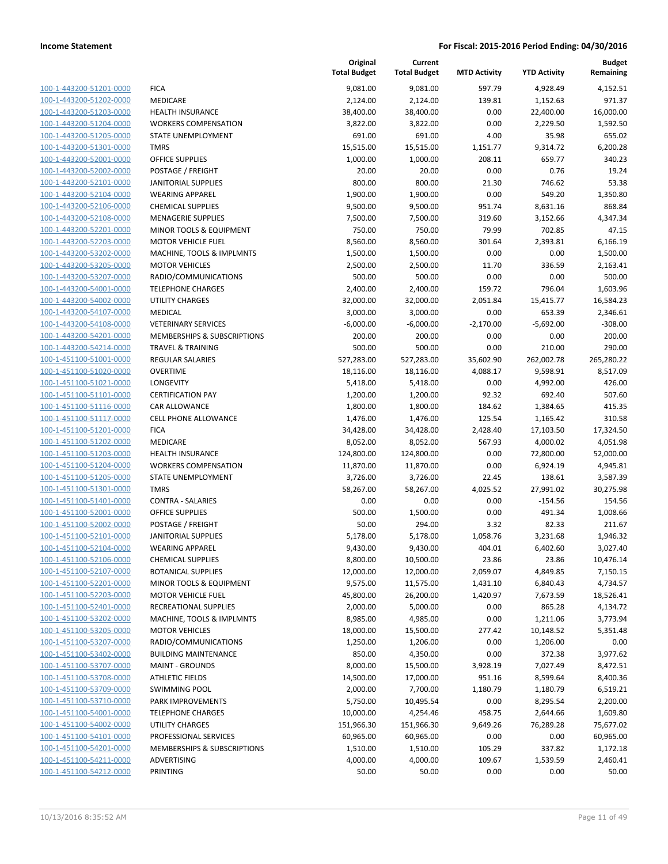| 100-1-443200-51201-0000                            |
|----------------------------------------------------|
| 100-1-443200-51202-0000                            |
| 100-1-443200-51203-0000                            |
| 100-1-443200-51204-0000                            |
| 100-1-443200-51205-0000                            |
| 100-1-443200-51301-0000                            |
| 100-1-443200-52001-0000                            |
| 100-1-443200-52002-0000                            |
| 100-1-443200-52101-0000                            |
| 100-1-443200-52104-0000                            |
| 100-1-443200-52106-0000                            |
| 100-1-443200-52108-0000                            |
| 100-1-443200-52201-0000                            |
| 100-1-443200-52203-0000                            |
|                                                    |
| 100-1-443200-53202-0000                            |
| 100-1-443200-53205-0000                            |
| 100-1-443200-53207-0000                            |
| 100-1-443200-54001-0000                            |
| 100-1-443200-54002-0000                            |
| 100-1-443200-54107-0000                            |
| 100-1-443200-54108-0000                            |
| 100-1-443200-54201-0000                            |
| 100-1-443200-54214-0000                            |
| 100-1-451100-51001-0000                            |
| 100-1-451100-51020-0000                            |
| 100-1-451100-51021-0000                            |
| 100-1-451100-51101-0000                            |
| 100-1-451100-51116-0000                            |
| 100-1-451100-51117-0000                            |
| 100-1-451100-51201-0000                            |
| 100-1-451100-51202-0000                            |
| 100-1-451100-51203-0000                            |
| 100-1-451100-51204-0000                            |
| 100-1-451100-51205-0000                            |
| 100-1-451100-51301-0000                            |
|                                                    |
| 100-1-451100-51401-0000                            |
| 100-1-451100-52001-0000                            |
| 100-1-451100-52002-0000                            |
| 100-1-451100-52101-0000                            |
| 100-1-451100-52104-0000                            |
| 100-1-451100-52106-0000                            |
| 100-1-451100-52107-0000                            |
| 100-1-451100-52201-0000                            |
| 100-1-451100-52203-0000                            |
| 100-1-451100-52401-0000                            |
| 100-1-451100-53202-0000                            |
| 100-1-451100-53205-0000                            |
| 100-1-451100-53207-0000                            |
| 100-1-451100-53402-0000                            |
|                                                    |
|                                                    |
| 100-1-451100-53707-0000                            |
| 100-1-451100-53708-0000                            |
| 100-1-451100-53709-0000                            |
| 100-1-451100-53710-0000                            |
| 100-1-451100-54001-0000                            |
| 100-1-451100-54002-0000                            |
| 100-1-451100-54101-0000                            |
| 100-1-451100-54201-0000                            |
| 100-1-451100-54211-0000<br>100-1-451100-54212-0000 |

|                                                    |                                                     | Original<br><b>Total Budget</b> | Current<br><b>Total Budget</b> | <b>MTD Activity</b> | <b>YTD Activity</b>   | <b>Budget</b><br>Remaining |
|----------------------------------------------------|-----------------------------------------------------|---------------------------------|--------------------------------|---------------------|-----------------------|----------------------------|
| 100-1-443200-51201-0000                            | <b>FICA</b>                                         | 9,081.00                        | 9,081.00                       | 597.79              | 4,928.49              | 4,152.51                   |
| 100-1-443200-51202-0000                            | <b>MEDICARE</b>                                     | 2,124.00                        | 2,124.00                       | 139.81              | 1,152.63              | 971.37                     |
| 100-1-443200-51203-0000                            | <b>HEALTH INSURANCE</b>                             | 38,400.00                       | 38,400.00                      | 0.00                | 22,400.00             | 16,000.00                  |
| 100-1-443200-51204-0000                            | <b>WORKERS COMPENSATION</b>                         | 3,822.00                        | 3,822.00                       | 0.00                | 2,229.50              | 1,592.50                   |
| 100-1-443200-51205-0000                            | STATE UNEMPLOYMENT                                  | 691.00                          | 691.00                         | 4.00                | 35.98                 | 655.02                     |
| 100-1-443200-51301-0000                            | <b>TMRS</b>                                         | 15,515.00                       | 15,515.00                      | 1,151.77            | 9,314.72              | 6,200.28                   |
| 100-1-443200-52001-0000                            | <b>OFFICE SUPPLIES</b>                              | 1,000.00                        | 1,000.00                       | 208.11              | 659.77                | 340.23                     |
| 100-1-443200-52002-0000                            | POSTAGE / FREIGHT                                   | 20.00                           | 20.00                          | 0.00                | 0.76                  | 19.24                      |
| 100-1-443200-52101-0000                            | <b>JANITORIAL SUPPLIES</b>                          | 800.00                          | 800.00                         | 21.30               | 746.62                | 53.38                      |
| 100-1-443200-52104-0000                            | <b>WEARING APPAREL</b>                              | 1,900.00                        | 1,900.00                       | 0.00                | 549.20                | 1,350.80                   |
| 100-1-443200-52106-0000                            | <b>CHEMICAL SUPPLIES</b>                            | 9,500.00                        | 9,500.00                       | 951.74              | 8,631.16              | 868.84                     |
| 100-1-443200-52108-0000                            | <b>MENAGERIE SUPPLIES</b>                           | 7,500.00                        | 7,500.00                       | 319.60              | 3,152.66              | 4,347.34                   |
| 100-1-443200-52201-0000                            | MINOR TOOLS & EQUIPMENT                             | 750.00                          | 750.00                         | 79.99               | 702.85                | 47.15                      |
| 100-1-443200-52203-0000                            | <b>MOTOR VEHICLE FUEL</b>                           | 8,560.00                        | 8,560.00                       | 301.64              | 2,393.81              | 6,166.19                   |
| 100-1-443200-53202-0000                            | MACHINE, TOOLS & IMPLMNTS                           | 1,500.00                        | 1,500.00                       | 0.00                | 0.00                  | 1,500.00                   |
| 100-1-443200-53205-0000                            | <b>MOTOR VEHICLES</b>                               | 2,500.00                        | 2,500.00                       | 11.70               | 336.59                | 2,163.41                   |
| 100-1-443200-53207-0000                            | RADIO/COMMUNICATIONS                                | 500.00                          | 500.00                         | 0.00                | 0.00                  | 500.00                     |
| 100-1-443200-54001-0000                            | <b>TELEPHONE CHARGES</b>                            | 2,400.00                        | 2,400.00                       | 159.72              | 796.04                | 1,603.96                   |
| 100-1-443200-54002-0000                            | <b>UTILITY CHARGES</b>                              | 32,000.00                       | 32,000.00                      | 2,051.84            | 15,415.77             | 16,584.23                  |
| 100-1-443200-54107-0000                            | <b>MEDICAL</b>                                      | 3,000.00                        | 3,000.00                       | 0.00                | 653.39                | 2,346.61                   |
| 100-1-443200-54108-0000                            | <b>VETERINARY SERVICES</b>                          | $-6,000.00$                     | $-6,000.00$                    | $-2,170.00$         | $-5,692.00$           | $-308.00$                  |
| 100-1-443200-54201-0000                            | MEMBERSHIPS & SUBSCRIPTIONS                         | 200.00                          | 200.00                         | 0.00                | 0.00                  | 200.00                     |
| 100-1-443200-54214-0000                            | <b>TRAVEL &amp; TRAINING</b>                        | 500.00                          | 500.00                         | 0.00                | 210.00                | 290.00                     |
| 100-1-451100-51001-0000                            | <b>REGULAR SALARIES</b>                             | 527,283.00                      | 527,283.00                     | 35,602.90           | 262,002.78            | 265,280.22                 |
| 100-1-451100-51020-0000                            | <b>OVERTIME</b>                                     | 18,116.00                       | 18,116.00                      | 4,088.17            | 9,598.91              | 8,517.09                   |
| 100-1-451100-51021-0000                            | LONGEVITY                                           | 5,418.00                        | 5,418.00                       | 0.00                | 4,992.00              | 426.00                     |
| 100-1-451100-51101-0000                            | <b>CERTIFICATION PAY</b>                            | 1,200.00                        | 1,200.00                       | 92.32               | 692.40                | 507.60                     |
| 100-1-451100-51116-0000<br>100-1-451100-51117-0000 | <b>CAR ALLOWANCE</b><br><b>CELL PHONE ALLOWANCE</b> | 1,800.00                        | 1,800.00                       | 184.62<br>125.54    | 1,384.65              | 415.35                     |
| 100-1-451100-51201-0000                            | <b>FICA</b>                                         | 1,476.00<br>34,428.00           | 1,476.00<br>34,428.00          | 2,428.40            | 1,165.42<br>17,103.50 | 310.58<br>17,324.50        |
| 100-1-451100-51202-0000                            | MEDICARE                                            | 8,052.00                        | 8,052.00                       | 567.93              | 4,000.02              | 4,051.98                   |
| 100-1-451100-51203-0000                            | <b>HEALTH INSURANCE</b>                             | 124,800.00                      | 124,800.00                     | 0.00                | 72,800.00             | 52,000.00                  |
| 100-1-451100-51204-0000                            | <b>WORKERS COMPENSATION</b>                         | 11,870.00                       | 11,870.00                      | 0.00                | 6,924.19              | 4,945.81                   |
| 100-1-451100-51205-0000                            | <b>STATE UNEMPLOYMENT</b>                           | 3,726.00                        | 3,726.00                       | 22.45               | 138.61                | 3,587.39                   |
| 100-1-451100-51301-0000                            | <b>TMRS</b>                                         | 58,267.00                       | 58,267.00                      | 4,025.52            | 27,991.02             | 30,275.98                  |
| 100-1-451100-51401-0000                            | <b>CONTRA - SALARIES</b>                            | 0.00                            | 0.00                           | 0.00                | $-154.56$             | 154.56                     |
| 100-1-451100-52001-0000                            | <b>OFFICE SUPPLIES</b>                              | 500.00                          | 1,500.00                       | 0.00                | 491.34                | 1,008.66                   |
| 100-1-451100-52002-0000                            | POSTAGE / FREIGHT                                   | 50.00                           | 294.00                         | 3.32                | 82.33                 | 211.67                     |
| 100-1-451100-52101-0000                            | <b>JANITORIAL SUPPLIES</b>                          | 5,178.00                        | 5,178.00                       | 1,058.76            | 3,231.68              | 1,946.32                   |
| 100-1-451100-52104-0000                            | <b>WEARING APPAREL</b>                              | 9,430.00                        | 9,430.00                       | 404.01              | 6,402.60              | 3,027.40                   |
| 100-1-451100-52106-0000                            | <b>CHEMICAL SUPPLIES</b>                            | 8,800.00                        | 10,500.00                      | 23.86               | 23.86                 | 10,476.14                  |
| 100-1-451100-52107-0000                            | <b>BOTANICAL SUPPLIES</b>                           | 12,000.00                       | 12,000.00                      | 2,059.07            | 4,849.85              | 7,150.15                   |
| 100-1-451100-52201-0000                            | MINOR TOOLS & EQUIPMENT                             | 9,575.00                        | 11,575.00                      | 1,431.10            | 6,840.43              | 4,734.57                   |
| 100-1-451100-52203-0000                            | <b>MOTOR VEHICLE FUEL</b>                           | 45,800.00                       | 26,200.00                      | 1,420.97            | 7,673.59              | 18,526.41                  |
| 100-1-451100-52401-0000                            | RECREATIONAL SUPPLIES                               | 2,000.00                        | 5,000.00                       | 0.00                | 865.28                | 4,134.72                   |
| 100-1-451100-53202-0000                            | MACHINE, TOOLS & IMPLMNTS                           | 8,985.00                        | 4,985.00                       | 0.00                | 1,211.06              | 3,773.94                   |
| 100-1-451100-53205-0000                            | <b>MOTOR VEHICLES</b>                               | 18,000.00                       | 15,500.00                      | 277.42              | 10,148.52             | 5,351.48                   |
| 100-1-451100-53207-0000                            | RADIO/COMMUNICATIONS                                | 1,250.00                        | 1,206.00                       | 0.00                | 1,206.00              | 0.00                       |
| 100-1-451100-53402-0000                            | <b>BUILDING MAINTENANCE</b>                         | 850.00                          | 4,350.00                       | 0.00                | 372.38                | 3,977.62                   |
| 100-1-451100-53707-0000                            | <b>MAINT - GROUNDS</b>                              | 8,000.00                        | 15,500.00                      | 3,928.19            | 7,027.49              | 8,472.51                   |
| 100-1-451100-53708-0000                            | <b>ATHLETIC FIELDS</b>                              | 14,500.00                       | 17,000.00                      | 951.16              | 8,599.64              | 8,400.36                   |
| 100-1-451100-53709-0000                            | <b>SWIMMING POOL</b>                                | 2,000.00                        | 7,700.00                       | 1,180.79            | 1,180.79              | 6,519.21                   |
| 100-1-451100-53710-0000                            | PARK IMPROVEMENTS                                   | 5,750.00                        | 10,495.54                      | 0.00                | 8,295.54              | 2,200.00                   |
| 100-1-451100-54001-0000                            | <b>TELEPHONE CHARGES</b>                            | 10,000.00                       | 4,254.46                       | 458.75              | 2,644.66              | 1,609.80                   |
| 100-1-451100-54002-0000                            | UTILITY CHARGES                                     | 151,966.30                      | 151,966.30                     | 9,649.26            | 76,289.28             | 75,677.02                  |
| 100-1-451100-54101-0000                            | PROFESSIONAL SERVICES                               | 60,965.00                       | 60,965.00                      | 0.00                | 0.00                  | 60,965.00                  |
| 100-1-451100-54201-0000                            | MEMBERSHIPS & SUBSCRIPTIONS                         | 1,510.00                        | 1,510.00                       | 105.29              | 337.82                | 1,172.18                   |
| 100-1-451100-54211-0000                            | ADVERTISING                                         | 4,000.00                        | 4,000.00                       | 109.67              | 1,539.59              | 2,460.41                   |
| 100-1-451100-54212-0000                            | PRINTING                                            | 50.00                           | 50.00                          | 0.00                | 0.00                  | 50.00                      |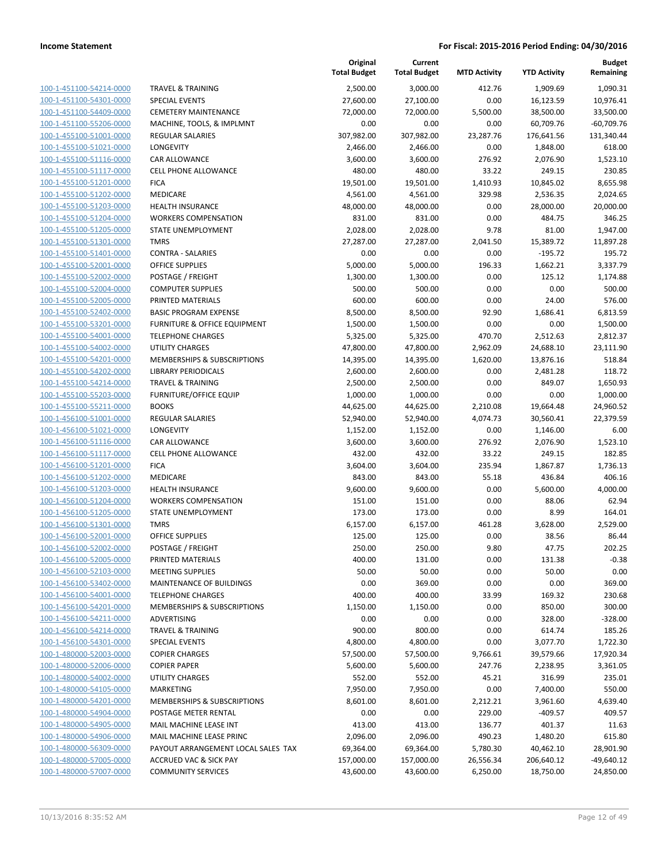|                                                    |                                                            | Original<br><b>Total Budget</b> | Current<br><b>Total Budget</b> | <b>MTD Activity</b> | <b>YTD Activity</b> | <b>Budget</b><br>Remaining |
|----------------------------------------------------|------------------------------------------------------------|---------------------------------|--------------------------------|---------------------|---------------------|----------------------------|
| 100-1-451100-54214-0000                            | <b>TRAVEL &amp; TRAINING</b>                               | 2,500.00                        | 3,000.00                       | 412.76              | 1,909.69            | 1,090.31                   |
| 100-1-451100-54301-0000                            | <b>SPECIAL EVENTS</b>                                      | 27,600.00                       | 27,100.00                      | 0.00                | 16,123.59           | 10,976.41                  |
| 100-1-451100-54409-0000                            | <b>CEMETERY MAINTENANCE</b>                                | 72,000.00                       | 72,000.00                      | 5,500.00            | 38,500.00           | 33,500.00                  |
| 100-1-451100-55206-0000                            | MACHINE, TOOLS, & IMPLMNT                                  | 0.00                            | 0.00                           | 0.00                | 60,709.76           | $-60,709.76$               |
| 100-1-455100-51001-0000                            | REGULAR SALARIES                                           | 307,982.00                      | 307,982.00                     | 23,287.76           | 176,641.56          | 131,340.44                 |
| 100-1-455100-51021-0000                            | LONGEVITY                                                  | 2,466.00                        | 2,466.00                       | 0.00                | 1,848.00            | 618.00                     |
| 100-1-455100-51116-0000                            | <b>CAR ALLOWANCE</b>                                       | 3,600.00                        | 3,600.00                       | 276.92              | 2,076.90            | 1,523.10                   |
| 100-1-455100-51117-0000                            | <b>CELL PHONE ALLOWANCE</b>                                | 480.00                          | 480.00                         | 33.22               | 249.15              | 230.85                     |
| 100-1-455100-51201-0000                            | <b>FICA</b>                                                | 19,501.00                       | 19,501.00                      | 1,410.93            | 10,845.02           | 8,655.98                   |
| 100-1-455100-51202-0000                            | <b>MEDICARE</b>                                            | 4,561.00                        | 4,561.00                       | 329.98              | 2,536.35            | 2,024.65                   |
| 100-1-455100-51203-0000                            | <b>HEALTH INSURANCE</b>                                    | 48,000.00                       | 48,000.00                      | 0.00                | 28,000.00           | 20,000.00                  |
| 100-1-455100-51204-0000                            | <b>WORKERS COMPENSATION</b>                                | 831.00                          | 831.00                         | 0.00                | 484.75              | 346.25                     |
| 100-1-455100-51205-0000                            | STATE UNEMPLOYMENT                                         | 2,028.00                        | 2,028.00                       | 9.78                | 81.00               | 1,947.00                   |
| 100-1-455100-51301-0000                            | <b>TMRS</b>                                                | 27,287.00                       | 27,287.00                      | 2,041.50            | 15,389.72           | 11,897.28                  |
| 100-1-455100-51401-0000                            | <b>CONTRA - SALARIES</b>                                   | 0.00                            | 0.00                           | 0.00                | $-195.72$           | 195.72                     |
| 100-1-455100-52001-0000                            | <b>OFFICE SUPPLIES</b>                                     | 5,000.00                        | 5,000.00                       | 196.33              | 1,662.21            | 3,337.79                   |
| 100-1-455100-52002-0000                            | POSTAGE / FREIGHT                                          | 1,300.00                        | 1,300.00                       | 0.00                | 125.12              | 1,174.88                   |
| 100-1-455100-52004-0000                            | <b>COMPUTER SUPPLIES</b>                                   | 500.00                          | 500.00                         | 0.00                | 0.00                | 500.00                     |
| 100-1-455100-52005-0000                            | PRINTED MATERIALS                                          | 600.00                          | 600.00                         | 0.00                | 24.00               | 576.00                     |
| 100-1-455100-52402-0000                            | <b>BASIC PROGRAM EXPENSE</b>                               | 8,500.00                        | 8,500.00                       | 92.90               | 1,686.41            | 6,813.59                   |
| 100-1-455100-53201-0000                            | FURNITURE & OFFICE EQUIPMENT                               | 1,500.00                        | 1,500.00                       | 0.00                | 0.00                | 1,500.00                   |
| 100-1-455100-54001-0000                            | <b>TELEPHONE CHARGES</b>                                   | 5,325.00                        | 5,325.00                       | 470.70              | 2,512.63            | 2,812.37                   |
| 100-1-455100-54002-0000                            | <b>UTILITY CHARGES</b>                                     | 47,800.00                       | 47,800.00                      | 2,962.09            | 24,688.10           | 23,111.90                  |
| 100-1-455100-54201-0000                            | MEMBERSHIPS & SUBSCRIPTIONS                                | 14,395.00                       | 14,395.00                      | 1,620.00            | 13,876.16           | 518.84                     |
| 100-1-455100-54202-0000<br>100-1-455100-54214-0000 | <b>LIBRARY PERIODICALS</b><br><b>TRAVEL &amp; TRAINING</b> | 2,600.00                        | 2,600.00                       | 0.00                | 2,481.28<br>849.07  | 118.72                     |
| 100-1-455100-55203-0000                            | <b>FURNITURE/OFFICE EQUIP</b>                              | 2,500.00<br>1,000.00            | 2,500.00<br>1,000.00           | 0.00<br>0.00        | 0.00                | 1,650.93<br>1,000.00       |
| 100-1-455100-55211-0000                            | <b>BOOKS</b>                                               | 44,625.00                       | 44,625.00                      | 2,210.08            | 19,664.48           | 24,960.52                  |
| 100-1-456100-51001-0000                            | <b>REGULAR SALARIES</b>                                    | 52,940.00                       | 52,940.00                      | 4,074.73            | 30,560.41           | 22,379.59                  |
| 100-1-456100-51021-0000                            | LONGEVITY                                                  | 1,152.00                        | 1,152.00                       | 0.00                | 1,146.00            | 6.00                       |
| 100-1-456100-51116-0000                            | <b>CAR ALLOWANCE</b>                                       | 3,600.00                        | 3,600.00                       | 276.92              | 2,076.90            | 1,523.10                   |
| 100-1-456100-51117-0000                            | <b>CELL PHONE ALLOWANCE</b>                                | 432.00                          | 432.00                         | 33.22               | 249.15              | 182.85                     |
| 100-1-456100-51201-0000                            | <b>FICA</b>                                                | 3,604.00                        | 3,604.00                       | 235.94              | 1,867.87            | 1,736.13                   |
| 100-1-456100-51202-0000                            | <b>MEDICARE</b>                                            | 843.00                          | 843.00                         | 55.18               | 436.84              | 406.16                     |
| 100-1-456100-51203-0000                            | <b>HEALTH INSURANCE</b>                                    | 9,600.00                        | 9,600.00                       | 0.00                | 5,600.00            | 4,000.00                   |
| 100-1-456100-51204-0000                            | <b>WORKERS COMPENSATION</b>                                | 151.00                          | 151.00                         | 0.00                | 88.06               | 62.94                      |
| 100-1-456100-51205-0000                            | STATE UNEMPLOYMENT                                         | 173.00                          | 173.00                         | 0.00                | 8.99                | 164.01                     |
| 100-1-456100-51301-0000                            | <b>TMRS</b>                                                | 6,157.00                        | 6,157.00                       | 461.28              | 3,628.00            | 2,529.00                   |
| 100-1-456100-52001-0000                            | OFFICE SUPPLIES                                            | 125.00                          | 125.00                         | 0.00                | 38.56               | 86.44                      |
| 100-1-456100-52002-0000                            | POSTAGE / FREIGHT                                          | 250.00                          | 250.00                         | 9.80                | 47.75               | 202.25                     |
| 100-1-456100-52005-0000                            | PRINTED MATERIALS                                          | 400.00                          | 131.00                         | 0.00                | 131.38              | $-0.38$                    |
| 100-1-456100-52103-0000                            | <b>MEETING SUPPLIES</b>                                    | 50.00                           | 50.00                          | 0.00                | 50.00               | 0.00                       |
| 100-1-456100-53402-0000                            | MAINTENANCE OF BUILDINGS                                   | 0.00                            | 369.00                         | 0.00                | 0.00                | 369.00                     |
| 100-1-456100-54001-0000                            | <b>TELEPHONE CHARGES</b>                                   | 400.00                          | 400.00                         | 33.99               | 169.32              | 230.68                     |
| 100-1-456100-54201-0000                            | MEMBERSHIPS & SUBSCRIPTIONS                                | 1,150.00                        | 1,150.00                       | 0.00                | 850.00              | 300.00                     |
| 100-1-456100-54211-0000                            | ADVERTISING                                                | 0.00                            | 0.00                           | 0.00                | 328.00              | $-328.00$                  |
| 100-1-456100-54214-0000                            | <b>TRAVEL &amp; TRAINING</b>                               | 900.00                          | 800.00                         | 0.00                | 614.74              | 185.26                     |
| 100-1-456100-54301-0000                            | <b>SPECIAL EVENTS</b>                                      | 4,800.00                        | 4,800.00                       | 0.00                | 3,077.70            | 1,722.30                   |
| 100-1-480000-52003-0000                            | <b>COPIER CHARGES</b>                                      | 57,500.00                       | 57,500.00                      | 9,766.61            | 39,579.66           | 17,920.34                  |
| 100-1-480000-52006-0000<br>100-1-480000-54002-0000 | <b>COPIER PAPER</b><br><b>UTILITY CHARGES</b>              | 5,600.00                        | 5,600.00                       | 247.76              | 2,238.95            | 3,361.05                   |
| 100-1-480000-54105-0000                            | <b>MARKETING</b>                                           | 552.00<br>7,950.00              | 552.00<br>7,950.00             | 45.21<br>0.00       | 316.99<br>7,400.00  | 235.01<br>550.00           |
| 100-1-480000-54201-0000                            | MEMBERSHIPS & SUBSCRIPTIONS                                | 8,601.00                        | 8,601.00                       | 2,212.21            | 3,961.60            | 4,639.40                   |
| 100-1-480000-54904-0000                            | POSTAGE METER RENTAL                                       | 0.00                            | 0.00                           | 229.00              | $-409.57$           | 409.57                     |
| 100-1-480000-54905-0000                            | MAIL MACHINE LEASE INT                                     | 413.00                          | 413.00                         | 136.77              | 401.37              | 11.63                      |
| 100-1-480000-54906-0000                            | MAIL MACHINE LEASE PRINC                                   | 2,096.00                        | 2,096.00                       | 490.23              | 1,480.20            | 615.80                     |
| 100-1-480000-56309-0000                            | PAYOUT ARRANGEMENT LOCAL SALES TAX                         | 69,364.00                       | 69,364.00                      | 5,780.30            | 40,462.10           | 28,901.90                  |
| 100-1-480000-57005-0000                            | <b>ACCRUED VAC &amp; SICK PAY</b>                          | 157,000.00                      | 157,000.00                     | 26,556.34           | 206,640.12          | $-49,640.12$               |
| 100-1-480000-57007-0000                            | <b>COMMUNITY SERVICES</b>                                  | 43,600.00                       | 43,600.00                      | 6,250.00            | 18,750.00           | 24,850.00                  |
|                                                    |                                                            |                                 |                                |                     |                     |                            |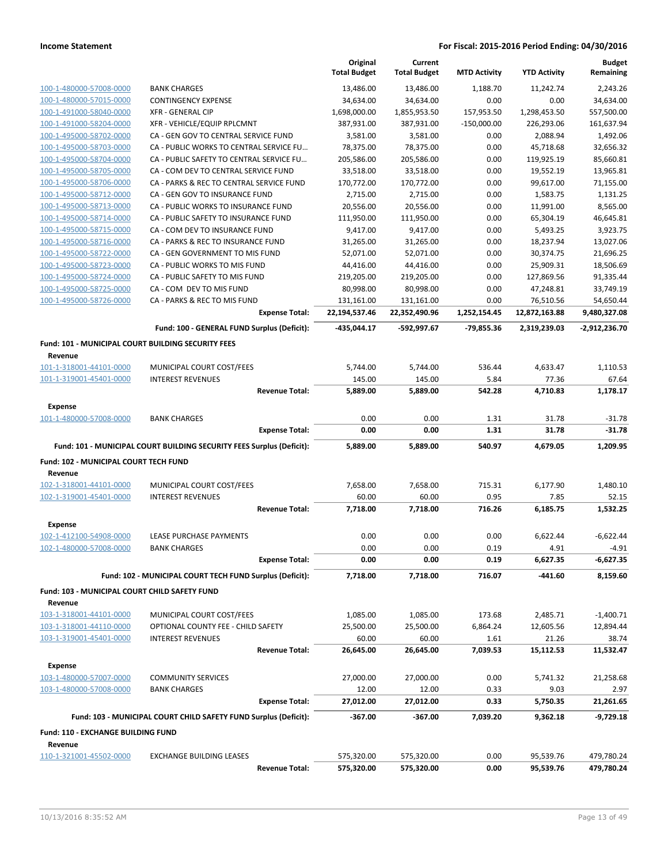|                                                    |                                                                       |                       | Original<br><b>Total Budget</b> | Current<br><b>Total Budget</b> | <b>MTD Activity</b> | <b>YTD Activity</b> | <b>Budget</b><br>Remaining |
|----------------------------------------------------|-----------------------------------------------------------------------|-----------------------|---------------------------------|--------------------------------|---------------------|---------------------|----------------------------|
| 100-1-480000-57008-0000                            | <b>BANK CHARGES</b>                                                   |                       | 13,486.00                       | 13,486.00                      | 1,188.70            | 11,242.74           | 2,243.26                   |
| 100-1-480000-57015-0000                            | <b>CONTINGENCY EXPENSE</b>                                            |                       | 34,634.00                       | 34,634.00                      | 0.00                | 0.00                | 34,634.00                  |
| 100-1-491000-58040-0000                            | <b>XFR - GENERAL CIP</b>                                              |                       | 1,698,000.00                    | 1,855,953.50                   | 157,953.50          | 1,298,453.50        | 557,500.00                 |
| 100-1-491000-58204-0000                            | XFR - VEHICLE/EQUIP RPLCMNT                                           |                       | 387,931.00                      | 387,931.00                     | $-150,000.00$       | 226,293.06          | 161,637.94                 |
| 100-1-495000-58702-0000                            | CA - GEN GOV TO CENTRAL SERVICE FUND                                  |                       | 3,581.00                        | 3,581.00                       | 0.00                | 2,088.94            | 1,492.06                   |
| 100-1-495000-58703-0000                            | CA - PUBLIC WORKS TO CENTRAL SERVICE FU                               |                       | 78,375.00                       | 78,375.00                      | 0.00                | 45,718.68           | 32,656.32                  |
| 100-1-495000-58704-0000                            | CA - PUBLIC SAFETY TO CENTRAL SERVICE FU                              |                       | 205,586.00                      | 205,586.00                     | 0.00                | 119,925.19          | 85,660.81                  |
| 100-1-495000-58705-0000                            | CA - COM DEV TO CENTRAL SERVICE FUND                                  |                       | 33,518.00                       | 33,518.00                      | 0.00                | 19,552.19           | 13,965.81                  |
| 100-1-495000-58706-0000                            | CA - PARKS & REC TO CENTRAL SERVICE FUND                              |                       | 170,772.00                      | 170,772.00                     | 0.00                | 99,617.00           | 71,155.00                  |
| 100-1-495000-58712-0000                            | CA - GEN GOV TO INSURANCE FUND                                        |                       | 2,715.00                        | 2,715.00                       | 0.00                | 1,583.75            | 1,131.25                   |
| 100-1-495000-58713-0000                            | CA - PUBLIC WORKS TO INSURANCE FUND                                   |                       | 20,556.00                       | 20,556.00                      | 0.00                | 11,991.00           | 8,565.00                   |
| 100-1-495000-58714-0000                            | CA - PUBLIC SAFETY TO INSURANCE FUND                                  |                       | 111,950.00                      | 111,950.00                     | 0.00                | 65,304.19           | 46,645.81                  |
| 100-1-495000-58715-0000                            | CA - COM DEV TO INSURANCE FUND                                        |                       | 9,417.00                        | 9,417.00                       | 0.00                | 5,493.25            | 3,923.75                   |
| 100-1-495000-58716-0000                            | CA - PARKS & REC TO INSURANCE FUND                                    |                       | 31,265.00                       | 31,265.00                      | 0.00                | 18,237.94           | 13,027.06                  |
| 100-1-495000-58722-0000                            | CA - GEN GOVERNMENT TO MIS FUND                                       |                       | 52,071.00                       | 52,071.00                      | 0.00                | 30,374.75           | 21,696.25                  |
| 100-1-495000-58723-0000                            | CA - PUBLIC WORKS TO MIS FUND                                         |                       | 44,416.00                       | 44,416.00                      | 0.00                | 25,909.31           | 18,506.69                  |
| 100-1-495000-58724-0000                            | CA - PUBLIC SAFETY TO MIS FUND                                        |                       | 219,205.00                      | 219,205.00                     | 0.00                | 127,869.56          | 91,335.44                  |
| 100-1-495000-58725-0000                            | CA - COM DEV TO MIS FUND                                              |                       | 80,998.00                       | 80,998.00                      | 0.00                | 47,248.81           | 33,749.19                  |
| 100-1-495000-58726-0000                            | CA - PARKS & REC TO MIS FUND                                          |                       | 131,161.00                      | 131,161.00                     | 0.00                | 76,510.56           | 54,650.44                  |
|                                                    |                                                                       | <b>Expense Total:</b> | 22,194,537.46                   | 22,352,490.96                  | 1,252,154.45        | 12,872,163.88       | 9,480,327.08               |
|                                                    | Fund: 100 - GENERAL FUND Surplus (Deficit):                           |                       | -435,044.17                     | -592,997.67                    | $-79,855.36$        | 2,319,239.03        | -2,912,236.70              |
| Fund: 101 - MUNICIPAL COURT BUILDING SECURITY FEES |                                                                       |                       |                                 |                                |                     |                     |                            |
| Revenue                                            |                                                                       |                       |                                 |                                |                     |                     |                            |
| 101-1-318001-44101-0000                            | MUNICIPAL COURT COST/FEES                                             |                       | 5,744.00                        | 5,744.00                       | 536.44              | 4,633.47            | 1,110.53                   |
| 101-1-319001-45401-0000                            | <b>INTEREST REVENUES</b>                                              |                       | 145.00                          | 145.00                         | 5.84                | 77.36               | 67.64                      |
|                                                    |                                                                       | <b>Revenue Total:</b> | 5,889.00                        | 5,889.00                       | 542.28              | 4,710.83            | 1,178.17                   |
| <b>Expense</b>                                     |                                                                       |                       |                                 |                                |                     |                     |                            |
| 101-1-480000-57008-0000                            | <b>BANK CHARGES</b>                                                   |                       | 0.00                            | 0.00                           | 1.31                | 31.78               | $-31.78$                   |
|                                                    |                                                                       | <b>Expense Total:</b> | 0.00                            | 0.00                           | 1.31                | 31.78               | -31.78                     |
|                                                    | Fund: 101 - MUNICIPAL COURT BUILDING SECURITY FEES Surplus (Deficit): |                       | 5,889.00                        | 5,889.00                       | 540.97              | 4,679.05            | 1,209.95                   |
| Fund: 102 - MUNICIPAL COURT TECH FUND              |                                                                       |                       |                                 |                                |                     |                     |                            |
| Revenue                                            |                                                                       |                       |                                 |                                |                     |                     |                            |
| 102-1-318001-44101-0000                            | MUNICIPAL COURT COST/FEES                                             |                       | 7,658.00                        | 7,658.00                       | 715.31              | 6,177.90            | 1,480.10                   |
| 102-1-319001-45401-0000                            | <b>INTEREST REVENUES</b>                                              |                       | 60.00                           | 60.00                          | 0.95                | 7.85                | 52.15                      |
|                                                    |                                                                       | <b>Revenue Total:</b> | 7,718.00                        | 7,718.00                       | 716.26              | 6,185.75            | 1,532.25                   |
| Expense                                            |                                                                       |                       |                                 |                                |                     |                     |                            |
| 102-1-412100-54908-0000                            | LEASE PURCHASE PAYMENTS                                               |                       | 0.00                            | 0.00                           | 0.00                | 6,622.44            | $-6,622.44$                |
| 102-1-480000-57008-0000                            | BANK CHARGES                                                          |                       | 0.00                            | 0.00                           | 0.19                | 4.91                | $-4.91$                    |
|                                                    |                                                                       | <b>Expense Total:</b> | 0.00                            | 0.00                           | 0.19                | 6,627.35            | -6,627.35                  |
|                                                    | Fund: 102 - MUNICIPAL COURT TECH FUND Surplus (Deficit):              |                       | 7,718.00                        | 7,718.00                       | 716.07              | -441.60             | 8,159.60                   |
| Fund: 103 - MUNICIPAL COURT CHILD SAFETY FUND      |                                                                       |                       |                                 |                                |                     |                     |                            |
| Revenue                                            |                                                                       |                       |                                 |                                |                     |                     |                            |
| 103-1-318001-44101-0000                            | MUNICIPAL COURT COST/FEES                                             |                       | 1,085.00                        | 1,085.00                       | 173.68              | 2,485.71            | $-1,400.71$                |
| 103-1-318001-44110-0000                            | OPTIONAL COUNTY FEE - CHILD SAFETY                                    |                       | 25,500.00                       | 25,500.00                      | 6,864.24            | 12,605.56           | 12,894.44                  |
| 103-1-319001-45401-0000                            | <b>INTEREST REVENUES</b>                                              |                       | 60.00                           | 60.00                          | 1.61                | 21.26               | 38.74                      |
|                                                    |                                                                       | <b>Revenue Total:</b> | 26,645.00                       | 26,645.00                      | 7,039.53            | 15,112.53           | 11,532.47                  |
| <b>Expense</b>                                     |                                                                       |                       |                                 |                                |                     |                     |                            |
| 103-1-480000-57007-0000                            | <b>COMMUNITY SERVICES</b>                                             |                       | 27,000.00                       | 27,000.00                      | 0.00                | 5,741.32            | 21,258.68                  |
| 103-1-480000-57008-0000                            | <b>BANK CHARGES</b>                                                   |                       | 12.00                           | 12.00                          | 0.33                | 9.03                | 2.97                       |
|                                                    |                                                                       | <b>Expense Total:</b> | 27,012.00                       | 27,012.00                      | 0.33                | 5,750.35            | 21,261.65                  |
|                                                    | Fund: 103 - MUNICIPAL COURT CHILD SAFETY FUND Surplus (Deficit):      |                       | $-367.00$                       | $-367.00$                      | 7,039.20            | 9,362.18            | $-9,729.18$                |
| <b>Fund: 110 - EXCHANGE BUILDING FUND</b>          |                                                                       |                       |                                 |                                |                     |                     |                            |
| Revenue                                            |                                                                       |                       |                                 |                                |                     |                     |                            |
| 110-1-321001-45502-0000                            | <b>EXCHANGE BUILDING LEASES</b>                                       |                       | 575,320.00                      | 575,320.00                     | 0.00                | 95,539.76           | 479,780.24                 |
|                                                    |                                                                       | <b>Revenue Total:</b> | 575,320.00                      | 575,320.00                     | 0.00                | 95,539.76           | 479,780.24                 |
|                                                    |                                                                       |                       |                                 |                                |                     |                     |                            |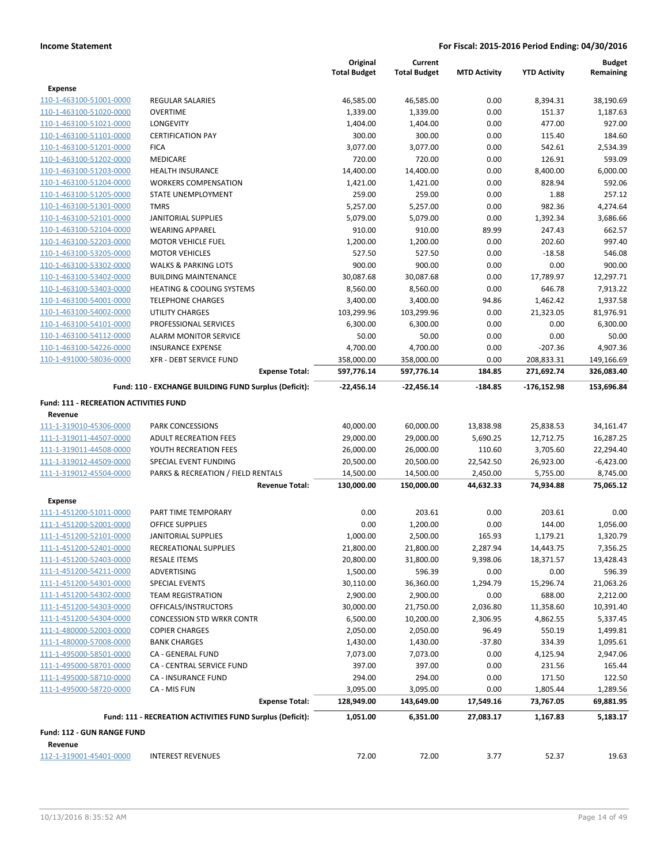|                                               |                                                           | Original<br><b>Total Budget</b> | Current<br><b>Total Budget</b> |                     |                     | <b>Budget</b>         |
|-----------------------------------------------|-----------------------------------------------------------|---------------------------------|--------------------------------|---------------------|---------------------|-----------------------|
|                                               |                                                           |                                 |                                | <b>MTD Activity</b> | <b>YTD Activity</b> | Remaining             |
| Expense<br>110-1-463100-51001-0000            | <b>REGULAR SALARIES</b>                                   |                                 |                                | 0.00                |                     |                       |
| 110-1-463100-51020-0000                       | <b>OVERTIME</b>                                           | 46,585.00<br>1,339.00           | 46,585.00<br>1,339.00          | 0.00                | 8,394.31<br>151.37  | 38,190.69<br>1,187.63 |
| 110-1-463100-51021-0000                       | LONGEVITY                                                 | 1,404.00                        | 1,404.00                       | 0.00                | 477.00              | 927.00                |
| 110-1-463100-51101-0000                       | <b>CERTIFICATION PAY</b>                                  | 300.00                          | 300.00                         | 0.00                | 115.40              | 184.60                |
| 110-1-463100-51201-0000                       | <b>FICA</b>                                               | 3,077.00                        | 3,077.00                       | 0.00                | 542.61              | 2,534.39              |
| 110-1-463100-51202-0000                       | <b>MEDICARE</b>                                           | 720.00                          | 720.00                         | 0.00                | 126.91              | 593.09                |
| 110-1-463100-51203-0000                       | <b>HEALTH INSURANCE</b>                                   | 14,400.00                       | 14,400.00                      | 0.00                | 8,400.00            | 6,000.00              |
| 110-1-463100-51204-0000                       | <b>WORKERS COMPENSATION</b>                               | 1,421.00                        | 1,421.00                       | 0.00                | 828.94              | 592.06                |
| 110-1-463100-51205-0000                       | STATE UNEMPLOYMENT                                        | 259.00                          | 259.00                         | 0.00                | 1.88                | 257.12                |
| 110-1-463100-51301-0000                       | <b>TMRS</b>                                               | 5,257.00                        | 5,257.00                       | 0.00                | 982.36              | 4,274.64              |
| 110-1-463100-52101-0000                       | <b>JANITORIAL SUPPLIES</b>                                | 5,079.00                        | 5,079.00                       | 0.00                | 1,392.34            | 3,686.66              |
| 110-1-463100-52104-0000                       | <b>WEARING APPAREL</b>                                    | 910.00                          | 910.00                         | 89.99               | 247.43              | 662.57                |
| 110-1-463100-52203-0000                       | <b>MOTOR VEHICLE FUEL</b>                                 | 1,200.00                        | 1,200.00                       | 0.00                | 202.60              | 997.40                |
| 110-1-463100-53205-0000                       | <b>MOTOR VEHICLES</b>                                     | 527.50                          | 527.50                         | 0.00                | $-18.58$            | 546.08                |
| 110-1-463100-53302-0000                       | <b>WALKS &amp; PARKING LOTS</b>                           | 900.00                          | 900.00                         | 0.00                | 0.00                | 900.00                |
| 110-1-463100-53402-0000                       | <b>BUILDING MAINTENANCE</b>                               | 30,087.68                       | 30,087.68                      | 0.00                | 17,789.97           | 12,297.71             |
| 110-1-463100-53403-0000                       | <b>HEATING &amp; COOLING SYSTEMS</b>                      | 8,560.00                        | 8,560.00                       | 0.00                | 646.78              | 7,913.22              |
| 110-1-463100-54001-0000                       | <b>TELEPHONE CHARGES</b>                                  | 3,400.00                        | 3,400.00                       | 94.86               | 1,462.42            | 1,937.58              |
| 110-1-463100-54002-0000                       | UTILITY CHARGES                                           | 103,299.96                      | 103,299.96                     | 0.00                | 21,323.05           | 81,976.91             |
| 110-1-463100-54101-0000                       | PROFESSIONAL SERVICES                                     | 6,300.00                        | 6,300.00                       | 0.00                | 0.00                | 6,300.00              |
| 110-1-463100-54112-0000                       | <b>ALARM MONITOR SERVICE</b>                              | 50.00                           | 50.00                          | 0.00                | 0.00                | 50.00                 |
| 110-1-463100-54226-0000                       | <b>INSURANCE EXPENSE</b>                                  | 4,700.00                        | 4,700.00                       | 0.00                | $-207.36$           | 4,907.36              |
| 110-1-491000-58036-0000                       | XFR - DEBT SERVICE FUND                                   | 358,000.00                      | 358,000.00                     | 0.00                | 208,833.31          | 149,166.69            |
|                                               | <b>Expense Total:</b>                                     | 597,776.14                      | 597,776.14                     | 184.85              | 271,692.74          | 326,083.40            |
|                                               | Fund: 110 - EXCHANGE BUILDING FUND Surplus (Deficit):     | -22,456.14                      | $-22,456.14$                   | $-184.85$           | $-176, 152.98$      | 153,696.84            |
| <b>Fund: 111 - RECREATION ACTIVITIES FUND</b> |                                                           |                                 |                                |                     |                     |                       |
| Revenue                                       |                                                           |                                 |                                |                     |                     |                       |
| 111-1-319010-45306-0000                       | <b>PARK CONCESSIONS</b>                                   | 40,000.00                       | 60,000.00                      | 13,838.98           | 25,838.53           | 34,161.47             |
| 111-1-319011-44507-0000                       | <b>ADULT RECREATION FEES</b>                              | 29,000.00                       | 29,000.00                      | 5,690.25            | 12,712.75           | 16,287.25             |
| 111-1-319011-44508-0000                       | YOUTH RECREATION FEES                                     | 26,000.00                       | 26,000.00                      | 110.60              | 3,705.60            | 22,294.40             |
| 111-1-319012-44509-0000                       | SPECIAL EVENT FUNDING                                     | 20,500.00                       | 20,500.00                      | 22,542.50           | 26,923.00           | $-6,423.00$           |
| 111-1-319012-45504-0000                       | PARKS & RECREATION / FIELD RENTALS                        | 14,500.00                       | 14,500.00                      | 2,450.00            | 5,755.00            | 8,745.00              |
|                                               | <b>Revenue Total:</b>                                     | 130,000.00                      | 150,000.00                     | 44,632.33           | 74,934.88           | 75,065.12             |
| <b>Expense</b>                                |                                                           |                                 |                                |                     |                     |                       |
| 111-1-451200-51011-0000                       | PART TIME TEMPORARY                                       | 0.00                            | 203.61                         | 0.00                | 203.61              | 0.00                  |
| 111-1-451200-52001-0000                       | <b>OFFICE SUPPLIES</b>                                    | 0.00                            | 1,200.00                       | 0.00                | 144.00              | 1,056.00              |
| 111-1-451200-52101-0000                       | <b>JANITORIAL SUPPLIES</b>                                | 1,000.00                        | 2,500.00                       | 165.93              | 1,179.21            | 1,320.79              |
| 111-1-451200-52401-0000                       | RECREATIONAL SUPPLIES                                     | 21,800.00                       | 21,800.00                      | 2,287.94            | 14,443.75           | 7,356.25              |
| 111-1-451200-52403-0000                       | <b>RESALE ITEMS</b>                                       | 20,800.00                       | 31,800.00                      | 9,398.06            | 18,371.57           | 13,428.43             |
| 111-1-451200-54211-0000                       | ADVERTISING                                               | 1,500.00                        | 596.39                         | 0.00                | 0.00                | 596.39                |
| 111-1-451200-54301-0000                       | <b>SPECIAL EVENTS</b>                                     | 30,110.00                       | 36,360.00                      | 1,294.79            | 15,296.74           | 21,063.26             |
| 111-1-451200-54302-0000                       | <b>TEAM REGISTRATION</b>                                  | 2,900.00                        | 2,900.00                       | 0.00                | 688.00              | 2,212.00              |
| 111-1-451200-54303-0000                       | OFFICALS/INSTRUCTORS                                      | 30,000.00                       | 21,750.00                      | 2,036.80            | 11,358.60           | 10,391.40             |
| 111-1-451200-54304-0000                       | <b>CONCESSION STD WRKR CONTR</b>                          | 6,500.00                        | 10,200.00                      | 2,306.95            | 4,862.55            | 5,337.45              |
| 111-1-480000-52003-0000                       | <b>COPIER CHARGES</b>                                     | 2,050.00                        | 2,050.00                       | 96.49               | 550.19              | 1,499.81              |
| 111-1-480000-57008-0000                       | <b>BANK CHARGES</b>                                       | 1,430.00                        | 1,430.00                       | $-37.80$            | 334.39              | 1,095.61              |
| 111-1-495000-58501-0000                       | CA - GENERAL FUND                                         | 7,073.00                        | 7,073.00                       | 0.00                | 4,125.94            | 2,947.06              |
| 111-1-495000-58701-0000                       | CA - CENTRAL SERVICE FUND                                 | 397.00                          | 397.00                         | 0.00                | 231.56              | 165.44                |
| 111-1-495000-58710-0000                       | CA - INSURANCE FUND                                       | 294.00                          | 294.00                         | 0.00                | 171.50              | 122.50                |
| 111-1-495000-58720-0000                       | CA - MIS FUN                                              | 3,095.00                        | 3,095.00                       | 0.00                | 1,805.44            | 1,289.56              |
|                                               | <b>Expense Total:</b>                                     | 128,949.00                      | 143,649.00                     | 17,549.16           | 73,767.05           | 69,881.95             |
|                                               | Fund: 111 - RECREATION ACTIVITIES FUND Surplus (Deficit): | 1,051.00                        | 6,351.00                       | 27,083.17           | 1,167.83            | 5,183.17              |
| Fund: 112 - GUN RANGE FUND<br>Revenue         |                                                           |                                 |                                |                     |                     |                       |
| 112-1-319001-45401-0000                       | <b>INTEREST REVENUES</b>                                  | 72.00                           | 72.00                          | 3.77                | 52.37               | 19.63                 |
|                                               |                                                           |                                 |                                |                     |                     |                       |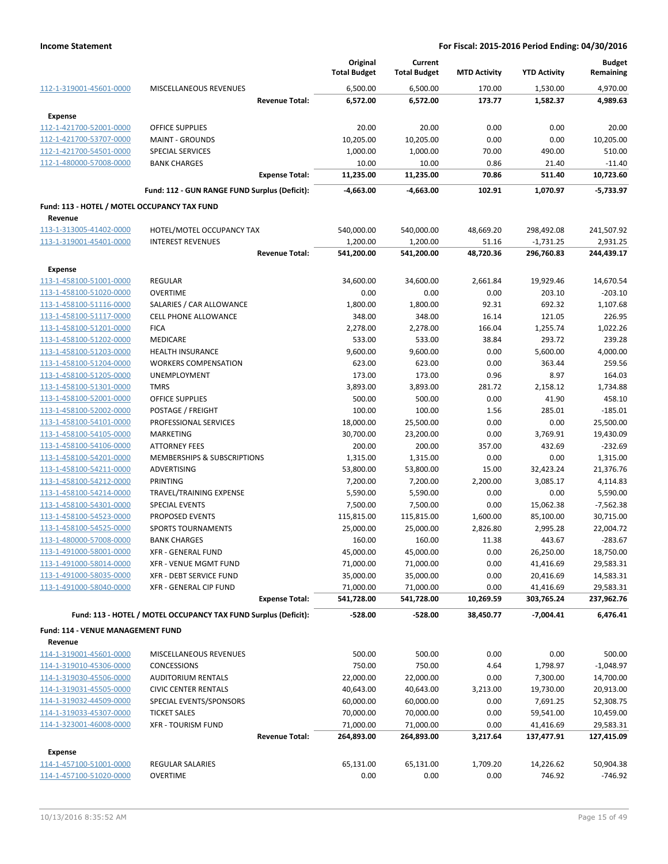|                                                    |                                                                 | Original<br><b>Total Budget</b> | Current<br><b>Total Budget</b> | <b>MTD Activity</b> | <b>YTD Activity</b>     | <b>Budget</b><br>Remaining |
|----------------------------------------------------|-----------------------------------------------------------------|---------------------------------|--------------------------------|---------------------|-------------------------|----------------------------|
| 112-1-319001-45601-0000                            | <b>MISCELLANEOUS REVENUES</b>                                   | 6,500.00                        | 6,500.00                       | 170.00              | 1,530.00                | 4,970.00                   |
|                                                    | <b>Revenue Total:</b>                                           | 6,572.00                        | 6,572.00                       | 173.77              | 1,582.37                | 4,989.63                   |
| <b>Expense</b>                                     |                                                                 |                                 |                                |                     |                         |                            |
| 112-1-421700-52001-0000                            | <b>OFFICE SUPPLIES</b>                                          | 20.00                           | 20.00                          | 0.00                | 0.00                    | 20.00                      |
| 112-1-421700-53707-0000                            | <b>MAINT - GROUNDS</b>                                          | 10,205.00                       | 10,205.00                      | 0.00                | 0.00                    | 10,205.00                  |
| 112-1-421700-54501-0000                            | SPECIAL SERVICES                                                | 1,000.00                        | 1,000.00                       | 70.00               | 490.00                  | 510.00                     |
| 112-1-480000-57008-0000                            | <b>BANK CHARGES</b>                                             | 10.00                           | 10.00                          | 0.86                | 21.40                   | $-11.40$                   |
|                                                    | <b>Expense Total:</b>                                           | 11,235.00                       | 11,235.00                      | 70.86               | 511.40                  | 10,723.60                  |
|                                                    | Fund: 112 - GUN RANGE FUND Surplus (Deficit):                   | -4,663.00                       | -4,663.00                      | 102.91              | 1,070.97                | $-5,733.97$                |
| Fund: 113 - HOTEL / MOTEL OCCUPANCY TAX FUND       |                                                                 |                                 |                                |                     |                         |                            |
| Revenue                                            |                                                                 |                                 |                                |                     |                         |                            |
| 113-1-313005-41402-0000                            | HOTEL/MOTEL OCCUPANCY TAX                                       | 540,000.00                      | 540,000.00                     | 48,669.20           | 298,492.08              | 241,507.92                 |
| 113-1-319001-45401-0000                            | <b>INTEREST REVENUES</b>                                        | 1,200.00                        | 1,200.00                       | 51.16               | $-1,731.25$             | 2,931.25                   |
|                                                    | <b>Revenue Total:</b>                                           | 541,200.00                      | 541,200.00                     | 48,720.36           | 296,760.83              | 244,439.17                 |
| <b>Expense</b>                                     |                                                                 |                                 |                                |                     |                         |                            |
| 113-1-458100-51001-0000                            | <b>REGULAR</b>                                                  | 34,600.00                       | 34,600.00                      | 2,661.84            | 19,929.46               | 14,670.54                  |
| 113-1-458100-51020-0000                            | <b>OVERTIME</b>                                                 | 0.00                            | 0.00                           | 0.00                | 203.10                  | $-203.10$                  |
| 113-1-458100-51116-0000                            | SALARIES / CAR ALLOWANCE                                        | 1,800.00                        | 1,800.00                       | 92.31               | 692.32                  | 1,107.68                   |
| 113-1-458100-51117-0000                            | <b>CELL PHONE ALLOWANCE</b>                                     | 348.00                          | 348.00                         | 16.14               | 121.05                  | 226.95                     |
| 113-1-458100-51201-0000                            | <b>FICA</b>                                                     | 2,278.00                        | 2,278.00                       | 166.04              | 1,255.74                | 1,022.26                   |
| 113-1-458100-51202-0000                            | MEDICARE                                                        | 533.00                          | 533.00                         | 38.84               | 293.72                  | 239.28                     |
| 113-1-458100-51203-0000                            | <b>HEALTH INSURANCE</b>                                         | 9,600.00                        | 9,600.00                       | 0.00                | 5,600.00                | 4,000.00                   |
| 113-1-458100-51204-0000                            | <b>WORKERS COMPENSATION</b>                                     | 623.00                          | 623.00                         | 0.00                | 363.44                  | 259.56                     |
| 113-1-458100-51205-0000                            | <b>UNEMPLOYMENT</b>                                             | 173.00                          | 173.00                         | 0.96                | 8.97                    | 164.03                     |
| 113-1-458100-51301-0000                            | <b>TMRS</b>                                                     | 3,893.00                        | 3,893.00                       | 281.72              | 2,158.12                | 1,734.88                   |
| 113-1-458100-52001-0000                            | OFFICE SUPPLIES                                                 | 500.00                          | 500.00                         | 0.00                | 41.90                   | 458.10                     |
| 113-1-458100-52002-0000                            | POSTAGE / FREIGHT                                               | 100.00                          | 100.00                         | 1.56                | 285.01                  | $-185.01$                  |
| 113-1-458100-54101-0000                            | PROFESSIONAL SERVICES                                           | 18,000.00                       | 25,500.00                      | 0.00                | 0.00                    | 25,500.00                  |
| 113-1-458100-54105-0000                            | <b>MARKETING</b>                                                | 30,700.00                       | 23,200.00                      | 0.00                | 3,769.91                | 19,430.09                  |
| 113-1-458100-54106-0000                            | <b>ATTORNEY FEES</b>                                            | 200.00                          | 200.00                         | 357.00              | 432.69                  | -232.69                    |
| 113-1-458100-54201-0000                            | MEMBERSHIPS & SUBSCRIPTIONS                                     | 1,315.00                        | 1,315.00                       | 0.00                | 0.00                    | 1,315.00                   |
| 113-1-458100-54211-0000                            | ADVERTISING                                                     | 53,800.00                       | 53,800.00                      | 15.00               | 32,423.24               | 21,376.76                  |
| 113-1-458100-54212-0000                            | <b>PRINTING</b>                                                 | 7,200.00                        | 7,200.00                       | 2,200.00            | 3,085.17                | 4,114.83                   |
| 113-1-458100-54214-0000                            | TRAVEL/TRAINING EXPENSE                                         | 5,590.00                        | 5,590.00                       | 0.00                | 0.00                    | 5,590.00                   |
| 113-1-458100-54301-0000                            | <b>SPECIAL EVENTS</b>                                           | 7,500.00                        | 7,500.00                       | 0.00                | 15,062.38               | -7,562.38                  |
| 113-1-458100-54523-0000                            | PROPOSED EVENTS                                                 | 115,815.00                      | 115,815.00                     | 1,600.00            | 85,100.00               | 30,715.00                  |
| 113-1-458100-54525-0000                            | <b>SPORTS TOURNAMENTS</b>                                       | 25,000.00                       | 25,000.00                      | 2,826.80            | 2,995.28                | 22,004.72                  |
| 113-1-480000-57008-0000                            | <b>BANK CHARGES</b>                                             | 160.00                          | 160.00                         | 11.38               | 443.67                  | $-283.67$                  |
| 113-1-491000-58001-0000                            | <b>XFR - GENERAL FUND</b>                                       | 45,000.00                       | 45,000.00                      | 0.00                | 26,250.00               | 18,750.00                  |
| 113-1-491000-58014-0000                            | <b>XFR - VENUE MGMT FUND</b>                                    | 71,000.00                       | 71,000.00                      | 0.00                | 41,416.69               | 29,583.31                  |
| 113-1-491000-58035-0000<br>113-1-491000-58040-0000 | <b>XFR - DEBT SERVICE FUND</b><br>XFR - GENERAL CIP FUND        | 35,000.00                       | 35,000.00                      | 0.00<br>0.00        | 20,416.69               | 14,583.31<br>29,583.31     |
|                                                    | <b>Expense Total:</b>                                           | 71,000.00<br>541,728.00         | 71,000.00<br>541,728.00        | 10,269.59           | 41,416.69<br>303,765.24 | 237,962.76                 |
|                                                    |                                                                 |                                 |                                |                     |                         |                            |
|                                                    | Fund: 113 - HOTEL / MOTEL OCCUPANCY TAX FUND Surplus (Deficit): | $-528.00$                       | $-528.00$                      | 38,450.77           | $-7,004.41$             | 6,476.41                   |
| <b>Fund: 114 - VENUE MANAGEMENT FUND</b>           |                                                                 |                                 |                                |                     |                         |                            |
| Revenue                                            |                                                                 |                                 |                                |                     |                         |                            |
| 114-1-319001-45601-0000                            | MISCELLANEOUS REVENUES                                          | 500.00                          | 500.00                         | 0.00                | 0.00                    | 500.00                     |
| 114-1-319010-45306-0000                            | CONCESSIONS                                                     | 750.00                          | 750.00                         | 4.64                | 1,798.97                | $-1,048.97$                |
| 114-1-319030-45506-0000                            | <b>AUDITORIUM RENTALS</b>                                       | 22,000.00                       | 22,000.00                      | 0.00                | 7,300.00                | 14,700.00                  |
| 114-1-319031-45505-0000                            | <b>CIVIC CENTER RENTALS</b>                                     | 40,643.00                       | 40,643.00                      | 3,213.00            | 19,730.00               | 20,913.00                  |
| 114-1-319032-44509-0000                            | SPECIAL EVENTS/SPONSORS                                         | 60,000.00                       | 60,000.00                      | 0.00                | 7,691.25                | 52,308.75                  |
| 114-1-319033-45307-0000                            | <b>TICKET SALES</b>                                             | 70,000.00                       | 70,000.00                      | 0.00                | 59,541.00               | 10,459.00                  |
| 114-1-323001-46008-0000                            | <b>XFR - TOURISM FUND</b>                                       | 71,000.00                       | 71,000.00                      | 0.00                | 41,416.69               | 29,583.31                  |
|                                                    | <b>Revenue Total:</b>                                           | 264,893.00                      | 264,893.00                     | 3,217.64            | 137,477.91              | 127,415.09                 |
| Expense                                            |                                                                 |                                 |                                |                     |                         |                            |
| 114-1-457100-51001-0000                            | REGULAR SALARIES                                                | 65,131.00                       | 65,131.00                      | 1,709.20            | 14,226.62               | 50,904.38                  |
| 114-1-457100-51020-0000                            | <b>OVERTIME</b>                                                 | 0.00                            | 0.00                           | 0.00                | 746.92                  | $-746.92$                  |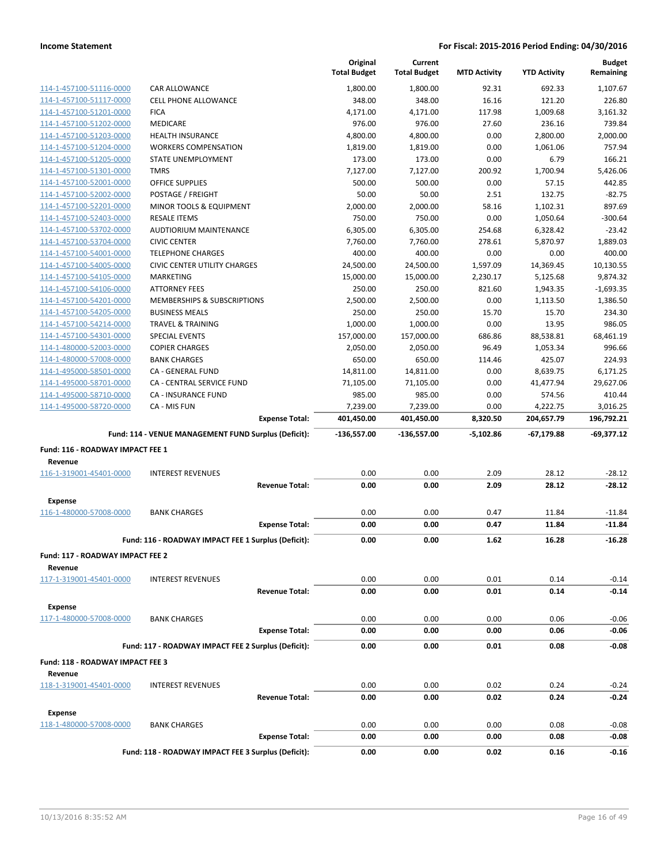|                                             |                                                      | Original<br><b>Total Budget</b> | Current<br><b>Total Budget</b> | <b>MTD Activity</b> | <b>YTD Activity</b> | <b>Budget</b><br>Remaining |
|---------------------------------------------|------------------------------------------------------|---------------------------------|--------------------------------|---------------------|---------------------|----------------------------|
| 114-1-457100-51116-0000                     | <b>CAR ALLOWANCE</b>                                 | 1,800.00                        | 1,800.00                       | 92.31               | 692.33              | 1,107.67                   |
| 114-1-457100-51117-0000                     | <b>CELL PHONE ALLOWANCE</b>                          | 348.00                          | 348.00                         | 16.16               | 121.20              | 226.80                     |
| 114-1-457100-51201-0000                     | <b>FICA</b>                                          | 4,171.00                        | 4,171.00                       | 117.98              | 1,009.68            | 3,161.32                   |
| 114-1-457100-51202-0000                     | MEDICARE                                             | 976.00                          | 976.00                         | 27.60               | 236.16              | 739.84                     |
| 114-1-457100-51203-0000                     | <b>HEALTH INSURANCE</b>                              | 4,800.00                        | 4,800.00                       | 0.00                | 2,800.00            | 2,000.00                   |
| 114-1-457100-51204-0000                     | <b>WORKERS COMPENSATION</b>                          | 1,819.00                        | 1,819.00                       | 0.00                | 1,061.06            | 757.94                     |
| 114-1-457100-51205-0000                     | STATE UNEMPLOYMENT                                   | 173.00                          | 173.00                         | 0.00                | 6.79                | 166.21                     |
| 114-1-457100-51301-0000                     | <b>TMRS</b>                                          | 7,127.00                        | 7,127.00                       | 200.92              | 1,700.94            | 5,426.06                   |
| 114-1-457100-52001-0000                     | <b>OFFICE SUPPLIES</b>                               | 500.00                          | 500.00                         | 0.00                | 57.15               | 442.85                     |
| 114-1-457100-52002-0000                     | POSTAGE / FREIGHT                                    | 50.00                           | 50.00                          | 2.51                | 132.75              | $-82.75$                   |
| 114-1-457100-52201-0000                     | MINOR TOOLS & EQUIPMENT                              | 2,000.00                        | 2,000.00                       | 58.16               | 1,102.31            | 897.69                     |
| 114-1-457100-52403-0000                     | <b>RESALE ITEMS</b>                                  | 750.00                          | 750.00                         | 0.00                | 1,050.64            | $-300.64$                  |
| 114-1-457100-53702-0000                     | <b>AUDTIORIUM MAINTENANCE</b>                        | 6,305.00                        | 6,305.00                       | 254.68              | 6,328.42            | $-23.42$                   |
| 114-1-457100-53704-0000                     | <b>CIVIC CENTER</b>                                  | 7,760.00                        | 7,760.00                       | 278.61              | 5,870.97            | 1,889.03                   |
| 114-1-457100-54001-0000                     | <b>TELEPHONE CHARGES</b>                             | 400.00                          | 400.00                         | 0.00                | 0.00                | 400.00                     |
| 114-1-457100-54005-0000                     | <b>CIVIC CENTER UTILITY CHARGES</b>                  | 24,500.00                       | 24,500.00                      | 1,597.09            | 14,369.45           | 10,130.55                  |
| 114-1-457100-54105-0000                     | <b>MARKETING</b>                                     | 15,000.00                       | 15,000.00                      | 2,230.17            | 5,125.68            | 9,874.32                   |
| 114-1-457100-54106-0000                     | <b>ATTORNEY FEES</b>                                 | 250.00                          | 250.00                         | 821.60              | 1,943.35            | $-1,693.35$                |
| 114-1-457100-54201-0000                     | MEMBERSHIPS & SUBSCRIPTIONS                          | 2,500.00                        | 2,500.00                       | 0.00                | 1,113.50            | 1,386.50                   |
| 114-1-457100-54205-0000                     | <b>BUSINESS MEALS</b>                                | 250.00                          | 250.00                         | 15.70               | 15.70               | 234.30                     |
| 114-1-457100-54214-0000                     | <b>TRAVEL &amp; TRAINING</b>                         | 1,000.00                        | 1,000.00                       | 0.00                | 13.95               | 986.05                     |
| 114-1-457100-54301-0000                     | <b>SPECIAL EVENTS</b>                                | 157,000.00                      | 157,000.00                     | 686.86              | 88,538.81           | 68,461.19                  |
| 114-1-480000-52003-0000                     | <b>COPIER CHARGES</b>                                | 2,050.00                        | 2,050.00                       | 96.49               | 1,053.34            | 996.66                     |
| 114-1-480000-57008-0000                     | <b>BANK CHARGES</b>                                  | 650.00                          | 650.00                         | 114.46              | 425.07              | 224.93                     |
| 114-1-495000-58501-0000                     | CA - GENERAL FUND                                    | 14,811.00                       | 14,811.00                      | 0.00                | 8,639.75            | 6,171.25                   |
| 114-1-495000-58701-0000                     | CA - CENTRAL SERVICE FUND                            | 71,105.00                       | 71,105.00                      | 0.00                | 41,477.94           | 29,627.06                  |
| 114-1-495000-58710-0000                     | <b>CA - INSURANCE FUND</b>                           | 985.00                          | 985.00                         | 0.00                | 574.56              | 410.44                     |
| 114-1-495000-58720-0000                     | CA - MIS FUN                                         | 7,239.00                        | 7,239.00                       | 0.00                | 4,222.75            | 3,016.25                   |
|                                             |                                                      |                                 |                                |                     |                     |                            |
|                                             | <b>Expense Total:</b>                                | 401,450.00                      | 401,450.00                     | 8,320.50            | 204,657.79          | 196,792.21                 |
|                                             | Fund: 114 - VENUE MANAGEMENT FUND Surplus (Deficit): | $-136,557.00$                   | $-136,557.00$                  | $-5,102.86$         | $-67,179.88$        | $-69,377.12$               |
| Fund: 116 - ROADWAY IMPACT FEE 1            |                                                      |                                 |                                |                     |                     |                            |
| Revenue                                     |                                                      |                                 |                                |                     |                     |                            |
| 116-1-319001-45401-0000                     | <b>INTEREST REVENUES</b>                             | 0.00                            | 0.00                           | 2.09                | 28.12               | $-28.12$                   |
|                                             | <b>Revenue Total:</b>                                | 0.00                            | 0.00                           | 2.09                | 28.12               | $-28.12$                   |
| <b>Expense</b>                              |                                                      |                                 |                                |                     |                     |                            |
| 116-1-480000-57008-0000                     | <b>BANK CHARGES</b>                                  | 0.00                            | 0.00                           | 0.47                | 11.84               | $-11.84$                   |
|                                             | <b>Expense Total:</b>                                | 0.00                            | 0.00                           | 0.47                | 11.84               | $-11.84$                   |
|                                             |                                                      |                                 |                                |                     |                     |                            |
|                                             | Fund: 116 - ROADWAY IMPACT FEE 1 Surplus (Deficit):  | 0.00                            | 0.00                           | 1.62                | 16.28               | $-16.28$                   |
| Fund: 117 - ROADWAY IMPACT FEE 2            |                                                      |                                 |                                |                     |                     |                            |
| Revenue                                     |                                                      |                                 |                                |                     |                     |                            |
| 117-1-319001-45401-0000                     | <b>INTEREST REVENUES</b>                             | 0.00                            | 0.00                           | 0.01                | 0.14                | $-0.14$                    |
|                                             | <b>Revenue Total:</b>                                | 0.00                            | 0.00                           | 0.01                | 0.14                | $-0.14$                    |
| <b>Expense</b>                              |                                                      |                                 |                                |                     |                     |                            |
| 117-1-480000-57008-0000                     | <b>BANK CHARGES</b>                                  | 0.00                            | 0.00                           | 0.00                | 0.06                | $-0.06$                    |
|                                             | <b>Expense Total:</b>                                | 0.00                            | 0.00                           | 0.00                | 0.06                | -0.06                      |
|                                             | Fund: 117 - ROADWAY IMPACT FEE 2 Surplus (Deficit):  | 0.00                            | 0.00                           | 0.01                | 0.08                | -0.08                      |
|                                             |                                                      |                                 |                                |                     |                     |                            |
| Fund: 118 - ROADWAY IMPACT FEE 3<br>Revenue |                                                      |                                 |                                |                     |                     |                            |
| 118-1-319001-45401-0000                     | <b>INTEREST REVENUES</b>                             | 0.00                            | 0.00                           | 0.02                | 0.24                | $-0.24$                    |
|                                             | <b>Revenue Total:</b>                                | 0.00                            | 0.00                           | 0.02                | 0.24                | $-0.24$                    |
|                                             |                                                      |                                 |                                |                     |                     |                            |
| Expense<br>118-1-480000-57008-0000          | <b>BANK CHARGES</b>                                  | 0.00                            | 0.00                           | 0.00                | 0.08                | $-0.08$                    |
|                                             | <b>Expense Total:</b>                                | 0.00                            | 0.00                           | 0.00                | 0.08                | $-0.08$                    |
|                                             | Fund: 118 - ROADWAY IMPACT FEE 3 Surplus (Deficit):  | 0.00                            | 0.00                           | 0.02                | 0.16                | $-0.16$                    |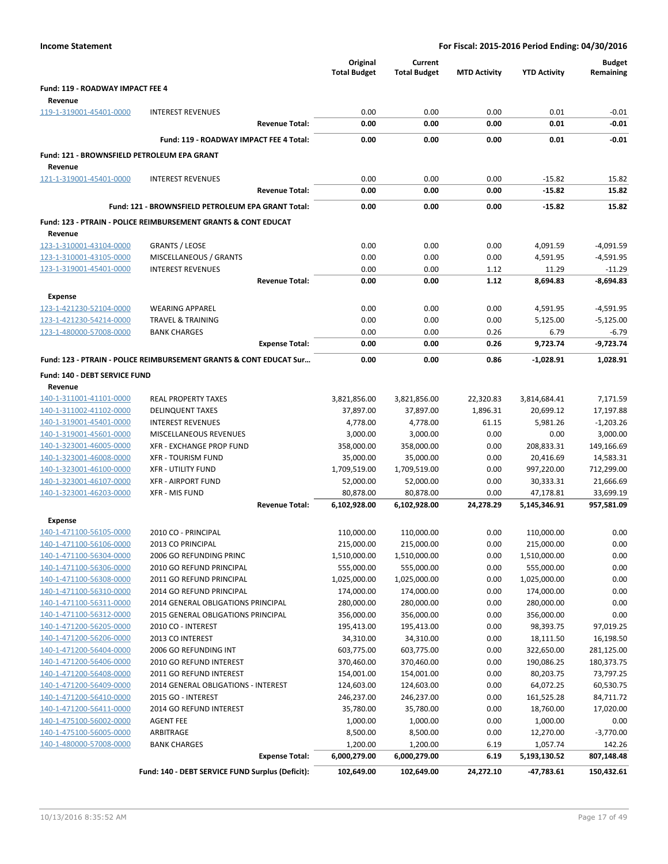| <b>Income Statement</b>                            |                                                                           |                       |                                 | For Fiscal: 2015-2016 Period Ending: 04/30/2016 |                     |                        |                            |  |
|----------------------------------------------------|---------------------------------------------------------------------------|-----------------------|---------------------------------|-------------------------------------------------|---------------------|------------------------|----------------------------|--|
|                                                    |                                                                           |                       | Original<br><b>Total Budget</b> | Current<br><b>Total Budget</b>                  | <b>MTD Activity</b> | <b>YTD Activity</b>    | <b>Budget</b><br>Remaining |  |
| Fund: 119 - ROADWAY IMPACT FEE 4                   |                                                                           |                       |                                 |                                                 |                     |                        |                            |  |
| Revenue                                            |                                                                           |                       |                                 |                                                 |                     |                        |                            |  |
| 119-1-319001-45401-0000                            | <b>INTEREST REVENUES</b>                                                  |                       | 0.00                            | 0.00                                            | 0.00                | 0.01                   | $-0.01$                    |  |
|                                                    |                                                                           | <b>Revenue Total:</b> | 0.00                            | 0.00                                            | 0.00                | 0.01                   | $-0.01$                    |  |
|                                                    | Fund: 119 - ROADWAY IMPACT FEE 4 Total:                                   |                       | 0.00                            | 0.00                                            | 0.00                | 0.01                   | $-0.01$                    |  |
| Fund: 121 - BROWNSFIELD PETROLEUM EPA GRANT        |                                                                           |                       |                                 |                                                 |                     |                        |                            |  |
| Revenue                                            |                                                                           |                       |                                 |                                                 |                     |                        |                            |  |
| 121-1-319001-45401-0000                            | <b>INTEREST REVENUES</b>                                                  |                       | 0.00                            | 0.00                                            | 0.00                | $-15.82$               | 15.82                      |  |
|                                                    |                                                                           | <b>Revenue Total:</b> | 0.00                            | 0.00                                            | 0.00                | $-15.82$               | 15.82                      |  |
|                                                    | Fund: 121 - BROWNSFIELD PETROLEUM EPA GRANT Total:                        |                       | 0.00                            | 0.00                                            | 0.00                | $-15.82$               | 15.82                      |  |
|                                                    |                                                                           |                       |                                 |                                                 |                     |                        |                            |  |
|                                                    | <b>Fund: 123 - PTRAIN - POLICE REIMBURSEMENT GRANTS &amp; CONT EDUCAT</b> |                       |                                 |                                                 |                     |                        |                            |  |
| Revenue                                            |                                                                           |                       |                                 |                                                 |                     |                        |                            |  |
| 123-1-310001-43104-0000                            | <b>GRANTS / LEOSE</b>                                                     |                       | 0.00                            | 0.00                                            | 0.00                | 4,091.59               | $-4,091.59$                |  |
| 123-1-310001-43105-0000                            | MISCELLANEOUS / GRANTS                                                    |                       | 0.00                            | 0.00                                            | 0.00                | 4,591.95               | $-4,591.95$                |  |
| 123-1-319001-45401-0000                            | <b>INTEREST REVENUES</b>                                                  |                       | 0.00                            | 0.00                                            | 1.12                | 11.29                  | $-11.29$                   |  |
|                                                    |                                                                           | <b>Revenue Total:</b> | 0.00                            | 0.00                                            | 1.12                | 8,694.83               | $-8,694.83$                |  |
| <b>Expense</b>                                     |                                                                           |                       |                                 |                                                 |                     |                        |                            |  |
| 123-1-421230-52104-0000                            | <b>WEARING APPAREL</b>                                                    |                       | 0.00                            | 0.00                                            | 0.00                | 4,591.95               | $-4,591.95$                |  |
| 123-1-421230-54214-0000                            | <b>TRAVEL &amp; TRAINING</b>                                              |                       | 0.00                            | 0.00                                            | 0.00                | 5,125.00               | $-5,125.00$                |  |
| 123-1-480000-57008-0000                            | <b>BANK CHARGES</b>                                                       |                       | 0.00                            | 0.00                                            | 0.26                | 6.79                   | $-6.79$                    |  |
|                                                    |                                                                           | <b>Expense Total:</b> | 0.00                            | 0.00                                            | 0.26                | 9,723.74               | -9,723.74                  |  |
|                                                    | Fund: 123 - PTRAIN - POLICE REIMBURSEMENT GRANTS & CONT EDUCAT Sur        |                       | 0.00                            | 0.00                                            | 0.86                | $-1,028.91$            | 1,028.91                   |  |
| Fund: 140 - DEBT SERVICE FUND                      |                                                                           |                       |                                 |                                                 |                     |                        |                            |  |
| Revenue                                            |                                                                           |                       |                                 |                                                 |                     |                        |                            |  |
| 140-1-311001-41101-0000                            | <b>REAL PROPERTY TAXES</b>                                                |                       | 3,821,856.00                    | 3,821,856.00                                    | 22,320.83           | 3,814,684.41           | 7,171.59                   |  |
| 140-1-311002-41102-0000                            | <b>DELINQUENT TAXES</b>                                                   |                       | 37,897.00                       | 37,897.00                                       | 1,896.31            | 20,699.12              | 17,197.88                  |  |
| 140-1-319001-45401-0000                            | <b>INTEREST REVENUES</b>                                                  |                       | 4,778.00                        | 4,778.00                                        | 61.15               | 5,981.26               | $-1,203.26$                |  |
| 140-1-319001-45601-0000                            | MISCELLANEOUS REVENUES                                                    |                       | 3,000.00                        | 3,000.00                                        | 0.00                | 0.00                   | 3,000.00                   |  |
| 140-1-323001-46005-0000                            | XFR - EXCHANGE PROP FUND                                                  |                       | 358,000.00                      | 358,000.00                                      | 0.00                | 208,833.31             | 149,166.69                 |  |
| 140-1-323001-46008-0000                            | <b>XFR - TOURISM FUND</b>                                                 |                       | 35,000.00                       | 35,000.00                                       | 0.00                | 20,416.69              | 14,583.31                  |  |
| 140-1-323001-46100-0000                            | <b>XFR - UTILITY FUND</b>                                                 |                       | 1,709,519.00                    | 1,709,519.00                                    | 0.00                | 997,220.00             | 712,299.00                 |  |
| 140-1-323001-46107-0000                            | <b>XFR - AIRPORT FUND</b>                                                 |                       | 52,000.00                       | 52,000.00                                       | 0.00                | 30,333.31              | 21,666.69                  |  |
| 140-1-323001-46203-0000                            | <b>XFR - MIS FUND</b>                                                     |                       | 80,878.00                       | 80,878.00                                       | 0.00                | 47,178.81              | 33,699.19                  |  |
|                                                    |                                                                           | <b>Revenue Total:</b> | 6,102,928.00                    | 6,102,928.00                                    | 24,278.29           | 5,145,346.91           | 957,581.09                 |  |
| Expense                                            |                                                                           |                       |                                 |                                                 |                     |                        |                            |  |
| 140-1-471100-56105-0000                            | 2010 CO - PRINCIPAL                                                       |                       | 110,000.00                      | 110,000.00                                      | 0.00                | 110,000.00             | 0.00                       |  |
| 140-1-471100-56106-0000                            | 2013 CO PRINCIPAL                                                         |                       | 215,000.00                      | 215,000.00                                      | 0.00                | 215,000.00             | 0.00                       |  |
| 140-1-471100-56304-0000                            | 2006 GO REFUNDING PRINC                                                   |                       | 1,510,000.00                    | 1,510,000.00                                    | 0.00                | 1,510,000.00           | 0.00                       |  |
| 140-1-471100-56306-0000                            | 2010 GO REFUND PRINCIPAL                                                  |                       | 555,000.00                      | 555,000.00                                      | 0.00                | 555,000.00             | 0.00                       |  |
| 140-1-471100-56308-0000                            | 2011 GO REFUND PRINCIPAL                                                  |                       | 1,025,000.00                    | 1,025,000.00                                    | 0.00                | 1,025,000.00           | 0.00                       |  |
| 140-1-471100-56310-0000                            | 2014 GO REFUND PRINCIPAL                                                  |                       | 174,000.00                      | 174,000.00                                      | 0.00                | 174,000.00             | 0.00                       |  |
| 140-1-471100-56311-0000                            | 2014 GENERAL OBLIGATIONS PRINCIPAL                                        |                       | 280,000.00                      | 280,000.00                                      | 0.00                | 280,000.00             | 0.00                       |  |
| 140-1-471100-56312-0000                            | 2015 GENERAL OBLIGATIONS PRINCIPAL                                        |                       | 356,000.00                      | 356,000.00                                      | 0.00                | 356,000.00             | 0.00                       |  |
| 140-1-471200-56205-0000<br>140-1-471200-56206-0000 | 2010 CO - INTEREST<br>2013 CO INTEREST                                    |                       | 195,413.00<br>34,310.00         | 195,413.00<br>34,310.00                         | 0.00<br>0.00        | 98,393.75<br>18,111.50 | 97,019.25<br>16,198.50     |  |
| 140-1-471200-56404-0000                            | 2006 GO REFUNDING INT                                                     |                       | 603,775.00                      | 603,775.00                                      | 0.00                | 322,650.00             | 281,125.00                 |  |
| 140-1-471200-56406-0000                            | 2010 GO REFUND INTEREST                                                   |                       | 370,460.00                      | 370,460.00                                      | 0.00                | 190,086.25             | 180,373.75                 |  |
| 140-1-471200-56408-0000                            | 2011 GO REFUND INTEREST                                                   |                       | 154,001.00                      | 154,001.00                                      | 0.00                | 80,203.75              | 73,797.25                  |  |
| 140-1-471200-56409-0000                            | 2014 GENERAL OBLIGATIONS - INTEREST                                       |                       | 124,603.00                      | 124,603.00                                      | 0.00                | 64,072.25              | 60,530.75                  |  |
| 140-1-471200-56410-0000                            | 2015 GO - INTEREST                                                        |                       | 246,237.00                      | 246,237.00                                      | 0.00                | 161,525.28             | 84,711.72                  |  |
| 140-1-471200-56411-0000                            | 2014 GO REFUND INTEREST                                                   |                       | 35,780.00                       | 35,780.00                                       | 0.00                | 18,760.00              | 17,020.00                  |  |
| 140-1-475100-56002-0000                            | <b>AGENT FEE</b>                                                          |                       | 1,000.00                        | 1,000.00                                        | 0.00                | 1,000.00               | 0.00                       |  |
| 140-1-475100-56005-0000                            | ARBITRAGE                                                                 |                       | 8,500.00                        | 8,500.00                                        | 0.00                | 12,270.00              | $-3,770.00$                |  |
| 140-1-480000-57008-0000                            | <b>BANK CHARGES</b>                                                       |                       | 1,200.00                        | 1,200.00                                        | 6.19                | 1,057.74               | 142.26                     |  |
|                                                    |                                                                           | <b>Expense Total:</b> | 6,000,279.00                    | 6,000,279.00                                    | 6.19                | 5,193,130.52           | 807,148.48                 |  |
|                                                    | Fund: 140 - DEBT SERVICE FUND Surplus (Deficit):                          |                       | 102,649.00                      | 102,649.00                                      | 24,272.10           | -47,783.61             | 150,432.61                 |  |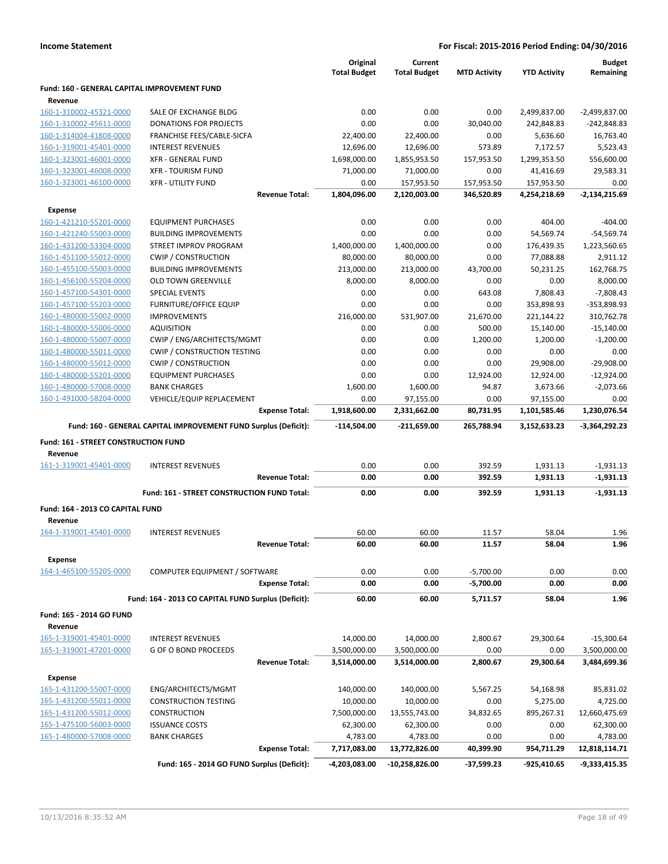|                                                         |                                                                 | Original<br><b>Total Budget</b> | Current<br><b>Total Budget</b> | <b>MTD Activity</b> | <b>YTD Activity</b> | <b>Budget</b><br>Remaining |
|---------------------------------------------------------|-----------------------------------------------------------------|---------------------------------|--------------------------------|---------------------|---------------------|----------------------------|
| Fund: 160 - GENERAL CAPITAL IMPROVEMENT FUND<br>Revenue |                                                                 |                                 |                                |                     |                     |                            |
| 160-1-310002-45321-0000                                 | SALE OF EXCHANGE BLDG                                           | 0.00                            | 0.00                           | 0.00                | 2,499,837.00        | $-2,499,837.00$            |
| 160-1-310002-45611-0000                                 | <b>DONATIONS FOR PROJECTS</b>                                   | 0.00                            | 0.00                           | 30,040.00           | 242,848.83          | $-242,848.83$              |
| 160-1-314004-41808-0000                                 | FRANCHISE FEES/CABLE-SICFA                                      | 22,400.00                       | 22,400.00                      | 0.00                | 5,636.60            | 16,763.40                  |
| 160-1-319001-45401-0000                                 | <b>INTEREST REVENUES</b>                                        | 12,696.00                       | 12,696.00                      | 573.89              | 7,172.57            | 5,523.43                   |
| 160-1-323001-46001-0000                                 | <b>XFR - GENERAL FUND</b>                                       | 1,698,000.00                    | 1,855,953.50                   | 157,953.50          | 1,299,353.50        | 556,600.00                 |
| 160-1-323001-46008-0000                                 | <b>XFR - TOURISM FUND</b>                                       | 71,000.00                       | 71,000.00                      | 0.00                | 41,416.69           | 29,583.31                  |
| 160-1-323001-46100-0000                                 | <b>XFR - UTILITY FUND</b>                                       | 0.00                            | 157,953.50                     | 157,953.50          | 157,953.50          | 0.00                       |
|                                                         | <b>Revenue Total:</b>                                           | 1,804,096.00                    | 2,120,003.00                   | 346,520.89          | 4,254,218.69        | $-2,134,215.69$            |
| <b>Expense</b>                                          |                                                                 |                                 |                                |                     |                     |                            |
| 160-1-421210-55201-0000                                 | <b>EQUIPMENT PURCHASES</b>                                      | 0.00                            | 0.00                           | 0.00                | 404.00              | $-404.00$                  |
| 160-1-421240-55003-0000                                 | <b>BUILDING IMPROVEMENTS</b>                                    | 0.00                            | 0.00                           | 0.00                | 54,569.74           | $-54,569.74$               |
| 160-1-431200-53304-0000                                 | STREET IMPROV PROGRAM                                           | 1,400,000.00                    | 1,400,000.00                   | 0.00                | 176,439.35          | 1,223,560.65               |
| 160-1-451100-55012-0000                                 | <b>CWIP / CONSTRUCTION</b>                                      | 80,000.00                       | 80,000.00                      | 0.00                | 77,088.88           | 2,911.12                   |
| 160-1-455100-55003-0000                                 | <b>BUILDING IMPROVEMENTS</b>                                    | 213,000.00                      | 213,000.00                     | 43,700.00           | 50,231.25           | 162,768.75                 |
| 160-1-456100-55204-0000                                 | <b>OLD TOWN GREENVILLE</b>                                      | 8,000.00                        | 8,000.00                       | 0.00                | 0.00                | 8,000.00                   |
| 160-1-457100-54301-0000                                 | <b>SPECIAL EVENTS</b>                                           | 0.00                            | 0.00                           | 643.08              | 7,808.43            | $-7,808.43$                |
| 160-1-457100-55203-0000                                 | <b>FURNITURE/OFFICE EQUIP</b>                                   | 0.00                            | 0.00                           | 0.00                | 353,898.93          | $-353,898.93$              |
| 160-1-480000-55002-0000                                 | <b>IMPROVEMENTS</b>                                             | 216,000.00                      | 531,907.00                     | 21,670.00           | 221,144.22          | 310,762.78                 |
| 160-1-480000-55006-0000                                 | <b>AQUISITION</b>                                               | 0.00                            | 0.00                           | 500.00              | 15,140.00           | $-15,140.00$               |
| 160-1-480000-55007-0000                                 | CWIP / ENG/ARCHITECTS/MGMT                                      | 0.00                            | 0.00                           | 1,200.00            | 1,200.00            | $-1,200.00$                |
| 160-1-480000-55011-0000                                 | <b>CWIP / CONSTRUCTION TESTING</b>                              | 0.00                            | 0.00                           | 0.00                | 0.00                | 0.00                       |
| 160-1-480000-55012-0000                                 | <b>CWIP / CONSTRUCTION</b>                                      | 0.00                            | 0.00                           | 0.00                | 29,908.00           | $-29,908.00$               |
| 160-1-480000-55201-0000                                 | <b>EQUIPMENT PURCHASES</b>                                      | 0.00                            | 0.00                           | 12,924.00           | 12,924.00           | $-12,924.00$               |
| 160-1-480000-57008-0000                                 | <b>BANK CHARGES</b>                                             | 1,600.00                        | 1,600.00                       | 94.87               | 3,673.66            | $-2,073.66$                |
| 160-1-491000-58204-0000                                 | VEHICLE/EQUIP REPLACEMENT                                       | 0.00                            | 97,155.00                      | 0.00                | 97,155.00           | 0.00                       |
|                                                         | <b>Expense Total:</b>                                           | 1,918,600.00                    | 2,331,662.00                   | 80,731.95           | 1,101,585.46        | 1,230,076.54               |
|                                                         | Fund: 160 - GENERAL CAPITAL IMPROVEMENT FUND Surplus (Deficit): | $-114,504.00$                   | $-211,659.00$                  | 265,788.94          | 3,152,633.23        | -3,364,292.23              |
| Fund: 161 - STREET CONSTRUCTION FUND                    |                                                                 |                                 |                                |                     |                     |                            |
| Revenue                                                 |                                                                 |                                 |                                |                     |                     |                            |
| 161-1-319001-45401-0000                                 | <b>INTEREST REVENUES</b>                                        | 0.00                            | 0.00                           | 392.59              | 1,931.13            | $-1,931.13$                |
|                                                         | <b>Revenue Total:</b>                                           | 0.00                            | 0.00                           | 392.59              | 1,931.13            | $-1,931.13$                |
|                                                         | Fund: 161 - STREET CONSTRUCTION FUND Total:                     | 0.00                            | 0.00                           | 392.59              | 1,931.13            | $-1,931.13$                |
| Fund: 164 - 2013 CO CAPITAL FUND                        |                                                                 |                                 |                                |                     |                     |                            |
| Revenue                                                 |                                                                 |                                 |                                |                     |                     |                            |
| 164-1-319001-45401-0000                                 | <b>INTEREST REVENUES</b>                                        | 60.00                           | 60.00                          | 11.57               | 58.04               | 1.96                       |
|                                                         | <b>Revenue Total:</b>                                           | 60.00                           | 60.00                          | 11.57               | 58.04               | 1.96                       |
| <b>Expense</b>                                          |                                                                 |                                 |                                |                     |                     |                            |
| 164-1-465100-55205-0000                                 | COMPUTER EQUIPMENT / SOFTWARE                                   | 0.00                            | 0.00                           | $-5,700.00$         | 0.00                | 0.00                       |
|                                                         | <b>Expense Total:</b>                                           | 0.00                            | 0.00                           | $-5,700.00$         | 0.00                | 0.00                       |
|                                                         | Fund: 164 - 2013 CO CAPITAL FUND Surplus (Deficit):             | 60.00                           | 60.00                          | 5,711.57            | 58.04               | 1.96                       |
| Fund: 165 - 2014 GO FUND<br>Revenue                     |                                                                 |                                 |                                |                     |                     |                            |
| 165-1-319001-45401-0000                                 | <b>INTEREST REVENUES</b>                                        | 14,000.00                       | 14,000.00                      | 2,800.67            | 29,300.64           | $-15,300.64$               |
| 165-1-319001-47201-0000                                 | G OF O BOND PROCEEDS                                            | 3,500,000.00                    | 3,500,000.00                   | 0.00                | 0.00                | 3,500,000.00               |
|                                                         | <b>Revenue Total:</b>                                           | 3,514,000.00                    | 3,514,000.00                   | 2,800.67            | 29,300.64           | 3,484,699.36               |
| <b>Expense</b>                                          |                                                                 |                                 |                                |                     |                     |                            |
| 165-1-431200-55007-0000                                 | ENG/ARCHITECTS/MGMT                                             | 140,000.00                      | 140,000.00                     | 5,567.25            | 54,168.98           | 85,831.02                  |
| 165-1-431200-55011-0000                                 | <b>CONSTRUCTION TESTING</b>                                     | 10,000.00                       | 10,000.00                      | 0.00                | 5,275.00            | 4,725.00                   |
| 165-1-431200-55012-0000                                 | <b>CONSTRUCTION</b>                                             | 7,500,000.00                    | 13,555,743.00                  | 34,832.65           | 895,267.31          | 12,660,475.69              |
| 165-1-475100-56003-0000                                 | <b>ISSUANCE COSTS</b>                                           | 62,300.00                       | 62,300.00                      | 0.00                | 0.00                | 62,300.00                  |
| 165-1-480000-57008-0000                                 | <b>BANK CHARGES</b>                                             | 4,783.00                        | 4,783.00                       | 0.00                | 0.00                | 4,783.00                   |
|                                                         | <b>Expense Total:</b>                                           | 7,717,083.00                    | 13,772,826.00                  | 40,399.90           | 954,711.29          | 12,818,114.71              |
|                                                         | Fund: 165 - 2014 GO FUND Surplus (Deficit):                     | -4,203,083.00                   | -10,258,826.00                 | -37,599.23          | -925,410.65         | -9,333,415.35              |
|                                                         |                                                                 |                                 |                                |                     |                     |                            |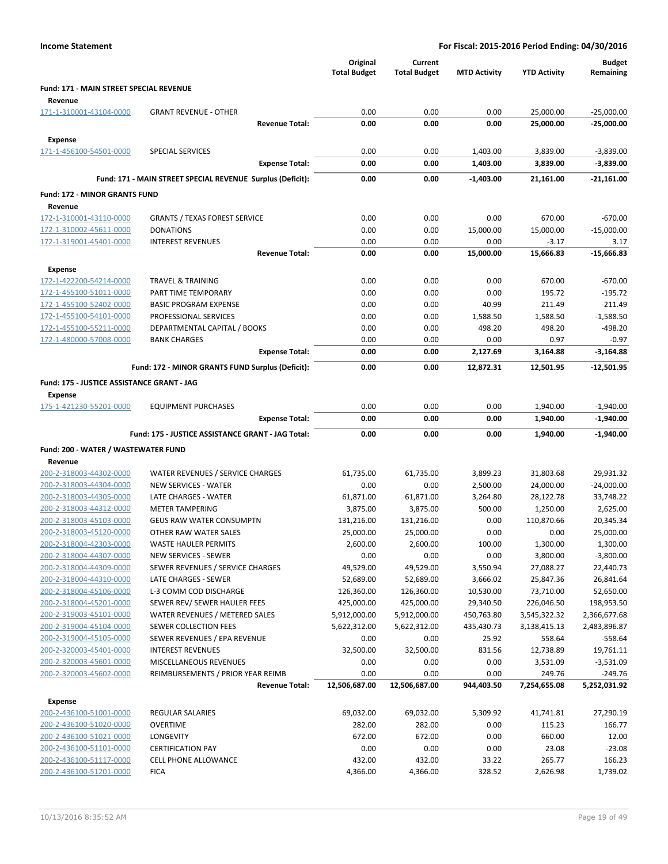| <b>Income Statement</b>                            |                                                            |                                 |                                | For Fiscal: 2015-2016 Period Ending: 04/30/2016 |                        |                            |  |
|----------------------------------------------------|------------------------------------------------------------|---------------------------------|--------------------------------|-------------------------------------------------|------------------------|----------------------------|--|
|                                                    |                                                            | Original<br><b>Total Budget</b> | Current<br><b>Total Budget</b> | <b>MTD Activity</b>                             | <b>YTD Activity</b>    | <b>Budget</b><br>Remaining |  |
| Fund: 171 - MAIN STREET SPECIAL REVENUE            |                                                            |                                 |                                |                                                 |                        |                            |  |
| Revenue<br>171-1-310001-43104-0000                 | <b>GRANT REVENUE - OTHER</b>                               | 0.00                            | 0.00                           | 0.00                                            | 25,000.00              | $-25,000.00$               |  |
|                                                    | <b>Revenue Total:</b>                                      | 0.00                            | 0.00                           | 0.00                                            | 25,000.00              | $-25,000.00$               |  |
| <b>Expense</b>                                     |                                                            |                                 |                                |                                                 |                        |                            |  |
| 171-1-456100-54501-0000                            | SPECIAL SERVICES                                           | 0.00                            | 0.00                           | 1,403.00                                        | 3,839.00               | $-3,839.00$                |  |
|                                                    | <b>Expense Total:</b>                                      | 0.00                            | 0.00                           | 1,403.00                                        | 3,839.00               | $-3,839.00$                |  |
|                                                    | Fund: 171 - MAIN STREET SPECIAL REVENUE Surplus (Deficit): | 0.00                            | 0.00                           | $-1,403.00$                                     | 21,161.00              | -21,161.00                 |  |
| <b>Fund: 172 - MINOR GRANTS FUND</b>               |                                                            |                                 |                                |                                                 |                        |                            |  |
| Revenue                                            |                                                            |                                 |                                |                                                 |                        |                            |  |
| 172-1-310001-43110-0000                            | <b>GRANTS / TEXAS FOREST SERVICE</b>                       | 0.00                            | 0.00                           | 0.00                                            | 670.00                 | $-670.00$                  |  |
| 172-1-310002-45611-0000                            | <b>DONATIONS</b>                                           | 0.00                            | 0.00                           | 15,000.00                                       | 15,000.00              | $-15,000.00$               |  |
| 172-1-319001-45401-0000                            | <b>INTEREST REVENUES</b>                                   | 0.00                            | 0.00                           | 0.00                                            | $-3.17$                | 3.17                       |  |
|                                                    | <b>Revenue Total:</b>                                      | 0.00                            | 0.00                           | 15,000.00                                       | 15,666.83              | $-15,666.83$               |  |
| <b>Expense</b>                                     |                                                            |                                 |                                |                                                 |                        |                            |  |
| 172-1-422200-54214-0000<br>172-1-455100-51011-0000 | <b>TRAVEL &amp; TRAINING</b><br>PART TIME TEMPORARY        | 0.00<br>0.00                    | 0.00<br>0.00                   | 0.00<br>0.00                                    | 670.00<br>195.72       | $-670.00$<br>$-195.72$     |  |
| 172-1-455100-52402-0000                            | <b>BASIC PROGRAM EXPENSE</b>                               | 0.00                            | 0.00                           | 40.99                                           | 211.49                 | $-211.49$                  |  |
| 172-1-455100-54101-0000                            | PROFESSIONAL SERVICES                                      | 0.00                            | 0.00                           | 1,588.50                                        | 1,588.50               | $-1,588.50$                |  |
| 172-1-455100-55211-0000                            | DEPARTMENTAL CAPITAL / BOOKS                               | 0.00                            | 0.00                           | 498.20                                          | 498.20                 | $-498.20$                  |  |
| 172-1-480000-57008-0000                            | <b>BANK CHARGES</b>                                        | 0.00                            | 0.00                           | 0.00                                            | 0.97                   | $-0.97$                    |  |
|                                                    | <b>Expense Total:</b>                                      | 0.00                            | 0.00                           | 2,127.69                                        | 3,164.88               | $-3,164.88$                |  |
|                                                    | Fund: 172 - MINOR GRANTS FUND Surplus (Deficit):           | 0.00                            | 0.00                           | 12,872.31                                       | 12,501.95              | $-12,501.95$               |  |
| Fund: 175 - JUSTICE ASSISTANCE GRANT - JAG         |                                                            |                                 |                                |                                                 |                        |                            |  |
| <b>Expense</b>                                     |                                                            |                                 |                                |                                                 |                        |                            |  |
| 175-1-421230-55201-0000                            | <b>EQUIPMENT PURCHASES</b>                                 | 0.00                            | 0.00                           | 0.00                                            | 1,940.00               | $-1,940.00$                |  |
|                                                    | <b>Expense Total:</b>                                      | 0.00                            | 0.00                           | 0.00                                            | 1,940.00               | $-1,940.00$                |  |
|                                                    | Fund: 175 - JUSTICE ASSISTANCE GRANT - JAG Total:          | 0.00                            | 0.00                           | 0.00                                            | 1,940.00               | $-1,940.00$                |  |
| Fund: 200 - WATER / WASTEWATER FUND                |                                                            |                                 |                                |                                                 |                        |                            |  |
| Revenue                                            |                                                            |                                 |                                |                                                 |                        |                            |  |
| 200-2-318003-44302-0000                            | WATER REVENUES / SERVICE CHARGES                           | 61,735.00<br>0.00               | 61,735.00                      | 3,899.23                                        | 31,803.68              | 29,931.32                  |  |
| 200-2-318003-44304-0000<br>200-2-318003-44305-0000 | NEW SERVICES - WATER<br>LATE CHARGES - WATER               | 61,871.00                       | 0.00<br>61,871.00              | 2,500.00<br>3,264.80                            | 24,000.00<br>28,122.78 | $-24,000.00$<br>33,748.22  |  |
| 200-2-318003-44312-0000                            | <b>METER TAMPERING</b>                                     | 3,875.00                        | 3,875.00                       | 500.00                                          | 1,250.00               | 2,625.00                   |  |
| 200-2-318003-45103-0000                            | <b>GEUS RAW WATER CONSUMPTN</b>                            | 131,216.00                      | 131,216.00                     | 0.00                                            | 110,870.66             | 20,345.34                  |  |
| 200-2-318003-45120-0000                            | OTHER RAW WATER SALES                                      | 25,000.00                       | 25,000.00                      | 0.00                                            | 0.00                   | 25,000.00                  |  |
| 200-2-318004-42303-0000                            | <b>WASTE HAULER PERMITS</b>                                | 2,600.00                        | 2,600.00                       | 100.00                                          | 1,300.00               | 1,300.00                   |  |
| 200-2-318004-44307-0000                            | NEW SERVICES - SEWER                                       | 0.00                            | 0.00                           | 0.00                                            | 3,800.00               | $-3,800.00$                |  |
| 200-2-318004-44309-0000<br>200-2-318004-44310-0000 | SEWER REVENUES / SERVICE CHARGES<br>LATE CHARGES - SEWER   | 49,529.00                       | 49,529.00                      | 3,550.94<br>3,666.02                            | 27,088.27              | 22,440.73                  |  |
| 200-2-318004-45106-0000                            | L-3 COMM COD DISCHARGE                                     | 52,689.00<br>126,360.00         | 52,689.00<br>126,360.00        | 10,530.00                                       | 25,847.36<br>73,710.00 | 26,841.64<br>52,650.00     |  |
| 200-2-318004-45201-0000                            | SEWER REV/ SEWER HAULER FEES                               | 425,000.00                      | 425,000.00                     | 29,340.50                                       | 226,046.50             | 198,953.50                 |  |
| 200-2-319003-45101-0000                            | WATER REVENUES / METERED SALES                             | 5,912,000.00                    | 5,912,000.00                   | 450,763.80                                      | 3,545,322.32           | 2,366,677.68               |  |
| 200-2-319004-45104-0000                            | SEWER COLLECTION FEES                                      | 5,622,312.00                    | 5,622,312.00                   | 435,430.73                                      | 3,138,415.13           | 2,483,896.87               |  |
| 200-2-319004-45105-0000                            | SEWER REVENUES / EPA REVENUE                               | 0.00                            | 0.00                           | 25.92                                           | 558.64                 | $-558.64$                  |  |
| 200-2-320003-45401-0000                            | <b>INTEREST REVENUES</b>                                   | 32,500.00                       | 32,500.00                      | 831.56                                          | 12,738.89              | 19,761.11                  |  |
| 200-2-320003-45601-0000                            | MISCELLANEOUS REVENUES                                     | 0.00                            | 0.00                           | 0.00                                            | 3,531.09               | $-3,531.09$                |  |
| 200-2-320003-45602-0000                            | REIMBURSEMENTS / PRIOR YEAR REIMB<br><b>Revenue Total:</b> | 0.00<br>12,506,687.00           | 0.00<br>12,506,687.00          | 0.00<br>944,403.50                              | 249.76<br>7,254,655.08 | $-249.76$<br>5,252,031.92  |  |
| <b>Expense</b>                                     |                                                            |                                 |                                |                                                 |                        |                            |  |
| 200-2-436100-51001-0000                            | <b>REGULAR SALARIES</b>                                    | 69,032.00                       | 69,032.00                      | 5,309.92                                        | 41,741.81              | 27,290.19                  |  |
| 200-2-436100-51020-0000                            | <b>OVERTIME</b>                                            | 282.00                          | 282.00                         | 0.00                                            | 115.23                 | 166.77                     |  |
| 200-2-436100-51021-0000                            | LONGEVITY                                                  | 672.00                          | 672.00                         | 0.00                                            | 660.00                 | 12.00                      |  |
| 200-2-436100-51101-0000                            | <b>CERTIFICATION PAY</b>                                   | 0.00                            | 0.00                           | 0.00                                            | 23.08                  | $-23.08$                   |  |
| 200-2-436100-51117-0000                            | CELL PHONE ALLOWANCE                                       | 432.00                          | 432.00                         | 33.22                                           | 265.77                 | 166.23                     |  |
| 200-2-436100-51201-0000                            | <b>FICA</b>                                                | 4,366.00                        | 4,366.00                       | 328.52                                          | 2,626.98               | 1,739.02                   |  |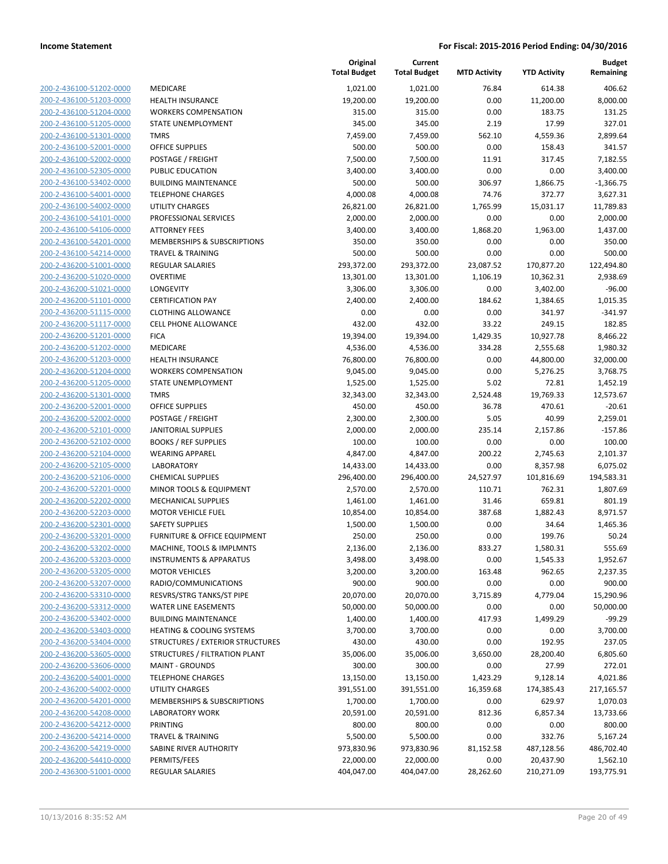| 200-2-436100-51202-0000        |
|--------------------------------|
| 200-2-436100-51203-0000        |
| 200-2-436100-51204-0000        |
| 200-2-436100-51205-0000        |
| 200-2-436100-51301-0000        |
|                                |
| 200-2-436100-52001-0000        |
| 200-2-436100-52002-0000        |
| 200-2-436100-52305-0000        |
| 200-2-436100-53402-0000        |
| 200-2-436100-54001-0000        |
| 200-2-436100-54002-0000        |
| 200-2-436100-54101-0000        |
| 200-2-436100-54106-0000        |
| 200-2-436100-54201-0000        |
|                                |
| 200-2-436100-54214-0000        |
| 200-2-436200-51001-0000        |
| 200-2-436200-51020-0000        |
| 200-2-436200-51021-0000        |
| 200-2-436200-51101-0000        |
| 200-2-436200-51115-0000        |
| 200-2-436200-51117-0000        |
| 200-2-436200-51201-0000        |
|                                |
| 200-2-436200-51202-0000        |
| 200-2-436200-51203-0000        |
| 200-2-436200-51204-0000        |
| 200-2-436200-51205-0000        |
| 200-2-436200-51301-0000        |
| 200-2-436200-52001-0000        |
| 200-2-436200-52002-0000        |
| 200-2-436200-52101-0000        |
| 200-2-436200-52102-0000        |
| 200-2-436200-52104-0000        |
|                                |
| 200-2-436200-52105-0000        |
| 200-2-436200-52106-0000        |
| 200-2-436200-52201-0000        |
| 200-2-436200-52202-0000        |
| 200-2-436200-52203-0000        |
| 200-2-436200-52301-0000        |
| 200-2-436200-53201-0000        |
| 200-2-436200-53202-0000        |
| 200-2-436200-53203-0000        |
| 200-2-436200-53205-0000        |
|                                |
| 200-2-436200-53207-0000        |
| <u>200-2-436200-53310-0000</u> |
| <u>200-2-436200-53312-0000</u> |
| 200-2-436200-53402-0000        |
| 200-2-436200-53403-0000        |
| 200-2-436200-53404-0000        |
| <u>200-2-436200-53605-0000</u> |
| 200-2-436200-53606-0000        |
| 200-2-436200-54001-0000        |
|                                |
| 200-2-436200-54002-0000        |
| 200-2-436200-54201-0000        |
|                                |
| <u>200-2-436200-54208-0000</u> |
| 200-2-436200-54212-0000        |
| 200-2-436200-54214-0000        |
| 200-2-436200-54219-0000        |
| 200-2-436200-54410-0000        |
| 200-2-436300-51001-0000        |

|                         |                                      | Original<br><b>Total Budget</b> | Current<br><b>Total Budget</b> | <b>MTD Activity</b> | <b>YTD Activity</b> | <b>Budget</b><br>Remaining |
|-------------------------|--------------------------------------|---------------------------------|--------------------------------|---------------------|---------------------|----------------------------|
| 200-2-436100-51202-0000 | <b>MEDICARE</b>                      | 1,021.00                        | 1,021.00                       | 76.84               | 614.38              | 406.62                     |
| 200-2-436100-51203-0000 | <b>HEALTH INSURANCE</b>              | 19,200.00                       | 19,200.00                      | 0.00                | 11,200.00           | 8,000.00                   |
| 200-2-436100-51204-0000 | <b>WORKERS COMPENSATION</b>          | 315.00                          | 315.00                         | 0.00                | 183.75              | 131.25                     |
| 200-2-436100-51205-0000 | STATE UNEMPLOYMENT                   | 345.00                          | 345.00                         | 2.19                | 17.99               | 327.01                     |
| 200-2-436100-51301-0000 | <b>TMRS</b>                          | 7,459.00                        | 7,459.00                       | 562.10              | 4,559.36            | 2,899.64                   |
| 200-2-436100-52001-0000 | <b>OFFICE SUPPLIES</b>               | 500.00                          | 500.00                         | 0.00                | 158.43              | 341.57                     |
| 200-2-436100-52002-0000 | POSTAGE / FREIGHT                    | 7,500.00                        | 7,500.00                       | 11.91               | 317.45              | 7,182.55                   |
| 200-2-436100-52305-0000 | PUBLIC EDUCATION                     | 3,400.00                        | 3,400.00                       | 0.00                | 0.00                | 3,400.00                   |
| 200-2-436100-53402-0000 | <b>BUILDING MAINTENANCE</b>          | 500.00                          | 500.00                         | 306.97              | 1,866.75            | $-1,366.75$                |
| 200-2-436100-54001-0000 | <b>TELEPHONE CHARGES</b>             | 4,000.08                        | 4,000.08                       | 74.76               | 372.77              | 3,627.31                   |
| 200-2-436100-54002-0000 | <b>UTILITY CHARGES</b>               | 26,821.00                       | 26,821.00                      | 1,765.99            | 15,031.17           | 11,789.83                  |
| 200-2-436100-54101-0000 | PROFESSIONAL SERVICES                | 2,000.00                        | 2,000.00                       | 0.00                | 0.00                | 2,000.00                   |
| 200-2-436100-54106-0000 | <b>ATTORNEY FEES</b>                 | 3,400.00                        | 3,400.00                       | 1,868.20            | 1,963.00            | 1,437.00                   |
| 200-2-436100-54201-0000 | MEMBERSHIPS & SUBSCRIPTIONS          | 350.00                          | 350.00                         | 0.00                | 0.00                | 350.00                     |
| 200-2-436100-54214-0000 | <b>TRAVEL &amp; TRAINING</b>         | 500.00                          | 500.00                         | 0.00                | 0.00                | 500.00                     |
| 200-2-436200-51001-0000 | REGULAR SALARIES                     | 293,372.00                      | 293,372.00                     | 23,087.52           | 170,877.20          | 122,494.80                 |
| 200-2-436200-51020-0000 | <b>OVERTIME</b>                      | 13,301.00                       | 13,301.00                      | 1,106.19            | 10,362.31           | 2,938.69                   |
| 200-2-436200-51021-0000 | LONGEVITY                            | 3,306.00                        | 3,306.00                       | 0.00                | 3,402.00            | $-96.00$                   |
| 200-2-436200-51101-0000 | <b>CERTIFICATION PAY</b>             | 2,400.00                        | 2,400.00                       | 184.62              | 1,384.65            | 1,015.35                   |
| 200-2-436200-51115-0000 | <b>CLOTHING ALLOWANCE</b>            | 0.00                            | 0.00                           | 0.00                | 341.97              | $-341.97$                  |
| 200-2-436200-51117-0000 | <b>CELL PHONE ALLOWANCE</b>          | 432.00                          | 432.00                         | 33.22               | 249.15              | 182.85                     |
| 200-2-436200-51201-0000 | <b>FICA</b>                          | 19,394.00                       | 19,394.00                      | 1,429.35            | 10,927.78           | 8,466.22                   |
| 200-2-436200-51202-0000 | MEDICARE                             | 4,536.00                        | 4,536.00                       | 334.28              | 2,555.68            | 1,980.32                   |
| 200-2-436200-51203-0000 | <b>HEALTH INSURANCE</b>              | 76,800.00                       | 76,800.00                      | 0.00                | 44,800.00           | 32,000.00                  |
| 200-2-436200-51204-0000 | <b>WORKERS COMPENSATION</b>          | 9,045.00                        | 9,045.00                       | 0.00                | 5,276.25            | 3,768.75                   |
| 200-2-436200-51205-0000 | STATE UNEMPLOYMENT                   | 1,525.00                        | 1,525.00                       | 5.02                | 72.81               | 1,452.19                   |
| 200-2-436200-51301-0000 | <b>TMRS</b>                          | 32,343.00                       | 32,343.00                      | 2,524.48            | 19,769.33           | 12,573.67                  |
| 200-2-436200-52001-0000 | <b>OFFICE SUPPLIES</b>               | 450.00                          | 450.00                         | 36.78               | 470.61              | $-20.61$                   |
| 200-2-436200-52002-0000 | POSTAGE / FREIGHT                    | 2,300.00                        | 2,300.00                       | 5.05                | 40.99               | 2,259.01                   |
| 200-2-436200-52101-0000 | <b>JANITORIAL SUPPLIES</b>           | 2,000.00                        | 2,000.00                       | 235.14              | 2,157.86            | $-157.86$                  |
| 200-2-436200-52102-0000 | <b>BOOKS / REF SUPPLIES</b>          | 100.00                          | 100.00                         | 0.00                | 0.00                | 100.00                     |
| 200-2-436200-52104-0000 | <b>WEARING APPAREL</b>               | 4,847.00                        | 4,847.00                       | 200.22              | 2,745.63            | 2,101.37                   |
| 200-2-436200-52105-0000 | <b>LABORATORY</b>                    | 14,433.00                       | 14,433.00                      | 0.00                | 8,357.98            | 6,075.02                   |
| 200-2-436200-52106-0000 | <b>CHEMICAL SUPPLIES</b>             | 296,400.00                      | 296,400.00                     | 24,527.97           | 101,816.69          | 194,583.31                 |
| 200-2-436200-52201-0000 | MINOR TOOLS & EQUIPMENT              | 2,570.00                        | 2,570.00                       | 110.71              | 762.31              | 1,807.69                   |
| 200-2-436200-52202-0000 | <b>MECHANICAL SUPPLIES</b>           | 1,461.00                        | 1,461.00                       | 31.46               | 659.81              | 801.19                     |
| 200-2-436200-52203-0000 | <b>MOTOR VEHICLE FUEL</b>            | 10,854.00                       | 10,854.00                      | 387.68              | 1,882.43            | 8,971.57                   |
| 200-2-436200-52301-0000 | <b>SAFETY SUPPLIES</b>               | 1,500.00                        | 1,500.00                       | 0.00                | 34.64               | 1,465.36                   |
| 200-2-436200-53201-0000 | FURNITURE & OFFICE EQUIPMENT         | 250.00                          | 250.00                         | 0.00                | 199.76              | 50.24                      |
| 200-2-436200-53202-0000 | MACHINE, TOOLS & IMPLMNTS            | 2,136.00                        | 2,136.00                       | 833.27              | 1,580.31            | 555.69                     |
| 200-2-436200-53203-0000 | <b>INSTRUMENTS &amp; APPARATUS</b>   | 3,498.00                        | 3,498.00                       | 0.00                | 1,545.33            | 1,952.67                   |
| 200-2-436200-53205-0000 | <b>MOTOR VEHICLES</b>                | 3,200.00                        | 3,200.00                       | 163.48              | 962.65              | 2,237.35                   |
| 200-2-436200-53207-0000 | RADIO/COMMUNICATIONS                 | 900.00                          | 900.00                         | 0.00                | 0.00                | 900.00                     |
| 200-2-436200-53310-0000 | RESVRS/STRG TANKS/ST PIPE            | 20,070.00                       | 20,070.00                      | 3,715.89            | 4,779.04            | 15,290.96                  |
| 200-2-436200-53312-0000 | <b>WATER LINE EASEMENTS</b>          | 50,000.00                       | 50,000.00                      | 0.00                | 0.00                | 50,000.00                  |
| 200-2-436200-53402-0000 | <b>BUILDING MAINTENANCE</b>          | 1,400.00                        | 1,400.00                       | 417.93              | 1,499.29            | $-99.29$                   |
| 200-2-436200-53403-0000 | <b>HEATING &amp; COOLING SYSTEMS</b> | 3,700.00                        | 3,700.00                       | 0.00                | 0.00                | 3,700.00                   |
| 200-2-436200-53404-0000 | STRUCTURES / EXTERIOR STRUCTURES     | 430.00                          | 430.00                         | 0.00                | 192.95              | 237.05                     |
| 200-2-436200-53605-0000 | STRUCTURES / FILTRATION PLANT        | 35,006.00                       | 35,006.00                      | 3,650.00            | 28,200.40           | 6,805.60                   |
| 200-2-436200-53606-0000 | <b>MAINT - GROUNDS</b>               | 300.00                          | 300.00                         | 0.00                | 27.99               | 272.01                     |
| 200-2-436200-54001-0000 | <b>TELEPHONE CHARGES</b>             | 13,150.00                       | 13,150.00                      | 1,423.29            | 9,128.14            | 4,021.86                   |
| 200-2-436200-54002-0000 | UTILITY CHARGES                      | 391,551.00                      | 391,551.00                     | 16,359.68           | 174,385.43          | 217,165.57                 |
| 200-2-436200-54201-0000 | MEMBERSHIPS & SUBSCRIPTIONS          | 1,700.00                        | 1,700.00                       | 0.00                | 629.97              | 1,070.03                   |
| 200-2-436200-54208-0000 | <b>LABORATORY WORK</b>               | 20,591.00                       | 20,591.00                      | 812.36              | 6,857.34            | 13,733.66                  |
| 200-2-436200-54212-0000 | <b>PRINTING</b>                      | 800.00                          | 800.00                         | 0.00                | 0.00                | 800.00                     |
| 200-2-436200-54214-0000 | <b>TRAVEL &amp; TRAINING</b>         | 5,500.00                        | 5,500.00                       | 0.00                | 332.76              | 5,167.24                   |
| 200-2-436200-54219-0000 | SABINE RIVER AUTHORITY               | 973,830.96                      | 973,830.96                     | 81,152.58           | 487,128.56          | 486,702.40                 |
| 200-2-436200-54410-0000 | PERMITS/FEES                         | 22,000.00                       | 22,000.00                      | 0.00                | 20,437.90           | 1,562.10                   |
| 200-2-436300-51001-0000 | REGULAR SALARIES                     | 404,047.00                      | 404,047.00                     | 28,262.60           | 210,271.09          | 193,775.91                 |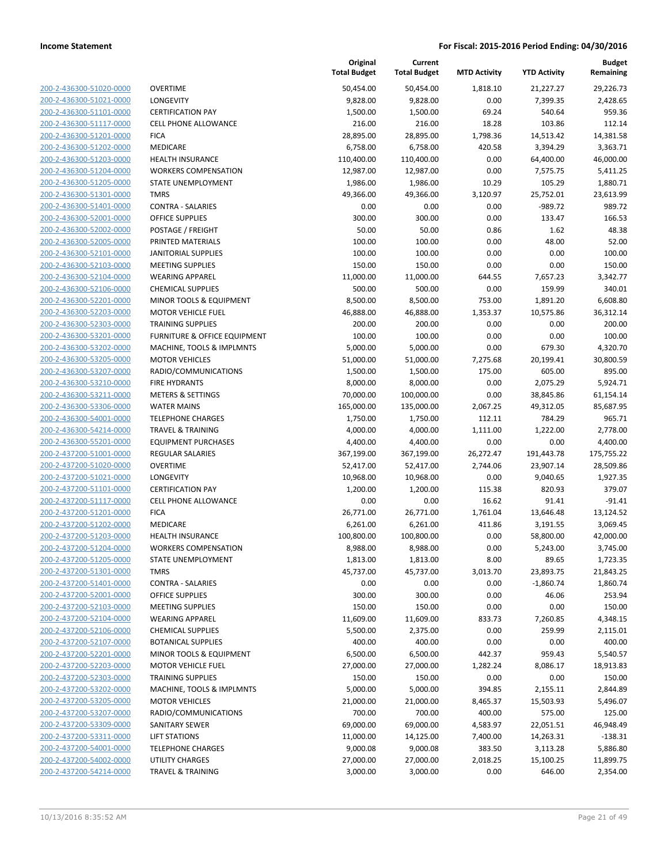| 200-2-436300-51020-0000        |
|--------------------------------|
| 200-2-436300-51021-0000        |
| 200-2-436300-51101-0000        |
| 200-2-436300-51117-0000        |
| <u>200-2-436300-51201-0000</u> |
| 200-2-436300-51202-0000        |
| 200-2-436300-51203-0000        |
| 200-2-436300-51204-0000        |
| 200-2-436300-51205-0000        |
| 200-2-436300-51301-0000        |
| 200-2-436300-51401-0000        |
| 200-2-436300-52001-0000        |
| 200-2-436300-52002-0000        |
| 200-2-436300-52005-0000        |
| <u>200-2-436300-52101-0000</u> |
| 200-2-436300-52103-0000        |
| 200-2-436300-52104-0000        |
| 200-2-436300-52106-0000        |
| 200-2-436300-52201-0000        |
| 200-2-436300-52203-0000        |
| 200-2-436300-52303-0000        |
| 200-2-436300-53201-0000        |
| 200-2-436300-53202-0000        |
| 200-2-436300-53205-0000        |
| <u>200-2-436300-53207-0000</u> |
| 200-2-436300-53210-0000        |
| 200-2-436300-53211-0000        |
| 200-2-436300-53306-0000        |
| 200-2-436300-54001-0000        |
| 200-2-436300-54214-0000        |
| 200-2-436300-55201-0000        |
| 200-2-437200-51001-0000        |
| 200-2-437200-51020-0000        |
| 200-2-437200-51021-0000        |
| 200-2-437200-51101-0000        |
| 200-2-437200-51117-0000        |
| 200-2-437200-51201-0000        |
| 200-2-437200-51202-0000        |
| 200-2-437200-51203-0000        |
| 200-2-437200-51204-0000        |
|                                |
| 200-2-437200-51205-0000        |
| <u>200-2-437200-51301-0000</u> |
| 200-2-437200-51401-0000        |
| 200-2-437200-52001-0000        |
| 200-2-437200-52103-0000        |
| 200-2-437200-52104-0000        |
| <u>200-2-437200-52106-0000</u> |
| 200-2-437200-52107-0000        |
| 200-2-437200-52201-0000        |
| <u>200-2-437200-52203-0000</u> |
| <u>200-2-437200-52303-0000</u> |
| 200-2-437200-53202-0000        |
| 200-2-437200-53205-0000        |
| 200-2-437200-53207-0000        |
| <u>200-2-437200-53309-0000</u> |
| 200-2-437200-53311-0000        |
| <u>200-2-437200-54001-0000</u> |
| 200-2-437200-54002-0000        |
| 200-2-437200-54214-0000        |
|                                |

| <b>OVERTIME</b>                         |
|-----------------------------------------|
| LONGEVITY                               |
| <b>CERTIFICATION PAY</b>                |
| <b>CELL PHONE ALLOWANCE</b>             |
| <b>FICA</b>                             |
| <b>MEDICARE</b>                         |
| <b>HEALTH INSURANCE</b>                 |
| <b>WORKERS COMPENSATION</b>             |
| <b>STATE UNEMPLOYMENT</b>               |
| TMRS                                    |
| <b>CONTRA - SALARIES</b>                |
| <b>OFFICE SUPPLIES</b>                  |
| POSTAGE / FREIGHT                       |
| PRINTED MATERIALS                       |
| <b>JANITORIAL SUPPLIES</b>              |
| <b>MEETING SUPPLIES</b>                 |
| <b>WEARING APPAREL</b>                  |
| <b>CHEMICAL SUPPLIES</b>                |
| MINOR TOOLS & EQUIPMENT                 |
| <b>MOTOR VEHICLE FUEL</b>               |
| <b>TRAINING SUPPLIES</b>                |
| <b>FURNITURE &amp; OFFICE EQUIPMENT</b> |
| MACHINE, TOOLS & IMPLMNTS               |
| <b>MOTOR VEHICLES</b>                   |
| RADIO/COMMUNICATIONS                    |
| <b>FIRE HYDRANTS</b>                    |
| <b>METERS &amp; SETTINGS</b>            |
| <b>WATER MAINS</b>                      |
| TELEPHONE CHARGES                       |
| TRAVEL & TRAINING                       |
| <b>EQUIPMENT PURCHASES</b>              |
| <b>REGULAR SALARIES</b>                 |
| <b>OVERTIME</b>                         |
| LONGEVITY                               |
| <b>CERTIFICATION PAY</b>                |
| <b>CELL PHONE ALLOWANCE</b>             |
| <b>FICA</b>                             |
| <b>MEDICARE</b>                         |
| <b>HEALTH INSURANCE</b>                 |
| <b>WORKERS COMPENSATION</b>             |
| STATE UNEMPLOYMENT                      |
| <b>TMRS</b>                             |
| <b>CONTRA - SALARIES</b>                |
| <b>OFFICE SUPPLIES</b>                  |
| <b>MEETING SUPPLIES</b>                 |
| <b>WEARING APPAREL</b>                  |
| <b>CHEMICAL SUPPLIES</b>                |
| <b>BOTANICAL SUPPLIES</b>               |
| MINOR TOOLS & EQUIPMENT                 |
| <b>MOTOR VEHICLE FUEL</b>               |
| <b>TRAINING SUPPLIES</b>                |
| MACHINE, TOOLS & IMPLMNTS               |
| <b>MOTOR VEHICLES</b>                   |
| RADIO/COMMUNICATIONS                    |
| SANITARY SEWER                          |
| <b>LIFT STATIONS</b>                    |
| <b>TELEPHONE CHARGES</b>                |
| UTILITY CHARGES                         |
| <b>TRAVEL &amp; TRAINING</b>            |
|                                         |

|                         |                              | Original<br><b>Total Budget</b> | Current<br><b>Total Budget</b> | <b>MTD Activity</b> | <b>YTD Activity</b> | <b>Budget</b><br>Remaining |
|-------------------------|------------------------------|---------------------------------|--------------------------------|---------------------|---------------------|----------------------------|
| 200-2-436300-51020-0000 | <b>OVERTIME</b>              | 50,454.00                       | 50,454.00                      | 1,818.10            | 21,227.27           | 29,226.73                  |
| 200-2-436300-51021-0000 | LONGEVITY                    | 9,828.00                        | 9,828.00                       | 0.00                | 7,399.35            | 2,428.65                   |
| 200-2-436300-51101-0000 | <b>CERTIFICATION PAY</b>     | 1,500.00                        | 1,500.00                       | 69.24               | 540.64              | 959.36                     |
| 200-2-436300-51117-0000 | <b>CELL PHONE ALLOWANCE</b>  | 216.00                          | 216.00                         | 18.28               | 103.86              | 112.14                     |
| 200-2-436300-51201-0000 | <b>FICA</b>                  | 28,895.00                       | 28,895.00                      | 1,798.36            | 14,513.42           | 14,381.58                  |
| 200-2-436300-51202-0000 | MEDICARE                     | 6,758.00                        | 6,758.00                       | 420.58              | 3,394.29            | 3,363.71                   |
| 200-2-436300-51203-0000 | <b>HEALTH INSURANCE</b>      | 110,400.00                      | 110,400.00                     | 0.00                | 64,400.00           | 46,000.00                  |
| 200-2-436300-51204-0000 | <b>WORKERS COMPENSATION</b>  | 12,987.00                       | 12,987.00                      | 0.00                | 7,575.75            | 5,411.25                   |
| 200-2-436300-51205-0000 | STATE UNEMPLOYMENT           | 1,986.00                        | 1,986.00                       | 10.29               | 105.29              | 1,880.71                   |
| 200-2-436300-51301-0000 | <b>TMRS</b>                  | 49,366.00                       | 49,366.00                      | 3,120.97            | 25,752.01           | 23,613.99                  |
| 200-2-436300-51401-0000 | <b>CONTRA - SALARIES</b>     | 0.00                            | 0.00                           | 0.00                | $-989.72$           | 989.72                     |
| 200-2-436300-52001-0000 | <b>OFFICE SUPPLIES</b>       | 300.00                          | 300.00                         | 0.00                | 133.47              | 166.53                     |
| 200-2-436300-52002-0000 | POSTAGE / FREIGHT            | 50.00                           | 50.00                          | 0.86                | 1.62                | 48.38                      |
| 200-2-436300-52005-0000 | PRINTED MATERIALS            | 100.00                          | 100.00                         | 0.00                | 48.00               | 52.00                      |
| 200-2-436300-52101-0000 | <b>JANITORIAL SUPPLIES</b>   | 100.00                          | 100.00                         | 0.00                | 0.00                | 100.00                     |
| 200-2-436300-52103-0000 | <b>MEETING SUPPLIES</b>      | 150.00                          | 150.00                         | 0.00                | 0.00                | 150.00                     |
| 200-2-436300-52104-0000 | <b>WEARING APPAREL</b>       | 11,000.00                       | 11,000.00                      | 644.55              | 7,657.23            | 3,342.77                   |
| 200-2-436300-52106-0000 | <b>CHEMICAL SUPPLIES</b>     | 500.00                          | 500.00                         | 0.00                | 159.99              | 340.01                     |
| 200-2-436300-52201-0000 | MINOR TOOLS & EQUIPMENT      | 8,500.00                        | 8,500.00                       | 753.00              | 1,891.20            | 6,608.80                   |
| 200-2-436300-52203-0000 | <b>MOTOR VEHICLE FUEL</b>    | 46,888.00                       | 46,888.00                      | 1,353.37            | 10,575.86           | 36,312.14                  |
| 200-2-436300-52303-0000 | <b>TRAINING SUPPLIES</b>     | 200.00                          | 200.00                         | 0.00                | 0.00                | 200.00                     |
| 200-2-436300-53201-0000 | FURNITURE & OFFICE EQUIPMENT | 100.00                          | 100.00                         | 0.00                | 0.00                | 100.00                     |
| 200-2-436300-53202-0000 | MACHINE, TOOLS & IMPLMNTS    | 5,000.00                        | 5,000.00                       | 0.00                | 679.30              | 4,320.70                   |
| 200-2-436300-53205-0000 | <b>MOTOR VEHICLES</b>        | 51,000.00                       | 51,000.00                      | 7,275.68            | 20,199.41           | 30,800.59                  |
| 200-2-436300-53207-0000 | RADIO/COMMUNICATIONS         | 1,500.00                        | 1,500.00                       | 175.00              | 605.00              | 895.00                     |
| 200-2-436300-53210-0000 | <b>FIRE HYDRANTS</b>         | 8,000.00                        | 8,000.00                       | 0.00                | 2,075.29            | 5,924.71                   |
| 200-2-436300-53211-0000 | <b>METERS &amp; SETTINGS</b> | 70,000.00                       | 100,000.00                     | 0.00                | 38,845.86           | 61,154.14                  |
| 200-2-436300-53306-0000 | <b>WATER MAINS</b>           | 165,000.00                      | 135,000.00                     | 2,067.25            | 49,312.05           | 85,687.95                  |
| 200-2-436300-54001-0000 | <b>TELEPHONE CHARGES</b>     | 1,750.00                        | 1,750.00                       | 112.11              | 784.29              | 965.71                     |
| 200-2-436300-54214-0000 | <b>TRAVEL &amp; TRAINING</b> | 4,000.00                        | 4,000.00                       | 1,111.00            | 1,222.00            | 2,778.00                   |
| 200-2-436300-55201-0000 | <b>EQUIPMENT PURCHASES</b>   | 4,400.00                        | 4,400.00                       | 0.00                | 0.00                | 4,400.00                   |
| 200-2-437200-51001-0000 | REGULAR SALARIES             | 367,199.00                      | 367,199.00                     | 26,272.47           | 191,443.78          | 175,755.22                 |
| 200-2-437200-51020-0000 | <b>OVERTIME</b>              | 52,417.00                       | 52,417.00                      | 2,744.06            | 23,907.14           | 28,509.86                  |
| 200-2-437200-51021-0000 | LONGEVITY                    | 10,968.00                       | 10,968.00                      | 0.00                | 9,040.65            | 1,927.35                   |
| 200-2-437200-51101-0000 | <b>CERTIFICATION PAY</b>     | 1,200.00                        | 1,200.00                       | 115.38              | 820.93              | 379.07                     |
| 200-2-437200-51117-0000 | <b>CELL PHONE ALLOWANCE</b>  | 0.00                            | 0.00                           | 16.62               | 91.41               | $-91.41$                   |
| 200-2-437200-51201-0000 | <b>FICA</b>                  | 26,771.00                       | 26,771.00                      | 1,761.04            | 13,646.48           | 13,124.52                  |
| 200-2-437200-51202-0000 | MEDICARE                     | 6,261.00                        | 6,261.00                       | 411.86              | 3,191.55            | 3,069.45                   |
| 200-2-437200-51203-0000 | <b>HEALTH INSURANCE</b>      | 100,800.00                      | 100,800.00                     | 0.00                | 58,800.00           | 42,000.00                  |
| 200-2-437200-51204-0000 | <b>WORKERS COMPENSATION</b>  | 8,988.00                        | 8,988.00                       | 0.00                | 5,243.00            | 3,745.00                   |
| 200-2-437200-51205-0000 | <b>STATE UNEMPLOYMENT</b>    | 1,813.00                        | 1,813.00                       | 8.00                | 89.65               | 1,723.35                   |
| 200-2-437200-51301-0000 | <b>TMRS</b>                  | 45,737.00                       | 45,737.00                      | 3,013.70            | 23,893.75           | 21,843.25                  |
| 200-2-437200-51401-0000 | <b>CONTRA - SALARIES</b>     | 0.00                            | 0.00                           | 0.00                | $-1,860.74$         | 1,860.74                   |
| 200-2-437200-52001-0000 | <b>OFFICE SUPPLIES</b>       | 300.00                          | 300.00                         | 0.00                | 46.06               | 253.94                     |
| 200-2-437200-52103-0000 | <b>MEETING SUPPLIES</b>      | 150.00                          | 150.00                         | 0.00                | 0.00                | 150.00                     |
| 200-2-437200-52104-0000 | <b>WEARING APPAREL</b>       | 11,609.00                       | 11,609.00                      | 833.73              | 7,260.85            | 4,348.15                   |
| 200-2-437200-52106-0000 | <b>CHEMICAL SUPPLIES</b>     | 5,500.00                        | 2,375.00                       | 0.00                | 259.99              | 2,115.01                   |
| 200-2-437200-52107-0000 | <b>BOTANICAL SUPPLIES</b>    | 400.00                          | 400.00                         | 0.00                | 0.00                | 400.00                     |
| 200-2-437200-52201-0000 | MINOR TOOLS & EQUIPMENT      | 6,500.00                        | 6,500.00                       | 442.37              | 959.43              | 5,540.57                   |
| 200-2-437200-52203-0000 | <b>MOTOR VEHICLE FUEL</b>    | 27,000.00                       | 27,000.00                      | 1,282.24            | 8,086.17            | 18,913.83                  |
| 200-2-437200-52303-0000 | <b>TRAINING SUPPLIES</b>     | 150.00                          | 150.00                         | 0.00                | 0.00                | 150.00                     |
| 200-2-437200-53202-0000 | MACHINE, TOOLS & IMPLMNTS    | 5,000.00                        | 5,000.00                       | 394.85              | 2,155.11            | 2,844.89                   |
| 200-2-437200-53205-0000 | <b>MOTOR VEHICLES</b>        | 21,000.00                       | 21,000.00                      | 8,465.37            | 15,503.93           | 5,496.07                   |
| 200-2-437200-53207-0000 | RADIO/COMMUNICATIONS         | 700.00                          | 700.00                         | 400.00              | 575.00              | 125.00                     |
| 200-2-437200-53309-0000 | SANITARY SEWER               | 69,000.00                       | 69,000.00                      | 4,583.97            | 22,051.51           | 46,948.49                  |
| 200-2-437200-53311-0000 | <b>LIFT STATIONS</b>         | 11,000.00                       | 14,125.00                      | 7,400.00            | 14,263.31           | $-138.31$                  |
| 200-2-437200-54001-0000 | <b>TELEPHONE CHARGES</b>     | 9,000.08                        | 9,000.08                       | 383.50              | 3,113.28            | 5,886.80                   |
| 200-2-437200-54002-0000 | <b>UTILITY CHARGES</b>       | 27,000.00                       | 27,000.00                      | 2,018.25            | 15,100.25           | 11,899.75                  |
| 200-2-437200-54214-0000 | <b>TRAVEL &amp; TRAINING</b> | 3,000.00                        | 3,000.00                       | 0.00                | 646.00              | 2,354.00                   |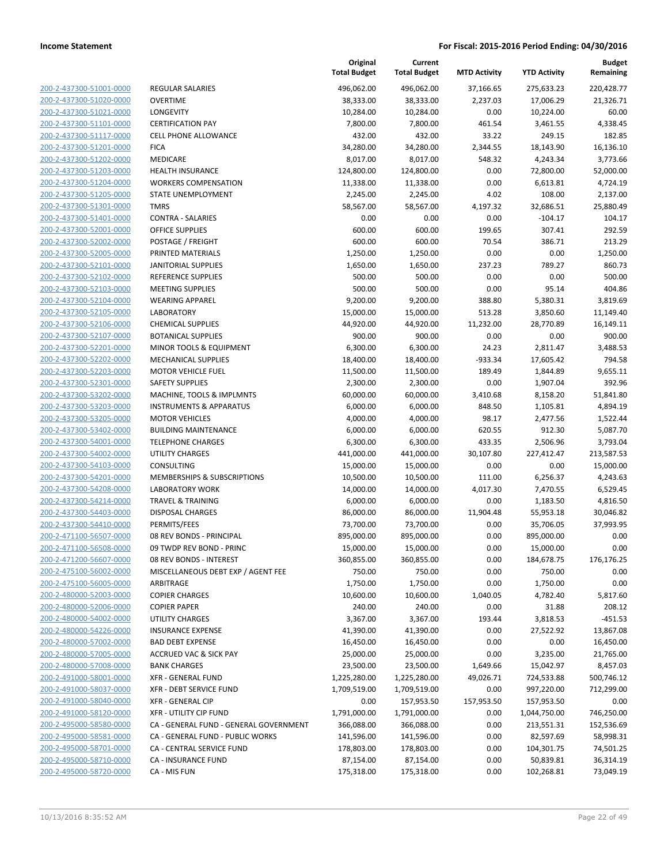| 200-2-437300-51001-0000        |
|--------------------------------|
| 200-2-437300-51020-0000        |
| 200-2-437300-51021-0000        |
| <u>200-2-437300-51101-0000</u> |
| 200-2-437300-51117-0000        |
| 2-437300-51201-0000<br>200-    |
| 200-2-437300-51202-0000        |
| 200-2-437300-51203-0000        |
| 200-2-437300-51204-0000        |
| 200-2-437300-51205-0000        |
| 2-437300-51301-0000<br>200-    |
| 200-2-437300-51401-0000        |
| 200-2-437300-52001-0000        |
| <u>200-2-437300-52002-0000</u> |
| 200-2-437300-52005-0000        |
|                                |
| 2-437300-52101-0000<br>200-    |
| 200-2-437300-52102-0000        |
| 200-2-437300-52103-0000        |
| 200-2-437300-52104-0000        |
| 200-2-437300-52105-0000        |
| 2-437300-52106-0000<br>200-    |
| 200-2-437300-52107-0000        |
| 200-2-437300-52201-0000        |
| 200-2-437300-52202-0000        |
| 200-2-437300-52203-0000        |
| 2-437300-52301-0000<br>200-    |
| 200-2-437300-53202-0000        |
| 200-2-437300-53203-0000        |
| 200-2-437300-53205-0000        |
| 200-2-437300-53402-0000        |
| 2-437300-54001-0000<br>200-    |
| 200-2-437300-54002-0000        |
|                                |
| 200-2-437300-54103-0000        |
| <u>200-2-437300-54201-0000</u> |
| 200-2-437300-54208-0000        |
| 2-437300-54214-0000<br>200-    |
| 200-2-437300-54403-0000        |
| 200-2-437300-54410-0000        |
| <u>200-2-471100-56507-0000</u> |
| 200-2-471100-56508-0000        |
| 200-2-471200-56607-0000        |
| 200-2-475100-56002-0000        |
| 200-2-475100-56005-0000        |
| <u>200-2-480000-52003-0000</u> |
| <u>200-2-480000-52006-0000</u> |
| 200-2-480000-54002-0000        |
| 200-2-480000-54226-0000        |
| 200-2-480000-57002-0000        |
|                                |
| <u>200-2-480000-57005-0000</u> |
| 200-2-480000-57008-0000        |
| 200-2-491000-58001-0000        |
| 200-2-491000-58037-0000        |
| <u>200-2-491000-58040-0000</u> |
| <u>200-2-491000-58120-0000</u> |
| 200-2-495000-58580-0000        |
| 200-2-495000-58581-0000        |
| 200-2-495000-58701-0000        |
| 200-2-495000-58710-0000        |
| <u>200-2-495000-58720-0000</u> |
|                                |

|                         |                                        | Original<br><b>Total Budget</b> | Current<br><b>Total Budget</b> | <b>MTD Activity</b> | <b>YTD Activity</b> | <b>Budget</b><br>Remaining |
|-------------------------|----------------------------------------|---------------------------------|--------------------------------|---------------------|---------------------|----------------------------|
| 200-2-437300-51001-0000 | <b>REGULAR SALARIES</b>                | 496,062.00                      | 496,062.00                     | 37,166.65           | 275,633.23          | 220,428.77                 |
| 200-2-437300-51020-0000 | <b>OVERTIME</b>                        | 38,333.00                       | 38,333.00                      | 2,237.03            | 17,006.29           | 21,326.71                  |
| 200-2-437300-51021-0000 | LONGEVITY                              | 10,284.00                       | 10,284.00                      | 0.00                | 10,224.00           | 60.00                      |
| 200-2-437300-51101-0000 | <b>CERTIFICATION PAY</b>               | 7,800.00                        | 7,800.00                       | 461.54              | 3,461.55            | 4,338.45                   |
| 200-2-437300-51117-0000 | <b>CELL PHONE ALLOWANCE</b>            | 432.00                          | 432.00                         | 33.22               | 249.15              | 182.85                     |
| 200-2-437300-51201-0000 | <b>FICA</b>                            | 34,280.00                       | 34,280.00                      | 2,344.55            | 18,143.90           | 16,136.10                  |
| 200-2-437300-51202-0000 | <b>MEDICARE</b>                        | 8,017.00                        | 8,017.00                       | 548.32              | 4,243.34            | 3,773.66                   |
| 200-2-437300-51203-0000 | <b>HEALTH INSURANCE</b>                | 124,800.00                      | 124,800.00                     | 0.00                | 72,800.00           | 52,000.00                  |
| 200-2-437300-51204-0000 | <b>WORKERS COMPENSATION</b>            | 11,338.00                       | 11,338.00                      | 0.00                | 6,613.81            | 4,724.19                   |
| 200-2-437300-51205-0000 | STATE UNEMPLOYMENT                     | 2,245.00                        | 2,245.00                       | 4.02                | 108.00              | 2,137.00                   |
| 200-2-437300-51301-0000 | <b>TMRS</b>                            | 58,567.00                       | 58,567.00                      | 4,197.32            | 32,686.51           | 25,880.49                  |
| 200-2-437300-51401-0000 | <b>CONTRA - SALARIES</b>               | 0.00                            | 0.00                           | 0.00                | $-104.17$           | 104.17                     |
| 200-2-437300-52001-0000 | <b>OFFICE SUPPLIES</b>                 | 600.00                          | 600.00                         | 199.65              | 307.41              | 292.59                     |
| 200-2-437300-52002-0000 | POSTAGE / FREIGHT                      | 600.00                          | 600.00                         | 70.54               | 386.71              | 213.29                     |
| 200-2-437300-52005-0000 | PRINTED MATERIALS                      | 1,250.00                        | 1,250.00                       | 0.00                | 0.00                | 1,250.00                   |
| 200-2-437300-52101-0000 | <b>JANITORIAL SUPPLIES</b>             | 1,650.00                        | 1,650.00                       | 237.23              | 789.27              | 860.73                     |
| 200-2-437300-52102-0000 | <b>REFERENCE SUPPLIES</b>              | 500.00                          | 500.00                         | 0.00                | 0.00                | 500.00                     |
| 200-2-437300-52103-0000 | <b>MEETING SUPPLIES</b>                | 500.00                          | 500.00                         | 0.00                | 95.14               | 404.86                     |
| 200-2-437300-52104-0000 | <b>WEARING APPAREL</b>                 | 9,200.00                        | 9,200.00                       | 388.80              | 5,380.31            | 3,819.69                   |
| 200-2-437300-52105-0000 | <b>LABORATORY</b>                      | 15,000.00                       | 15,000.00                      | 513.28              | 3,850.60            | 11,149.40                  |
| 200-2-437300-52106-0000 | <b>CHEMICAL SUPPLIES</b>               | 44,920.00                       | 44,920.00                      | 11,232.00           | 28,770.89           | 16,149.11                  |
| 200-2-437300-52107-0000 | <b>BOTANICAL SUPPLIES</b>              | 900.00                          | 900.00                         | 0.00                | 0.00                | 900.00                     |
| 200-2-437300-52201-0000 | <b>MINOR TOOLS &amp; EQUIPMENT</b>     | 6,300.00                        | 6,300.00                       | 24.23               | 2,811.47            | 3,488.53                   |
| 200-2-437300-52202-0000 | <b>MECHANICAL SUPPLIES</b>             | 18,400.00                       | 18,400.00                      | $-933.34$           | 17,605.42           | 794.58                     |
| 200-2-437300-52203-0000 | <b>MOTOR VEHICLE FUEL</b>              | 11,500.00                       | 11,500.00                      | 189.49              | 1,844.89            | 9,655.11                   |
| 200-2-437300-52301-0000 | <b>SAFETY SUPPLIES</b>                 | 2,300.00                        | 2,300.00                       | 0.00                | 1,907.04            | 392.96                     |
| 200-2-437300-53202-0000 | MACHINE, TOOLS & IMPLMNTS              | 60,000.00                       | 60,000.00                      | 3,410.68            | 8,158.20            | 51,841.80                  |
| 200-2-437300-53203-0000 | <b>INSTRUMENTS &amp; APPARATUS</b>     | 6,000.00                        | 6,000.00                       | 848.50              | 1,105.81            | 4,894.19                   |
| 200-2-437300-53205-0000 | <b>MOTOR VEHICLES</b>                  | 4,000.00                        | 4,000.00                       | 98.17               | 2,477.56            | 1,522.44                   |
| 200-2-437300-53402-0000 | <b>BUILDING MAINTENANCE</b>            | 6,000.00                        | 6,000.00                       | 620.55              | 912.30              | 5,087.70                   |
| 200-2-437300-54001-0000 | <b>TELEPHONE CHARGES</b>               | 6,300.00                        | 6,300.00                       | 433.35              | 2,506.96            | 3,793.04                   |
| 200-2-437300-54002-0000 | <b>UTILITY CHARGES</b>                 | 441,000.00                      | 441,000.00                     | 30,107.80           | 227,412.47          | 213,587.53                 |
| 200-2-437300-54103-0000 | <b>CONSULTING</b>                      | 15,000.00                       | 15,000.00                      | 0.00                | 0.00                | 15,000.00                  |
| 200-2-437300-54201-0000 | MEMBERSHIPS & SUBSCRIPTIONS            | 10,500.00                       | 10,500.00                      | 111.00              | 6,256.37            | 4,243.63                   |
| 200-2-437300-54208-0000 | <b>LABORATORY WORK</b>                 | 14,000.00                       | 14,000.00                      | 4,017.30            | 7,470.55            | 6,529.45                   |
| 200-2-437300-54214-0000 | <b>TRAVEL &amp; TRAINING</b>           | 6,000.00                        | 6,000.00                       | 0.00                | 1,183.50            | 4,816.50                   |
| 200-2-437300-54403-0000 | DISPOSAL CHARGES                       | 86,000.00                       | 86,000.00                      | 11,904.48           | 55,953.18           | 30,046.82                  |
| 200-2-437300-54410-0000 | PERMITS/FEES                           | 73,700.00                       | 73,700.00                      | 0.00                | 35,706.05           | 37,993.95                  |
| 200-2-471100-56507-0000 | 08 REV BONDS - PRINCIPAL               | 895,000.00                      | 895,000.00                     | 0.00                | 895,000.00          | 0.00                       |
| 200-2-471100-56508-0000 | 09 TWDP REV BOND - PRINC               | 15,000.00                       | 15,000.00                      | 0.00                | 15,000.00           | 0.00                       |
| 200-2-471200-56607-0000 | 08 REV BONDS - INTEREST                | 360,855.00                      | 360,855.00                     | 0.00                | 184,678.75          | 176,176.25                 |
| 200-2-475100-56002-0000 | MISCELLANEOUS DEBT EXP / AGENT FEE     | 750.00                          | 750.00                         | 0.00                | 750.00              | 0.00                       |
| 200-2-475100-56005-0000 | ARBITRAGE                              | 1,750.00                        | 1,750.00                       | 0.00                | 1,750.00            | 0.00                       |
| 200-2-480000-52003-0000 | <b>COPIER CHARGES</b>                  | 10,600.00                       | 10,600.00                      | 1,040.05            | 4,782.40            | 5,817.60                   |
| 200-2-480000-52006-0000 | <b>COPIER PAPER</b>                    | 240.00                          | 240.00                         | 0.00                | 31.88               | 208.12                     |
| 200-2-480000-54002-0000 | <b>UTILITY CHARGES</b>                 | 3,367.00                        | 3,367.00                       | 193.44              | 3,818.53            | $-451.53$                  |
| 200-2-480000-54226-0000 | <b>INSURANCE EXPENSE</b>               | 41,390.00                       | 41,390.00                      | 0.00                | 27,522.92           | 13,867.08                  |
| 200-2-480000-57002-0000 | <b>BAD DEBT EXPENSE</b>                | 16,450.00                       | 16,450.00                      | 0.00                | 0.00                | 16,450.00                  |
| 200-2-480000-57005-0000 | <b>ACCRUED VAC &amp; SICK PAY</b>      | 25,000.00                       | 25,000.00                      | 0.00                | 3,235.00            | 21,765.00                  |
| 200-2-480000-57008-0000 | <b>BANK CHARGES</b>                    | 23,500.00                       | 23,500.00                      | 1,649.66            | 15,042.97           | 8,457.03                   |
| 200-2-491000-58001-0000 | <b>XFR - GENERAL FUND</b>              | 1,225,280.00                    | 1,225,280.00                   | 49,026.71           | 724,533.88          | 500,746.12                 |
| 200-2-491000-58037-0000 | <b>XFR - DEBT SERVICE FUND</b>         | 1,709,519.00                    | 1,709,519.00                   | 0.00                | 997,220.00          | 712,299.00                 |
| 200-2-491000-58040-0000 | <b>XFR - GENERAL CIP</b>               | 0.00                            | 157,953.50                     | 157,953.50          | 157,953.50          | 0.00                       |
| 200-2-491000-58120-0000 | XFR - UTILITY CIP FUND                 | 1,791,000.00                    | 1,791,000.00                   | 0.00                | 1,044,750.00        | 746,250.00                 |
| 200-2-495000-58580-0000 | CA - GENERAL FUND - GENERAL GOVERNMENT | 366,088.00                      | 366,088.00                     | 0.00                | 213,551.31          | 152,536.69                 |
| 200-2-495000-58581-0000 | CA - GENERAL FUND - PUBLIC WORKS       | 141,596.00                      | 141,596.00                     | 0.00                | 82,597.69           | 58,998.31                  |
| 200-2-495000-58701-0000 | CA - CENTRAL SERVICE FUND              | 178,803.00                      | 178,803.00                     | 0.00                | 104,301.75          | 74,501.25                  |
| 200-2-495000-58710-0000 | <b>CA - INSURANCE FUND</b>             | 87,154.00                       | 87,154.00                      | 0.00                | 50,839.81           | 36,314.19                  |
| 200-2-495000-58720-0000 | CA - MIS FUN                           | 175,318.00                      | 175,318.00                     | 0.00                | 102,268.81          | 73,049.19                  |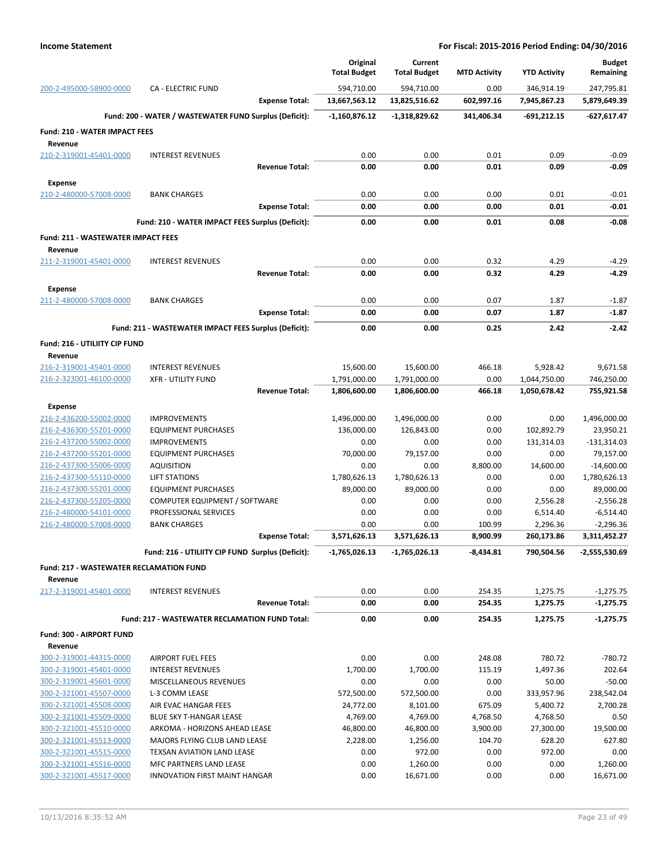|                                                    |                                                             | Original                    | Current                     |                     |                            | <b>Budget</b>              |
|----------------------------------------------------|-------------------------------------------------------------|-----------------------------|-----------------------------|---------------------|----------------------------|----------------------------|
|                                                    |                                                             | <b>Total Budget</b>         | <b>Total Budget</b>         | <b>MTD Activity</b> | <b>YTD Activity</b>        | Remaining                  |
| 200-2-495000-58900-0000                            | <b>CA - ELECTRIC FUND</b><br><b>Expense Total:</b>          | 594,710.00<br>13,667,563.12 | 594,710.00<br>13,825,516.62 | 0.00<br>602,997.16  | 346,914.19<br>7,945,867.23 | 247,795.81<br>5,879,649.39 |
|                                                    |                                                             |                             |                             |                     |                            |                            |
|                                                    | Fund: 200 - WATER / WASTEWATER FUND Surplus (Deficit):      | $-1,160,876.12$             | -1,318,829.62               | 341,406.34          | $-691,212.15$              | -627,617.47                |
| <b>Fund: 210 - WATER IMPACT FEES</b>               |                                                             |                             |                             |                     |                            |                            |
| Revenue<br>210-2-319001-45401-0000                 | <b>INTEREST REVENUES</b>                                    | 0.00                        | 0.00                        | 0.01                | 0.09                       | $-0.09$                    |
|                                                    | <b>Revenue Total:</b>                                       | 0.00                        | 0.00                        | 0.01                | 0.09                       | $-0.09$                    |
| <b>Expense</b>                                     |                                                             |                             |                             |                     |                            |                            |
| 210-2-480000-57008-0000                            | <b>BANK CHARGES</b>                                         | 0.00                        | 0.00                        | 0.00                | 0.01                       | $-0.01$                    |
|                                                    | <b>Expense Total:</b>                                       | 0.00                        | 0.00                        | 0.00                | 0.01                       | $-0.01$                    |
|                                                    | Fund: 210 - WATER IMPACT FEES Surplus (Deficit):            | 0.00                        | 0.00                        | 0.01                | 0.08                       | $-0.08$                    |
| <b>Fund: 211 - WASTEWATER IMPACT FEES</b>          |                                                             |                             |                             |                     |                            |                            |
| Revenue                                            |                                                             |                             |                             |                     |                            |                            |
| 211-2-319001-45401-0000                            | <b>INTEREST REVENUES</b>                                    | 0.00                        | 0.00                        | 0.32                | 4.29                       | $-4.29$                    |
|                                                    | <b>Revenue Total:</b>                                       | 0.00                        | 0.00                        | 0.32                | 4.29                       | $-4.29$                    |
| <b>Expense</b>                                     |                                                             |                             |                             |                     |                            |                            |
| 211-2-480000-57008-0000                            | <b>BANK CHARGES</b>                                         | 0.00                        | 0.00                        | 0.07                | 1.87                       | $-1.87$                    |
|                                                    | <b>Expense Total:</b>                                       | 0.00                        | 0.00                        | 0.07                | 1.87                       | -1.87                      |
|                                                    | Fund: 211 - WASTEWATER IMPACT FEES Surplus (Deficit):       | 0.00                        | 0.00                        | 0.25                | 2.42                       | -2.42                      |
| Fund: 216 - UTILIITY CIP FUND                      |                                                             |                             |                             |                     |                            |                            |
| Revenue                                            |                                                             |                             |                             |                     |                            |                            |
| 216-2-319001-45401-0000<br>216-2-323001-46100-0000 | <b>INTEREST REVENUES</b><br><b>XFR - UTILITY FUND</b>       | 15,600.00<br>1,791,000.00   | 15,600.00<br>1,791,000.00   | 466.18<br>0.00      | 5,928.42<br>1,044,750.00   | 9,671.58<br>746,250.00     |
|                                                    | <b>Revenue Total:</b>                                       | 1,806,600.00                | 1,806,600.00                | 466.18              | 1,050,678.42               | 755,921.58                 |
| <b>Expense</b>                                     |                                                             |                             |                             |                     |                            |                            |
| 216-2-436200-55002-0000                            | <b>IMPROVEMENTS</b>                                         | 1,496,000.00                | 1,496,000.00                | 0.00                | 0.00                       | 1,496,000.00               |
| 216-2-436300-55201-0000                            | <b>EQUIPMENT PURCHASES</b>                                  | 136,000.00                  | 126,843.00                  | 0.00                | 102,892.79                 | 23,950.21                  |
| 216-2-437200-55002-0000                            | <b>IMPROVEMENTS</b>                                         | 0.00                        | 0.00                        | 0.00                | 131,314.03                 | $-131,314.03$              |
| 216-2-437200-55201-0000                            | <b>EQUIPMENT PURCHASES</b>                                  | 70,000.00                   | 79,157.00                   | 0.00                | 0.00                       | 79,157.00                  |
| 216-2-437300-55006-0000                            | <b>AQUISITION</b>                                           | 0.00                        | 0.00                        | 8,800.00            | 14,600.00                  | $-14,600.00$               |
| 216-2-437300-55110-0000<br>216-2-437300-55201-0000 | <b>LIFT STATIONS</b><br><b>EQUIPMENT PURCHASES</b>          | 1,780,626.13<br>89,000.00   | 1,780,626.13<br>89,000.00   | 0.00<br>0.00        | 0.00<br>0.00               | 1,780,626.13<br>89,000.00  |
| 216-2-437300-55205-0000                            | COMPUTER EQUIPMENT / SOFTWARE                               | 0.00                        | 0.00                        | 0.00                | 2,556.28                   | $-2,556.28$                |
| 216-2-480000-54101-0000                            | PROFESSIONAL SERVICES                                       | 0.00                        | 0.00                        | 0.00                | 6,514.40                   | $-6,514.40$                |
| 216-2-480000-57008-0000                            | <b>BANK CHARGES</b>                                         | 0.00                        | 0.00                        | 100.99              | 2,296.36                   | $-2,296.36$                |
|                                                    | <b>Expense Total:</b>                                       | 3,571,626.13                | 3,571,626.13                | 8.900.99            | 260,173.86                 | 3,311,452.27               |
|                                                    | Fund: 216 - UTILIITY CIP FUND Surplus (Deficit):            | $-1,765,026.13$             | $-1,765,026.13$             | -8,434.81           | 790,504.56                 | $-2,555,530.69$            |
| <b>Fund: 217 - WASTEWATER RECLAMATION FUND</b>     |                                                             |                             |                             |                     |                            |                            |
| Revenue                                            |                                                             |                             |                             |                     |                            |                            |
| 217-2-319001-45401-0000                            | <b>INTEREST REVENUES</b>                                    | 0.00                        | 0.00                        | 254.35              | 1,275.75                   | $-1,275.75$                |
|                                                    | <b>Revenue Total:</b>                                       | 0.00                        | 0.00                        | 254.35              | 1,275.75                   | -1,275.75                  |
|                                                    | Fund: 217 - WASTEWATER RECLAMATION FUND Total:              | 0.00                        | 0.00                        | 254.35              | 1,275.75                   | $-1,275.75$                |
| Fund: 300 - AIRPORT FUND                           |                                                             |                             |                             |                     |                            |                            |
| Revenue<br>300-2-319001-44315-0000                 | AIRPORT FUEL FEES                                           | 0.00                        | 0.00                        | 248.08              | 780.72                     | $-780.72$                  |
| 300-2-319001-45401-0000                            | <b>INTEREST REVENUES</b>                                    | 1,700.00                    | 1,700.00                    | 115.19              | 1,497.36                   | 202.64                     |
| 300-2-319001-45601-0000                            | MISCELLANEOUS REVENUES                                      | 0.00                        | 0.00                        | 0.00                | 50.00                      | $-50.00$                   |
| 300-2-321001-45507-0000                            | L-3 COMM LEASE                                              | 572,500.00                  | 572,500.00                  | 0.00                | 333,957.96                 | 238,542.04                 |
| 300-2-321001-45508-0000                            | AIR EVAC HANGAR FEES                                        | 24,772.00                   | 8,101.00                    | 675.09              | 5,400.72                   | 2,700.28                   |
| 300-2-321001-45509-0000                            | BLUE SKY T-HANGAR LEASE                                     | 4,769.00                    | 4,769.00                    | 4,768.50            | 4,768.50                   | 0.50                       |
| 300-2-321001-45510-0000                            | ARKOMA - HORIZONS AHEAD LEASE                               | 46,800.00                   | 46,800.00                   | 3,900.00            | 27,300.00                  | 19,500.00                  |
| 300-2-321001-45513-0000<br>300-2-321001-45515-0000 | MAJORS FLYING CLUB LAND LEASE<br>TEXSAN AVIATION LAND LEASE | 2,228.00<br>0.00            | 1,256.00<br>972.00          | 104.70<br>0.00      | 628.20<br>972.00           | 627.80<br>0.00             |
| 300-2-321001-45516-0000                            | MFC PARTNERS LAND LEASE                                     | 0.00                        | 1,260.00                    | 0.00                | 0.00                       | 1,260.00                   |
| 300-2-321001-45517-0000                            | <b>INNOVATION FIRST MAINT HANGAR</b>                        | 0.00                        | 16,671.00                   | 0.00                | 0.00                       | 16,671.00                  |
|                                                    |                                                             |                             |                             |                     |                            |                            |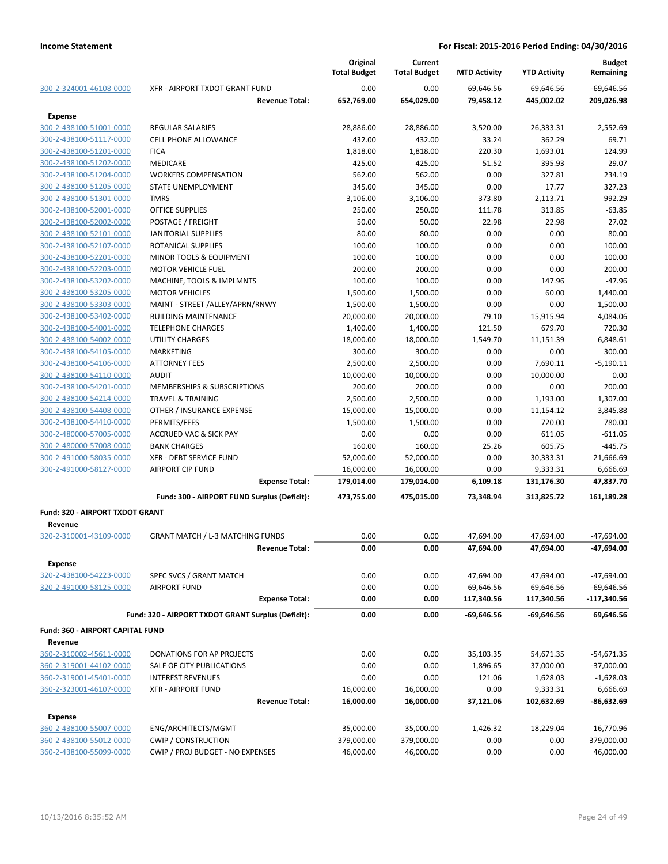|                                  |                                                    | Original            | Current             |                     |                     | <b>Budget</b> |
|----------------------------------|----------------------------------------------------|---------------------|---------------------|---------------------|---------------------|---------------|
|                                  |                                                    | <b>Total Budget</b> | <b>Total Budget</b> | <b>MTD Activity</b> | <b>YTD Activity</b> | Remaining     |
| 300-2-324001-46108-0000          | XFR - AIRPORT TXDOT GRANT FUND                     | 0.00                | 0.00                | 69,646.56           | 69,646.56           | $-69,646.56$  |
|                                  | <b>Revenue Total:</b>                              | 652,769.00          | 654,029.00          | 79,458.12           | 445,002.02          | 209,026.98    |
| Expense                          |                                                    |                     |                     |                     |                     |               |
| 300-2-438100-51001-0000          | <b>REGULAR SALARIES</b>                            | 28,886.00           | 28,886.00           | 3,520.00            | 26,333.31           | 2,552.69      |
| 300-2-438100-51117-0000          | <b>CELL PHONE ALLOWANCE</b>                        | 432.00              | 432.00              | 33.24               | 362.29              | 69.71         |
| 300-2-438100-51201-0000          | <b>FICA</b>                                        | 1,818.00            | 1,818.00            | 220.30              | 1,693.01            | 124.99        |
| 300-2-438100-51202-0000          | <b>MEDICARE</b>                                    | 425.00              | 425.00              | 51.52               | 395.93              | 29.07         |
| 300-2-438100-51204-0000          | <b>WORKERS COMPENSATION</b>                        | 562.00              | 562.00              | 0.00                | 327.81              | 234.19        |
| 300-2-438100-51205-0000          | <b>STATE UNEMPLOYMENT</b>                          | 345.00              | 345.00              | 0.00                | 17.77               | 327.23        |
| 300-2-438100-51301-0000          | <b>TMRS</b>                                        | 3,106.00            | 3,106.00            | 373.80              | 2,113.71            | 992.29        |
| 300-2-438100-52001-0000          | <b>OFFICE SUPPLIES</b>                             | 250.00              | 250.00              | 111.78              | 313.85              | $-63.85$      |
| 300-2-438100-52002-0000          | POSTAGE / FREIGHT                                  | 50.00               | 50.00               | 22.98               | 22.98               | 27.02         |
| 300-2-438100-52101-0000          | JANITORIAL SUPPLIES                                | 80.00               | 80.00               | 0.00                | 0.00                | 80.00         |
| 300-2-438100-52107-0000          | <b>BOTANICAL SUPPLIES</b>                          | 100.00              | 100.00              | 0.00                | 0.00                | 100.00        |
| 300-2-438100-52201-0000          | <b>MINOR TOOLS &amp; EQUIPMENT</b>                 | 100.00              | 100.00              | 0.00                | 0.00                | 100.00        |
| 300-2-438100-52203-0000          | <b>MOTOR VEHICLE FUEL</b>                          | 200.00              | 200.00              | 0.00                | 0.00                | 200.00        |
| 300-2-438100-53202-0000          | MACHINE, TOOLS & IMPLMNTS                          | 100.00              | 100.00              | 0.00                | 147.96              | $-47.96$      |
| 300-2-438100-53205-0000          | <b>MOTOR VEHICLES</b>                              | 1,500.00            | 1,500.00            | 0.00                | 60.00               | 1,440.00      |
| 300-2-438100-53303-0000          | MAINT - STREET /ALLEY/APRN/RNWY                    | 1,500.00            | 1,500.00            | 0.00                | 0.00                | 1,500.00      |
| 300-2-438100-53402-0000          | <b>BUILDING MAINTENANCE</b>                        | 20,000.00           | 20,000.00           | 79.10               | 15,915.94           | 4,084.06      |
| 300-2-438100-54001-0000          | <b>TELEPHONE CHARGES</b>                           | 1,400.00            | 1,400.00            | 121.50              | 679.70              | 720.30        |
| 300-2-438100-54002-0000          | <b>UTILITY CHARGES</b>                             | 18,000.00           | 18,000.00           | 1,549.70            | 11,151.39           | 6,848.61      |
| 300-2-438100-54105-0000          | <b>MARKETING</b>                                   | 300.00              | 300.00              | 0.00                | 0.00                | 300.00        |
| 300-2-438100-54106-0000          | <b>ATTORNEY FEES</b>                               | 2,500.00            | 2,500.00            | 0.00                | 7,690.11            | $-5,190.11$   |
| 300-2-438100-54110-0000          | <b>AUDIT</b>                                       | 10,000.00           | 10,000.00           | 0.00                | 10,000.00           | 0.00          |
| 300-2-438100-54201-0000          | MEMBERSHIPS & SUBSCRIPTIONS                        | 200.00              | 200.00              | 0.00                | 0.00                | 200.00        |
| 300-2-438100-54214-0000          | <b>TRAVEL &amp; TRAINING</b>                       | 2,500.00            | 2,500.00            | 0.00                | 1,193.00            | 1,307.00      |
| 300-2-438100-54408-0000          | OTHER / INSURANCE EXPENSE                          | 15,000.00           | 15,000.00           | 0.00                | 11,154.12           | 3,845.88      |
| 300-2-438100-54410-0000          | PERMITS/FEES                                       | 1,500.00            | 1,500.00            | 0.00                | 720.00              | 780.00        |
| 300-2-480000-57005-0000          | <b>ACCRUED VAC &amp; SICK PAY</b>                  | 0.00                | 0.00                | 0.00                | 611.05              | $-611.05$     |
| 300-2-480000-57008-0000          | <b>BANK CHARGES</b>                                | 160.00              | 160.00              | 25.26               | 605.75              | $-445.75$     |
| 300-2-491000-58035-0000          | <b>XFR - DEBT SERVICE FUND</b>                     | 52,000.00           | 52,000.00           | 0.00                | 30,333.31           | 21,666.69     |
| 300-2-491000-58127-0000          | <b>AIRPORT CIP FUND</b>                            | 16,000.00           | 16,000.00           | 0.00                | 9,333.31            | 6,666.69      |
|                                  | <b>Expense Total:</b>                              | 179,014.00          | 179,014.00          | 6,109.18            | 131,176.30          | 47,837.70     |
|                                  | Fund: 300 - AIRPORT FUND Surplus (Deficit):        | 473,755.00          | 475,015.00          | 73,348.94           | 313,825.72          | 161,189.28    |
|                                  |                                                    |                     |                     |                     |                     |               |
| Fund: 320 - AIRPORT TXDOT GRANT  |                                                    |                     |                     |                     |                     |               |
| Revenue                          |                                                    |                     |                     |                     |                     |               |
| 320-2-310001-43109-0000          | <b>GRANT MATCH / L-3 MATCHING FUNDS</b>            | 0.00                | 0.00                | 47,694.00           | 47,694.00           | $-47,694.00$  |
|                                  | <b>Revenue Total:</b>                              | 0.00                | 0.00                | 47,694.00           | 47,694.00           | -47,694.00    |
| <b>Expense</b>                   |                                                    |                     |                     |                     |                     |               |
| 320-2-438100-54223-0000          | SPEC SVCS / GRANT MATCH                            | 0.00                | 0.00                | 47,694.00           | 47,694.00           | $-47,694.00$  |
| 320-2-491000-58125-0000          | <b>AIRPORT FUND</b>                                | 0.00                | 0.00                | 69,646.56           | 69,646.56           | -69,646.56    |
|                                  | <b>Expense Total:</b>                              | 0.00                | 0.00                | 117,340.56          | 117,340.56          | -117,340.56   |
|                                  | Fund: 320 - AIRPORT TXDOT GRANT Surplus (Deficit): | 0.00                | 0.00                | $-69,646.56$        | $-69,646.56$        | 69,646.56     |
|                                  |                                                    |                     |                     |                     |                     |               |
| Fund: 360 - AIRPORT CAPITAL FUND |                                                    |                     |                     |                     |                     |               |
| Revenue                          |                                                    |                     |                     |                     |                     |               |
| 360-2-310002-45611-0000          | DONATIONS FOR AP PROJECTS                          | 0.00                | 0.00                | 35,103.35           | 54,671.35           | $-54,671.35$  |
| 360-2-319001-44102-0000          | SALE OF CITY PUBLICATIONS                          | 0.00                | 0.00                | 1,896.65            | 37,000.00           | $-37,000.00$  |
| 360-2-319001-45401-0000          | <b>INTEREST REVENUES</b>                           | 0.00                | 0.00                | 121.06              | 1,628.03            | $-1,628.03$   |
| 360-2-323001-46107-0000          | <b>XFR - AIRPORT FUND</b>                          | 16,000.00           | 16,000.00           | 0.00                | 9,333.31            | 6,666.69      |
|                                  | <b>Revenue Total:</b>                              | 16,000.00           | 16,000.00           | 37,121.06           | 102,632.69          | -86,632.69    |
| <b>Expense</b>                   |                                                    |                     |                     |                     |                     |               |
| 360-2-438100-55007-0000          | ENG/ARCHITECTS/MGMT                                | 35,000.00           | 35,000.00           | 1,426.32            | 18,229.04           | 16,770.96     |
| 360-2-438100-55012-0000          | <b>CWIP / CONSTRUCTION</b>                         | 379,000.00          | 379,000.00          | 0.00                | 0.00                | 379,000.00    |
| 360-2-438100-55099-0000          | CWIP / PROJ BUDGET - NO EXPENSES                   | 46,000.00           | 46,000.00           | 0.00                | 0.00                | 46,000.00     |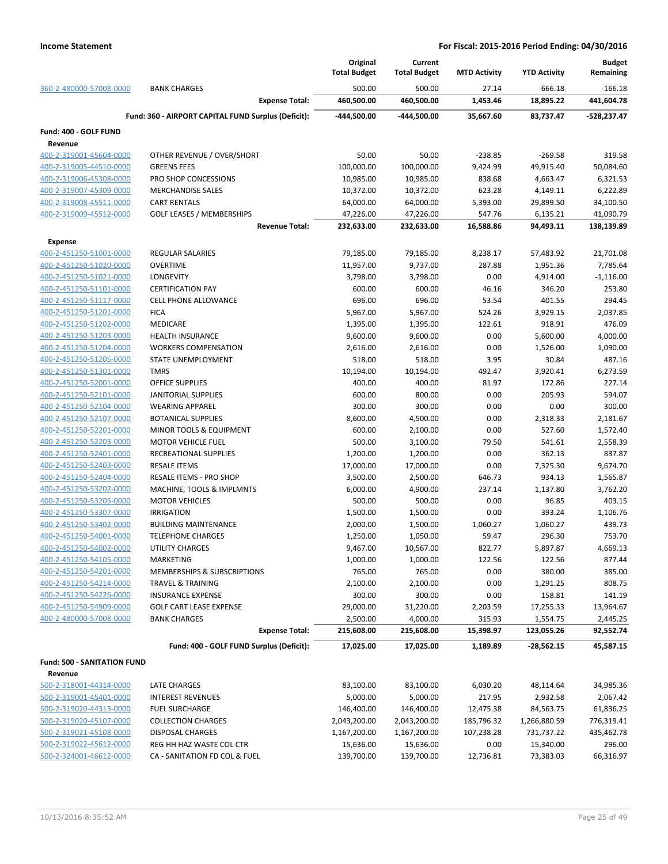|                                                    |                                                     | Original<br><b>Total Budget</b> | Current<br><b>Total Budget</b> | <b>MTD Activity</b> | <b>YTD Activity</b> | <b>Budget</b><br>Remaining |
|----------------------------------------------------|-----------------------------------------------------|---------------------------------|--------------------------------|---------------------|---------------------|----------------------------|
| 360-2-480000-57008-0000                            | <b>BANK CHARGES</b>                                 | 500.00                          | 500.00                         | 27.14               | 666.18              | $-166.18$                  |
|                                                    | <b>Expense Total:</b>                               | 460,500.00                      | 460,500.00                     | 1,453.46            | 18,895.22           | 441,604.78                 |
|                                                    | Fund: 360 - AIRPORT CAPITAL FUND Surplus (Deficit): | -444,500.00                     | -444,500.00                    | 35,667.60           | 83,737.47           | -528,237.47                |
| Fund: 400 - GOLF FUND                              |                                                     |                                 |                                |                     |                     |                            |
| Revenue                                            |                                                     |                                 |                                |                     |                     |                            |
| 400-2-319001-45604-0000                            | OTHER REVENUE / OVER/SHORT                          | 50.00                           | 50.00                          | $-238.85$           | $-269.58$           | 319.58                     |
| 400-2-319005-44510-0000                            | <b>GREENS FEES</b>                                  | 100,000.00                      | 100,000.00                     | 9,424.99            | 49,915.40           | 50,084.60                  |
| 400-2-319006-45308-0000                            | PRO SHOP CONCESSIONS                                | 10,985.00                       | 10,985.00                      | 838.68              | 4,663.47            | 6,321.53                   |
| 400-2-319007-45309-0000                            | <b>MERCHANDISE SALES</b>                            | 10,372.00                       | 10,372.00                      | 623.28              | 4,149.11            | 6,222.89                   |
| 400-2-319008-45511-0000                            | <b>CART RENTALS</b>                                 | 64,000.00                       | 64,000.00                      | 5,393.00            | 29,899.50           | 34,100.50                  |
| 400-2-319009-45512-0000                            | <b>GOLF LEASES / MEMBERSHIPS</b>                    | 47,226.00                       | 47,226.00                      | 547.76              | 6,135.21            | 41,090.79                  |
|                                                    | <b>Revenue Total:</b>                               | 232,633.00                      | 232,633.00                     | 16,588.86           | 94,493.11           | 138,139.89                 |
| <b>Expense</b>                                     |                                                     |                                 |                                |                     |                     |                            |
| 400-2-451250-51001-0000                            | <b>REGULAR SALARIES</b>                             | 79,185.00                       | 79,185.00                      | 8,238.17            | 57,483.92           | 21,701.08                  |
| 400-2-451250-51020-0000                            | <b>OVERTIME</b>                                     | 11,957.00                       | 9,737.00                       | 287.88              | 1,951.36            | 7,785.64                   |
| 400-2-451250-51021-0000                            | LONGEVITY                                           | 3,798.00                        | 3,798.00                       | 0.00                | 4,914.00            | $-1,116.00$                |
| 400-2-451250-51101-0000                            | <b>CERTIFICATION PAY</b>                            | 600.00                          | 600.00                         | 46.16               | 346.20              | 253.80                     |
| 400-2-451250-51117-0000                            | <b>CELL PHONE ALLOWANCE</b>                         | 696.00                          | 696.00                         | 53.54               | 401.55              | 294.45                     |
| 400-2-451250-51201-0000                            | <b>FICA</b>                                         | 5,967.00                        | 5,967.00                       | 524.26              | 3,929.15            | 2,037.85                   |
| 400-2-451250-51202-0000                            | <b>MEDICARE</b>                                     | 1,395.00                        | 1,395.00                       | 122.61              | 918.91              | 476.09                     |
| 400-2-451250-51203-0000                            | <b>HEALTH INSURANCE</b>                             | 9,600.00                        | 9,600.00                       | 0.00                | 5,600.00            | 4,000.00                   |
| 400-2-451250-51204-0000                            | <b>WORKERS COMPENSATION</b>                         | 2,616.00                        | 2,616.00                       | 0.00                | 1,526.00            | 1,090.00                   |
| 400-2-451250-51205-0000                            | STATE UNEMPLOYMENT                                  | 518.00                          | 518.00                         | 3.95                | 30.84               | 487.16                     |
| 400-2-451250-51301-0000                            | <b>TMRS</b>                                         | 10,194.00                       | 10,194.00                      | 492.47              | 3,920.41            | 6,273.59                   |
| 400-2-451250-52001-0000                            | <b>OFFICE SUPPLIES</b>                              | 400.00                          | 400.00                         | 81.97               | 172.86              | 227.14                     |
| 400-2-451250-52101-0000                            | <b>JANITORIAL SUPPLIES</b>                          | 600.00                          | 800.00                         | 0.00                | 205.93              | 594.07                     |
| 400-2-451250-52104-0000                            | <b>WEARING APPAREL</b>                              | 300.00                          | 300.00                         | 0.00                | 0.00                | 300.00                     |
| 400-2-451250-52107-0000                            | <b>BOTANICAL SUPPLIES</b>                           | 8,600.00                        | 4,500.00                       | 0.00                | 2,318.33            | 2,181.67                   |
| 400-2-451250-52201-0000                            | MINOR TOOLS & EQUIPMENT                             | 600.00                          | 2,100.00                       | 0.00                | 527.60              | 1,572.40                   |
| 400-2-451250-52203-0000                            | <b>MOTOR VEHICLE FUEL</b>                           | 500.00                          | 3,100.00                       | 79.50               | 541.61              | 2,558.39                   |
| 400-2-451250-52401-0000                            | RECREATIONAL SUPPLIES                               | 1,200.00                        | 1,200.00                       | 0.00                | 362.13              | 837.87                     |
| 400-2-451250-52403-0000                            | <b>RESALE ITEMS</b>                                 | 17,000.00                       | 17,000.00                      | 0.00                | 7,325.30            | 9,674.70                   |
| 400-2-451250-52404-0000                            | RESALE ITEMS - PRO SHOP                             | 3,500.00                        | 2,500.00                       | 646.73              | 934.13              | 1,565.87                   |
| 400-2-451250-53202-0000                            | MACHINE, TOOLS & IMPLMNTS                           | 6,000.00                        | 4,900.00                       | 237.14              | 1,137.80            | 3,762.20                   |
| 400-2-451250-53205-0000                            | <b>MOTOR VEHICLES</b>                               | 500.00                          | 500.00                         | 0.00                | 96.85               | 403.15                     |
| 400-2-451250-53307-0000                            | <b>IRRIGATION</b>                                   | 1,500.00                        | 1,500.00                       | 0.00                | 393.24              | 1,106.76                   |
| 400-2-451250-53402-0000<br>400-2-451250-54001-0000 | <b>BUILDING MAINTENANCE</b>                         | 2,000.00                        | 1,500.00                       | 1,060.27            | 1,060.27            | 439.73                     |
| 400-2-451250-54002-0000                            | <b>TELEPHONE CHARGES</b>                            | 1,250.00<br>9,467.00            | 1,050.00<br>10,567.00          | 59.47<br>822.77     | 296.30<br>5,897.87  | 753.70<br>4,669.13         |
| 400-2-451250-54105-0000                            | UTILITY CHARGES<br><b>MARKETING</b>                 | 1,000.00                        | 1,000.00                       | 122.56              | 122.56              | 877.44                     |
| 400-2-451250-54201-0000                            | MEMBERSHIPS & SUBSCRIPTIONS                         | 765.00                          | 765.00                         | 0.00                | 380.00              | 385.00                     |
| 400-2-451250-54214-0000                            | <b>TRAVEL &amp; TRAINING</b>                        | 2,100.00                        | 2,100.00                       | 0.00                | 1,291.25            | 808.75                     |
| 400-2-451250-54226-0000                            | <b>INSURANCE EXPENSE</b>                            | 300.00                          | 300.00                         | 0.00                | 158.81              | 141.19                     |
| 400-2-451250-54909-0000                            | <b>GOLF CART LEASE EXPENSE</b>                      | 29,000.00                       | 31,220.00                      | 2,203.59            | 17,255.33           | 13,964.67                  |
| 400-2-480000-57008-0000                            | <b>BANK CHARGES</b>                                 | 2,500.00                        | 4,000.00                       | 315.93              | 1,554.75            | 2,445.25                   |
|                                                    | <b>Expense Total:</b>                               | 215,608.00                      | 215,608.00                     | 15,398.97           | 123,055.26          | 92,552.74                  |
|                                                    |                                                     |                                 |                                |                     |                     |                            |
|                                                    | Fund: 400 - GOLF FUND Surplus (Deficit):            | 17,025.00                       | 17,025.00                      | 1,189.89            | $-28,562.15$        | 45,587.15                  |
| Fund: 500 - SANITATION FUND                        |                                                     |                                 |                                |                     |                     |                            |
| Revenue                                            |                                                     |                                 |                                |                     |                     |                            |
| 500-2-318001-44314-0000                            | LATE CHARGES                                        | 83,100.00                       | 83,100.00                      | 6,030.20            | 48,114.64           | 34,985.36                  |
| 500-2-319001-45401-0000                            | <b>INTEREST REVENUES</b>                            | 5,000.00                        | 5,000.00                       | 217.95              | 2,932.58            | 2,067.42                   |
| 500-2-319020-44313-0000                            | <b>FUEL SURCHARGE</b>                               | 146,400.00                      | 146,400.00                     | 12,475.38           | 84,563.75           | 61,836.25                  |
| 500-2-319020-45107-0000                            | <b>COLLECTION CHARGES</b>                           | 2,043,200.00                    | 2,043,200.00                   | 185,796.32          | 1,266,880.59        | 776,319.41                 |
| 500-2-319021-45108-0000                            | DISPOSAL CHARGES                                    | 1,167,200.00                    | 1,167,200.00                   | 107,238.28          | 731,737.22          | 435,462.78                 |
| 500-2-319022-45612-0000                            | REG HH HAZ WASTE COL CTR                            | 15,636.00                       | 15,636.00                      | 0.00                | 15,340.00           | 296.00                     |
| 500-2-324001-46612-0000                            | CA - SANITATION FD COL & FUEL                       | 139,700.00                      | 139,700.00                     | 12,736.81           | 73,383.03           | 66,316.97                  |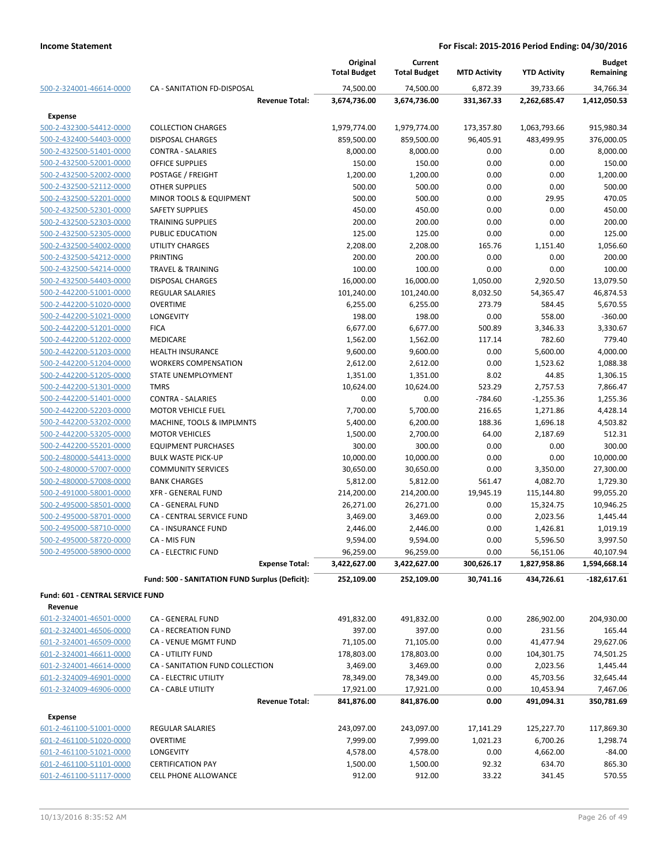|                                         |                                                | Original<br><b>Total Budget</b> | Current<br><b>Total Budget</b> | <b>MTD Activity</b> | <b>YTD Activity</b> | <b>Budget</b><br>Remaining |
|-----------------------------------------|------------------------------------------------|---------------------------------|--------------------------------|---------------------|---------------------|----------------------------|
| 500-2-324001-46614-0000                 | <b>CA - SANITATION FD-DISPOSAL</b>             | 74,500.00                       | 74,500.00                      | 6,872.39            | 39,733.66           | 34,766.34                  |
|                                         | <b>Revenue Total:</b>                          | 3,674,736.00                    | 3,674,736.00                   | 331,367.33          | 2,262,685.47        | 1,412,050.53               |
| <b>Expense</b>                          |                                                |                                 |                                |                     |                     |                            |
| 500-2-432300-54412-0000                 | <b>COLLECTION CHARGES</b>                      | 1,979,774.00                    | 1,979,774.00                   | 173,357.80          | 1,063,793.66        | 915,980.34                 |
| 500-2-432400-54403-0000                 | <b>DISPOSAL CHARGES</b>                        | 859,500.00                      | 859,500.00                     | 96,405.91           | 483,499.95          | 376,000.05                 |
| 500-2-432500-51401-0000                 | <b>CONTRA - SALARIES</b>                       | 8,000.00                        | 8,000.00                       | 0.00                | 0.00                | 8,000.00                   |
| 500-2-432500-52001-0000                 | <b>OFFICE SUPPLIES</b>                         | 150.00                          | 150.00                         | 0.00                | 0.00                | 150.00                     |
| 500-2-432500-52002-0000                 | POSTAGE / FREIGHT                              | 1,200.00                        | 1,200.00                       | 0.00                | 0.00                | 1,200.00                   |
| 500-2-432500-52112-0000                 | <b>OTHER SUPPLIES</b>                          | 500.00                          | 500.00                         | 0.00                | 0.00                | 500.00                     |
| 500-2-432500-52201-0000                 | MINOR TOOLS & EQUIPMENT                        | 500.00                          | 500.00                         | 0.00                | 29.95               | 470.05                     |
| 500-2-432500-52301-0000                 | <b>SAFETY SUPPLIES</b>                         | 450.00                          | 450.00                         | 0.00                | 0.00                | 450.00                     |
| 500-2-432500-52303-0000                 | <b>TRAINING SUPPLIES</b>                       | 200.00                          | 200.00                         | 0.00                | 0.00                | 200.00                     |
| 500-2-432500-52305-0000                 | PUBLIC EDUCATION                               | 125.00                          | 125.00                         | 0.00                | 0.00                | 125.00                     |
| 500-2-432500-54002-0000                 | <b>UTILITY CHARGES</b>                         | 2,208.00                        | 2,208.00                       | 165.76              | 1,151.40            | 1,056.60                   |
| 500-2-432500-54212-0000                 | <b>PRINTING</b>                                | 200.00                          | 200.00                         | 0.00                | 0.00                | 200.00                     |
| 500-2-432500-54214-0000                 | <b>TRAVEL &amp; TRAINING</b>                   | 100.00                          | 100.00                         | 0.00                | 0.00                | 100.00                     |
| 500-2-432500-54403-0000                 | <b>DISPOSAL CHARGES</b>                        | 16,000.00                       | 16,000.00                      | 1,050.00            | 2,920.50            | 13,079.50                  |
| 500-2-442200-51001-0000                 | <b>REGULAR SALARIES</b>                        | 101,240.00                      | 101,240.00                     | 8,032.50            | 54,365.47           | 46,874.53                  |
| 500-2-442200-51020-0000                 | <b>OVERTIME</b>                                | 6,255.00                        | 6,255.00                       | 273.79              | 584.45              | 5,670.55                   |
| 500-2-442200-51021-0000                 | LONGEVITY                                      | 198.00                          | 198.00                         | 0.00                | 558.00              | $-360.00$                  |
| 500-2-442200-51201-0000                 | <b>FICA</b>                                    | 6,677.00                        | 6,677.00                       | 500.89              | 3,346.33            | 3,330.67                   |
| 500-2-442200-51202-0000                 | MEDICARE                                       | 1,562.00                        | 1,562.00                       | 117.14              | 782.60              | 779.40                     |
| 500-2-442200-51203-0000                 | <b>HEALTH INSURANCE</b>                        | 9,600.00                        | 9,600.00                       | 0.00                | 5,600.00            | 4,000.00                   |
| 500-2-442200-51204-0000                 | <b>WORKERS COMPENSATION</b>                    | 2,612.00                        | 2,612.00                       | 0.00                | 1,523.62            | 1,088.38                   |
| 500-2-442200-51205-0000                 | STATE UNEMPLOYMENT                             | 1,351.00                        | 1,351.00                       | 8.02                | 44.85               | 1,306.15                   |
| 500-2-442200-51301-0000                 | <b>TMRS</b>                                    | 10,624.00                       | 10,624.00                      | 523.29              | 2,757.53            | 7,866.47                   |
| 500-2-442200-51401-0000                 | <b>CONTRA - SALARIES</b>                       | 0.00                            | 0.00                           | $-784.60$           | $-1,255.36$         | 1,255.36                   |
| 500-2-442200-52203-0000                 | <b>MOTOR VEHICLE FUEL</b>                      | 7,700.00                        | 5,700.00                       | 216.65              | 1,271.86            | 4,428.14                   |
| 500-2-442200-53202-0000                 | MACHINE, TOOLS & IMPLMNTS                      | 5,400.00                        | 6,200.00                       | 188.36              | 1,696.18            | 4,503.82                   |
| 500-2-442200-53205-0000                 | <b>MOTOR VEHICLES</b>                          | 1,500.00                        | 2,700.00                       | 64.00               | 2,187.69            | 512.31                     |
| 500-2-442200-55201-0000                 | <b>EQUIPMENT PURCHASES</b>                     | 300.00                          | 300.00                         | 0.00                | 0.00                | 300.00                     |
| 500-2-480000-54413-0000                 | <b>BULK WASTE PICK-UP</b>                      | 10,000.00                       | 10,000.00                      | 0.00                | 0.00                | 10,000.00                  |
| 500-2-480000-57007-0000                 | <b>COMMUNITY SERVICES</b>                      | 30,650.00                       | 30,650.00                      | 0.00                | 3,350.00            | 27,300.00                  |
| 500-2-480000-57008-0000                 | <b>BANK CHARGES</b>                            | 5,812.00                        | 5,812.00                       | 561.47              | 4,082.70            | 1,729.30                   |
| 500-2-491000-58001-0000                 | <b>XFR - GENERAL FUND</b>                      | 214,200.00                      | 214,200.00                     | 19,945.19           | 115,144.80          | 99,055.20                  |
| 500-2-495000-58501-0000                 | CA - GENERAL FUND                              | 26,271.00                       | 26,271.00                      | 0.00                | 15,324.75           | 10,946.25                  |
| 500-2-495000-58701-0000                 | CA - CENTRAL SERVICE FUND                      | 3,469.00                        | 3,469.00                       | 0.00                | 2,023.56            | 1,445.44                   |
| 500-2-495000-58710-0000                 | CA - INSURANCE FUND                            | 2,446.00                        | 2,446.00                       | 0.00                | 1,426.81            | 1,019.19                   |
| 500-2-495000-58720-0000                 | CA - MIS FUN                                   | 9,594.00                        | 9,594.00                       | 0.00                | 5,596.50            | 3,997.50                   |
| 500-2-495000-58900-0000                 | <b>CA - ELECTRIC FUND</b>                      | 96,259.00                       | 96,259.00                      | 0.00                | 56,151.06           | 40,107.94                  |
|                                         | <b>Expense Total:</b>                          | 3,422,627.00                    | 3,422,627.00                   | 300,626.17          | 1,827,958.86        | 1,594,668.14               |
|                                         | Fund: 500 - SANITATION FUND Surplus (Deficit): | 252,109.00                      | 252,109.00                     | 30,741.16           | 434,726.61          | $-182,617.61$              |
| <b>Fund: 601 - CENTRAL SERVICE FUND</b> |                                                |                                 |                                |                     |                     |                            |
| Revenue                                 |                                                |                                 |                                |                     |                     |                            |
| 601-2-324001-46501-0000                 | CA - GENERAL FUND                              | 491,832.00                      | 491,832.00                     | 0.00                | 286,902.00          | 204,930.00                 |
| 601-2-324001-46506-0000                 | <b>CA - RECREATION FUND</b>                    | 397.00                          | 397.00                         | 0.00                | 231.56              | 165.44                     |
| 601-2-324001-46509-0000                 | <b>CA - VENUE MGMT FUND</b>                    | 71,105.00                       | 71,105.00                      | 0.00                | 41,477.94           | 29,627.06                  |
| 601-2-324001-46611-0000                 | CA - UTILITY FUND                              | 178,803.00                      | 178,803.00                     | 0.00                | 104,301.75          | 74,501.25                  |
| 601-2-324001-46614-0000                 | CA - SANITATION FUND COLLECTION                | 3,469.00                        | 3,469.00                       | 0.00                | 2,023.56            | 1,445.44                   |
| 601-2-324009-46901-0000                 | <b>CA - ELECTRIC UTILITY</b>                   | 78,349.00                       | 78,349.00                      | 0.00                | 45,703.56           | 32,645.44                  |
| 601-2-324009-46906-0000                 | <b>CA - CABLE UTILITY</b>                      | 17,921.00                       | 17,921.00                      | 0.00                | 10,453.94           | 7,467.06                   |
|                                         | <b>Revenue Total:</b>                          | 841,876.00                      | 841,876.00                     | 0.00                | 491,094.31          | 350,781.69                 |
| <b>Expense</b>                          |                                                |                                 |                                |                     |                     |                            |
| 601-2-461100-51001-0000                 | REGULAR SALARIES                               | 243,097.00                      | 243,097.00                     | 17,141.29           | 125,227.70          | 117,869.30                 |
| 601-2-461100-51020-0000                 | <b>OVERTIME</b>                                | 7,999.00                        | 7,999.00                       | 1,021.23            | 6,700.26            | 1,298.74                   |
| 601-2-461100-51021-0000                 | <b>LONGEVITY</b>                               | 4,578.00                        | 4,578.00                       | 0.00                | 4,662.00            | $-84.00$                   |
| 601-2-461100-51101-0000                 | <b>CERTIFICATION PAY</b>                       | 1,500.00                        | 1,500.00                       | 92.32               | 634.70              | 865.30                     |
| 601-2-461100-51117-0000                 | CELL PHONE ALLOWANCE                           | 912.00                          | 912.00                         | 33.22               | 341.45              | 570.55                     |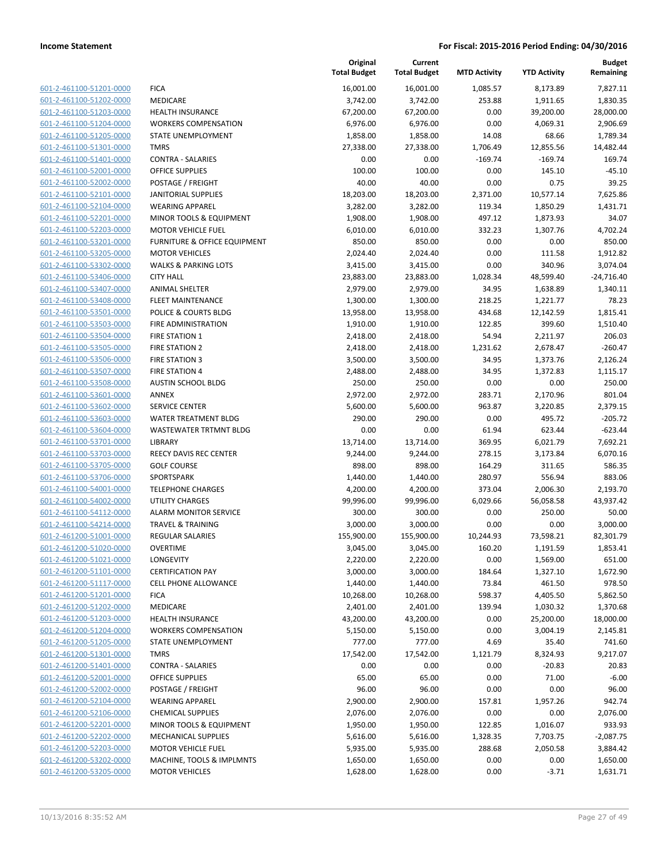| 601-2-461100-51201-0000 | F  |
|-------------------------|----|
| 601-2-461100-51202-0000 | N  |
| 601-2-461100-51203-0000 | Н  |
| 601-2-461100-51204-0000 | V  |
| 601-2-461100-51205-0000 | S. |
| 601-2-461100-51301-0000 | т  |
|                         | C  |
| 601-2-461100-51401-0000 |    |
| 601-2-461100-52001-0000 | O  |
| 601-2-461100-52002-0000 | P  |
| 601-2-461100-52101-0000 | J/ |
| 601-2-461100-52104-0000 | V  |
| 601-2-461100-52201-0000 | N  |
| 601-2-461100-52203-0000 | N  |
| 601-2-461100-53201-0000 | F  |
| 601-2-461100-53205-0000 | N  |
| 601-2-461100-53302-0000 | V  |
| 601-2-461100-53406-0000 | C  |
| 601-2-461100-53407-0000 | A  |
| 601-2-461100-53408-0000 | F  |
| 601-2-461100-53501-0000 | P  |
| 601-2-461100-53503-0000 | F  |
| 601-2-461100-53504-0000 | F  |
| 601-2-461100-53505-0000 | F  |
| 601-2-461100-53506-0000 | F  |
| 601-2-461100-53507-0000 | F  |
| 601-2-461100-53508-0000 | A  |
| 601-2-461100-53601-0000 | A  |
| 601-2-461100-53602-0000 | S  |
| 601-2-461100-53603-0000 | V  |
| 601-2-461100-53604-0000 | V  |
| 601-2-461100-53701-0000 | LI |
| 601-2-461100-53703-0000 | R  |
| 601-2-461100-53705-0000 | G  |
| 601-2-461100-53706-0000 | S  |
| 601-2-461100-54001-0000 | т  |
| 601-2-461100-54002-0000 | U  |
| 601-2-461100-54112-0000 | Α  |
| 601-2-461100-54214-0000 | т  |
| 601-2-461200-51001-0000 | R  |
| 601-2-461200-51020-0000 | O  |
| 601-2-461200-51021-0000 | L  |
| 601-2-461200-51101-0000 | C  |
| 601-2-461200-51117-0000 | С  |
| 601-2-461200-51201-0000 | F  |
| 601-2-461200-51202-0000 | N  |
| 601-2-461200-51203-0000 | н  |
| 601-2-461200-51204-0000 | N  |
| 601-2-461200-51205-0000 | S  |
| 601-2-461200-51301-0000 | т  |
| 601-2-461200-51401-0000 | С  |
| 601-2-461200-52001-0000 | O  |
| 601-2-461200-52002-0000 | Ρ  |
| 601-2-461200-52104-0000 | V  |
| 601-2-461200-52106-0000 | C  |
| 601-2-461200-52201-0000 | N  |
| 601-2-461200-52202-0000 | N  |
| 601-2-461200-52203-0000 | N  |
| 601-2-461200-53202-0000 | N  |
| 601-2-461200-53205-0000 | N  |
|                         |    |

|                         |                                 | Original<br><b>Total Budget</b> | Current<br><b>Total Budget</b> | <b>MTD Activity</b> | <b>YTD Activity</b> | <b>Budget</b><br>Remaining |
|-------------------------|---------------------------------|---------------------------------|--------------------------------|---------------------|---------------------|----------------------------|
| 601-2-461100-51201-0000 | <b>FICA</b>                     | 16,001.00                       | 16,001.00                      | 1,085.57            | 8,173.89            | 7,827.11                   |
| 601-2-461100-51202-0000 | <b>MEDICARE</b>                 | 3,742.00                        | 3,742.00                       | 253.88              | 1,911.65            | 1,830.35                   |
| 601-2-461100-51203-0000 | <b>HEALTH INSURANCE</b>         | 67,200.00                       | 67,200.00                      | 0.00                | 39,200.00           | 28,000.00                  |
| 601-2-461100-51204-0000 | <b>WORKERS COMPENSATION</b>     | 6,976.00                        | 6,976.00                       | 0.00                | 4,069.31            | 2,906.69                   |
| 601-2-461100-51205-0000 | STATE UNEMPLOYMENT              | 1,858.00                        | 1,858.00                       | 14.08               | 68.66               | 1,789.34                   |
| 601-2-461100-51301-0000 | <b>TMRS</b>                     | 27,338.00                       | 27,338.00                      | 1,706.49            | 12,855.56           | 14,482.44                  |
| 601-2-461100-51401-0000 | <b>CONTRA - SALARIES</b>        | 0.00                            | 0.00                           | $-169.74$           | $-169.74$           | 169.74                     |
| 601-2-461100-52001-0000 | <b>OFFICE SUPPLIES</b>          | 100.00                          | 100.00                         | 0.00                | 145.10              | $-45.10$                   |
| 601-2-461100-52002-0000 | POSTAGE / FREIGHT               | 40.00                           | 40.00                          | 0.00                | 0.75                | 39.25                      |
| 601-2-461100-52101-0000 | <b>JANITORIAL SUPPLIES</b>      | 18,203.00                       | 18,203.00                      | 2,371.00            | 10,577.14           | 7,625.86                   |
| 601-2-461100-52104-0000 | <b>WEARING APPAREL</b>          | 3,282.00                        | 3,282.00                       | 119.34              | 1,850.29            | 1,431.71                   |
| 601-2-461100-52201-0000 | MINOR TOOLS & EQUIPMENT         | 1,908.00                        | 1,908.00                       | 497.12              | 1,873.93            | 34.07                      |
| 601-2-461100-52203-0000 | <b>MOTOR VEHICLE FUEL</b>       | 6,010.00                        | 6,010.00                       | 332.23              | 1,307.76            | 4,702.24                   |
| 601-2-461100-53201-0000 | FURNITURE & OFFICE EQUIPMENT    | 850.00                          | 850.00                         | 0.00                | 0.00                | 850.00                     |
| 601-2-461100-53205-0000 | <b>MOTOR VEHICLES</b>           | 2,024.40                        | 2,024.40                       | 0.00                | 111.58              | 1,912.82                   |
| 601-2-461100-53302-0000 | <b>WALKS &amp; PARKING LOTS</b> | 3,415.00                        | 3,415.00                       | 0.00                | 340.96              | 3,074.04                   |
| 601-2-461100-53406-0000 | <b>CITY HALL</b>                | 23,883.00                       | 23,883.00                      | 1,028.34            | 48,599.40           | $-24,716.40$               |
| 601-2-461100-53407-0000 | ANIMAL SHELTER                  | 2,979.00                        | 2,979.00                       | 34.95               | 1,638.89            | 1,340.11                   |
| 601-2-461100-53408-0000 | <b>FLEET MAINTENANCE</b>        | 1,300.00                        | 1,300.00                       | 218.25              | 1,221.77            | 78.23                      |
| 601-2-461100-53501-0000 | POLICE & COURTS BLDG            | 13,958.00                       | 13,958.00                      | 434.68              | 12,142.59           | 1,815.41                   |
| 601-2-461100-53503-0000 | FIRE ADMINISTRATION             | 1,910.00                        | 1,910.00                       | 122.85              | 399.60              | 1,510.40                   |
| 601-2-461100-53504-0000 | FIRE STATION 1                  | 2,418.00                        | 2,418.00                       | 54.94               | 2,211.97            | 206.03                     |
| 601-2-461100-53505-0000 | <b>FIRE STATION 2</b>           | 2,418.00                        | 2,418.00                       | 1,231.62            | 2,678.47            | $-260.47$                  |
| 601-2-461100-53506-0000 | <b>FIRE STATION 3</b>           | 3,500.00                        | 3,500.00                       | 34.95               | 1,373.76            | 2,126.24                   |
| 601-2-461100-53507-0000 | <b>FIRE STATION 4</b>           | 2,488.00                        | 2,488.00                       | 34.95               | 1,372.83            | 1,115.17                   |
| 601-2-461100-53508-0000 | AUSTIN SCHOOL BLDG              | 250.00                          | 250.00                         | 0.00                | 0.00                | 250.00                     |
| 601-2-461100-53601-0000 | ANNEX                           | 2,972.00                        | 2,972.00                       | 283.71              | 2,170.96            | 801.04                     |
| 601-2-461100-53602-0000 | <b>SERVICE CENTER</b>           | 5,600.00                        | 5,600.00                       | 963.87              | 3,220.85            | 2,379.15                   |
| 601-2-461100-53603-0000 | WATER TREATMENT BLDG            | 290.00                          | 290.00                         | 0.00                | 495.72              | $-205.72$                  |
| 601-2-461100-53604-0000 | WASTEWATER TRTMNT BLDG          | 0.00                            | 0.00                           | 61.94               | 623.44              | $-623.44$                  |
| 601-2-461100-53701-0000 | LIBRARY                         | 13,714.00                       | 13,714.00                      | 369.95              | 6,021.79            | 7,692.21                   |
| 601-2-461100-53703-0000 | REECY DAVIS REC CENTER          | 9,244.00                        | 9,244.00                       | 278.15              | 3,173.84            | 6,070.16                   |
| 601-2-461100-53705-0000 | <b>GOLF COURSE</b>              | 898.00                          | 898.00                         | 164.29              | 311.65              | 586.35                     |
| 601-2-461100-53706-0000 | SPORTSPARK                      | 1,440.00                        | 1,440.00                       | 280.97              | 556.94              | 883.06                     |
| 601-2-461100-54001-0000 | <b>TELEPHONE CHARGES</b>        | 4,200.00                        | 4,200.00                       | 373.04              | 2,006.30            | 2,193.70                   |
| 601-2-461100-54002-0000 | <b>UTILITY CHARGES</b>          | 99,996.00                       | 99,996.00                      | 6,029.66            | 56,058.58           | 43,937.42                  |
| 601-2-461100-54112-0000 | <b>ALARM MONITOR SERVICE</b>    | 300.00                          | 300.00                         | 0.00                | 250.00              | 50.00                      |
| 601-2-461100-54214-0000 | <b>TRAVEL &amp; TRAINING</b>    | 3,000.00                        | 3,000.00                       | 0.00                | 0.00                | 3,000.00                   |
| 601-2-461200-51001-0000 | <b>REGULAR SALARIES</b>         | 155,900.00                      | 155,900.00                     | 10,244.93           | 73,598.21           | 82,301.79                  |
| 601-2-461200-51020-0000 | OVERTIME                        | 3,045.00                        | 3,045.00                       | 160.20              | 1,191.59            | 1,853.41                   |
| 601-2-461200-51021-0000 | LONGEVITY                       | 2,220.00                        | 2,220.00                       | 0.00                | 1,569.00            | 651.00                     |
| 601-2-461200-51101-0000 | <b>CERTIFICATION PAY</b>        | 3,000.00                        | 3,000.00                       | 184.64              | 1,327.10            | 1,672.90                   |
| 601-2-461200-51117-0000 | <b>CELL PHONE ALLOWANCE</b>     | 1,440.00                        | 1,440.00                       | 73.84               | 461.50              | 978.50                     |
| 601-2-461200-51201-0000 | <b>FICA</b>                     | 10,268.00                       | 10,268.00                      | 598.37              | 4,405.50            | 5,862.50                   |
| 601-2-461200-51202-0000 | MEDICARE                        | 2,401.00                        | 2,401.00                       | 139.94              | 1,030.32            | 1,370.68                   |
| 601-2-461200-51203-0000 | <b>HEALTH INSURANCE</b>         | 43,200.00                       | 43,200.00                      | 0.00                | 25,200.00           | 18,000.00                  |
| 601-2-461200-51204-0000 | <b>WORKERS COMPENSATION</b>     | 5,150.00                        | 5,150.00                       | 0.00                | 3,004.19            | 2,145.81                   |
| 601-2-461200-51205-0000 | STATE UNEMPLOYMENT              | 777.00                          | 777.00                         | 4.69                | 35.40               | 741.60                     |
| 601-2-461200-51301-0000 | <b>TMRS</b>                     | 17,542.00                       | 17,542.00                      | 1,121.79            | 8,324.93            | 9,217.07                   |
| 601-2-461200-51401-0000 | <b>CONTRA - SALARIES</b>        | 0.00                            | 0.00                           | 0.00                | $-20.83$            | 20.83                      |
| 601-2-461200-52001-0000 | OFFICE SUPPLIES                 | 65.00                           | 65.00                          | 0.00                | 71.00               | $-6.00$                    |
| 601-2-461200-52002-0000 | POSTAGE / FREIGHT               | 96.00                           | 96.00                          | 0.00                | 0.00                | 96.00                      |
| 601-2-461200-52104-0000 | <b>WEARING APPAREL</b>          | 2,900.00                        | 2,900.00                       | 157.81              | 1,957.26            | 942.74                     |
| 601-2-461200-52106-0000 | <b>CHEMICAL SUPPLIES</b>        | 2,076.00                        | 2,076.00                       | 0.00                | 0.00                | 2,076.00                   |
| 601-2-461200-52201-0000 | MINOR TOOLS & EQUIPMENT         | 1,950.00                        | 1,950.00                       | 122.85              | 1,016.07            | 933.93                     |
| 601-2-461200-52202-0000 | MECHANICAL SUPPLIES             | 5,616.00                        | 5,616.00                       | 1,328.35            | 7,703.75            | $-2,087.75$                |
| 601-2-461200-52203-0000 | <b>MOTOR VEHICLE FUEL</b>       | 5,935.00                        | 5,935.00                       | 288.68              | 2,050.58            | 3,884.42                   |
| 601-2-461200-53202-0000 | MACHINE, TOOLS & IMPLMNTS       | 1,650.00                        | 1,650.00                       | 0.00                | 0.00                | 1,650.00                   |
| 601-2-461200-53205-0000 | <b>MOTOR VEHICLES</b>           | 1,628.00                        | 1,628.00                       | 0.00                | $-3.71$             | 1,631.71                   |
|                         |                                 |                                 |                                |                     |                     |                            |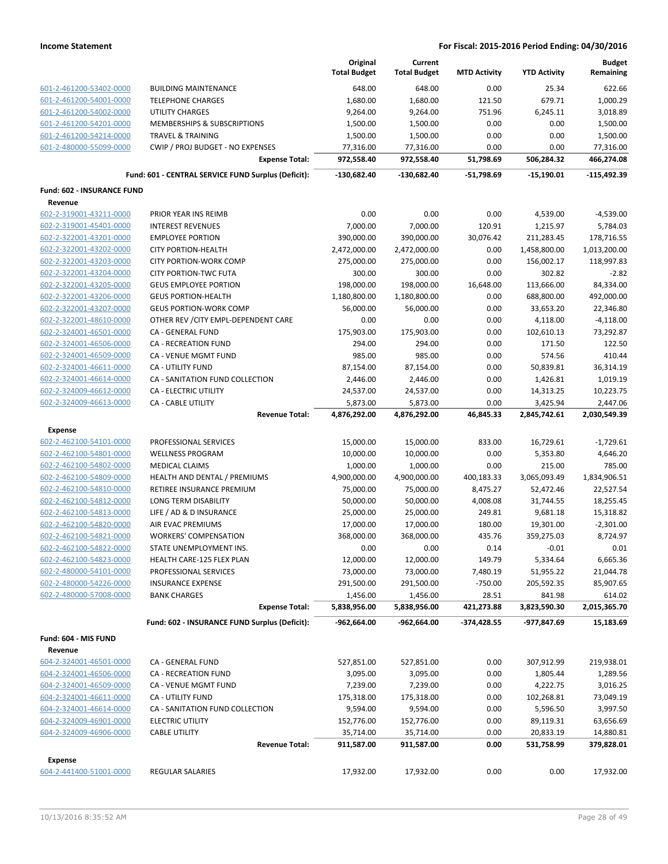|                                   |                                                     | Original<br><b>Total Budget</b> | Current<br><b>Total Budget</b> | <b>MTD Activity</b> | <b>YTD Activity</b>      | <b>Budget</b><br>Remaining |
|-----------------------------------|-----------------------------------------------------|---------------------------------|--------------------------------|---------------------|--------------------------|----------------------------|
| 601-2-461200-53402-0000           | <b>BUILDING MAINTENANCE</b>                         | 648.00                          | 648.00                         | 0.00                | 25.34                    | 622.66                     |
| 601-2-461200-54001-0000           | <b>TELEPHONE CHARGES</b>                            | 1,680.00                        | 1,680.00                       | 121.50              | 679.71                   | 1,000.29                   |
| 601-2-461200-54002-0000           | <b>UTILITY CHARGES</b>                              | 9,264.00                        | 9,264.00                       | 751.96              | 6,245.11                 | 3,018.89                   |
| 601-2-461200-54201-0000           | MEMBERSHIPS & SUBSCRIPTIONS                         | 1,500.00                        | 1,500.00                       | 0.00                | 0.00                     | 1,500.00                   |
| 601-2-461200-54214-0000           | <b>TRAVEL &amp; TRAINING</b>                        | 1,500.00                        | 1,500.00                       | 0.00                | 0.00                     | 1,500.00                   |
| 601-2-480000-55099-0000           | CWIP / PROJ BUDGET - NO EXPENSES                    | 77,316.00                       | 77,316.00                      | 0.00                | 0.00                     | 77,316.00                  |
|                                   | <b>Expense Total:</b>                               | 972,558.40                      | 972,558.40                     | 51,798.69           | 506,284.32               | 466,274.08                 |
|                                   | Fund: 601 - CENTRAL SERVICE FUND Surplus (Deficit): | $-130,682.40$                   | -130,682.40                    | -51,798.69          | $-15,190.01$             | $-115,492.39$              |
| <b>Fund: 602 - INSURANCE FUND</b> |                                                     |                                 |                                |                     |                          |                            |
| Revenue                           |                                                     |                                 |                                |                     |                          |                            |
| 602-2-319001-43211-0000           | PRIOR YEAR INS REIMB                                | 0.00                            | 0.00                           | 0.00                | 4,539.00                 | -4,539.00                  |
| 602-2-319001-45401-0000           | <b>INTEREST REVENUES</b>                            | 7,000.00                        | 7,000.00                       | 120.91              | 1,215.97                 | 5,784.03                   |
| 602-2-322001-43201-0000           | <b>EMPLOYEE PORTION</b>                             | 390,000.00                      | 390,000.00                     | 30,076.42           | 211,283.45               | 178,716.55                 |
| 602-2-322001-43202-0000           | <b>CITY PORTION-HEALTH</b>                          | 2,472,000.00                    | 2,472,000.00                   | 0.00                | 1,458,800.00             | 1,013,200.00               |
| 602-2-322001-43203-0000           | <b>CITY PORTION-WORK COMP</b>                       | 275,000.00                      | 275,000.00                     | 0.00<br>0.00        | 156,002.17               | 118,997.83                 |
| 602-2-322001-43204-0000           | <b>CITY PORTION-TWC FUTA</b>                        | 300.00                          | 300.00                         |                     | 302.82                   | $-2.82$                    |
| 602-2-322001-43205-0000           | <b>GEUS EMPLOYEE PORTION</b>                        | 198,000.00                      | 198,000.00                     | 16,648.00           | 113,666.00               | 84,334.00                  |
| 602-2-322001-43206-0000           | <b>GEUS PORTION-HEALTH</b>                          | 1,180,800.00                    | 1,180,800.00                   | 0.00                | 688,800.00               | 492,000.00                 |
| 602-2-322001-43207-0000           | <b>GEUS PORTION-WORK COMP</b>                       | 56,000.00                       | 56,000.00                      | 0.00                | 33,653.20                | 22,346.80                  |
| 602-2-322001-48610-0000           | OTHER REV / CITY EMPL-DEPENDENT CARE                | 0.00                            | 0.00                           | 0.00                | 4,118.00                 | $-4,118.00$                |
| 602-2-324001-46501-0000           | CA - GENERAL FUND                                   | 175,903.00                      | 175,903.00                     | 0.00                | 102,610.13               | 73,292.87                  |
| 602-2-324001-46506-0000           | <b>CA - RECREATION FUND</b>                         | 294.00                          | 294.00                         | 0.00                | 171.50                   | 122.50<br>410.44           |
| 602-2-324001-46509-0000           | CA - VENUE MGMT FUND                                | 985.00                          | 985.00                         | 0.00                | 574.56                   |                            |
| 602-2-324001-46611-0000           | <b>CA - UTILITY FUND</b>                            | 87,154.00                       | 87,154.00                      | 0.00                | 50,839.81                | 36,314.19                  |
| 602-2-324001-46614-0000           | CA - SANITATION FUND COLLECTION                     | 2,446.00                        | 2,446.00                       | 0.00                | 1,426.81                 | 1,019.19                   |
| 602-2-324009-46612-0000           | CA - ELECTRIC UTILITY                               | 24,537.00                       | 24,537.00                      | 0.00                | 14,313.25                | 10,223.75                  |
| 602-2-324009-46613-0000           | CA - CABLE UTILITY<br><b>Revenue Total:</b>         | 5,873.00<br>4,876,292.00        | 5,873.00<br>4,876,292.00       | 0.00<br>46,845.33   | 3,425.94<br>2,845,742.61 | 2,447.06<br>2,030,549.39   |
| Expense                           |                                                     |                                 |                                |                     |                          |                            |
| 602-2-462100-54101-0000           | PROFESSIONAL SERVICES                               | 15,000.00                       | 15,000.00                      | 833.00              | 16,729.61                | $-1,729.61$                |
| 602-2-462100-54801-0000           | <b>WELLNESS PROGRAM</b>                             | 10,000.00                       | 10,000.00                      | 0.00                | 5,353.80                 | 4,646.20                   |
| 602-2-462100-54802-0000           | <b>MEDICAL CLAIMS</b>                               | 1,000.00                        | 1,000.00                       | 0.00                | 215.00                   | 785.00                     |
| 602-2-462100-54809-0000           | HEALTH AND DENTAL / PREMIUMS                        | 4,900,000.00                    | 4,900,000.00                   | 400,183.33          | 3,065,093.49             | 1,834,906.51               |
| 602-2-462100-54810-0000           | RETIREE INSURANCE PREMIUM                           | 75,000.00                       | 75,000.00                      | 8,475.27            | 52,472.46                | 22,527.54                  |
| 602-2-462100-54812-0000           | <b>LONG TERM DISABILITY</b>                         | 50,000.00                       | 50,000.00                      | 4,008.08            | 31,744.55                | 18,255.45                  |
| 602-2-462100-54813-0000           | LIFE / AD & D INSURANCE                             | 25,000.00                       | 25,000.00                      | 249.81              | 9,681.18                 | 15,318.82                  |
| 602-2-462100-54820-0000           | AIR EVAC PREMIUMS                                   | 17,000.00                       | 17,000.00                      | 180.00              | 19,301.00                | $-2,301.00$                |
| 602-2-462100-54821-0000           | <b>WORKERS' COMPENSATION</b>                        | 368,000.00                      | 368,000.00                     | 435.76              | 359,275.03               | 8,724.97                   |
| 602-2-462100-54822-0000           | STATE UNEMPLOYMENT INS.                             | 0.00                            | 0.00                           | 0.14                | $-0.01$                  | 0.01                       |
| 602-2-462100-54823-0000           | HEALTH CARE-125 FLEX PLAN                           | 12,000.00                       | 12,000.00                      | 149.79              | 5,334.64                 | 6,665.36                   |
| 602-2-480000-54101-0000           | PROFESSIONAL SERVICES                               | 73,000.00                       | 73,000.00                      | 7,480.19            | 51,955.22                | 21,044.78                  |
| 602-2-480000-54226-0000           | <b>INSURANCE EXPENSE</b>                            | 291,500.00                      | 291,500.00                     | $-750.00$           | 205,592.35               | 85,907.65                  |
| 602-2-480000-57008-0000           | <b>BANK CHARGES</b>                                 | 1,456.00                        | 1,456.00                       | 28.51               | 841.98                   | 614.02                     |
|                                   | <b>Expense Total:</b>                               | 5,838,956.00                    | 5,838,956.00                   | 421,273.88          | 3,823,590.30             | 2,015,365.70               |
|                                   | Fund: 602 - INSURANCE FUND Surplus (Deficit):       | -962,664.00                     | -962,664.00                    | -374,428.55         | -977,847.69              | 15,183.69                  |
| Fund: 604 - MIS FUND              |                                                     |                                 |                                |                     |                          |                            |
| Revenue                           |                                                     |                                 |                                |                     |                          |                            |
| 604-2-324001-46501-0000           | CA - GENERAL FUND                                   | 527,851.00                      | 527,851.00                     | 0.00                | 307,912.99               | 219,938.01                 |
| 604-2-324001-46506-0000           | <b>CA - RECREATION FUND</b>                         | 3,095.00                        | 3,095.00                       | 0.00                | 1,805.44                 | 1,289.56                   |
| 604-2-324001-46509-0000           | CA - VENUE MGMT FUND                                | 7,239.00                        | 7,239.00                       | 0.00                | 4,222.75                 | 3,016.25                   |
| 604-2-324001-46611-0000           | <b>CA - UTILITY FUND</b>                            | 175,318.00                      | 175,318.00                     | 0.00                | 102,268.81               | 73,049.19                  |
| 604-2-324001-46614-0000           | CA - SANITATION FUND COLLECTION                     | 9,594.00                        | 9,594.00                       | 0.00                | 5,596.50                 | 3,997.50                   |
| 604-2-324009-46901-0000           | <b>ELECTRIC UTILITY</b>                             | 152,776.00                      | 152,776.00                     | 0.00                | 89,119.31                | 63,656.69                  |
| 604-2-324009-46906-0000           | <b>CABLE UTILITY</b>                                | 35,714.00                       | 35,714.00                      | 0.00                | 20,833.19                | 14,880.81                  |
|                                   | <b>Revenue Total:</b>                               | 911,587.00                      | 911,587.00                     | 0.00                | 531,758.99               | 379,828.01                 |
| <b>Expense</b>                    |                                                     |                                 |                                |                     |                          |                            |
| 604-2-441400-51001-0000           | REGULAR SALARIES                                    | 17,932.00                       | 17,932.00                      | 0.00                | 0.00                     | 17,932.00                  |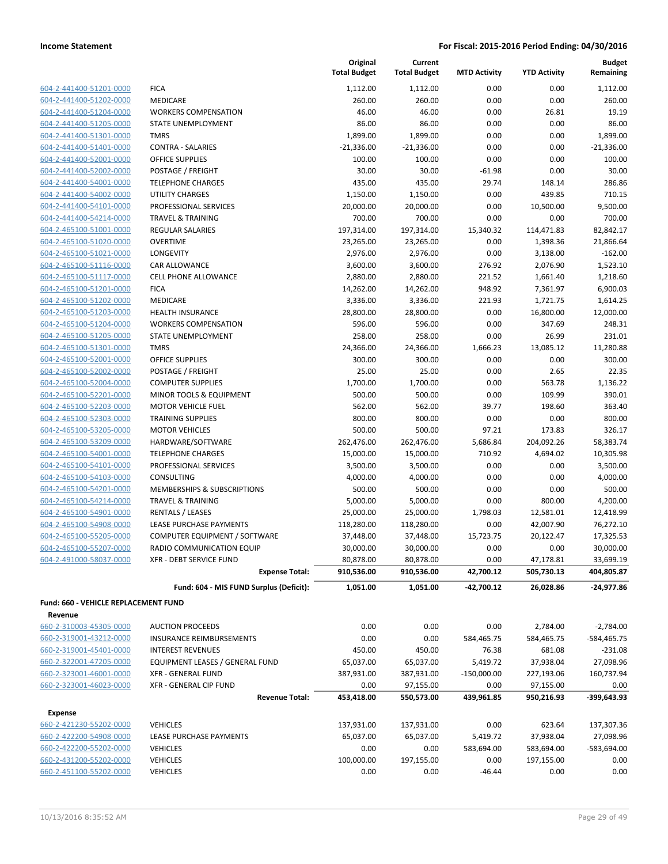|                                      |                                         | Original<br><b>Total Budget</b> | Current<br><b>Total Budget</b> | <b>MTD Activity</b> | <b>YTD Activity</b> | <b>Budget</b><br>Remaining |
|--------------------------------------|-----------------------------------------|---------------------------------|--------------------------------|---------------------|---------------------|----------------------------|
| 604-2-441400-51201-0000              | <b>FICA</b>                             | 1,112.00                        | 1,112.00                       | 0.00                | 0.00                | 1,112.00                   |
| 604-2-441400-51202-0000              | MEDICARE                                | 260.00                          | 260.00                         | 0.00                | 0.00                | 260.00                     |
| 604-2-441400-51204-0000              | <b>WORKERS COMPENSATION</b>             | 46.00                           | 46.00                          | 0.00                | 26.81               | 19.19                      |
| 604-2-441400-51205-0000              | <b>STATE UNEMPLOYMENT</b>               | 86.00                           | 86.00                          | 0.00                | 0.00                | 86.00                      |
| 604-2-441400-51301-0000              | <b>TMRS</b>                             | 1,899.00                        | 1,899.00                       | 0.00                | 0.00                | 1,899.00                   |
| 604-2-441400-51401-0000              | <b>CONTRA - SALARIES</b>                | $-21,336.00$                    | $-21,336.00$                   | 0.00                | 0.00                | $-21,336.00$               |
| 604-2-441400-52001-0000              | <b>OFFICE SUPPLIES</b>                  | 100.00                          | 100.00                         | 0.00                | 0.00                | 100.00                     |
| 604-2-441400-52002-0000              | POSTAGE / FREIGHT                       | 30.00                           | 30.00                          | $-61.98$            | 0.00                | 30.00                      |
| 604-2-441400-54001-0000              | <b>TELEPHONE CHARGES</b>                | 435.00                          | 435.00                         | 29.74               | 148.14              | 286.86                     |
| 604-2-441400-54002-0000              | <b>UTILITY CHARGES</b>                  | 1,150.00                        | 1,150.00                       | 0.00                | 439.85              | 710.15                     |
| 604-2-441400-54101-0000              | PROFESSIONAL SERVICES                   | 20,000.00                       | 20,000.00                      | 0.00                | 10,500.00           | 9,500.00                   |
| 604-2-441400-54214-0000              | <b>TRAVEL &amp; TRAINING</b>            | 700.00                          | 700.00                         | 0.00                | 0.00                | 700.00                     |
| 604-2-465100-51001-0000              | <b>REGULAR SALARIES</b>                 | 197,314.00                      | 197,314.00                     | 15,340.32           | 114,471.83          | 82,842.17                  |
| 604-2-465100-51020-0000              | <b>OVERTIME</b>                         | 23,265.00                       | 23,265.00                      | 0.00                | 1,398.36            | 21,866.64                  |
| 604-2-465100-51021-0000              | LONGEVITY                               | 2,976.00                        | 2,976.00                       | 0.00                | 3,138.00            | $-162.00$                  |
| 604-2-465100-51116-0000              | <b>CAR ALLOWANCE</b>                    | 3,600.00                        | 3,600.00                       | 276.92              | 2,076.90            | 1,523.10                   |
| 604-2-465100-51117-0000              | CELL PHONE ALLOWANCE                    | 2,880.00                        | 2,880.00                       | 221.52              | 1,661.40            | 1,218.60                   |
| 604-2-465100-51201-0000              | <b>FICA</b>                             | 14,262.00                       | 14,262.00                      | 948.92              | 7,361.97            | 6,900.03                   |
| 604-2-465100-51202-0000              | <b>MEDICARE</b>                         | 3,336.00                        | 3,336.00                       | 221.93              | 1,721.75            | 1,614.25                   |
| 604-2-465100-51203-0000              | <b>HEALTH INSURANCE</b>                 | 28,800.00                       | 28,800.00                      | 0.00                | 16,800.00           | 12,000.00                  |
| 604-2-465100-51204-0000              | <b>WORKERS COMPENSATION</b>             | 596.00                          | 596.00                         | 0.00                | 347.69              | 248.31                     |
| 604-2-465100-51205-0000              | STATE UNEMPLOYMENT                      | 258.00                          | 258.00                         | 0.00                | 26.99               | 231.01                     |
| 604-2-465100-51301-0000              | <b>TMRS</b>                             | 24,366.00                       | 24,366.00                      | 1,666.23            | 13,085.12           | 11,280.88                  |
| 604-2-465100-52001-0000              | <b>OFFICE SUPPLIES</b>                  | 300.00                          | 300.00                         | 0.00                | 0.00                | 300.00                     |
| 604-2-465100-52002-0000              | POSTAGE / FREIGHT                       | 25.00                           | 25.00                          | 0.00                | 2.65                | 22.35                      |
| 604-2-465100-52004-0000              | <b>COMPUTER SUPPLIES</b>                | 1,700.00                        | 1,700.00                       | 0.00                | 563.78              | 1,136.22                   |
| 604-2-465100-52201-0000              | MINOR TOOLS & EQUIPMENT                 | 500.00                          | 500.00                         | 0.00                | 109.99              | 390.01                     |
| 604-2-465100-52203-0000              | <b>MOTOR VEHICLE FUEL</b>               | 562.00                          | 562.00                         | 39.77               | 198.60              | 363.40                     |
| 604-2-465100-52303-0000              | <b>TRAINING SUPPLIES</b>                | 800.00                          | 800.00                         | 0.00                | 0.00                | 800.00                     |
| 604-2-465100-53205-0000              | <b>MOTOR VEHICLES</b>                   | 500.00                          | 500.00                         | 97.21               | 173.83              | 326.17                     |
| 604-2-465100-53209-0000              | HARDWARE/SOFTWARE                       | 262,476.00                      | 262,476.00                     | 5,686.84            | 204,092.26          | 58,383.74                  |
| 604-2-465100-54001-0000              | <b>TELEPHONE CHARGES</b>                | 15,000.00                       | 15,000.00                      | 710.92              | 4,694.02            | 10,305.98                  |
| 604-2-465100-54101-0000              | PROFESSIONAL SERVICES                   | 3,500.00                        | 3,500.00                       | 0.00                | 0.00                | 3,500.00                   |
| 604-2-465100-54103-0000              | CONSULTING                              | 4,000.00                        | 4,000.00                       | 0.00                | 0.00                | 4,000.00                   |
| 604-2-465100-54201-0000              | MEMBERSHIPS & SUBSCRIPTIONS             | 500.00                          | 500.00                         | 0.00                | 0.00                | 500.00                     |
| 604-2-465100-54214-0000              | <b>TRAVEL &amp; TRAINING</b>            | 5,000.00                        | 5,000.00                       | 0.00                | 800.00              | 4,200.00                   |
| 604-2-465100-54901-0000              | <b>RENTALS / LEASES</b>                 | 25,000.00                       | 25,000.00                      | 1,798.03            | 12,581.01           | 12,418.99                  |
| 604-2-465100-54908-0000              | LEASE PURCHASE PAYMENTS                 | 118,280.00                      | 118,280.00                     | 0.00                | 42,007.90           | 76,272.10                  |
| 604-2-465100-55205-0000              | COMPUTER EQUIPMENT / SOFTWARE           | 37,448.00                       | 37,448.00                      | 15,723.75           | 20,122.47           | 17,325.53                  |
| 604-2-465100-55207-0000              | RADIO COMMUNICATION EQUIP               | 30,000.00                       | 30,000.00                      | 0.00                | 0.00                | 30,000.00                  |
| 604-2-491000-58037-0000              | XFR - DEBT SERVICE FUND                 | 80,878.00                       | 80,878.00                      | 0.00                | 47,178.81           | 33,699.19                  |
|                                      | <b>Expense Total:</b>                   | 910,536.00                      | 910,536.00                     | 42,700.12           | 505,730.13          | 404,805.87                 |
|                                      | Fund: 604 - MIS FUND Surplus (Deficit): | 1,051.00                        | 1,051.00                       | -42,700.12          | 26,028.86           | $-24,977.86$               |
| Fund: 660 - VEHICLE REPLACEMENT FUND |                                         |                                 |                                |                     |                     |                            |
| Revenue                              |                                         |                                 |                                |                     |                     |                            |
| 660-2-310003-45305-0000              | <b>AUCTION PROCEEDS</b>                 | 0.00                            | 0.00                           | 0.00                | 2,784.00            | $-2,784.00$                |
| 660-2-319001-43212-0000              | INSURANCE REIMBURSEMENTS                | 0.00                            | 0.00                           | 584,465.75          | 584,465.75          | -584,465.75                |
| 660-2-319001-45401-0000              | <b>INTEREST REVENUES</b>                | 450.00                          | 450.00                         | 76.38               | 681.08              | $-231.08$                  |
| 660-2-322001-47205-0000              | EQUIPMENT LEASES / GENERAL FUND         | 65,037.00                       | 65,037.00                      | 5,419.72            | 37,938.04           | 27,098.96                  |
| 660-2-323001-46001-0000              | <b>XFR - GENERAL FUND</b>               | 387,931.00                      | 387,931.00                     | $-150,000.00$       | 227,193.06          | 160,737.94                 |
| 660-2-323001-46023-0000              | XFR - GENERAL CIP FUND                  | 0.00                            | 97,155.00                      | 0.00                | 97,155.00           | 0.00                       |
|                                      | <b>Revenue Total:</b>                   | 453,418.00                      | 550,573.00                     | 439,961.85          | 950,216.93          | -399,643.93                |
| <b>Expense</b>                       |                                         |                                 |                                |                     |                     |                            |
| 660-2-421230-55202-0000              | <b>VEHICLES</b>                         | 137,931.00                      | 137,931.00                     | 0.00                | 623.64              | 137,307.36                 |
| 660-2-422200-54908-0000              | LEASE PURCHASE PAYMENTS                 | 65,037.00                       | 65,037.00                      | 5,419.72            | 37,938.04           | 27,098.96                  |
| 660-2-422200-55202-0000              | <b>VEHICLES</b>                         | 0.00                            | 0.00                           | 583,694.00          | 583,694.00          | -583,694.00                |
| 660-2-431200-55202-0000              | <b>VEHICLES</b>                         | 100,000.00                      | 197,155.00                     | 0.00                | 197,155.00          | 0.00                       |
| 660-2-451100-55202-0000              | <b>VEHICLES</b>                         | 0.00                            | 0.00                           | $-46.44$            | 0.00                | 0.00                       |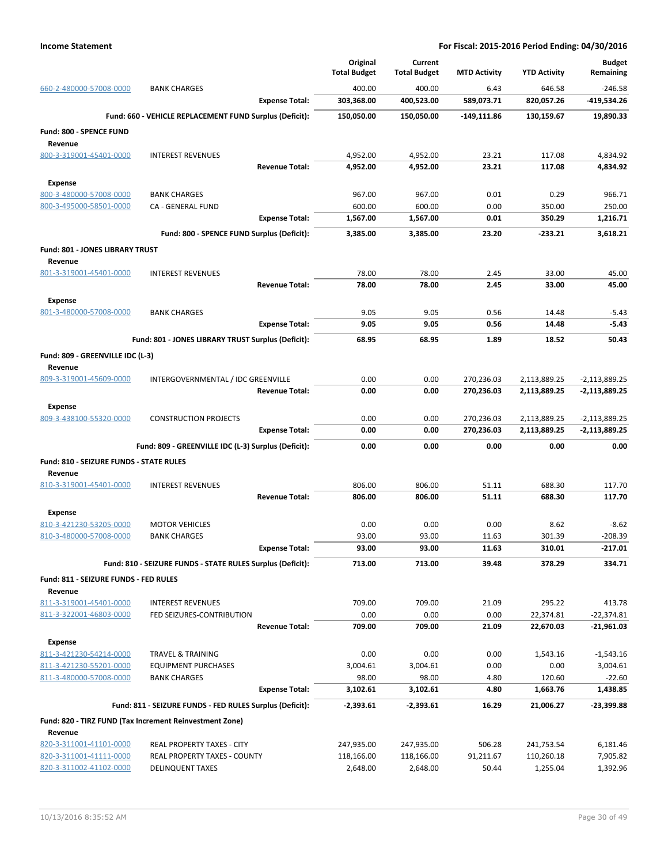|                                                    |                                                            |                       | Original<br><b>Total Budget</b> | Current<br><b>Total Budget</b> | <b>MTD Activity</b> | <b>YTD Activity</b> | <b>Budget</b><br>Remaining |
|----------------------------------------------------|------------------------------------------------------------|-----------------------|---------------------------------|--------------------------------|---------------------|---------------------|----------------------------|
| 660-2-480000-57008-0000                            | <b>BANK CHARGES</b>                                        |                       | 400.00                          | 400.00                         | 6.43                | 646.58              | $-246.58$                  |
|                                                    |                                                            | <b>Expense Total:</b> | 303,368.00                      | 400,523.00                     | 589,073.71          | 820,057.26          | -419,534.26                |
|                                                    | Fund: 660 - VEHICLE REPLACEMENT FUND Surplus (Deficit):    |                       | 150,050.00                      | 150,050.00                     | $-149, 111.86$      | 130,159.67          | 19,890.33                  |
| Fund: 800 - SPENCE FUND                            |                                                            |                       |                                 |                                |                     |                     |                            |
| Revenue                                            |                                                            |                       |                                 |                                |                     |                     |                            |
| 800-3-319001-45401-0000                            | <b>INTEREST REVENUES</b>                                   |                       | 4,952.00                        | 4,952.00                       | 23.21               | 117.08              | 4,834.92                   |
|                                                    |                                                            | <b>Revenue Total:</b> | 4,952.00                        | 4,952.00                       | 23.21               | 117.08              | 4,834.92                   |
| <b>Expense</b>                                     |                                                            |                       |                                 |                                |                     |                     |                            |
| 800-3-480000-57008-0000                            | <b>BANK CHARGES</b>                                        |                       | 967.00                          | 967.00                         | 0.01                | 0.29                | 966.71                     |
| 800-3-495000-58501-0000                            | CA - GENERAL FUND                                          |                       | 600.00                          | 600.00                         | 0.00<br>0.01        | 350.00<br>350.29    | 250.00<br>1,216.71         |
|                                                    |                                                            | <b>Expense Total:</b> | 1,567.00                        | 1,567.00                       |                     |                     |                            |
|                                                    | Fund: 800 - SPENCE FUND Surplus (Deficit):                 |                       | 3,385.00                        | 3,385.00                       | 23.20               | -233.21             | 3,618.21                   |
| Fund: 801 - JONES LIBRARY TRUST                    |                                                            |                       |                                 |                                |                     |                     |                            |
| Revenue<br>801-3-319001-45401-0000                 | <b>INTEREST REVENUES</b>                                   |                       | 78.00                           | 78.00                          | 2.45                | 33.00               | 45.00                      |
|                                                    |                                                            | <b>Revenue Total:</b> | 78.00                           | 78.00                          | 2.45                | 33.00               | 45.00                      |
|                                                    |                                                            |                       |                                 |                                |                     |                     |                            |
| <b>Expense</b><br>801-3-480000-57008-0000          | <b>BANK CHARGES</b>                                        |                       | 9.05                            | 9.05                           | 0.56                | 14.48               | $-5.43$                    |
|                                                    |                                                            | <b>Expense Total:</b> | 9.05                            | 9.05                           | 0.56                | 14.48               | $-5.43$                    |
|                                                    | Fund: 801 - JONES LIBRARY TRUST Surplus (Deficit):         |                       | 68.95                           | 68.95                          | 1.89                | 18.52               | 50.43                      |
|                                                    |                                                            |                       |                                 |                                |                     |                     |                            |
| Fund: 809 - GREENVILLE IDC (L-3)<br>Revenue        |                                                            |                       |                                 |                                |                     |                     |                            |
| 809-3-319001-45609-0000                            | INTERGOVERNMENTAL / IDC GREENVILLE                         |                       | 0.00                            | 0.00                           | 270,236.03          | 2,113,889.25        | $-2,113,889.25$            |
|                                                    |                                                            | <b>Revenue Total:</b> | 0.00                            | 0.00                           | 270,236.03          | 2,113,889.25        | $-2,113,889.25$            |
| <b>Expense</b>                                     |                                                            |                       |                                 |                                |                     |                     |                            |
| 809-3-438100-55320-0000                            | <b>CONSTRUCTION PROJECTS</b>                               |                       | 0.00                            | 0.00                           | 270,236.03          | 2,113,889.25        | $-2,113,889.25$            |
|                                                    |                                                            | <b>Expense Total:</b> | 0.00                            | 0.00                           | 270,236.03          | 2,113,889.25        | $-2,113,889.25$            |
|                                                    | Fund: 809 - GREENVILLE IDC (L-3) Surplus (Deficit):        |                       | 0.00                            | 0.00                           | 0.00                | 0.00                | 0.00                       |
| Fund: 810 - SEIZURE FUNDS - STATE RULES            |                                                            |                       |                                 |                                |                     |                     |                            |
| Revenue                                            |                                                            |                       |                                 |                                |                     |                     |                            |
| 810-3-319001-45401-0000                            | <b>INTEREST REVENUES</b>                                   |                       | 806.00                          | 806.00                         | 51.11               | 688.30              | 117.70                     |
|                                                    |                                                            | <b>Revenue Total:</b> | 806.00                          | 806.00                         | 51.11               | 688.30              | 117.70                     |
| Expense                                            |                                                            |                       |                                 |                                |                     |                     |                            |
| 810-3-421230-53205-0000                            | <b>MOTOR VEHICLES</b>                                      |                       | 0.00                            | 0.00                           | 0.00                | 8.62                | $-8.62$                    |
| 810-3-480000-57008-0000                            | <b>BANK CHARGES</b>                                        |                       | 93.00                           | 93.00                          | 11.63               | 301.39              | $-208.39$                  |
|                                                    |                                                            | <b>Expense Total:</b> | 93.00                           | 93.00                          | 11.63               | 310.01              | $-217.01$                  |
|                                                    | Fund: 810 - SEIZURE FUNDS - STATE RULES Surplus (Deficit): |                       | 713.00                          | 713.00                         | 39.48               | 378.29              | 334.71                     |
| Fund: 811 - SEIZURE FUNDS - FED RULES              |                                                            |                       |                                 |                                |                     |                     |                            |
| Revenue                                            |                                                            |                       |                                 |                                |                     |                     |                            |
| 811-3-319001-45401-0000<br>811-3-322001-46803-0000 | <b>INTEREST REVENUES</b><br>FED SEIZURES-CONTRIBUTION      |                       | 709.00<br>0.00                  | 709.00<br>0.00                 | 21.09<br>0.00       | 295.22<br>22,374.81 | 413.78<br>$-22,374.81$     |
|                                                    |                                                            | <b>Revenue Total:</b> | 709.00                          | 709.00                         | 21.09               | 22,670.03           | $-21,961.03$               |
| <b>Expense</b>                                     |                                                            |                       |                                 |                                |                     |                     |                            |
| 811-3-421230-54214-0000                            | <b>TRAVEL &amp; TRAINING</b>                               |                       | 0.00                            | 0.00                           | 0.00                | 1,543.16            | $-1,543.16$                |
| 811-3-421230-55201-0000                            | <b>EQUIPMENT PURCHASES</b>                                 |                       | 3,004.61                        | 3,004.61                       | 0.00                | 0.00                | 3,004.61                   |
| 811-3-480000-57008-0000                            | <b>BANK CHARGES</b>                                        |                       | 98.00                           | 98.00                          | 4.80                | 120.60              | $-22.60$                   |
|                                                    |                                                            | <b>Expense Total:</b> | 3,102.61                        | 3,102.61                       | 4.80                | 1,663.76            | 1,438.85                   |
|                                                    | Fund: 811 - SEIZURE FUNDS - FED RULES Surplus (Deficit):   |                       | $-2,393.61$                     | -2,393.61                      | 16.29               | 21,006.27           | -23,399.88                 |
|                                                    | Fund: 820 - TIRZ FUND (Tax Increment Reinvestment Zone)    |                       |                                 |                                |                     |                     |                            |
| Revenue                                            |                                                            |                       |                                 |                                |                     |                     |                            |
| 820-3-311001-41101-0000                            | REAL PROPERTY TAXES - CITY                                 |                       | 247,935.00                      | 247,935.00                     | 506.28              | 241,753.54          | 6,181.46                   |
| 820-3-311001-41111-0000                            | REAL PROPERTY TAXES - COUNTY                               |                       | 118,166.00                      | 118,166.00                     | 91,211.67           | 110,260.18          | 7,905.82                   |
| 820-3-311002-41102-0000                            | <b>DELINQUENT TAXES</b>                                    |                       | 2,648.00                        | 2,648.00                       | 50.44               | 1,255.04            | 1,392.96                   |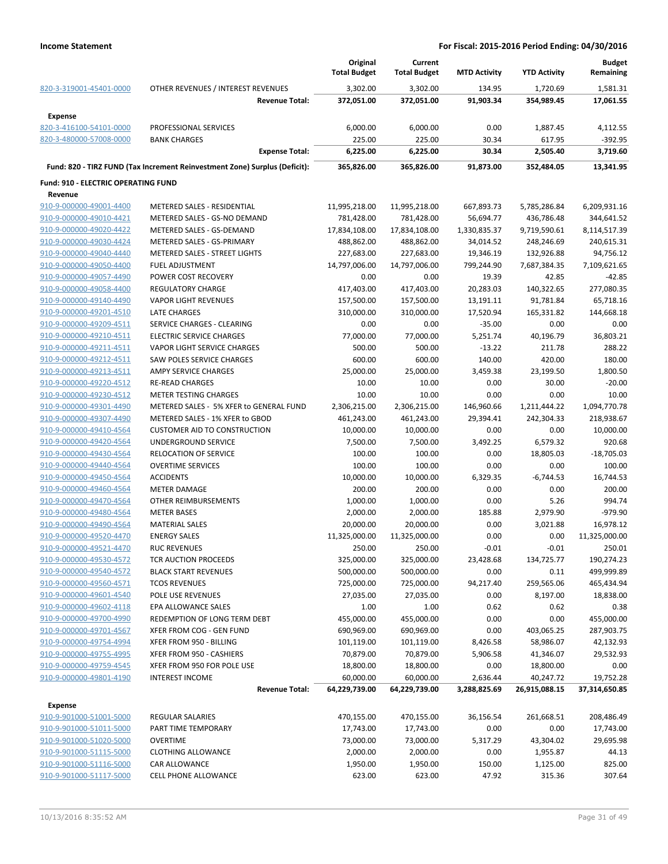|                                            |                                                                            | Original<br><b>Total Budget</b> | Current<br><b>Total Budget</b> | <b>MTD Activity</b> | <b>YTD Activity</b> | <b>Budget</b><br>Remaining |
|--------------------------------------------|----------------------------------------------------------------------------|---------------------------------|--------------------------------|---------------------|---------------------|----------------------------|
| 820-3-319001-45401-0000                    | OTHER REVENUES / INTEREST REVENUES                                         | 3,302.00                        | 3,302.00                       | 134.95              | 1,720.69            | 1,581.31                   |
|                                            | <b>Revenue Total:</b>                                                      | 372,051.00                      | 372,051.00                     | 91,903.34           | 354,989.45          | 17,061.55                  |
| <b>Expense</b>                             |                                                                            |                                 |                                |                     |                     |                            |
| 820-3-416100-54101-0000                    | PROFESSIONAL SERVICES                                                      | 6,000.00                        | 6,000.00                       | 0.00                | 1,887.45            | 4,112.55                   |
| 820-3-480000-57008-0000                    | <b>BANK CHARGES</b>                                                        | 225.00                          | 225.00                         | 30.34               | 617.95              | $-392.95$                  |
|                                            | <b>Expense Total:</b>                                                      | 6,225.00                        | 6,225.00                       | 30.34               | 2,505.40            | 3,719.60                   |
|                                            | Fund: 820 - TIRZ FUND (Tax Increment Reinvestment Zone) Surplus (Deficit): | 365,826.00                      | 365,826.00                     | 91,873.00           | 352,484.05          | 13,341.95                  |
| <b>Fund: 910 - ELECTRIC OPERATING FUND</b> |                                                                            |                                 |                                |                     |                     |                            |
| Revenue                                    |                                                                            |                                 |                                |                     |                     |                            |
| 910-9-000000-49001-4400                    | <b>METERED SALES - RESIDENTIAL</b>                                         | 11,995,218.00                   | 11,995,218.00                  | 667,893.73          | 5,785,286.84        | 6,209,931.16               |
| 910-9-000000-49010-4421                    | METERED SALES - GS-NO DEMAND                                               | 781,428.00                      | 781,428.00                     | 56,694.77           | 436,786.48          | 344,641.52                 |
| 910-9-000000-49020-4422                    | METERED SALES - GS-DEMAND                                                  | 17,834,108.00                   | 17,834,108.00                  | 1,330,835.37        | 9,719,590.61        | 8,114,517.39               |
| 910-9-000000-49030-4424                    | METERED SALES - GS-PRIMARY                                                 | 488,862.00                      | 488,862.00                     | 34,014.52           | 248,246.69          | 240,615.31                 |
| 910-9-000000-49040-4440                    | METERED SALES - STREET LIGHTS                                              | 227,683.00                      | 227,683.00                     | 19,346.19           | 132,926.88          | 94,756.12                  |
| 910-9-000000-49050-4400                    | <b>FUEL ADJUSTMENT</b>                                                     | 14,797,006.00                   | 14,797,006.00                  | 799,244.90          | 7,687,384.35        | 7,109,621.65               |
| 910-9-000000-49057-4490                    | POWER COST RECOVERY                                                        | 0.00                            | 0.00                           | 19.39               | 42.85               | $-42.85$                   |
| 910-9-000000-49058-4400                    | <b>REGULATORY CHARGE</b>                                                   | 417,403.00                      | 417,403.00                     | 20,283.03           | 140,322.65          | 277,080.35                 |
| 910-9-000000-49140-4490                    | <b>VAPOR LIGHT REVENUES</b>                                                | 157,500.00                      | 157,500.00                     | 13,191.11           | 91,781.84           | 65,718.16                  |
| 910-9-000000-49201-4510                    | LATE CHARGES                                                               | 310,000.00                      | 310,000.00                     | 17,520.94           | 165,331.82          | 144,668.18                 |
| 910-9-000000-49209-4511                    | SERVICE CHARGES - CLEARING                                                 | 0.00                            | 0.00                           | $-35.00$            | 0.00                | 0.00                       |
| 910-9-000000-49210-4511                    | <b>ELECTRIC SERVICE CHARGES</b>                                            | 77,000.00                       | 77,000.00                      | 5,251.74            | 40,196.79           | 36,803.21                  |
| 910-9-000000-49211-4511                    | VAPOR LIGHT SERVICE CHARGES                                                | 500.00                          | 500.00                         | $-13.22$            | 211.78              | 288.22                     |
| 910-9-000000-49212-4511                    | <b>SAW POLES SERVICE CHARGES</b>                                           | 600.00                          | 600.00                         | 140.00              | 420.00              | 180.00                     |
| 910-9-000000-49213-4511                    | AMPY SERVICE CHARGES                                                       | 25,000.00                       | 25,000.00                      | 3,459.38            | 23,199.50           | 1,800.50                   |
| 910-9-000000-49220-4512                    | <b>RE-READ CHARGES</b>                                                     | 10.00                           | 10.00                          | 0.00                | 30.00               | $-20.00$                   |
| 910-9-000000-49230-4512                    | <b>METER TESTING CHARGES</b>                                               | 10.00                           | 10.00                          | 0.00                | 0.00                | 10.00                      |
| 910-9-000000-49301-4490                    | METERED SALES - 5% XFER to GENERAL FUND                                    | 2,306,215.00                    | 2,306,215.00                   | 146,960.66          | 1,211,444.22        | 1,094,770.78               |
| 910-9-000000-49307-4490                    | METERED SALES - 1% XFER to GBOD                                            | 461,243.00                      | 461,243.00                     | 29,394.41           | 242,304.33          | 218,938.67                 |
| 910-9-000000-49410-4564                    | <b>CUSTOMER AID TO CONSTRUCTION</b>                                        | 10,000.00                       | 10,000.00                      | 0.00                | 0.00                | 10,000.00                  |
| 910-9-000000-49420-4564                    | UNDERGROUND SERVICE                                                        | 7,500.00                        | 7,500.00                       | 3,492.25            | 6,579.32            | 920.68                     |
| 910-9-000000-49430-4564                    | <b>RELOCATION OF SERVICE</b>                                               | 100.00                          | 100.00                         | 0.00                | 18,805.03           | $-18,705.03$               |
| 910-9-000000-49440-4564                    | <b>OVERTIME SERVICES</b>                                                   | 100.00                          | 100.00                         | 0.00                | 0.00                | 100.00                     |
| 910-9-000000-49450-4564                    | <b>ACCIDENTS</b>                                                           | 10,000.00                       | 10,000.00                      | 6,329.35            | $-6,744.53$         | 16,744.53                  |
| 910-9-000000-49460-4564                    | <b>METER DAMAGE</b>                                                        | 200.00                          | 200.00                         | 0.00                | 0.00                | 200.00                     |
| 910-9-000000-49470-4564                    | OTHER REIMBURSEMENTS                                                       | 1,000.00                        | 1,000.00                       | 0.00                | 5.26                | 994.74                     |
| 910-9-000000-49480-4564                    | <b>METER BASES</b>                                                         | 2,000.00                        | 2,000.00                       | 185.88              | 2,979.90            | $-979.90$                  |
|                                            | <b>MATERIAL SALES</b>                                                      | 20,000.00                       |                                |                     |                     |                            |
| 910-9-000000-49490-4564                    |                                                                            |                                 | 20,000.00                      | 0.00                | 3,021.88            | 16,978.12                  |
| 910-9-000000-49520-4470                    | <b>ENERGY SALES</b>                                                        | 11,325,000.00                   | 11,325,000.00                  | 0.00                | 0.00                | 11,325,000.00              |
| 910-9-000000-49521-4470                    | <b>RUC REVENUES</b>                                                        | 250.00                          | 250.00                         | $-0.01$             | $-0.01$             | 250.01                     |
| 910-9-000000-49530-4572                    | TCR AUCTION PROCEEDS                                                       | 325,000.00                      | 325,000.00                     | 23,428.68           | 134,725.77          | 190,274.23                 |
| 910-9-000000-49540-4572                    | <b>BLACK START REVENUES</b>                                                | 500,000.00                      | 500,000.00                     | 0.00                | 0.11                | 499,999.89                 |
| 910-9-000000-49560-4571                    | <b>TCOS REVENUES</b>                                                       | 725,000.00                      | 725,000.00                     | 94,217.40           | 259,565.06          | 465,434.94                 |
| 910-9-000000-49601-4540                    | POLE USE REVENUES                                                          | 27,035.00                       | 27,035.00                      | 0.00                | 8,197.00            | 18,838.00                  |
| 910-9-000000-49602-4118                    | EPA ALLOWANCE SALES                                                        | 1.00                            | 1.00                           | 0.62                | 0.62                | 0.38                       |
| 910-9-000000-49700-4990                    | REDEMPTION OF LONG TERM DEBT                                               | 455,000.00                      | 455,000.00                     | 0.00                | 0.00                | 455,000.00                 |
| 910-9-000000-49701-4567                    | XFER FROM COG - GEN FUND                                                   | 690,969.00                      | 690,969.00                     | 0.00                | 403,065.25          | 287,903.75                 |
| 910-9-000000-49754-4994                    | XFER FROM 950 - BILLING                                                    | 101,119.00                      | 101,119.00                     | 8,426.58            | 58,986.07           | 42,132.93                  |
| 910-9-000000-49755-4995                    | XFER FROM 950 - CASHIERS                                                   | 70,879.00                       | 70,879.00                      | 5,906.58            | 41,346.07           | 29,532.93                  |
| 910-9-000000-49759-4545                    | XFER FROM 950 FOR POLE USE                                                 | 18,800.00                       | 18,800.00                      | 0.00                | 18,800.00           | 0.00                       |
| 910-9-000000-49801-4190                    | <b>INTEREST INCOME</b>                                                     | 60,000.00                       | 60,000.00                      | 2,636.44            | 40,247.72           | 19,752.28                  |
|                                            | <b>Revenue Total:</b>                                                      | 64,229,739.00                   | 64,229,739.00                  | 3,288,825.69        | 26,915,088.15       | 37,314,650.85              |
| <b>Expense</b>                             |                                                                            |                                 |                                |                     |                     |                            |
| 910-9-901000-51001-5000                    | <b>REGULAR SALARIES</b>                                                    | 470,155.00                      | 470,155.00                     | 36,156.54           | 261,668.51          | 208,486.49                 |
| 910-9-901000-51011-5000                    | PART TIME TEMPORARY                                                        | 17,743.00                       | 17,743.00                      | 0.00                | 0.00                | 17,743.00                  |
| 910-9-901000-51020-5000                    | <b>OVERTIME</b>                                                            | 73,000.00                       | 73,000.00                      | 5,317.29            | 43,304.02           | 29,695.98                  |
| 910-9-901000-51115-5000                    | <b>CLOTHING ALLOWANCE</b>                                                  | 2,000.00                        | 2,000.00                       | 0.00                | 1,955.87            | 44.13                      |
| 910-9-901000-51116-5000                    | CAR ALLOWANCE                                                              | 1,950.00                        | 1,950.00                       | 150.00              | 1,125.00            | 825.00                     |
| 910-9-901000-51117-5000                    | CELL PHONE ALLOWANCE                                                       | 623.00                          | 623.00                         | 47.92               | 315.36              | 307.64                     |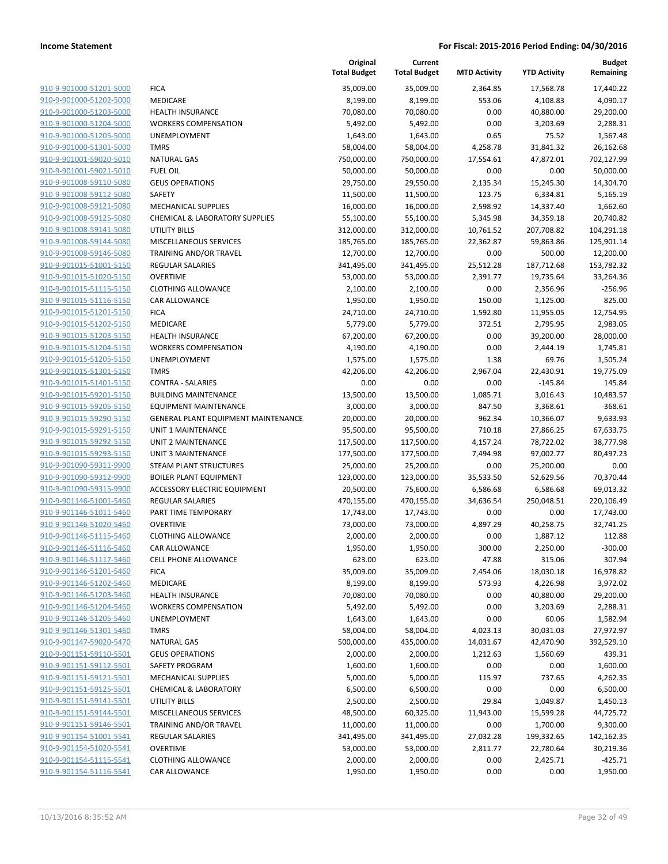|                                                    |                                            | Original<br><b>Total Budget</b> | Current<br><b>Total Budget</b> | <b>MTD Activity</b>   | <b>YTD Activity</b>     | <b>Budget</b><br>Remaining |
|----------------------------------------------------|--------------------------------------------|---------------------------------|--------------------------------|-----------------------|-------------------------|----------------------------|
| 910-9-901000-51201-5000                            | <b>FICA</b>                                | 35,009.00                       | 35,009.00                      | 2,364.85              | 17,568.78               | 17,440.22                  |
| 910-9-901000-51202-5000                            | MEDICARE                                   | 8,199.00                        | 8,199.00                       | 553.06                | 4,108.83                | 4,090.17                   |
| 910-9-901000-51203-5000                            | <b>HEALTH INSURANCE</b>                    | 70,080.00                       | 70,080.00                      | 0.00                  | 40,880.00               | 29,200.00                  |
| 910-9-901000-51204-5000                            | <b>WORKERS COMPENSATION</b>                | 5,492.00                        | 5,492.00                       | 0.00                  | 3,203.69                | 2,288.31                   |
| 910-9-901000-51205-5000                            | UNEMPLOYMENT                               | 1,643.00                        | 1,643.00                       | 0.65                  | 75.52                   | 1,567.48                   |
| 910-9-901000-51301-5000                            | <b>TMRS</b>                                | 58,004.00                       | 58,004.00                      | 4,258.78              | 31,841.32               | 26,162.68                  |
| 910-9-901001-59020-5010                            | <b>NATURAL GAS</b>                         | 750,000.00                      | 750,000.00                     | 17,554.61             | 47,872.01               | 702,127.99                 |
| 910-9-901001-59021-5010                            | <b>FUEL OIL</b>                            | 50,000.00                       | 50,000.00                      | 0.00                  | 0.00                    | 50,000.00                  |
| 910-9-901008-59110-5080                            | <b>GEUS OPERATIONS</b>                     | 29,750.00                       | 29,550.00                      | 2,135.34              | 15,245.30               | 14,304.70                  |
| 910-9-901008-59112-5080                            | <b>SAFETY</b>                              | 11,500.00                       | 11,500.00                      | 123.75                | 6,334.81                | 5,165.19                   |
| 910-9-901008-59121-5080                            | MECHANICAL SUPPLIES                        | 16,000.00                       | 16,000.00                      | 2,598.92              | 14,337.40               | 1,662.60                   |
| 910-9-901008-59125-5080                            | <b>CHEMICAL &amp; LABORATORY SUPPLIES</b>  | 55,100.00                       | 55,100.00                      | 5,345.98              | 34,359.18               | 20,740.82                  |
| 910-9-901008-59141-5080                            | <b>UTILITY BILLS</b>                       | 312,000.00                      | 312,000.00                     | 10,761.52             | 207,708.82              | 104,291.18                 |
| 910-9-901008-59144-5080                            | MISCELLANEOUS SERVICES                     | 185,765.00                      | 185,765.00                     | 22,362.87             | 59,863.86               | 125,901.14                 |
| 910-9-901008-59146-5080                            | TRAINING AND/OR TRAVEL                     | 12,700.00                       | 12,700.00                      | 0.00                  | 500.00                  | 12,200.00                  |
| 910-9-901015-51001-5150<br>910-9-901015-51020-5150 | <b>REGULAR SALARIES</b><br><b>OVERTIME</b> | 341,495.00<br>53,000.00         | 341,495.00<br>53,000.00        | 25,512.28<br>2,391.77 | 187,712.68<br>19,735.64 | 153,782.32<br>33,264.36    |
| 910-9-901015-51115-5150                            | <b>CLOTHING ALLOWANCE</b>                  | 2,100.00                        | 2,100.00                       | 0.00                  | 2,356.96                | $-256.96$                  |
| 910-9-901015-51116-5150                            | <b>CAR ALLOWANCE</b>                       | 1,950.00                        | 1,950.00                       | 150.00                | 1,125.00                | 825.00                     |
| 910-9-901015-51201-5150                            | <b>FICA</b>                                | 24,710.00                       | 24,710.00                      | 1,592.80              | 11,955.05               | 12,754.95                  |
| 910-9-901015-51202-5150                            | MEDICARE                                   | 5,779.00                        | 5,779.00                       | 372.51                | 2,795.95                | 2,983.05                   |
| 910-9-901015-51203-5150                            | <b>HEALTH INSURANCE</b>                    | 67,200.00                       | 67,200.00                      | 0.00                  | 39,200.00               | 28,000.00                  |
| 910-9-901015-51204-5150                            | <b>WORKERS COMPENSATION</b>                | 4,190.00                        | 4,190.00                       | 0.00                  | 2,444.19                | 1,745.81                   |
| 910-9-901015-51205-5150                            | UNEMPLOYMENT                               | 1,575.00                        | 1,575.00                       | 1.38                  | 69.76                   | 1,505.24                   |
| 910-9-901015-51301-5150                            | <b>TMRS</b>                                | 42,206.00                       | 42,206.00                      | 2,967.04              | 22,430.91               | 19,775.09                  |
| 910-9-901015-51401-5150                            | <b>CONTRA - SALARIES</b>                   | 0.00                            | 0.00                           | 0.00                  | $-145.84$               | 145.84                     |
| 910-9-901015-59201-5150                            | <b>BUILDING MAINTENANCE</b>                | 13,500.00                       | 13,500.00                      | 1,085.71              | 3,016.43                | 10,483.57                  |
| 910-9-901015-59205-5150                            | <b>EQUIPMENT MAINTENANCE</b>               | 3,000.00                        | 3,000.00                       | 847.50                | 3,368.61                | $-368.61$                  |
| 910-9-901015-59290-5150                            | <b>GENERAL PLANT EQUIPMENT MAINTENANCE</b> | 20,000.00                       | 20,000.00                      | 962.34                | 10,366.07               | 9,633.93                   |
| 910-9-901015-59291-5150                            | <b>UNIT 1 MAINTENANCE</b>                  | 95,500.00                       | 95,500.00                      | 710.18                | 27,866.25               | 67,633.75                  |
| 910-9-901015-59292-5150                            | UNIT 2 MAINTENANCE                         | 117,500.00                      | 117,500.00                     | 4,157.24              | 78,722.02               | 38,777.98                  |
| 910-9-901015-59293-5150                            | <b>UNIT 3 MAINTENANCE</b>                  | 177,500.00                      | 177,500.00                     | 7,494.98              | 97,002.77               | 80,497.23                  |
| 910-9-901090-59311-9900                            | <b>STEAM PLANT STRUCTURES</b>              | 25,000.00                       | 25,200.00                      | 0.00                  | 25,200.00               | 0.00                       |
| 910-9-901090-59312-9900                            | <b>BOILER PLANT EQUIPMENT</b>              | 123,000.00                      | 123,000.00                     | 35,533.50             | 52,629.56               | 70,370.44                  |
| 910-9-901090-59315-9900                            | ACCESSORY ELECTRIC EQUIPMENT               | 20,500.00                       | 75,600.00                      | 6,586.68              | 6,586.68                | 69,013.32                  |
| 910-9-901146-51001-5460                            | <b>REGULAR SALARIES</b>                    | 470,155.00                      | 470,155.00                     | 34,636.54             | 250,048.51              | 220,106.49                 |
| 910-9-901146-51011-5460                            | PART TIME TEMPORARY                        | 17,743.00                       | 17,743.00                      | 0.00                  | 0.00                    | 17,743.00                  |
| 910-9-901146-51020-5460                            | <b>OVERTIME</b>                            | 73,000.00                       | 73,000.00                      | 4,897.29              | 40,258.75               | 32,741.25                  |
| 910-9-901146-51115-5460                            | <b>CLOTHING ALLOWANCE</b>                  | 2,000.00                        | 2,000.00                       | 0.00                  | 1,887.12                | 112.88                     |
| 910-9-901146-51116-5460                            | CAR ALLOWANCE                              | 1,950.00                        | 1,950.00                       | 300.00                | 2,250.00                | $-300.00$                  |
| 910-9-901146-51117-5460                            | <b>CELL PHONE ALLOWANCE</b>                | 623.00                          | 623.00                         | 47.88                 | 315.06                  | 307.94                     |
| 910-9-901146-51201-5460                            | <b>FICA</b>                                | 35,009.00                       | 35,009.00                      | 2,454.06              | 18,030.18               | 16,978.82                  |
| 910-9-901146-51202-5460<br>910-9-901146-51203-5460 | MEDICARE<br><b>HEALTH INSURANCE</b>        | 8,199.00                        | 8,199.00                       | 573.93<br>0.00        | 4,226.98                | 3,972.02                   |
| 910-9-901146-51204-5460                            | <b>WORKERS COMPENSATION</b>                | 70,080.00<br>5,492.00           | 70,080.00<br>5,492.00          | 0.00                  | 40,880.00<br>3,203.69   | 29,200.00<br>2,288.31      |
| 910-9-901146-51205-5460                            | UNEMPLOYMENT                               | 1,643.00                        | 1,643.00                       | 0.00                  | 60.06                   | 1,582.94                   |
| 910-9-901146-51301-5460                            | <b>TMRS</b>                                | 58,004.00                       | 58,004.00                      | 4,023.13              | 30,031.03               | 27,972.97                  |
| 910-9-901147-59020-5470                            | <b>NATURAL GAS</b>                         | 500,000.00                      | 435,000.00                     | 14,031.67             | 42,470.90               | 392,529.10                 |
| 910-9-901151-59110-5501                            | <b>GEUS OPERATIONS</b>                     | 2,000.00                        | 2,000.00                       | 1,212.63              | 1,560.69                | 439.31                     |
| 910-9-901151-59112-5501                            | SAFETY PROGRAM                             | 1,600.00                        | 1,600.00                       | 0.00                  | 0.00                    | 1,600.00                   |
| 910-9-901151-59121-5501                            | <b>MECHANICAL SUPPLIES</b>                 | 5,000.00                        | 5,000.00                       | 115.97                | 737.65                  | 4,262.35                   |
| 910-9-901151-59125-5501                            | <b>CHEMICAL &amp; LABORATORY</b>           | 6,500.00                        | 6,500.00                       | 0.00                  | 0.00                    | 6,500.00                   |
| 910-9-901151-59141-5501                            | <b>UTILITY BILLS</b>                       | 2,500.00                        | 2,500.00                       | 29.84                 | 1,049.87                | 1,450.13                   |
| 910-9-901151-59144-5501                            | MISCELLANEOUS SERVICES                     | 48,500.00                       | 60,325.00                      | 11,943.00             | 15,599.28               | 44,725.72                  |
| 910-9-901151-59146-5501                            | TRAINING AND/OR TRAVEL                     | 11,000.00                       | 11,000.00                      | 0.00                  | 1,700.00                | 9,300.00                   |
| 910-9-901154-51001-5541                            | <b>REGULAR SALARIES</b>                    | 341,495.00                      | 341,495.00                     | 27,032.28             | 199,332.65              | 142,162.35                 |
| 910-9-901154-51020-5541                            | <b>OVERTIME</b>                            | 53,000.00                       | 53,000.00                      | 2,811.77              | 22,780.64               | 30,219.36                  |
| 910-9-901154-51115-5541                            | <b>CLOTHING ALLOWANCE</b>                  | 2,000.00                        | 2,000.00                       | 0.00                  | 2,425.71                | $-425.71$                  |
| 910-9-901154-51116-5541                            | CAR ALLOWANCE                              | 1,950.00                        | 1,950.00                       | 0.00                  | 0.00                    | 1,950.00                   |
|                                                    |                                            |                                 |                                |                       |                         |                            |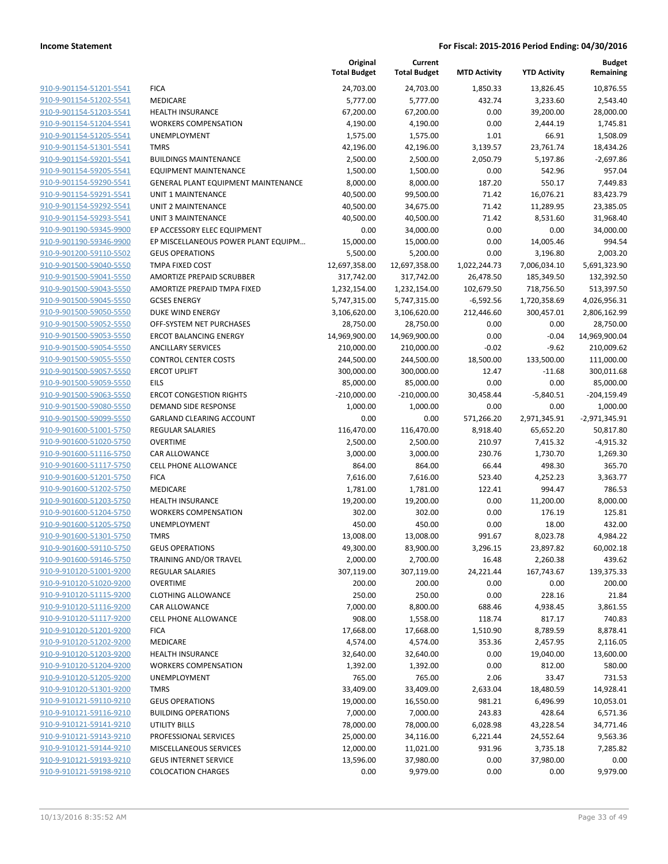|                                                    |                                            | Original<br><b>Total Budget</b> | Current<br><b>Total Budget</b> | <b>MTD Activity</b> | <b>YTD Activity</b>    | <b>Budget</b><br>Remaining |
|----------------------------------------------------|--------------------------------------------|---------------------------------|--------------------------------|---------------------|------------------------|----------------------------|
| 910-9-901154-51201-5541                            | <b>FICA</b>                                | 24,703.00                       | 24,703.00                      | 1,850.33            | 13,826.45              | 10,876.55                  |
| 910-9-901154-51202-5541                            | MEDICARE                                   | 5,777.00                        | 5,777.00                       | 432.74              | 3,233.60               | 2,543.40                   |
| 910-9-901154-51203-5541                            | <b>HEALTH INSURANCE</b>                    | 67,200.00                       | 67,200.00                      | 0.00                | 39,200.00              | 28,000.00                  |
| 910-9-901154-51204-5541                            | <b>WORKERS COMPENSATION</b>                | 4,190.00                        | 4,190.00                       | 0.00                | 2,444.19               | 1,745.81                   |
| 910-9-901154-51205-5541                            | UNEMPLOYMENT                               | 1,575.00                        | 1,575.00                       | 1.01                | 66.91                  | 1,508.09                   |
| 910-9-901154-51301-5541                            | <b>TMRS</b>                                | 42,196.00                       | 42,196.00                      | 3,139.57            | 23,761.74              | 18,434.26                  |
| 910-9-901154-59201-5541                            | <b>BUILDINGS MAINTENANCE</b>               | 2,500.00                        | 2,500.00                       | 2,050.79            | 5,197.86               | $-2,697.86$                |
| 910-9-901154-59205-5541                            | <b>EQUIPMENT MAINTENANCE</b>               | 1,500.00                        | 1,500.00                       | 0.00                | 542.96                 | 957.04                     |
| 910-9-901154-59290-5541                            | <b>GENERAL PLANT EQUIPMENT MAINTENANCE</b> | 8,000.00                        | 8,000.00                       | 187.20              | 550.17                 | 7,449.83                   |
| 910-9-901154-59291-5541                            | <b>UNIT 1 MAINTENANCE</b>                  | 40,500.00                       | 99,500.00                      | 71.42               | 16,076.21              | 83,423.79                  |
| 910-9-901154-59292-5541                            | <b>UNIT 2 MAINTENANCE</b>                  | 40,500.00                       | 34,675.00                      | 71.42               | 11,289.95              | 23,385.05                  |
| 910-9-901154-59293-5541                            | <b>UNIT 3 MAINTENANCE</b>                  | 40,500.00                       | 40,500.00                      | 71.42               | 8,531.60               | 31,968.40                  |
| 910-9-901190-59345-9900                            | EP ACCESSORY ELEC EQUIPMENT                | 0.00                            | 34,000.00                      | 0.00                | 0.00                   | 34,000.00                  |
| 910-9-901190-59346-9900                            | EP MISCELLANEOUS POWER PLANT EQUIPM        | 15,000.00                       | 15,000.00                      | 0.00                | 14,005.46              | 994.54                     |
| 910-9-901200-59110-5502                            | <b>GEUS OPERATIONS</b>                     | 5,500.00                        | 5,200.00                       | 0.00                | 3,196.80               | 2,003.20                   |
| 910-9-901500-59040-5550                            | <b>TMPA FIXED COST</b>                     | 12,697,358.00                   | 12,697,358.00                  | 1,022,244.73        | 7,006,034.10           | 5,691,323.90               |
| 910-9-901500-59041-5550                            | AMORTIZE PREPAID SCRUBBER                  | 317,742.00                      | 317,742.00                     | 26,478.50           | 185,349.50             | 132,392.50                 |
| 910-9-901500-59043-5550                            | AMORTIZE PREPAID TMPA FIXED                | 1,232,154.00                    | 1,232,154.00                   | 102,679.50          | 718,756.50             | 513,397.50                 |
| 910-9-901500-59045-5550                            | <b>GCSES ENERGY</b>                        | 5,747,315.00                    | 5,747,315.00                   | $-6,592.56$         | 1,720,358.69           | 4,026,956.31               |
| 910-9-901500-59050-5550                            | <b>DUKE WIND ENERGY</b>                    | 3,106,620.00                    | 3,106,620.00                   | 212,446.60          | 300,457.01             | 2,806,162.99               |
| 910-9-901500-59052-5550                            | OFF-SYSTEM NET PURCHASES                   | 28,750.00                       | 28,750.00                      | 0.00                | 0.00                   | 28,750.00                  |
| 910-9-901500-59053-5550                            | <b>ERCOT BALANCING ENERGY</b>              | 14,969,900.00                   | 14,969,900.00                  | 0.00                | $-0.04$                | 14,969,900.04              |
| 910-9-901500-59054-5550                            | <b>ANCILLARY SERVICES</b>                  | 210,000.00                      | 210,000.00                     | $-0.02$             | $-9.62$                | 210,009.62                 |
| 910-9-901500-59055-5550                            | <b>CONTROL CENTER COSTS</b>                | 244,500.00                      | 244,500.00                     | 18,500.00           | 133,500.00             | 111,000.00                 |
| 910-9-901500-59057-5550                            | <b>ERCOT UPLIFT</b>                        | 300,000.00                      | 300,000.00                     | 12.47               | $-11.68$               | 300,011.68                 |
| 910-9-901500-59059-5550                            | EILS                                       | 85,000.00                       | 85,000.00                      | 0.00                | 0.00                   | 85,000.00                  |
| 910-9-901500-59063-5550                            | <b>ERCOT CONGESTION RIGHTS</b>             | $-210,000.00$                   | $-210,000.00$                  | 30,458.44           | $-5,840.51$            | $-204, 159.49$             |
| 910-9-901500-59080-5550                            | DEMAND SIDE RESPONSE                       | 1,000.00                        | 1,000.00                       | 0.00                | 0.00                   | 1,000.00                   |
| 910-9-901500-59099-5550                            | <b>GARLAND CLEARING ACCOUNT</b>            | 0.00                            | 0.00                           | 571,266.20          | 2,971,345.91           | $-2,971,345.91$            |
| 910-9-901600-51001-5750                            | <b>REGULAR SALARIES</b>                    | 116,470.00                      | 116,470.00                     | 8,918.40            | 65,652.20              | 50,817.80                  |
| 910-9-901600-51020-5750                            | <b>OVERTIME</b>                            | 2,500.00                        | 2,500.00                       | 210.97              | 7,415.32               | $-4,915.32$                |
| 910-9-901600-51116-5750                            | CAR ALLOWANCE                              | 3,000.00                        | 3,000.00                       | 230.76              | 1,730.70               | 1,269.30                   |
| 910-9-901600-51117-5750                            | <b>CELL PHONE ALLOWANCE</b>                | 864.00                          | 864.00                         | 66.44               | 498.30                 | 365.70                     |
| 910-9-901600-51201-5750                            | <b>FICA</b>                                | 7,616.00                        | 7,616.00                       | 523.40              | 4,252.23               | 3,363.77                   |
| 910-9-901600-51202-5750                            | MEDICARE                                   | 1,781.00                        | 1,781.00                       | 122.41              | 994.47                 | 786.53                     |
| 910-9-901600-51203-5750                            | <b>HEALTH INSURANCE</b>                    | 19,200.00                       | 19,200.00                      | 0.00                | 11,200.00              | 8,000.00                   |
| 910-9-901600-51204-5750                            | <b>WORKERS COMPENSATION</b>                | 302.00                          | 302.00                         | 0.00                | 176.19                 | 125.81                     |
| 910-9-901600-51205-5750                            | UNEMPLOYMENT                               | 450.00                          | 450.00                         | 0.00                | 18.00                  | 432.00                     |
| 910-9-901600-51301-5750<br>910-9-901600-59110-5750 | <b>TMRS</b><br><b>GEUS OPERATIONS</b>      | 13,008.00<br>49,300.00          | 13,008.00<br>83,900.00         | 991.67<br>3,296.15  | 8,023.78<br>23,897.82  | 4,984.22<br>60,002.18      |
|                                                    |                                            | 2,000.00                        |                                |                     |                        |                            |
| 910-9-901600-59146-5750<br>910-9-910120-51001-9200 | TRAINING AND/OR TRAVEL<br>REGULAR SALARIES | 307,119.00                      | 2,700.00<br>307,119.00         | 16.48<br>24,221.44  | 2,260.38<br>167,743.67 | 439.62<br>139,375.33       |
| 910-9-910120-51020-9200                            | <b>OVERTIME</b>                            | 200.00                          | 200.00                         | 0.00                | 0.00                   | 200.00                     |
| 910-9-910120-51115-9200                            | <b>CLOTHING ALLOWANCE</b>                  | 250.00                          | 250.00                         | 0.00                | 228.16                 | 21.84                      |
| 910-9-910120-51116-9200                            | CAR ALLOWANCE                              | 7,000.00                        | 8,800.00                       | 688.46              | 4,938.45               | 3,861.55                   |
| 910-9-910120-51117-9200                            | CELL PHONE ALLOWANCE                       | 908.00                          | 1,558.00                       | 118.74              | 817.17                 | 740.83                     |
| 910-9-910120-51201-9200                            | <b>FICA</b>                                | 17,668.00                       | 17,668.00                      | 1,510.90            | 8,789.59               | 8,878.41                   |
| 910-9-910120-51202-9200                            | MEDICARE                                   | 4,574.00                        | 4,574.00                       | 353.36              | 2,457.95               | 2,116.05                   |
| 910-9-910120-51203-9200                            | <b>HEALTH INSURANCE</b>                    | 32,640.00                       | 32,640.00                      | 0.00                | 19,040.00              | 13,600.00                  |
| 910-9-910120-51204-9200                            | <b>WORKERS COMPENSATION</b>                | 1,392.00                        | 1,392.00                       | 0.00                | 812.00                 | 580.00                     |
| 910-9-910120-51205-9200                            | UNEMPLOYMENT                               | 765.00                          | 765.00                         | 2.06                | 33.47                  | 731.53                     |
| 910-9-910120-51301-9200                            | <b>TMRS</b>                                | 33,409.00                       | 33,409.00                      | 2,633.04            | 18,480.59              | 14,928.41                  |
| 910-9-910121-59110-9210                            | <b>GEUS OPERATIONS</b>                     | 19,000.00                       | 16,550.00                      | 981.21              | 6,496.99               | 10,053.01                  |
| 910-9-910121-59116-9210                            | <b>BUILDING OPERATIONS</b>                 | 7,000.00                        | 7,000.00                       | 243.83              | 428.64                 | 6,571.36                   |
| 910-9-910121-59141-9210                            | <b>UTILITY BILLS</b>                       | 78,000.00                       | 78,000.00                      | 6,028.98            | 43,228.54              | 34,771.46                  |
| 910-9-910121-59143-9210                            | PROFESSIONAL SERVICES                      | 25,000.00                       | 34,116.00                      | 6,221.44            | 24,552.64              | 9,563.36                   |
| 910-9-910121-59144-9210                            | MISCELLANEOUS SERVICES                     | 12,000.00                       | 11,021.00                      | 931.96              | 3,735.18               | 7,285.82                   |
| 910-9-910121-59193-9210                            | <b>GEUS INTERNET SERVICE</b>               | 13,596.00                       | 37,980.00                      | 0.00                | 37,980.00              | 0.00                       |
| 910-9-910121-59198-9210                            | <b>COLOCATION CHARGES</b>                  | 0.00                            | 9,979.00                       | 0.00                | 0.00                   | 9,979.00                   |
|                                                    |                                            |                                 |                                |                     |                        |                            |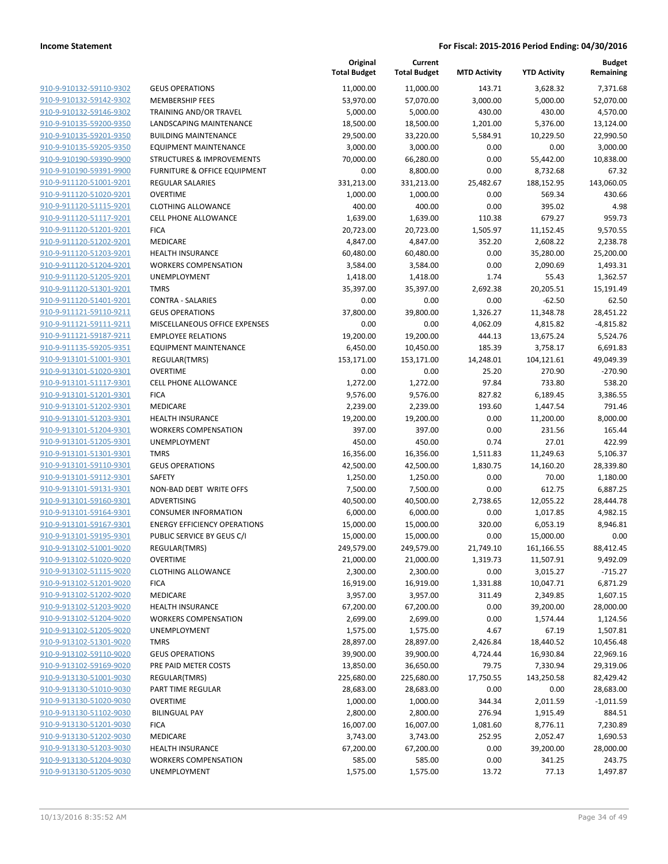|                                                    |                                      | Original<br><b>Total Budget</b> | Current<br><b>Total Budget</b> | <b>MTD Activity</b> | <b>YTD Activity</b> | <b>Budget</b><br>Remaining |
|----------------------------------------------------|--------------------------------------|---------------------------------|--------------------------------|---------------------|---------------------|----------------------------|
| 910-9-910132-59110-9302                            | <b>GEUS OPERATIONS</b>               | 11,000.00                       | 11,000.00                      | 143.71              | 3,628.32            | 7,371.68                   |
| 910-9-910132-59142-9302                            | <b>MEMBERSHIP FEES</b>               | 53,970.00                       | 57,070.00                      | 3,000.00            | 5,000.00            | 52,070.00                  |
| 910-9-910132-59146-9302                            | TRAINING AND/OR TRAVEL               | 5,000.00                        | 5,000.00                       | 430.00              | 430.00              | 4,570.00                   |
| 910-9-910135-59200-9350                            | <b>LANDSCAPING MAINTENANCE</b>       | 18,500.00                       | 18,500.00                      | 1,201.00            | 5,376.00            | 13,124.00                  |
| 910-9-910135-59201-9350                            | <b>BUILDING MAINTENANCE</b>          | 29,500.00                       | 33,220.00                      | 5,584.91            | 10,229.50           | 22,990.50                  |
| 910-9-910135-59205-9350                            | <b>EQUIPMENT MAINTENANCE</b>         | 3,000.00                        | 3,000.00                       | 0.00                | 0.00                | 3,000.00                   |
| 910-9-910190-59390-9900                            | <b>STRUCTURES &amp; IMPROVEMENTS</b> | 70,000.00                       | 66,280.00                      | 0.00                | 55,442.00           | 10,838.00                  |
| 910-9-910190-59391-9900                            | FURNITURE & OFFICE EQUIPMENT         | 0.00                            | 8,800.00                       | 0.00                | 8,732.68            | 67.32                      |
| 910-9-911120-51001-9201                            | <b>REGULAR SALARIES</b>              | 331,213.00                      | 331,213.00                     | 25,482.67           | 188,152.95          | 143,060.05                 |
| 910-9-911120-51020-9201                            | <b>OVERTIME</b>                      | 1,000.00                        | 1,000.00                       | 0.00                | 569.34              | 430.66                     |
| 910-9-911120-51115-9201                            | <b>CLOTHING ALLOWANCE</b>            | 400.00                          | 400.00                         | 0.00                | 395.02              | 4.98                       |
| 910-9-911120-51117-9201                            | <b>CELL PHONE ALLOWANCE</b>          | 1,639.00                        | 1,639.00                       | 110.38              | 679.27              | 959.73                     |
| 910-9-911120-51201-9201                            | <b>FICA</b>                          | 20,723.00                       | 20,723.00                      | 1,505.97            | 11,152.45           | 9,570.55                   |
| 910-9-911120-51202-9201                            | MEDICARE                             | 4,847.00                        | 4,847.00                       | 352.20              | 2,608.22            | 2,238.78                   |
| 910-9-911120-51203-9201                            | <b>HEALTH INSURANCE</b>              | 60,480.00                       | 60,480.00                      | 0.00                | 35,280.00           | 25,200.00                  |
| 910-9-911120-51204-9201                            | <b>WORKERS COMPENSATION</b>          | 3,584.00                        | 3,584.00                       | 0.00                | 2,090.69            | 1,493.31                   |
| 910-9-911120-51205-9201                            | UNEMPLOYMENT                         | 1,418.00                        | 1,418.00                       | 1.74                | 55.43               | 1,362.57                   |
| 910-9-911120-51301-9201                            | <b>TMRS</b>                          | 35,397.00                       | 35,397.00                      | 2,692.38            | 20,205.51           | 15,191.49                  |
| 910-9-911120-51401-9201                            | <b>CONTRA - SALARIES</b>             | 0.00                            | 0.00                           | 0.00                | $-62.50$            | 62.50                      |
| 910-9-911121-59110-9211                            | <b>GEUS OPERATIONS</b>               | 37,800.00                       | 39,800.00                      | 1,326.27            | 11,348.78           | 28,451.22                  |
| 910-9-911121-59111-9211                            | MISCELLANEOUS OFFICE EXPENSES        | 0.00                            | 0.00                           | 4,062.09            | 4,815.82            | $-4,815.82$                |
| 910-9-911121-59187-9211                            | <b>EMPLOYEE RELATIONS</b>            | 19,200.00                       | 19,200.00                      | 444.13              | 13,675.24           | 5,524.76                   |
| 910-9-911135-59205-9351                            | <b>EQUIPMENT MAINTENANCE</b>         | 6,450.00                        | 10,450.00                      | 185.39              | 3,758.17            | 6,691.83                   |
| 910-9-913101-51001-9301                            | <b>REGULAR(TMRS)</b>                 | 153,171.00                      | 153,171.00                     | 14,248.01           | 104,121.61          | 49,049.39                  |
| 910-9-913101-51020-9301                            | <b>OVERTIME</b>                      | 0.00                            | 0.00                           | 25.20               | 270.90              | $-270.90$                  |
| 910-9-913101-51117-9301                            | <b>CELL PHONE ALLOWANCE</b>          | 1,272.00                        | 1,272.00                       | 97.84               | 733.80              | 538.20                     |
| 910-9-913101-51201-9301                            | <b>FICA</b>                          | 9,576.00                        | 9,576.00                       | 827.82              | 6,189.45            | 3,386.55                   |
| 910-9-913101-51202-9301                            | MEDICARE                             | 2,239.00                        | 2,239.00                       | 193.60              | 1,447.54            | 791.46                     |
| 910-9-913101-51203-9301                            | <b>HEALTH INSURANCE</b>              | 19,200.00                       | 19,200.00                      | 0.00                | 11,200.00           | 8,000.00                   |
| 910-9-913101-51204-9301                            | <b>WORKERS COMPENSATION</b>          | 397.00                          | 397.00                         | 0.00                | 231.56              | 165.44                     |
| 910-9-913101-51205-9301                            | UNEMPLOYMENT                         | 450.00                          | 450.00                         | 0.74                | 27.01               | 422.99                     |
| 910-9-913101-51301-9301                            | <b>TMRS</b>                          | 16,356.00                       | 16,356.00                      | 1,511.83            | 11,249.63           | 5,106.37                   |
| 910-9-913101-59110-9301                            | <b>GEUS OPERATIONS</b>               | 42,500.00                       | 42,500.00                      | 1,830.75            | 14,160.20           | 28,339.80                  |
| 910-9-913101-59112-9301                            | <b>SAFETY</b>                        | 1,250.00                        | 1,250.00                       | 0.00                | 70.00               | 1,180.00                   |
| 910-9-913101-59131-9301                            | NON-BAD DEBT WRITE OFFS              | 7,500.00                        | 7,500.00                       | 0.00                | 612.75              | 6,887.25                   |
| 910-9-913101-59160-9301                            | ADVERTISING                          | 40,500.00                       | 40,500.00                      | 2,738.65            | 12,055.22           | 28,444.78                  |
| 910-9-913101-59164-9301                            | <b>CONSUMER INFORMATION</b>          | 6,000.00                        | 6,000.00                       | 0.00                | 1,017.85            | 4,982.15                   |
| 910-9-913101-59167-9301                            | <b>ENERGY EFFICIENCY OPERATIONS</b>  | 15,000.00                       | 15,000.00                      | 320.00              | 6,053.19            | 8,946.81                   |
| 910-9-913101-59195-9301                            | PUBLIC SERVICE BY GEUS C/I           | 15,000.00                       | 15,000.00                      | 0.00                | 15,000.00           | 0.00                       |
| 910-9-913102-51001-9020                            | REGULAR(TMRS)                        | 249,579.00                      | 249,579.00                     | 21,749.10           | 161,166.55          | 88,412.45                  |
| 910-9-913102-51020-9020                            | <b>OVERTIME</b>                      | 21,000.00                       | 21,000.00                      | 1,319.73            | 11,507.91           | 9,492.09                   |
| 910-9-913102-51115-9020                            | <b>CLOTHING ALLOWANCE</b>            | 2,300.00                        | 2,300.00                       | 0.00                | 3,015.27            | $-715.27$                  |
| 910-9-913102-51201-9020                            | <b>FICA</b>                          | 16,919.00                       | 16,919.00                      | 1,331.88            | 10,047.71           | 6,871.29                   |
| 910-9-913102-51202-9020                            | MEDICARE                             | 3,957.00                        | 3,957.00                       | 311.49              | 2,349.85            | 1,607.15                   |
| 910-9-913102-51203-9020                            | <b>HEALTH INSURANCE</b>              | 67,200.00                       | 67,200.00                      | 0.00                | 39,200.00           | 28,000.00                  |
| 910-9-913102-51204-9020                            | <b>WORKERS COMPENSATION</b>          | 2,699.00                        | 2,699.00                       | 0.00                | 1,574.44            | 1,124.56                   |
| 910-9-913102-51205-9020                            | UNEMPLOYMENT                         | 1,575.00                        | 1,575.00                       | 4.67                | 67.19               | 1,507.81                   |
| 910-9-913102-51301-9020                            | <b>TMRS</b>                          | 28,897.00                       | 28,897.00                      | 2,426.84            | 18,440.52           | 10,456.48                  |
| 910-9-913102-59110-9020                            | <b>GEUS OPERATIONS</b>               | 39,900.00                       | 39,900.00                      | 4,724.44            | 16,930.84           | 22,969.16                  |
| 910-9-913102-59169-9020                            | PRE PAID METER COSTS                 | 13,850.00                       | 36,650.00                      | 79.75               | 7,330.94            | 29,319.06                  |
| 910-9-913130-51001-9030                            | REGULAR(TMRS)                        | 225,680.00                      | 225,680.00                     | 17,750.55           | 143,250.58          | 82,429.42                  |
| 910-9-913130-51010-9030                            | PART TIME REGULAR                    | 28,683.00                       | 28,683.00                      | 0.00                | 0.00                | 28,683.00                  |
| 910-9-913130-51020-9030                            | <b>OVERTIME</b>                      | 1,000.00                        | 1,000.00                       | 344.34              | 2,011.59            | $-1,011.59$                |
| 910-9-913130-51102-9030                            | <b>BILINGUAL PAY</b>                 | 2,800.00                        | 2,800.00                       | 276.94              | 1,915.49            | 884.51                     |
| 910-9-913130-51201-9030                            | <b>FICA</b>                          | 16,007.00                       | 16,007.00                      | 1,081.60            | 8,776.11            | 7,230.89                   |
| 910-9-913130-51202-9030                            | MEDICARE                             | 3,743.00                        | 3,743.00                       | 252.95              | 2,052.47            | 1,690.53                   |
| 910-9-913130-51203-9030<br>910-9-913130-51204-9030 | <b>HEALTH INSURANCE</b>              | 67,200.00                       | 67,200.00                      | 0.00                | 39,200.00           | 28,000.00                  |
|                                                    | <b>WORKERS COMPENSATION</b>          | 585.00                          | 585.00                         | 0.00                | 341.25              | 243.75                     |
| 910-9-913130-51205-9030                            | UNEMPLOYMENT                         | 1,575.00                        | 1,575.00                       | 13.72               | 77.13               | 1,497.87                   |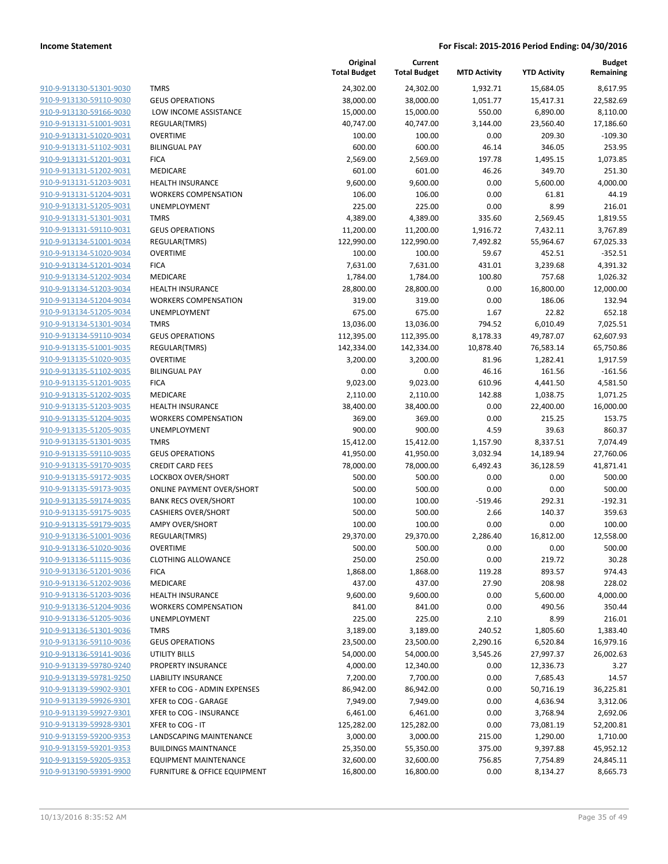| 910-9-913130-51301-9030                            |
|----------------------------------------------------|
| 910-9-913130-59110-9030                            |
| 910-9-913130-59166-9030                            |
| 910-9-913131-51001-9031                            |
| 910-9-913131-51020-9031                            |
| 910-9-913131-51102-9031                            |
| 910-9-913131-51201-9031                            |
| 910-9-913131-51202-9031                            |
| 910-9-913131-51203-9031                            |
| 910-9-913131-51204-9031                            |
| 910-9-913131-51205-9031                            |
| <u>910-9-913131-51301-9031</u>                     |
| 910-9-913131-59110-9031                            |
| 910-9-913134-51001-9034                            |
| 910-9-913134-51020-9034                            |
| 910-9-913134-51201-9034                            |
| 910-9-913134-51202-9034                            |
| 910-9-913134-51203-9034                            |
| 910-9-913134-51204-9034                            |
| 910-9-913134-51205-9034                            |
| 910-9-913134-51301-9034                            |
| 910-9-913134-59110-9034                            |
| 910-9-913135-51001-9035                            |
| 910-9-913135-51020-9035                            |
| 910-9-913135-51102-9035                            |
| 910-9-913135-51201-9035                            |
| 910-9-913135-51202-9035                            |
| 910-9-913135-51203-9035                            |
| 910-9-913135-51204-9035                            |
| 910-9-913135-51205-9035                            |
| 910-9-913135-51301-9035                            |
| 910-9-913135-59110-9035                            |
| 910-9-913135-59170-9035                            |
| 910-9-913135-59172-9035                            |
| 910-9-913135-59173-9035                            |
| 910-9-913135-59174-9035                            |
| 910-9-913135-59175-9035                            |
| 910-9-913135-59179-9035                            |
| 910-9-913136-51001-9036                            |
| 910-9-913136-51020-9036                            |
| 910-9-913136-51115-9036                            |
| <u>910-9-913136-51201-9036</u>                     |
| <u>910-9-913136-51202-9036</u>                     |
| <u>910-9-913136-51203-9036</u>                     |
| 910-9-913136-51204-9036                            |
| 910-9-913136-51205-9036                            |
| 910-9-913136-51301-9036                            |
| <u>910-9-913136-59110-9036</u>                     |
| <u>910-9-913136-59141-9036</u>                     |
|                                                    |
| 910-9-913139-59780-9240<br>910-9-913139-59781-9250 |
|                                                    |
| <u>910-9-913139-59902-9301</u>                     |
| <u>910-9-913139-59926-9301</u>                     |
| <u>910-9-913139-59927-9301</u>                     |
| 910-9-913139-59928-9301                            |
| 910-9-913159-59200-9353                            |
| 910-9-913159-59201-9353                            |
| <u>910-9-913159-59205-9353</u>                     |
| 910-9-913190-59391-9900                            |

|                         |                                  | Original<br><b>Total Budget</b> | Current<br><b>Total Budget</b> | <b>MTD Activity</b> | <b>YTD Activity</b> | <b>Budget</b><br>Remaining |
|-------------------------|----------------------------------|---------------------------------|--------------------------------|---------------------|---------------------|----------------------------|
| 910-9-913130-51301-9030 | <b>TMRS</b>                      | 24,302.00                       | 24,302.00                      | 1,932.71            | 15,684.05           | 8,617.95                   |
| 910-9-913130-59110-9030 | <b>GEUS OPERATIONS</b>           | 38,000.00                       | 38,000.00                      | 1,051.77            | 15,417.31           | 22,582.69                  |
| 910-9-913130-59166-9030 | LOW INCOME ASSISTANCE            | 15,000.00                       | 15,000.00                      | 550.00              | 6,890.00            | 8,110.00                   |
| 910-9-913131-51001-9031 | <b>REGULAR(TMRS)</b>             | 40,747.00                       | 40,747.00                      | 3,144.00            | 23,560.40           | 17,186.60                  |
| 910-9-913131-51020-9031 | <b>OVERTIME</b>                  | 100.00                          | 100.00                         | 0.00                | 209.30              | $-109.30$                  |
| 910-9-913131-51102-9031 | <b>BILINGUAL PAY</b>             | 600.00                          | 600.00                         | 46.14               | 346.05              | 253.95                     |
| 910-9-913131-51201-9031 | <b>FICA</b>                      | 2,569.00                        | 2,569.00                       | 197.78              | 1,495.15            | 1,073.85                   |
| 910-9-913131-51202-9031 | MEDICARE                         | 601.00                          | 601.00                         | 46.26               | 349.70              | 251.30                     |
| 910-9-913131-51203-9031 | <b>HEALTH INSURANCE</b>          | 9,600.00                        | 9,600.00                       | 0.00                | 5,600.00            | 4,000.00                   |
| 910-9-913131-51204-9031 | <b>WORKERS COMPENSATION</b>      | 106.00                          | 106.00                         | 0.00                | 61.81               | 44.19                      |
| 910-9-913131-51205-9031 | UNEMPLOYMENT                     | 225.00                          | 225.00                         | 0.00                | 8.99                | 216.01                     |
| 910-9-913131-51301-9031 | <b>TMRS</b>                      | 4,389.00                        | 4,389.00                       | 335.60              | 2,569.45            | 1,819.55                   |
| 910-9-913131-59110-9031 | <b>GEUS OPERATIONS</b>           | 11,200.00                       | 11,200.00                      | 1,916.72            | 7,432.11            | 3,767.89                   |
| 910-9-913134-51001-9034 | REGULAR(TMRS)                    | 122,990.00                      | 122,990.00                     | 7,492.82            | 55,964.67           | 67,025.33                  |
| 910-9-913134-51020-9034 | <b>OVERTIME</b>                  | 100.00                          | 100.00                         | 59.67               | 452.51              | $-352.51$                  |
| 910-9-913134-51201-9034 | <b>FICA</b>                      | 7,631.00                        | 7,631.00                       | 431.01              | 3,239.68            | 4,391.32                   |
| 910-9-913134-51202-9034 | MEDICARE                         | 1,784.00                        | 1,784.00                       | 100.80              | 757.68              | 1,026.32                   |
| 910-9-913134-51203-9034 | <b>HEALTH INSURANCE</b>          | 28,800.00                       | 28,800.00                      | 0.00                | 16,800.00           | 12,000.00                  |
| 910-9-913134-51204-9034 | <b>WORKERS COMPENSATION</b>      | 319.00                          | 319.00                         | 0.00                | 186.06              | 132.94                     |
| 910-9-913134-51205-9034 | UNEMPLOYMENT                     | 675.00                          | 675.00                         | 1.67                | 22.82               | 652.18                     |
| 910-9-913134-51301-9034 | <b>TMRS</b>                      | 13,036.00                       | 13,036.00                      | 794.52              | 6,010.49            | 7,025.51                   |
| 910-9-913134-59110-9034 | <b>GEUS OPERATIONS</b>           | 112,395.00                      | 112,395.00                     | 8,178.33            | 49,787.07           | 62,607.93                  |
| 910-9-913135-51001-9035 | REGULAR(TMRS)                    | 142,334.00                      | 142,334.00                     | 10,878.40           | 76,583.14           | 65,750.86                  |
| 910-9-913135-51020-9035 | <b>OVERTIME</b>                  | 3,200.00                        | 3,200.00                       | 81.96               | 1,282.41            | 1,917.59                   |
| 910-9-913135-51102-9035 | <b>BILINGUAL PAY</b>             | 0.00                            | 0.00                           | 46.16               | 161.56              | $-161.56$                  |
| 910-9-913135-51201-9035 | <b>FICA</b>                      | 9,023.00                        | 9,023.00                       | 610.96              | 4,441.50            | 4,581.50                   |
| 910-9-913135-51202-9035 | MEDICARE                         | 2,110.00                        | 2,110.00                       | 142.88              | 1,038.75            | 1,071.25                   |
| 910-9-913135-51203-9035 | <b>HEALTH INSURANCE</b>          | 38,400.00                       | 38,400.00                      | 0.00                | 22,400.00           | 16,000.00                  |
| 910-9-913135-51204-9035 | <b>WORKERS COMPENSATION</b>      | 369.00                          | 369.00                         | 0.00                | 215.25              | 153.75                     |
| 910-9-913135-51205-9035 | UNEMPLOYMENT                     | 900.00                          | 900.00                         | 4.59                | 39.63               | 860.37                     |
| 910-9-913135-51301-9035 | <b>TMRS</b>                      | 15,412.00                       | 15,412.00                      | 1,157.90            | 8,337.51            | 7,074.49                   |
| 910-9-913135-59110-9035 | <b>GEUS OPERATIONS</b>           | 41,950.00                       | 41,950.00                      | 3,032.94            | 14,189.94           | 27,760.06                  |
| 910-9-913135-59170-9035 | <b>CREDIT CARD FEES</b>          | 78,000.00                       | 78,000.00                      | 6,492.43            | 36,128.59           | 41,871.41                  |
| 910-9-913135-59172-9035 | LOCKBOX OVER/SHORT               | 500.00                          | 500.00                         | 0.00                | 0.00                | 500.00                     |
| 910-9-913135-59173-9035 | <b>ONLINE PAYMENT OVER/SHORT</b> | 500.00                          | 500.00                         | 0.00                | 0.00                | 500.00                     |
| 910-9-913135-59174-9035 | <b>BANK RECS OVER/SHORT</b>      | 100.00                          | 100.00                         | $-519.46$           | 292.31              | $-192.31$                  |
| 910-9-913135-59175-9035 | <b>CASHIERS OVER/SHORT</b>       | 500.00                          | 500.00                         | 2.66                | 140.37              | 359.63                     |
| 910-9-913135-59179-9035 | AMPY OVER/SHORT                  | 100.00                          | 100.00                         | 0.00                | 0.00                | 100.00                     |
| 910-9-913136-51001-9036 | REGULAR(TMRS)                    | 29,370.00                       | 29,370.00                      | 2,286.40            | 16,812.00           | 12,558.00                  |
| 910-9-913136-51020-9036 | OVERTIME                         | 500.00                          | 500.00                         | 0.00                | 0.00                | 500.00                     |
| 910-9-913136-51115-9036 | <b>CLOTHING ALLOWANCE</b>        | 250.00                          | 250.00                         | 0.00                | 219.72              | 30.28                      |
| 910-9-913136-51201-9036 | <b>FICA</b>                      | 1,868.00                        | 1,868.00                       | 119.28              | 893.57              | 974.43                     |
| 910-9-913136-51202-9036 | MEDICARE                         | 437.00                          | 437.00                         | 27.90               | 208.98              | 228.02                     |
| 910-9-913136-51203-9036 | <b>HEALTH INSURANCE</b>          | 9,600.00                        | 9,600.00                       | 0.00                | 5,600.00            | 4,000.00                   |
| 910-9-913136-51204-9036 | <b>WORKERS COMPENSATION</b>      | 841.00                          | 841.00                         | 0.00                | 490.56              | 350.44                     |
| 910-9-913136-51205-9036 | UNEMPLOYMENT                     | 225.00                          | 225.00                         | 2.10                | 8.99                | 216.01                     |
| 910-9-913136-51301-9036 | <b>TMRS</b>                      | 3,189.00                        | 3,189.00                       | 240.52              | 1,805.60            | 1,383.40                   |
| 910-9-913136-59110-9036 | <b>GEUS OPERATIONS</b>           | 23,500.00                       | 23,500.00                      | 2,290.16            | 6,520.84            | 16,979.16                  |
| 910-9-913136-59141-9036 | UTILITY BILLS                    | 54,000.00                       | 54,000.00                      | 3,545.26            | 27,997.37           | 26,002.63                  |
| 910-9-913139-59780-9240 | PROPERTY INSURANCE               | 4,000.00                        | 12,340.00                      | 0.00                | 12,336.73           | 3.27                       |
| 910-9-913139-59781-9250 | <b>LIABILITY INSURANCE</b>       | 7,200.00                        | 7,700.00                       | 0.00                | 7,685.43            | 14.57                      |
| 910-9-913139-59902-9301 | XFER to COG - ADMIN EXPENSES     | 86,942.00                       | 86,942.00                      | 0.00                | 50,716.19           | 36,225.81                  |
| 910-9-913139-59926-9301 | XFER to COG - GARAGE             | 7,949.00                        | 7,949.00                       | 0.00                | 4,636.94            | 3,312.06                   |
| 910-9-913139-59927-9301 | XFER to COG - INSURANCE          | 6,461.00                        | 6,461.00                       | 0.00                | 3,768.94            | 2,692.06                   |
| 910-9-913139-59928-9301 | XFER to COG - IT                 | 125,282.00                      | 125,282.00                     | 0.00                | 73,081.19           | 52,200.81                  |
| 910-9-913159-59200-9353 | LANDSCAPING MAINTENANCE          | 3,000.00                        | 3,000.00                       | 215.00              | 1,290.00            | 1,710.00                   |
| 910-9-913159-59201-9353 | <b>BUILDINGS MAINTNANCE</b>      | 25,350.00                       | 55,350.00                      | 375.00              | 9,397.88            | 45,952.12                  |
| 910-9-913159-59205-9353 | <b>EQUIPMENT MAINTENANCE</b>     | 32,600.00                       | 32,600.00                      | 756.85              | 7,754.89            | 24,845.11                  |
| 910-9-913190-59391-9900 | FURNITURE & OFFICE EQUIPMENT     | 16,800.00                       | 16,800.00                      | 0.00                | 8,134.27            | 8,665.73                   |
|                         |                                  |                                 |                                |                     |                     |                            |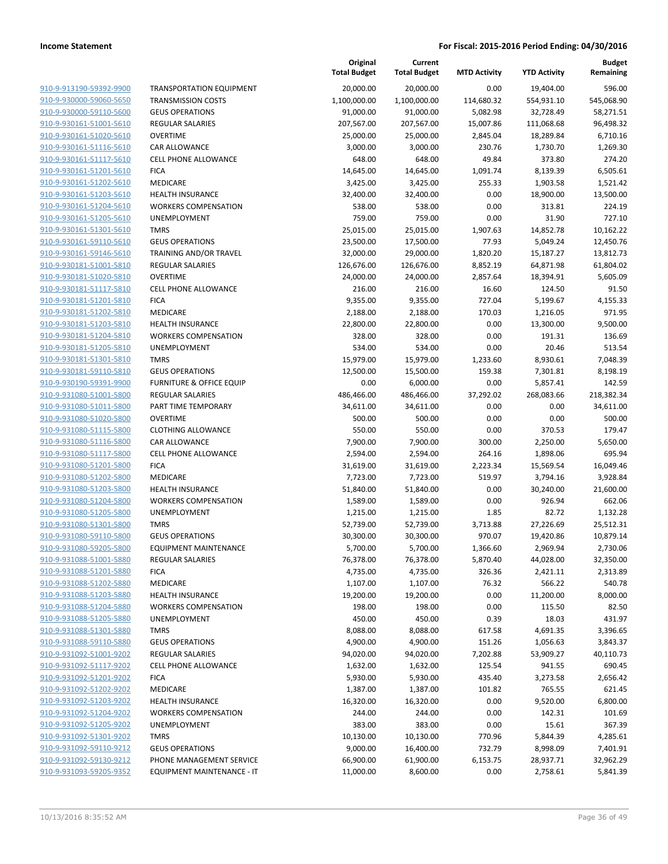|                                                    |                                        | Original<br><b>Total Budget</b> | Current<br><b>Total Budget</b> | <b>MTD Activity</b> | <b>YTD Activity</b> | <b>Budget</b><br>Remaining |
|----------------------------------------------------|----------------------------------------|---------------------------------|--------------------------------|---------------------|---------------------|----------------------------|
| 910-9-913190-59392-9900                            | <b>TRANSPORTATION EQUIPMENT</b>        | 20,000.00                       | 20,000.00                      | 0.00                | 19,404.00           | 596.00                     |
| 910-9-930000-59060-5650                            | <b>TRANSMISSION COSTS</b>              | 1,100,000.00                    | 1,100,000.00                   | 114,680.32          | 554,931.10          | 545,068.90                 |
| 910-9-930000-59110-5600                            | <b>GEUS OPERATIONS</b>                 | 91,000.00                       | 91,000.00                      | 5,082.98            | 32,728.49           | 58,271.51                  |
| 910-9-930161-51001-5610                            | <b>REGULAR SALARIES</b>                | 207,567.00                      | 207,567.00                     | 15,007.86           | 111,068.68          | 96,498.32                  |
| 910-9-930161-51020-5610                            | <b>OVERTIME</b>                        | 25,000.00                       | 25,000.00                      | 2,845.04            | 18,289.84           | 6,710.16                   |
| 910-9-930161-51116-5610                            | CAR ALLOWANCE                          | 3,000.00                        | 3,000.00                       | 230.76              | 1,730.70            | 1,269.30                   |
| 910-9-930161-51117-5610                            | CELL PHONE ALLOWANCE                   | 648.00                          | 648.00                         | 49.84               | 373.80              | 274.20                     |
| 910-9-930161-51201-5610                            | <b>FICA</b>                            | 14,645.00                       | 14,645.00                      | 1,091.74            | 8,139.39            | 6,505.61                   |
| 910-9-930161-51202-5610                            | MEDICARE                               | 3,425.00                        | 3,425.00                       | 255.33              | 1,903.58            | 1,521.42                   |
| 910-9-930161-51203-5610                            | <b>HEALTH INSURANCE</b>                | 32,400.00                       | 32,400.00                      | 0.00                | 18,900.00           | 13,500.00                  |
| 910-9-930161-51204-5610                            | <b>WORKERS COMPENSATION</b>            | 538.00                          | 538.00                         | 0.00                | 313.81              | 224.19                     |
| 910-9-930161-51205-5610                            | UNEMPLOYMENT                           | 759.00                          | 759.00                         | 0.00                | 31.90               | 727.10                     |
| 910-9-930161-51301-5610                            | <b>TMRS</b>                            | 25,015.00                       | 25,015.00                      | 1,907.63            | 14,852.78           | 10,162.22                  |
| 910-9-930161-59110-5610                            | <b>GEUS OPERATIONS</b>                 | 23,500.00                       | 17,500.00                      | 77.93               | 5,049.24            | 12,450.76                  |
| 910-9-930161-59146-5610                            | TRAINING AND/OR TRAVEL                 | 32,000.00                       | 29,000.00                      | 1,820.20            | 15,187.27           | 13,812.73                  |
| 910-9-930181-51001-5810                            | <b>REGULAR SALARIES</b>                | 126,676.00                      | 126,676.00                     | 8,852.19            | 64,871.98           | 61,804.02                  |
| 910-9-930181-51020-5810                            | <b>OVERTIME</b>                        | 24,000.00                       | 24,000.00                      | 2,857.64            | 18,394.91           | 5,605.09                   |
| 910-9-930181-51117-5810                            | CELL PHONE ALLOWANCE                   | 216.00                          | 216.00                         | 16.60               | 124.50              | 91.50                      |
| 910-9-930181-51201-5810                            | <b>FICA</b>                            | 9,355.00                        | 9,355.00                       | 727.04              | 5,199.67            | 4,155.33                   |
| 910-9-930181-51202-5810                            | MEDICARE                               | 2,188.00                        | 2,188.00                       | 170.03              | 1,216.05            | 971.95                     |
| 910-9-930181-51203-5810                            | <b>HEALTH INSURANCE</b>                | 22,800.00                       | 22,800.00                      | 0.00                | 13,300.00           | 9,500.00                   |
| 910-9-930181-51204-5810                            | <b>WORKERS COMPENSATION</b>            | 328.00                          | 328.00                         | 0.00                | 191.31              | 136.69                     |
| 910-9-930181-51205-5810                            | <b>UNEMPLOYMENT</b>                    | 534.00                          | 534.00                         | 0.00                | 20.46               | 513.54                     |
| 910-9-930181-51301-5810                            | <b>TMRS</b>                            | 15,979.00                       | 15,979.00                      | 1,233.60            | 8,930.61            | 7,048.39                   |
| 910-9-930181-59110-5810                            | <b>GEUS OPERATIONS</b>                 | 12,500.00                       | 15,500.00                      | 159.38              | 7,301.81            | 8,198.19                   |
| 910-9-930190-59391-9900                            | <b>FURNITURE &amp; OFFICE EQUIP</b>    | 0.00                            | 6,000.00                       | 0.00                | 5,857.41            | 142.59                     |
| 910-9-931080-51001-5800                            | REGULAR SALARIES                       | 486,466.00                      | 486,466.00                     | 37,292.02           | 268,083.66          | 218,382.34                 |
| 910-9-931080-51011-5800<br>910-9-931080-51020-5800 | PART TIME TEMPORARY<br><b>OVERTIME</b> | 34,611.00                       | 34,611.00<br>500.00            | 0.00<br>0.00        | 0.00<br>0.00        | 34,611.00<br>500.00        |
| 910-9-931080-51115-5800                            | <b>CLOTHING ALLOWANCE</b>              | 500.00<br>550.00                | 550.00                         | 0.00                | 370.53              | 179.47                     |
| 910-9-931080-51116-5800                            | CAR ALLOWANCE                          | 7,900.00                        | 7,900.00                       | 300.00              | 2,250.00            | 5,650.00                   |
| 910-9-931080-51117-5800                            | CELL PHONE ALLOWANCE                   | 2,594.00                        | 2,594.00                       | 264.16              | 1,898.06            | 695.94                     |
| 910-9-931080-51201-5800                            | <b>FICA</b>                            | 31,619.00                       | 31,619.00                      | 2,223.34            | 15,569.54           | 16,049.46                  |
| 910-9-931080-51202-5800                            | MEDICARE                               | 7,723.00                        | 7,723.00                       | 519.97              | 3,794.16            | 3,928.84                   |
| 910-9-931080-51203-5800                            | <b>HEALTH INSURANCE</b>                | 51,840.00                       | 51,840.00                      | 0.00                | 30,240.00           | 21,600.00                  |
| 910-9-931080-51204-5800                            | <b>WORKERS COMPENSATION</b>            | 1,589.00                        | 1,589.00                       | 0.00                | 926.94              | 662.06                     |
| 910-9-931080-51205-5800                            | UNEMPLOYMENT                           | 1,215.00                        | 1,215.00                       | 1.85                | 82.72               | 1,132.28                   |
| 910-9-931080-51301-5800                            | <b>TMRS</b>                            | 52,739.00                       | 52,739.00                      | 3,713.88            | 27,226.69           | 25,512.31                  |
| 910-9-931080-59110-5800                            | <b>GEUS OPERATIONS</b>                 | 30,300.00                       | 30,300.00                      | 970.07              | 19,420.86           | 10,879.14                  |
| 910-9-931080-59205-5800                            | <b>EQUIPMENT MAINTENANCE</b>           | 5,700.00                        | 5,700.00                       | 1,366.60            | 2,969.94            | 2,730.06                   |
| 910-9-931088-51001-5880                            | REGULAR SALARIES                       | 76,378.00                       | 76,378.00                      | 5,870.40            | 44,028.00           | 32,350.00                  |
| 910-9-931088-51201-5880                            | <b>FICA</b>                            | 4,735.00                        | 4,735.00                       | 326.36              | 2,421.11            | 2,313.89                   |
| 910-9-931088-51202-5880                            | MEDICARE                               | 1,107.00                        | 1,107.00                       | 76.32               | 566.22              | 540.78                     |
| 910-9-931088-51203-5880                            | <b>HEALTH INSURANCE</b>                | 19,200.00                       | 19,200.00                      | 0.00                | 11,200.00           | 8,000.00                   |
| 910-9-931088-51204-5880                            | <b>WORKERS COMPENSATION</b>            | 198.00                          | 198.00                         | 0.00                | 115.50              | 82.50                      |
| 910-9-931088-51205-5880                            | <b>UNEMPLOYMENT</b>                    | 450.00                          | 450.00                         | 0.39                | 18.03               | 431.97                     |
| 910-9-931088-51301-5880                            | <b>TMRS</b>                            | 8,088.00                        | 8,088.00                       | 617.58              | 4,691.35            | 3,396.65                   |
| 910-9-931088-59110-5880                            | <b>GEUS OPERATIONS</b>                 | 4,900.00                        | 4,900.00                       | 151.26              | 1,056.63            | 3,843.37                   |
| 910-9-931092-51001-9202                            | REGULAR SALARIES                       | 94,020.00                       | 94,020.00                      | 7,202.88            | 53,909.27           | 40,110.73                  |
| 910-9-931092-51117-9202                            | <b>CELL PHONE ALLOWANCE</b>            | 1,632.00                        | 1,632.00                       | 125.54              | 941.55              | 690.45                     |
| 910-9-931092-51201-9202                            | <b>FICA</b>                            | 5,930.00                        | 5,930.00                       | 435.40              | 3,273.58            | 2,656.42                   |
| 910-9-931092-51202-9202                            | MEDICARE                               | 1,387.00                        | 1,387.00                       | 101.82              | 765.55              | 621.45                     |
| 910-9-931092-51203-9202                            | <b>HEALTH INSURANCE</b>                | 16,320.00                       | 16,320.00                      | 0.00                | 9,520.00            | 6,800.00                   |
| 910-9-931092-51204-9202                            | <b>WORKERS COMPENSATION</b>            | 244.00                          | 244.00                         | 0.00                | 142.31              | 101.69                     |
| 910-9-931092-51205-9202                            | <b>UNEMPLOYMENT</b>                    | 383.00                          | 383.00                         | 0.00                | 15.61               | 367.39                     |
| 910-9-931092-51301-9202                            | <b>TMRS</b>                            | 10,130.00                       | 10,130.00                      | 770.96              | 5,844.39            | 4,285.61                   |
| 910-9-931092-59110-9212                            | <b>GEUS OPERATIONS</b>                 | 9,000.00                        | 16,400.00                      | 732.79              | 8,998.09            | 7,401.91                   |
| 910-9-931092-59130-9212                            | PHONE MANAGEMENT SERVICE               | 66,900.00                       | 61,900.00                      | 6,153.75            | 28,937.71           | 32,962.29                  |
| 910-9-931093-59205-9352                            | EQUIPMENT MAINTENANCE - IT             | 11,000.00                       | 8,600.00                       | 0.00                | 2,758.61            | 5,841.39                   |
|                                                    |                                        |                                 |                                |                     |                     |                            |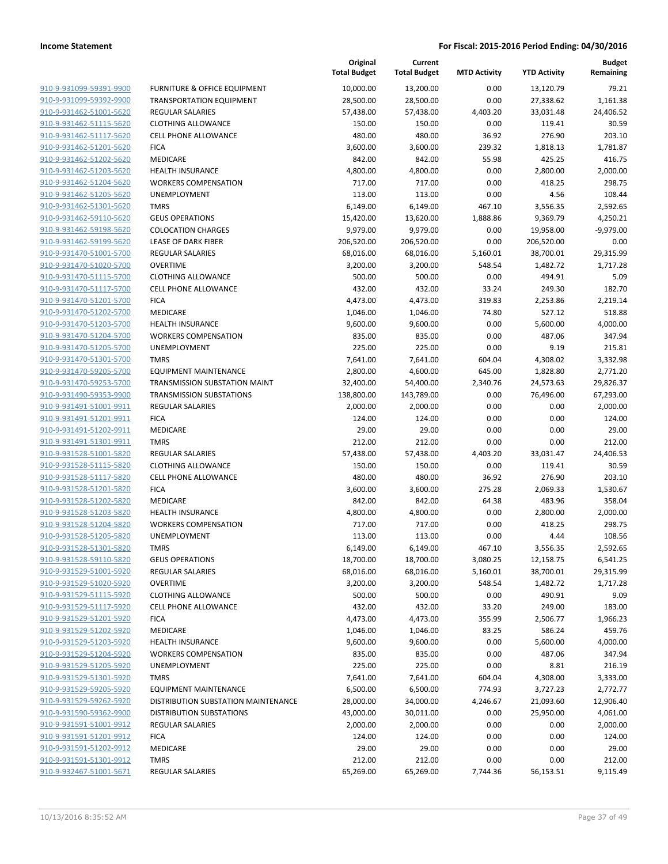| 910-9-931099-59391-9900        | F              |
|--------------------------------|----------------|
| 910-9-931099-59392-9900        | I              |
| 910-9-931462-51001-5620        | F              |
| 910-9-931462-51115-5620        | C              |
| 910-9-931462-51117-5620        | C              |
| 910-9-931462-51201-5620        | F              |
| 910-9-931462-51202-5620        | ľ              |
| 910-9-931462-51203-5620        | ŀ              |
|                                | ١              |
| 910-9-931462-51204-5620        |                |
| <u>910-9-931462-51205-5620</u> | l              |
| 910-9-931462-51301-5620        | ٦              |
| 910-9-931462-59110-5620        | C              |
| 910-9-931462-59198-5620        | $\mathsf{C}$   |
| 910-9-931462-59199-5620        | L              |
| 910-9-931470-51001-5700        | F              |
| 910-9-931470-51020-5700        | $\mathbf C$    |
| 910-9-931470-51115-5700        | C              |
| 910-9-931470-51117-5700        | C              |
| 910-9-931470-51201-5700        | F              |
| 910-9-931470-51202-5700        | ľ              |
| 910-9-931470-51203-5700        | ŀ              |
| 910-9-931470-51204-5700        | ١              |
| 910-9-931470-51205-5700        | ι              |
| 910-9-931470-51301-5700        | ٦              |
| 910-9-931470-59205-5700        | E              |
| 910-9-931470-59253-5700        | ī              |
| 910-9-931490-59353-9900        | Ţ              |
| 910-9-931491-51001-9911        | F              |
| 910-9-931491-51201-9911        | F              |
| <u>910-9-931491-51202-9911</u> | ľ              |
| 910-9-931491-51301-9911        | Ţ              |
| 910-9-931528-51001-5820        | F              |
| 910-9-931528-51115-5820        | $\mathsf{C}$   |
| 910-9-931528-51117-5820        | C              |
| 910-9-931528-51201-5820        | F              |
| 910-9-931528-51202-5820        | ľ              |
| 910-9-931528-51203-5820        | ŀ              |
| 910-9-931528-51204-5820        | ١              |
| 910-9-931528-51205-5820        | ι              |
|                                | ٦              |
| 910-9-931528-51301-5820        | $\overline{a}$ |
| 910-9-931528-59110-5820        |                |
| 910-9-931529-51001-5920        | F              |
| 910-9-931529-51020-5920        | ι              |
| 910-9-931529-51115-5920        | ι              |
| <u>910-9-931529-51117-5920</u> | ι              |
| 910-9-931529-51201-5920        | F              |
| 910-9-931529-51202-5920        | ľ              |
| 910-9-931529-51203-5920        | ŀ              |
| 910-9-931529-51204-5920        | ١              |
| 910-9-931529-51205-5920        | ι              |
| 910-9-931529-51301-5920        | ٦              |
| 910-9-931529-59205-5920        | E              |
| 910-9-931529-59262-5920        | С              |
| <u>910-9-931590-59362-9900</u> | c              |
| <u>910-9-931591-51001-9912</u> | F              |
| 910-9-931591-51201-9912        | F              |
| <u>910-9-931591-51202-9912</u> | ľ              |
| 910-9-931591-51301-9912        | ٦              |
| 910-9-932467-51001-5671        | F              |
|                                |                |

|                         |                                     | Original<br><b>Total Budget</b> | Current<br><b>Total Budget</b> | <b>MTD Activity</b> | <b>YTD Activity</b> | <b>Budget</b><br>Remaining |
|-------------------------|-------------------------------------|---------------------------------|--------------------------------|---------------------|---------------------|----------------------------|
| 910-9-931099-59391-9900 | FURNITURE & OFFICE EQUIPMENT        | 10,000.00                       | 13,200.00                      | 0.00                | 13,120.79           | 79.21                      |
| 910-9-931099-59392-9900 | <b>TRANSPORTATION EQUIPMENT</b>     | 28,500.00                       | 28,500.00                      | 0.00                | 27,338.62           | 1,161.38                   |
| 910-9-931462-51001-5620 | <b>REGULAR SALARIES</b>             | 57,438.00                       | 57,438.00                      | 4,403.20            | 33,031.48           | 24,406.52                  |
| 910-9-931462-51115-5620 | <b>CLOTHING ALLOWANCE</b>           | 150.00                          | 150.00                         | 0.00                | 119.41              | 30.59                      |
| 910-9-931462-51117-5620 | <b>CELL PHONE ALLOWANCE</b>         | 480.00                          | 480.00                         | 36.92               | 276.90              | 203.10                     |
| 910-9-931462-51201-5620 | <b>FICA</b>                         | 3,600.00                        | 3,600.00                       | 239.32              | 1,818.13            | 1,781.87                   |
| 910-9-931462-51202-5620 | MEDICARE                            | 842.00                          | 842.00                         | 55.98               | 425.25              | 416.75                     |
| 910-9-931462-51203-5620 | <b>HEALTH INSURANCE</b>             | 4,800.00                        | 4,800.00                       | 0.00                | 2,800.00            | 2,000.00                   |
| 910-9-931462-51204-5620 | <b>WORKERS COMPENSATION</b>         | 717.00                          | 717.00                         | 0.00                | 418.25              | 298.75                     |
| 910-9-931462-51205-5620 | UNEMPLOYMENT                        | 113.00                          | 113.00                         | 0.00                | 4.56                | 108.44                     |
| 910-9-931462-51301-5620 | <b>TMRS</b>                         | 6,149.00                        | 6,149.00                       | 467.10              | 3,556.35            | 2,592.65                   |
| 910-9-931462-59110-5620 | <b>GEUS OPERATIONS</b>              | 15,420.00                       | 13,620.00                      | 1,888.86            | 9,369.79            | 4,250.21                   |
| 910-9-931462-59198-5620 | <b>COLOCATION CHARGES</b>           | 9,979.00                        | 9,979.00                       | 0.00                | 19,958.00           | $-9,979.00$                |
| 910-9-931462-59199-5620 | <b>LEASE OF DARK FIBER</b>          | 206,520.00                      | 206,520.00                     | 0.00                | 206,520.00          | 0.00                       |
| 910-9-931470-51001-5700 | <b>REGULAR SALARIES</b>             | 68,016.00                       | 68,016.00                      | 5,160.01            | 38,700.01           | 29,315.99                  |
| 910-9-931470-51020-5700 | <b>OVERTIME</b>                     | 3,200.00                        | 3,200.00                       | 548.54              | 1,482.72            | 1,717.28                   |
| 910-9-931470-51115-5700 | <b>CLOTHING ALLOWANCE</b>           | 500.00                          | 500.00                         | 0.00                | 494.91              | 5.09                       |
| 910-9-931470-51117-5700 | <b>CELL PHONE ALLOWANCE</b>         | 432.00                          | 432.00                         | 33.24               | 249.30              | 182.70                     |
| 910-9-931470-51201-5700 | <b>FICA</b>                         | 4,473.00                        | 4,473.00                       | 319.83              | 2,253.86            | 2,219.14                   |
| 910-9-931470-51202-5700 | MEDICARE                            | 1,046.00                        | 1,046.00                       | 74.80               | 527.12              | 518.88                     |
| 910-9-931470-51203-5700 | <b>HEALTH INSURANCE</b>             | 9,600.00                        | 9,600.00                       | 0.00                | 5,600.00            | 4,000.00                   |
| 910-9-931470-51204-5700 | <b>WORKERS COMPENSATION</b>         | 835.00                          | 835.00                         | 0.00                | 487.06              | 347.94                     |
| 910-9-931470-51205-5700 | UNEMPLOYMENT                        | 225.00                          | 225.00                         | 0.00                | 9.19                | 215.81                     |
| 910-9-931470-51301-5700 | <b>TMRS</b>                         | 7,641.00                        | 7,641.00                       | 604.04              | 4,308.02            | 3,332.98                   |
| 910-9-931470-59205-5700 | <b>EQUIPMENT MAINTENANCE</b>        | 2,800.00                        | 4,600.00                       | 645.00              | 1,828.80            | 2,771.20                   |
| 910-9-931470-59253-5700 | TRANSMISSION SUBSTATION MAINT       | 32,400.00                       | 54,400.00                      | 2,340.76            | 24,573.63           | 29,826.37                  |
| 910-9-931490-59353-9900 | <b>TRANSMISSION SUBSTATIONS</b>     | 138,800.00                      | 143,789.00                     | 0.00                | 76,496.00           | 67,293.00                  |
| 910-9-931491-51001-9911 | <b>REGULAR SALARIES</b>             | 2,000.00                        | 2,000.00                       | 0.00                | 0.00                | 2,000.00                   |
| 910-9-931491-51201-9911 | <b>FICA</b>                         | 124.00                          | 124.00                         | 0.00                | 0.00                | 124.00                     |
| 910-9-931491-51202-9911 | <b>MEDICARE</b>                     | 29.00                           | 29.00                          | 0.00                | 0.00                | 29.00                      |
| 910-9-931491-51301-9911 | <b>TMRS</b>                         | 212.00                          | 212.00                         | 0.00                | 0.00                | 212.00                     |
| 910-9-931528-51001-5820 | REGULAR SALARIES                    | 57,438.00                       | 57,438.00                      | 4,403.20            | 33,031.47           | 24,406.53                  |
| 910-9-931528-51115-5820 | <b>CLOTHING ALLOWANCE</b>           | 150.00                          | 150.00                         | 0.00                | 119.41              | 30.59                      |
| 910-9-931528-51117-5820 | <b>CELL PHONE ALLOWANCE</b>         | 480.00                          | 480.00                         | 36.92               | 276.90              | 203.10                     |
| 910-9-931528-51201-5820 | <b>FICA</b>                         | 3,600.00                        | 3,600.00                       | 275.28              | 2,069.33            | 1,530.67                   |
| 910-9-931528-51202-5820 | MEDICARE                            | 842.00                          | 842.00                         | 64.38               | 483.96              | 358.04                     |
| 910-9-931528-51203-5820 | <b>HEALTH INSURANCE</b>             | 4,800.00                        | 4,800.00                       | 0.00                | 2,800.00            | 2,000.00                   |
| 910-9-931528-51204-5820 | <b>WORKERS COMPENSATION</b>         | 717.00                          | 717.00                         | 0.00                | 418.25              | 298.75                     |
| 910-9-931528-51205-5820 | UNEMPLOYMENT                        | 113.00                          | 113.00                         | 0.00                | 4.44                | 108.56                     |
| 910-9-931528-51301-5820 | TMRS                                | 6,149.00                        | 6,149.00                       | 467.10              | 3,556.35            | 2,592.65                   |
| 910-9-931528-59110-5820 | <b>GEUS OPERATIONS</b>              | 18,700.00                       | 18,700.00                      | 3,080.25            | 12,158.75           | 6,541.25                   |
| 910-9-931529-51001-5920 | REGULAR SALARIES                    | 68,016.00                       | 68,016.00                      | 5,160.01            | 38,700.01           | 29,315.99                  |
| 910-9-931529-51020-5920 | <b>OVERTIME</b>                     | 3,200.00                        | 3,200.00                       | 548.54              | 1,482.72            | 1,717.28                   |
| 910-9-931529-51115-5920 | <b>CLOTHING ALLOWANCE</b>           | 500.00                          | 500.00                         | 0.00                | 490.91              | 9.09                       |
| 910-9-931529-51117-5920 | <b>CELL PHONE ALLOWANCE</b>         | 432.00                          | 432.00                         | 33.20               | 249.00              | 183.00                     |
| 910-9-931529-51201-5920 | <b>FICA</b>                         | 4,473.00                        | 4,473.00                       | 355.99              | 2,506.77            | 1,966.23                   |
| 910-9-931529-51202-5920 | MEDICARE                            | 1,046.00                        | 1,046.00                       | 83.25               | 586.24              | 459.76                     |
| 910-9-931529-51203-5920 | <b>HEALTH INSURANCE</b>             | 9,600.00                        | 9,600.00                       | 0.00                | 5,600.00            | 4,000.00                   |
| 910-9-931529-51204-5920 | <b>WORKERS COMPENSATION</b>         | 835.00                          | 835.00                         | 0.00                | 487.06              | 347.94                     |
| 910-9-931529-51205-5920 | <b>UNEMPLOYMENT</b>                 | 225.00                          | 225.00                         | 0.00                | 8.81                | 216.19                     |
| 910-9-931529-51301-5920 | <b>TMRS</b>                         | 7,641.00                        | 7,641.00                       | 604.04              | 4,308.00            | 3,333.00                   |
| 910-9-931529-59205-5920 | <b>EQUIPMENT MAINTENANCE</b>        | 6,500.00                        | 6,500.00                       | 774.93              | 3,727.23            | 2,772.77                   |
| 910-9-931529-59262-5920 | DISTRIBUTION SUBSTATION MAINTENANCE | 28,000.00                       | 34,000.00                      | 4,246.67            | 21,093.60           | 12,906.40                  |
| 910-9-931590-59362-9900 | <b>DISTRIBUTION SUBSTATIONS</b>     | 43,000.00                       | 30,011.00                      | 0.00                | 25,950.00           | 4,061.00                   |
| 910-9-931591-51001-9912 | <b>REGULAR SALARIES</b>             | 2,000.00                        | 2,000.00                       | 0.00                | 0.00                | 2,000.00                   |
| 910-9-931591-51201-9912 | <b>FICA</b>                         | 124.00                          | 124.00                         | 0.00                | 0.00                | 124.00                     |
| 910-9-931591-51202-9912 | MEDICARE                            | 29.00                           | 29.00                          | 0.00                | 0.00                | 29.00                      |
| 910-9-931591-51301-9912 | <b>TMRS</b>                         | 212.00                          | 212.00                         | 0.00                | 0.00                | 212.00                     |
| 910-9-932467-51001-5671 | REGULAR SALARIES                    | 65,269.00                       | 65,269.00                      | 7,744.36            | 56,153.51           | 9,115.49                   |
|                         |                                     |                                 |                                |                     |                     |                            |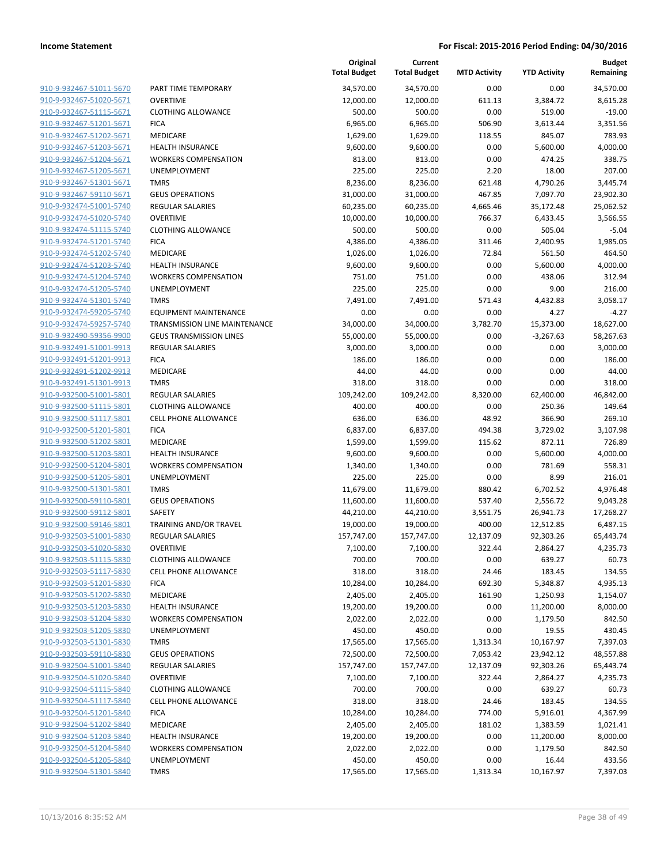| 910-9-932467-51011-5670        |
|--------------------------------|
| 910-9-932467-51020-5671        |
| 910-9-932467-51115-5671        |
| 910-9-932467-51201-5671        |
| 910-9-932467-51202-5671        |
| 910-9-932467-51203-5671        |
| 910-9-932467-51204-5671        |
| 910-9-932467-51205-5671        |
| 910-9-932467-51301-5671        |
| <u>910-9-932467-59110-5671</u> |
| 910-9-932474-51001-5740        |
| 910-9-932474-51020-5740        |
| 910-9-932474-51115-5740        |
| 910-9-932474-51201-5740        |
| <u>910-9-932474-51202-5740</u> |
| 910-9-932474-51203-5740        |
| 910-9-932474-51204-5740        |
| 910-9-932474-51205-5740        |
| 910-9-932474-51301-5740        |
| 910-9-932474-59205-5740        |
| 910-9-932474-59257-5740        |
| 910-9-932490-59356-9900        |
| 910-9-932491-51001-9913        |
| 910-9-932491-51201-9913        |
| 910-9-932491-51202-9913        |
| 910-9-932491-51301-9913        |
| 910-9-932500-51001-5801        |
| 910-9-932500-51115-5801        |
|                                |
| 910-9-932500-51117-5801        |
| 910-9-932500-51201-5801        |
| 910-9-932500-51202-5801        |
| 910-9-932500-51203-5801        |
| 910-9-932500-51204-5801        |
| 910-9-932500-51205-5801        |
| <u>910-9-932500-51301-5801</u> |
| 910-9-932500-59110-5801        |
| 910-9-932500-59112-5801        |
| 910-9-932500-59146-5801        |
| 910-9-932503-51001-5830        |
| 910-9-932503-51020-5830        |
| 910-9-932503-51115-5830        |
| 910-9-932503-51117-5830        |
| 910-9-932503-51201-5830        |
| 910-9-932503-51202-5830        |
| 910-9-932503-51203-5830        |
| 910-9-932503-51204-5830        |
| 910-9-932503-51205-5830        |
| 910-9-932503-51301-5830        |
| 910-9-932503-59110-5830        |
| <u>910-9-932504-51001-5840</u> |
| 910-9-932504-51020-5840        |
| 910-9-932504-51115-5840        |
| 910-9-932504-51117-5840        |
| 910-9-932504-51201-5840        |
| <u>910-9-932504-51202-5840</u> |
| 910-9-932504-51203-5840        |
| 910-9-932504-51204-5840        |
| 910-9-932504-51205-5840        |
| 910-9-932504-51301-5840        |
|                                |

|                                                    |                                | Original<br><b>Total Budget</b> | Current<br><b>Total Budget</b> | <b>MTD Activity</b> | <b>YTD Activity</b> | <b>Budget</b><br>Remaining |
|----------------------------------------------------|--------------------------------|---------------------------------|--------------------------------|---------------------|---------------------|----------------------------|
| 910-9-932467-51011-5670                            | PART TIME TEMPORARY            | 34,570.00                       | 34,570.00                      | 0.00                | 0.00                | 34,570.00                  |
| 910-9-932467-51020-5671                            | <b>OVERTIME</b>                | 12,000.00                       | 12,000.00                      | 611.13              | 3,384.72            | 8,615.28                   |
| 910-9-932467-51115-5671                            | <b>CLOTHING ALLOWANCE</b>      | 500.00                          | 500.00                         | 0.00                | 519.00              | $-19.00$                   |
| 910-9-932467-51201-5671                            | <b>FICA</b>                    | 6,965.00                        | 6,965.00                       | 506.90              | 3,613.44            | 3,351.56                   |
| 910-9-932467-51202-5671                            | <b>MEDICARE</b>                | 1,629.00                        | 1,629.00                       | 118.55              | 845.07              | 783.93                     |
| 910-9-932467-51203-5671                            | <b>HEALTH INSURANCE</b>        | 9,600.00                        | 9,600.00                       | 0.00                | 5,600.00            | 4,000.00                   |
| 910-9-932467-51204-5671                            | <b>WORKERS COMPENSATION</b>    | 813.00                          | 813.00                         | 0.00                | 474.25              | 338.75                     |
| 910-9-932467-51205-5671                            | UNEMPLOYMENT                   | 225.00                          | 225.00                         | 2.20                | 18.00               | 207.00                     |
| 910-9-932467-51301-5671                            | <b>TMRS</b>                    | 8,236.00                        | 8,236.00                       | 621.48              | 4,790.26            | 3,445.74                   |
| 910-9-932467-59110-5671                            | <b>GEUS OPERATIONS</b>         | 31,000.00                       | 31,000.00                      | 467.85              | 7,097.70            | 23,902.30                  |
| 910-9-932474-51001-5740                            | <b>REGULAR SALARIES</b>        | 60,235.00                       | 60,235.00                      | 4,665.46            | 35,172.48           | 25,062.52                  |
| 910-9-932474-51020-5740                            | <b>OVERTIME</b>                | 10,000.00                       | 10,000.00                      | 766.37              | 6,433.45            | 3,566.55                   |
| 910-9-932474-51115-5740                            | <b>CLOTHING ALLOWANCE</b>      | 500.00                          | 500.00                         | 0.00                | 505.04              | $-5.04$                    |
| 910-9-932474-51201-5740                            | <b>FICA</b>                    | 4,386.00                        | 4,386.00                       | 311.46              | 2,400.95            | 1,985.05                   |
| 910-9-932474-51202-5740                            | <b>MEDICARE</b>                | 1,026.00                        | 1,026.00                       | 72.84               | 561.50              | 464.50                     |
| 910-9-932474-51203-5740                            | <b>HEALTH INSURANCE</b>        | 9,600.00                        | 9,600.00                       | 0.00                | 5,600.00            | 4,000.00                   |
| 910-9-932474-51204-5740                            | <b>WORKERS COMPENSATION</b>    | 751.00                          | 751.00                         | 0.00                | 438.06              | 312.94                     |
| 910-9-932474-51205-5740                            | UNEMPLOYMENT                   | 225.00                          | 225.00                         | 0.00                | 9.00                | 216.00                     |
| 910-9-932474-51301-5740                            | <b>TMRS</b>                    | 7,491.00                        | 7,491.00                       | 571.43              | 4,432.83            | 3,058.17                   |
| 910-9-932474-59205-5740                            | EQUIPMENT MAINTENANCE          | 0.00                            | 0.00                           | 0.00                | 4.27                | $-4.27$                    |
| 910-9-932474-59257-5740                            | TRANSMISSION LINE MAINTENANCE  | 34,000.00                       | 34,000.00                      | 3,782.70            | 15,373.00           | 18,627.00                  |
| 910-9-932490-59356-9900                            | <b>GEUS TRANSMISSION LINES</b> | 55,000.00                       | 55,000.00                      | 0.00                | $-3,267.63$         | 58,267.63                  |
| 910-9-932491-51001-9913<br>910-9-932491-51201-9913 | <b>REGULAR SALARIES</b>        | 3,000.00                        | 3,000.00                       | 0.00                | 0.00                | 3,000.00                   |
| 910-9-932491-51202-9913                            | <b>FICA</b><br><b>MEDICARE</b> | 186.00<br>44.00                 | 186.00<br>44.00                | 0.00<br>0.00        | 0.00<br>0.00        | 186.00<br>44.00            |
| 910-9-932491-51301-9913                            | <b>TMRS</b>                    | 318.00                          | 318.00                         | 0.00                | 0.00                | 318.00                     |
| 910-9-932500-51001-5801                            | <b>REGULAR SALARIES</b>        | 109,242.00                      | 109,242.00                     | 8,320.00            | 62,400.00           | 46,842.00                  |
| 910-9-932500-51115-5801                            | <b>CLOTHING ALLOWANCE</b>      | 400.00                          | 400.00                         | 0.00                | 250.36              | 149.64                     |
| 910-9-932500-51117-5801                            | <b>CELL PHONE ALLOWANCE</b>    | 636.00                          | 636.00                         | 48.92               | 366.90              | 269.10                     |
| 910-9-932500-51201-5801                            | <b>FICA</b>                    | 6,837.00                        | 6,837.00                       | 494.38              | 3,729.02            | 3,107.98                   |
| 910-9-932500-51202-5801                            | <b>MEDICARE</b>                | 1,599.00                        | 1,599.00                       | 115.62              | 872.11              | 726.89                     |
| 910-9-932500-51203-5801                            | <b>HEALTH INSURANCE</b>        | 9,600.00                        | 9,600.00                       | 0.00                | 5,600.00            | 4,000.00                   |
| 910-9-932500-51204-5801                            | <b>WORKERS COMPENSATION</b>    | 1,340.00                        | 1,340.00                       | 0.00                | 781.69              | 558.31                     |
| 910-9-932500-51205-5801                            | UNEMPLOYMENT                   | 225.00                          | 225.00                         | 0.00                | 8.99                | 216.01                     |
| 910-9-932500-51301-5801                            | <b>TMRS</b>                    | 11,679.00                       | 11,679.00                      | 880.42              | 6,702.52            | 4,976.48                   |
| 910-9-932500-59110-5801                            | <b>GEUS OPERATIONS</b>         | 11,600.00                       | 11,600.00                      | 537.40              | 2,556.72            | 9,043.28                   |
| 910-9-932500-59112-5801                            | SAFETY                         | 44,210.00                       | 44,210.00                      | 3,551.75            | 26,941.73           | 17,268.27                  |
| 910-9-932500-59146-5801                            | TRAINING AND/OR TRAVEL         | 19,000.00                       | 19,000.00                      | 400.00              | 12,512.85           | 6,487.15                   |
| 910-9-932503-51001-5830                            | <b>REGULAR SALARIES</b>        | 157,747.00                      | 157,747.00                     | 12,137.09           | 92,303.26           | 65,443.74                  |
| 910-9-932503-51020-5830                            | <b>OVERTIME</b>                | 7,100.00                        | 7,100.00                       | 322.44              | 2,864.27            | 4,235.73                   |
| 910-9-932503-51115-5830                            | <b>CLOTHING ALLOWANCE</b>      | 700.00                          | 700.00                         | 0.00                | 639.27              | 60.73                      |
| 910-9-932503-51117-5830                            | <b>CELL PHONE ALLOWANCE</b>    | 318.00                          | 318.00                         | 24.46               | 183.45              | 134.55                     |
| 910-9-932503-51201-5830                            | <b>FICA</b>                    | 10,284.00                       | 10,284.00                      | 692.30              | 5,348.87            | 4,935.13                   |
| 910-9-932503-51202-5830                            | <b>MEDICARE</b>                | 2,405.00                        | 2,405.00                       | 161.90              | 1,250.93            | 1,154.07                   |
| 910-9-932503-51203-5830                            | <b>HEALTH INSURANCE</b>        | 19,200.00                       | 19,200.00                      | 0.00                | 11,200.00           | 8,000.00                   |
| 910-9-932503-51204-5830                            | <b>WORKERS COMPENSATION</b>    | 2,022.00                        | 2,022.00                       | 0.00                | 1,179.50            | 842.50                     |
| 910-9-932503-51205-5830                            | UNEMPLOYMENT                   | 450.00                          | 450.00                         | 0.00                | 19.55               | 430.45                     |
| 910-9-932503-51301-5830                            | <b>TMRS</b>                    | 17,565.00                       | 17,565.00                      | 1,313.34            | 10,167.97           | 7,397.03                   |
| 910-9-932503-59110-5830                            | <b>GEUS OPERATIONS</b>         | 72,500.00                       | 72,500.00                      | 7,053.42            | 23,942.12           | 48,557.88                  |
| 910-9-932504-51001-5840                            | <b>REGULAR SALARIES</b>        | 157,747.00                      | 157,747.00                     | 12,137.09           | 92,303.26           | 65,443.74                  |
| 910-9-932504-51020-5840                            | <b>OVERTIME</b>                | 7,100.00                        | 7,100.00                       | 322.44              | 2,864.27            | 4,235.73                   |
| 910-9-932504-51115-5840                            | <b>CLOTHING ALLOWANCE</b>      | 700.00                          | 700.00                         | 0.00                | 639.27              | 60.73                      |
| 910-9-932504-51117-5840                            | CELL PHONE ALLOWANCE           | 318.00                          | 318.00                         | 24.46               | 183.45              | 134.55                     |
| 910-9-932504-51201-5840                            | <b>FICA</b>                    | 10,284.00                       | 10,284.00                      | 774.00              | 5,916.01            | 4,367.99                   |
| 910-9-932504-51202-5840                            | <b>MEDICARE</b>                | 2,405.00                        | 2,405.00                       | 181.02              | 1,383.59            | 1,021.41                   |
| 910-9-932504-51203-5840                            | <b>HEALTH INSURANCE</b>        | 19,200.00                       | 19,200.00                      | 0.00                | 11,200.00           | 8,000.00                   |
| 910-9-932504-51204-5840                            | <b>WORKERS COMPENSATION</b>    | 2,022.00                        | 2,022.00                       | 0.00                | 1,179.50            | 842.50                     |
| 910-9-932504-51205-5840                            | UNEMPLOYMENT                   | 450.00                          | 450.00                         | 0.00                | 16.44               | 433.56                     |
| 910-9-932504-51301-5840                            | <b>TMRS</b>                    | 17,565.00                       | 17,565.00                      | 1,313.34            | 10,167.97           | 7,397.03                   |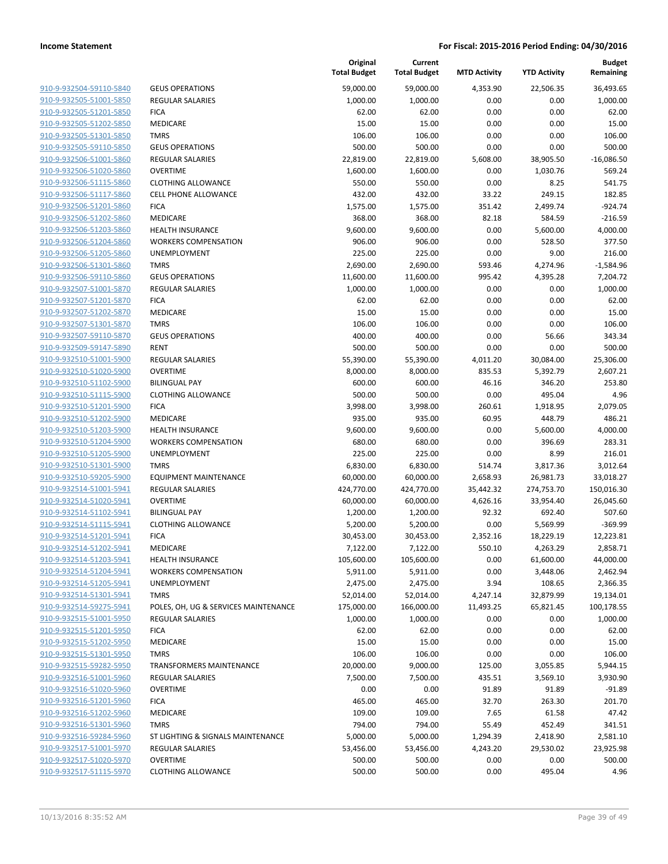| 910-9-932504-59110-5840                                   |
|-----------------------------------------------------------|
| 910-9-932505-51001-5850                                   |
| 910-9-932505-51201-5850                                   |
| 910-9-932505-51202-5850                                   |
| 910-9-932505-51301-5850                                   |
| 910-9-932505-59110-5850                                   |
| 910-9-932506-51001-5860                                   |
| 910-9-932506-51020-5860                                   |
| 910-9-932506-51115-5860                                   |
| 910-9-932506-51117-5860                                   |
| 910-9-932506-51201-5860                                   |
| 910-9-932506-51202-5860                                   |
| 910-9-932506-51203-5860                                   |
| 910-9-932506-51204-5860                                   |
| <u>910-9-932506-51205-5860</u>                            |
| 910-9-932506-51301-5860                                   |
| 910-9-932506-59110-5860                                   |
| 910-9-932507-51001-5870                                   |
| 910-9-932507-51201-5870                                   |
| <u>910-9-932507-51202-5870</u>                            |
| 910-9-932507-51301-5870                                   |
| 910-9-932507-59110-5870                                   |
| 910-9-932509-59147-5890                                   |
| 910-9-932510-51001-5900                                   |
| <u>910-9-932510-51020-5900</u>                            |
| 910-9-932510-51102-5900                                   |
| 910-9-932510-51115-5900                                   |
| 910-9-932510-51201-5900                                   |
| 910-9-932510-51202-5900                                   |
| <u>910-9-932510-51203-5900</u>                            |
| 910-9-932510-51204-5900                                   |
| 910-9-932510-51205-5900                                   |
| 910-9-932510-51301-5900                                   |
| 910-9-932510-59205-5900                                   |
|                                                           |
| <u>910-9-932514-51001-5941</u><br>910-9-932514-51020-5941 |
| 910-9-932514-51102-5941                                   |
|                                                           |
| 910-9-932514-51115-5941                                   |
| 910-9-932514-51201-5941                                   |
| 910-9-932514-51202-5941                                   |
| 910-9-932514-51203-5941                                   |
| 910-9-932514-51204-5941                                   |
| 910-9-932514-51205-5941                                   |
| 910-9-932514-51301-5941                                   |
| <u>910-9-932514-59275-5941</u>                            |
| <u>910-9-932515-51001-5950</u>                            |
| 910-9-932515-51201-<br>-5950                              |
| 910-9-932515-51202-5950                                   |
| <u>910-9-932515-51301-5950</u>                            |
| <u>910-9-932515-59282-5950</u>                            |
| 910-9-932516-51001-5960                                   |
| 910-9-932516-51020-5960                                   |
| 910-9-932516-51201-5960                                   |
| <u>910-9-932516-51202-5960</u>                            |
| <u>910-9-932516-51301-5960</u>                            |
| <u>910-9-932516-59284-5960</u>                            |
| 910-9-932517-51001-5970                                   |
| 910-9-932517-51020-5970                                   |
| 910-9-932517-51115-5970                                   |
|                                                           |

|                         |                                      | Original<br><b>Total Budget</b> | Current<br><b>Total Budget</b> | <b>MTD Activity</b> | <b>YTD Activity</b> | <b>Budget</b><br>Remaining |
|-------------------------|--------------------------------------|---------------------------------|--------------------------------|---------------------|---------------------|----------------------------|
| 910-9-932504-59110-5840 | <b>GEUS OPERATIONS</b>               | 59,000.00                       | 59,000.00                      | 4,353.90            | 22,506.35           | 36,493.65                  |
| 910-9-932505-51001-5850 | <b>REGULAR SALARIES</b>              | 1,000.00                        | 1,000.00                       | 0.00                | 0.00                | 1,000.00                   |
| 910-9-932505-51201-5850 | <b>FICA</b>                          | 62.00                           | 62.00                          | 0.00                | 0.00                | 62.00                      |
| 910-9-932505-51202-5850 | MEDICARE                             | 15.00                           | 15.00                          | 0.00                | 0.00                | 15.00                      |
| 910-9-932505-51301-5850 | <b>TMRS</b>                          | 106.00                          | 106.00                         | 0.00                | 0.00                | 106.00                     |
| 910-9-932505-59110-5850 | <b>GEUS OPERATIONS</b>               | 500.00                          | 500.00                         | 0.00                | 0.00                | 500.00                     |
| 910-9-932506-51001-5860 | <b>REGULAR SALARIES</b>              | 22,819.00                       | 22,819.00                      | 5,608.00            | 38,905.50           | $-16,086.50$               |
| 910-9-932506-51020-5860 | <b>OVERTIME</b>                      | 1,600.00                        | 1,600.00                       | 0.00                | 1,030.76            | 569.24                     |
| 910-9-932506-51115-5860 | <b>CLOTHING ALLOWANCE</b>            | 550.00                          | 550.00                         | 0.00                | 8.25                | 541.75                     |
| 910-9-932506-51117-5860 | <b>CELL PHONE ALLOWANCE</b>          | 432.00                          | 432.00                         | 33.22               | 249.15              | 182.85                     |
| 910-9-932506-51201-5860 | <b>FICA</b>                          | 1,575.00                        | 1,575.00                       | 351.42              | 2,499.74            | $-924.74$                  |
| 910-9-932506-51202-5860 | MEDICARE                             | 368.00                          | 368.00                         | 82.18               | 584.59              | $-216.59$                  |
| 910-9-932506-51203-5860 | <b>HEALTH INSURANCE</b>              | 9,600.00                        | 9,600.00                       | 0.00                | 5,600.00            | 4,000.00                   |
| 910-9-932506-51204-5860 | <b>WORKERS COMPENSATION</b>          | 906.00                          | 906.00                         | 0.00                | 528.50              | 377.50                     |
| 910-9-932506-51205-5860 | <b>UNEMPLOYMENT</b>                  | 225.00                          | 225.00                         | 0.00                | 9.00                | 216.00                     |
| 910-9-932506-51301-5860 | <b>TMRS</b>                          | 2,690.00                        | 2,690.00                       | 593.46              | 4,274.96            | $-1,584.96$                |
| 910-9-932506-59110-5860 | <b>GEUS OPERATIONS</b>               | 11,600.00                       | 11,600.00                      | 995.42              | 4,395.28            | 7,204.72                   |
| 910-9-932507-51001-5870 | <b>REGULAR SALARIES</b>              | 1,000.00                        | 1,000.00                       | 0.00                | 0.00                | 1,000.00                   |
| 910-9-932507-51201-5870 | <b>FICA</b>                          | 62.00                           | 62.00                          | 0.00                | 0.00                | 62.00                      |
| 910-9-932507-51202-5870 | MEDICARE                             | 15.00                           | 15.00                          | 0.00                | 0.00                | 15.00                      |
| 910-9-932507-51301-5870 | <b>TMRS</b>                          | 106.00                          | 106.00                         | 0.00                | 0.00                | 106.00                     |
| 910-9-932507-59110-5870 | <b>GEUS OPERATIONS</b>               | 400.00                          | 400.00                         | 0.00                | 56.66               | 343.34                     |
| 910-9-932509-59147-5890 | <b>RENT</b>                          | 500.00                          | 500.00                         | 0.00                | 0.00                | 500.00                     |
| 910-9-932510-51001-5900 | <b>REGULAR SALARIES</b>              | 55,390.00                       | 55,390.00                      | 4,011.20            | 30,084.00           | 25,306.00                  |
| 910-9-932510-51020-5900 | <b>OVERTIME</b>                      | 8,000.00                        | 8,000.00                       | 835.53              | 5,392.79            | 2,607.21                   |
| 910-9-932510-51102-5900 | <b>BILINGUAL PAY</b>                 | 600.00                          | 600.00                         | 46.16               | 346.20              | 253.80                     |
| 910-9-932510-51115-5900 | <b>CLOTHING ALLOWANCE</b>            | 500.00                          | 500.00                         | 0.00                | 495.04              | 4.96                       |
| 910-9-932510-51201-5900 | <b>FICA</b>                          | 3,998.00                        | 3,998.00                       | 260.61              | 1,918.95            | 2,079.05                   |
| 910-9-932510-51202-5900 | MEDICARE                             | 935.00                          | 935.00                         | 60.95               | 448.79              | 486.21                     |
| 910-9-932510-51203-5900 | <b>HEALTH INSURANCE</b>              | 9,600.00                        | 9,600.00                       | 0.00                | 5,600.00            | 4,000.00                   |
| 910-9-932510-51204-5900 | <b>WORKERS COMPENSATION</b>          | 680.00                          | 680.00                         | 0.00                | 396.69              | 283.31                     |
| 910-9-932510-51205-5900 | <b>UNEMPLOYMENT</b>                  | 225.00                          | 225.00                         | 0.00                | 8.99                | 216.01                     |
| 910-9-932510-51301-5900 | <b>TMRS</b>                          | 6,830.00                        | 6,830.00                       | 514.74              | 3,817.36            | 3,012.64                   |
| 910-9-932510-59205-5900 | <b>EQUIPMENT MAINTENANCE</b>         | 60,000.00                       | 60,000.00                      | 2,658.93            | 26,981.73           | 33,018.27                  |
| 910-9-932514-51001-5941 | <b>REGULAR SALARIES</b>              | 424,770.00                      | 424,770.00                     | 35,442.32           | 274,753.70          | 150,016.30                 |
| 910-9-932514-51020-5941 | <b>OVERTIME</b>                      | 60,000.00                       | 60,000.00                      | 4,626.16            | 33,954.40           | 26,045.60                  |
| 910-9-932514-51102-5941 | <b>BILINGUAL PAY</b>                 | 1,200.00                        | 1,200.00                       | 92.32               | 692.40              | 507.60                     |
| 910-9-932514-51115-5941 | <b>CLOTHING ALLOWANCE</b>            | 5,200.00                        | 5,200.00                       | 0.00                | 5,569.99            | $-369.99$                  |
| 910-9-932514-51201-5941 | <b>FICA</b>                          | 30,453.00                       | 30,453.00                      | 2,352.16            | 18,229.19           | 12,223.81                  |
| 910-9-932514-51202-5941 | MEDICARE                             | 7,122.00                        | 7,122.00                       | 550.10              | 4,263.29            | 2,858.71                   |
| 910-9-932514-51203-5941 | <b>HEALTH INSURANCE</b>              | 105,600.00                      | 105,600.00                     | 0.00                | 61,600.00           | 44,000.00                  |
| 910-9-932514-51204-5941 | <b>WORKERS COMPENSATION</b>          | 5,911.00                        | 5,911.00                       | 0.00                | 3,448.06            | 2,462.94                   |
| 910-9-932514-51205-5941 | UNEMPLOYMENT                         | 2,475.00                        | 2,475.00                       | 3.94                | 108.65              | 2,366.35                   |
| 910-9-932514-51301-5941 | <b>TMRS</b>                          | 52,014.00                       | 52,014.00                      | 4,247.14            | 32,879.99           | 19,134.01                  |
| 910-9-932514-59275-5941 | POLES, OH, UG & SERVICES MAINTENANCE | 175,000.00                      | 166,000.00                     | 11,493.25           | 65,821.45           | 100,178.55                 |
| 910-9-932515-51001-5950 | <b>REGULAR SALARIES</b>              | 1,000.00                        | 1,000.00                       | 0.00                | 0.00                | 1,000.00                   |
| 910-9-932515-51201-5950 | <b>FICA</b>                          | 62.00                           | 62.00                          | 0.00                | 0.00                | 62.00                      |
| 910-9-932515-51202-5950 | MEDICARE                             | 15.00                           | 15.00                          | 0.00                | 0.00                | 15.00                      |
| 910-9-932515-51301-5950 | <b>TMRS</b>                          | 106.00                          | 106.00                         | 0.00                | 0.00                | 106.00                     |
| 910-9-932515-59282-5950 | <b>TRANSFORMERS MAINTENANCE</b>      | 20,000.00                       | 9,000.00                       | 125.00              | 3,055.85            | 5,944.15                   |
| 910-9-932516-51001-5960 | <b>REGULAR SALARIES</b>              | 7,500.00                        | 7,500.00                       | 435.51              | 3,569.10            | 3,930.90                   |
| 910-9-932516-51020-5960 | <b>OVERTIME</b>                      | 0.00                            | 0.00                           | 91.89               | 91.89               | $-91.89$                   |
| 910-9-932516-51201-5960 | <b>FICA</b>                          | 465.00                          | 465.00                         | 32.70               | 263.30              | 201.70                     |
| 910-9-932516-51202-5960 | MEDICARE                             | 109.00                          | 109.00                         | 7.65                | 61.58               | 47.42                      |
| 910-9-932516-51301-5960 | <b>TMRS</b>                          | 794.00                          | 794.00                         | 55.49               | 452.49              | 341.51                     |
| 910-9-932516-59284-5960 | ST LIGHTING & SIGNALS MAINTENANCE    | 5,000.00                        | 5,000.00                       | 1,294.39            | 2,418.90            | 2,581.10                   |
| 910-9-932517-51001-5970 | <b>REGULAR SALARIES</b>              | 53,456.00                       | 53,456.00                      | 4,243.20            | 29,530.02           | 23,925.98                  |
| 910-9-932517-51020-5970 | <b>OVERTIME</b>                      | 500.00                          | 500.00                         | 0.00                | 0.00                | 500.00                     |
| 910-9-932517-51115-5970 | <b>CLOTHING ALLOWANCE</b>            | 500.00                          | 500.00                         | 0.00                | 495.04              | 4.96                       |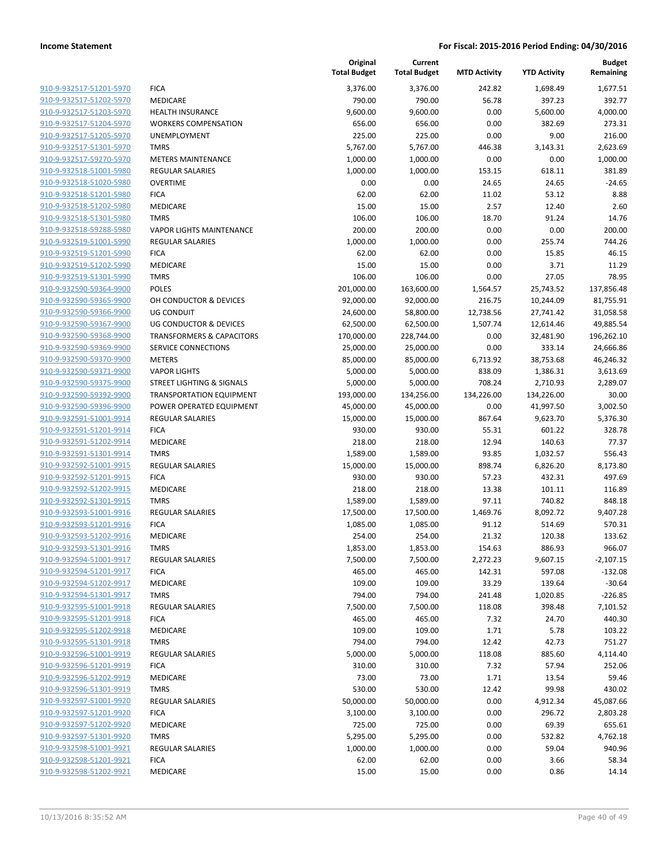|                         |                                      | Original<br><b>Total Budget</b> | Current<br><b>Total Budget</b> | <b>MTD Activity</b> | <b>YTD Activity</b> | <b>Budget</b><br>Remaining |
|-------------------------|--------------------------------------|---------------------------------|--------------------------------|---------------------|---------------------|----------------------------|
| 910-9-932517-51201-5970 | <b>FICA</b>                          | 3,376.00                        | 3,376.00                       | 242.82              | 1,698.49            | 1,677.51                   |
| 910-9-932517-51202-5970 | MEDICARE                             | 790.00                          | 790.00                         | 56.78               | 397.23              | 392.77                     |
| 910-9-932517-51203-5970 | <b>HEALTH INSURANCE</b>              | 9,600.00                        | 9,600.00                       | 0.00                | 5,600.00            | 4,000.00                   |
| 910-9-932517-51204-5970 | <b>WORKERS COMPENSATION</b>          | 656.00                          | 656.00                         | 0.00                | 382.69              | 273.31                     |
| 910-9-932517-51205-5970 | <b>UNEMPLOYMENT</b>                  | 225.00                          | 225.00                         | 0.00                | 9.00                | 216.00                     |
| 910-9-932517-51301-5970 | <b>TMRS</b>                          | 5,767.00                        | 5,767.00                       | 446.38              | 3,143.31            | 2,623.69                   |
| 910-9-932517-59270-5970 | <b>METERS MAINTENANCE</b>            | 1,000.00                        | 1,000.00                       | 0.00                | 0.00                | 1,000.00                   |
| 910-9-932518-51001-5980 | REGULAR SALARIES                     | 1,000.00                        | 1,000.00                       | 153.15              | 618.11              | 381.89                     |
| 910-9-932518-51020-5980 | <b>OVERTIME</b>                      | 0.00                            | 0.00                           | 24.65               | 24.65               | $-24.65$                   |
| 910-9-932518-51201-5980 | <b>FICA</b>                          | 62.00                           | 62.00                          | 11.02               | 53.12               | 8.88                       |
| 910-9-932518-51202-5980 | <b>MEDICARE</b>                      | 15.00                           | 15.00                          | 2.57                | 12.40               | 2.60                       |
| 910-9-932518-51301-5980 | <b>TMRS</b>                          | 106.00                          | 106.00                         | 18.70               | 91.24               | 14.76                      |
| 910-9-932518-59288-5980 | <b>VAPOR LIGHTS MAINTENANCE</b>      | 200.00                          | 200.00                         | 0.00                | 0.00                | 200.00                     |
| 910-9-932519-51001-5990 | <b>REGULAR SALARIES</b>              | 1,000.00                        | 1,000.00                       | 0.00                | 255.74              | 744.26                     |
| 910-9-932519-51201-5990 | <b>FICA</b>                          | 62.00                           | 62.00                          | 0.00                | 15.85               | 46.15                      |
| 910-9-932519-51202-5990 | <b>MEDICARE</b>                      | 15.00                           | 15.00                          | 0.00                | 3.71                | 11.29                      |
| 910-9-932519-51301-5990 | <b>TMRS</b>                          | 106.00                          | 106.00                         | 0.00                | 27.05               | 78.95                      |
| 910-9-932590-59364-9900 | <b>POLES</b>                         | 201,000.00                      | 163,600.00                     | 1,564.57            | 25,743.52           | 137,856.48                 |
| 910-9-932590-59365-9900 | OH CONDUCTOR & DEVICES               | 92,000.00                       | 92,000.00                      | 216.75              | 10,244.09           | 81,755.91                  |
| 910-9-932590-59366-9900 | <b>UG CONDUIT</b>                    | 24,600.00                       | 58,800.00                      | 12,738.56           | 27,741.42           | 31,058.58                  |
| 910-9-932590-59367-9900 | UG CONDUCTOR & DEVICES               | 62,500.00                       | 62,500.00                      | 1,507.74            | 12,614.46           | 49,885.54                  |
| 910-9-932590-59368-9900 | <b>TRANSFORMERS &amp; CAPACITORS</b> | 170,000.00                      | 228,744.00                     | 0.00                | 32,481.90           | 196,262.10                 |
| 910-9-932590-59369-9900 | SERVICE CONNECTIONS                  | 25,000.00                       | 25,000.00                      | 0.00                | 333.14              | 24,666.86                  |
| 910-9-932590-59370-9900 | <b>METERS</b>                        | 85,000.00                       | 85,000.00                      | 6,713.92            | 38,753.68           | 46,246.32                  |
| 910-9-932590-59371-9900 | <b>VAPOR LIGHTS</b>                  | 5,000.00                        | 5,000.00                       | 838.09              | 1,386.31            | 3,613.69                   |
| 910-9-932590-59375-9900 | STREET LIGHTING & SIGNALS            | 5,000.00                        | 5,000.00                       | 708.24              | 2,710.93            | 2,289.07                   |
| 910-9-932590-59392-9900 | <b>TRANSPORTATION EQUIPMENT</b>      | 193,000.00                      | 134,256.00                     | 134,226.00          | 134,226.00          | 30.00                      |
| 910-9-932590-59396-9900 | POWER OPERATED EQUIPMENT             | 45,000.00                       | 45,000.00                      | 0.00                | 41,997.50           | 3,002.50                   |
| 910-9-932591-51001-9914 | <b>REGULAR SALARIES</b>              | 15,000.00                       | 15,000.00                      | 867.64              | 9,623.70            | 5,376.30                   |
| 910-9-932591-51201-9914 | <b>FICA</b>                          | 930.00                          | 930.00                         | 55.31               | 601.22              | 328.78                     |
| 910-9-932591-51202-9914 | <b>MEDICARE</b>                      | 218.00                          | 218.00                         | 12.94               | 140.63              | 77.37                      |
| 910-9-932591-51301-9914 | <b>TMRS</b>                          | 1,589.00                        | 1,589.00                       | 93.85               | 1,032.57            | 556.43                     |
| 910-9-932592-51001-9915 | <b>REGULAR SALARIES</b>              | 15,000.00                       | 15,000.00                      | 898.74              | 6,826.20            | 8,173.80                   |
| 910-9-932592-51201-9915 | <b>FICA</b>                          | 930.00                          | 930.00                         | 57.23               | 432.31              | 497.69                     |
| 910-9-932592-51202-9915 | <b>MEDICARE</b>                      | 218.00                          | 218.00                         | 13.38               | 101.11              | 116.89                     |
| 910-9-932592-51301-9915 | <b>TMRS</b>                          | 1,589.00                        | 1,589.00                       | 97.11               | 740.82              | 848.18                     |
| 910-9-932593-51001-9916 | REGULAR SALARIES                     | 17,500.00                       | 17,500.00                      | 1,469.76            | 8,092.72            | 9,407.28                   |
| 910-9-932593-51201-9916 | <b>FICA</b>                          | 1,085.00                        | 1,085.00                       | 91.12               | 514.69              | 570.31                     |
| 910-9-932593-51202-9916 | MEDICARE                             | 254.00                          | 254.00                         | 21.32               | 120.38              | 133.62                     |
| 910-9-932593-51301-9916 | <b>TMRS</b>                          | 1,853.00                        | 1,853.00                       | 154.63              | 886.93              | 966.07                     |
| 910-9-932594-51001-9917 | REGULAR SALARIES                     | 7,500.00                        | 7,500.00                       | 2,272.23            | 9,607.15            | $-2,107.15$                |
| 910-9-932594-51201-9917 | <b>FICA</b>                          | 465.00                          | 465.00                         | 142.31              | 597.08              | $-132.08$                  |
| 910-9-932594-51202-9917 | MEDICARE                             | 109.00                          | 109.00                         | 33.29               | 139.64              | $-30.64$                   |
| 910-9-932594-51301-9917 | <b>TMRS</b>                          | 794.00                          | 794.00                         | 241.48              | 1,020.85            | $-226.85$                  |
| 910-9-932595-51001-9918 | <b>REGULAR SALARIES</b>              | 7,500.00                        | 7,500.00                       | 118.08              | 398.48              | 7,101.52                   |
| 910-9-932595-51201-9918 | <b>FICA</b>                          | 465.00                          | 465.00                         | 7.32                | 24.70               | 440.30                     |
| 910-9-932595-51202-9918 | MEDICARE                             | 109.00                          | 109.00                         | 1.71                | 5.78                | 103.22                     |
| 910-9-932595-51301-9918 | <b>TMRS</b>                          | 794.00                          | 794.00                         | 12.42               | 42.73               | 751.27                     |
| 910-9-932596-51001-9919 | <b>REGULAR SALARIES</b>              | 5,000.00                        | 5,000.00                       | 118.08              | 885.60              | 4,114.40                   |
| 910-9-932596-51201-9919 | <b>FICA</b>                          | 310.00                          | 310.00                         | 7.32                | 57.94               | 252.06                     |
| 910-9-932596-51202-9919 | MEDICARE                             | 73.00                           | 73.00                          | 1.71                | 13.54               | 59.46                      |
| 910-9-932596-51301-9919 | <b>TMRS</b>                          | 530.00                          | 530.00                         | 12.42               | 99.98               | 430.02                     |
| 910-9-932597-51001-9920 | REGULAR SALARIES                     | 50,000.00                       | 50,000.00                      | 0.00                | 4,912.34            | 45,087.66                  |
| 910-9-932597-51201-9920 | <b>FICA</b>                          | 3,100.00                        | 3,100.00                       | 0.00                | 296.72              | 2,803.28                   |
| 910-9-932597-51202-9920 | MEDICARE                             | 725.00                          | 725.00                         | 0.00                | 69.39               | 655.61                     |
| 910-9-932597-51301-9920 | <b>TMRS</b>                          | 5,295.00                        | 5,295.00                       | 0.00                | 532.82              | 4,762.18                   |
| 910-9-932598-51001-9921 | REGULAR SALARIES                     | 1,000.00                        | 1,000.00                       | 0.00                | 59.04               | 940.96                     |
| 910-9-932598-51201-9921 | <b>FICA</b>                          | 62.00                           | 62.00                          | 0.00                | 3.66                | 58.34                      |
| 910-9-932598-51202-9921 | MEDICARE                             | 15.00                           | 15.00                          | 0.00                | 0.86                | 14.14                      |
|                         |                                      |                                 |                                |                     |                     |                            |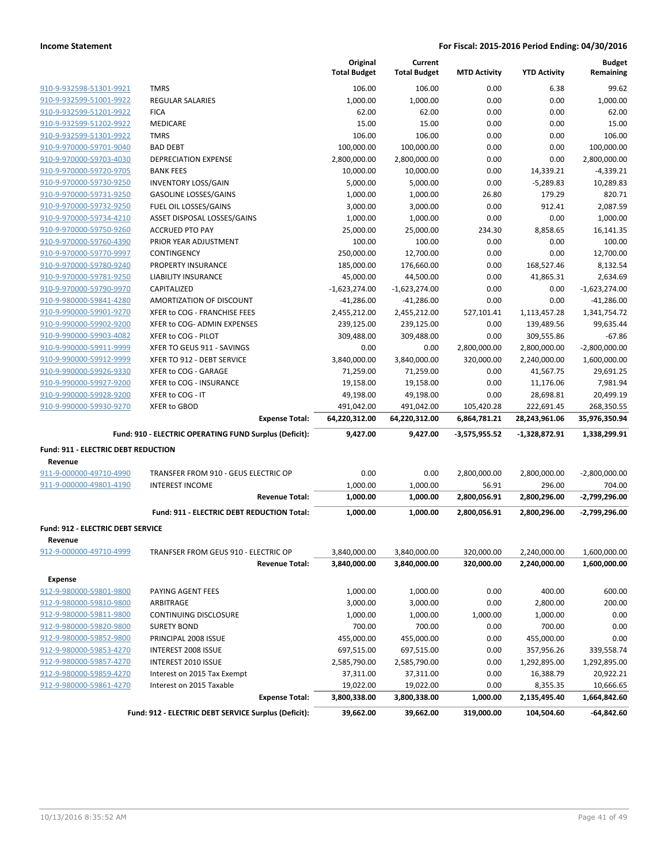|                                     |                                                        | Original<br><b>Total Budget</b> | Current<br><b>Total Budget</b> | <b>MTD Activity</b> | <b>YTD Activity</b> | <b>Budget</b><br>Remaining |
|-------------------------------------|--------------------------------------------------------|---------------------------------|--------------------------------|---------------------|---------------------|----------------------------|
| 910-9-932598-51301-9921             | <b>TMRS</b>                                            | 106.00                          | 106.00                         | 0.00                | 6.38                | 99.62                      |
| 910-9-932599-51001-9922             | <b>REGULAR SALARIES</b>                                | 1,000.00                        | 1,000.00                       | 0.00                | 0.00                | 1,000.00                   |
| 910-9-932599-51201-9922             | <b>FICA</b>                                            | 62.00                           | 62.00                          | 0.00                | 0.00                | 62.00                      |
| 910-9-932599-51202-9922             | <b>MEDICARE</b>                                        | 15.00                           | 15.00                          | 0.00                | 0.00                | 15.00                      |
| 910-9-932599-51301-9922             | <b>TMRS</b>                                            | 106.00                          | 106.00                         | 0.00                | 0.00                | 106.00                     |
| 910-9-970000-59701-9040             | <b>BAD DEBT</b>                                        | 100,000.00                      | 100,000.00                     | 0.00                | 0.00                | 100,000.00                 |
| 910-9-970000-59703-4030             | <b>DEPRECIATION EXPENSE</b>                            | 2,800,000.00                    | 2,800,000.00                   | 0.00                | 0.00                | 2,800,000.00               |
| 910-9-970000-59720-9705             | <b>BANK FEES</b>                                       | 10,000.00                       | 10,000.00                      | 0.00                | 14,339.21           | $-4,339.21$                |
| 910-9-970000-59730-9250             | <b>INVENTORY LOSS/GAIN</b>                             | 5,000.00                        | 5,000.00                       | 0.00                | $-5,289.83$         | 10,289.83                  |
| 910-9-970000-59731-9250             | <b>GASOLINE LOSSES/GAINS</b>                           | 1,000.00                        | 1,000.00                       | 26.80               | 179.29              | 820.71                     |
| 910-9-970000-59732-9250             | FUEL OIL LOSSES/GAINS                                  | 3,000.00                        | 3,000.00                       | 0.00                | 912.41              | 2,087.59                   |
| 910-9-970000-59734-4210             | ASSET DISPOSAL LOSSES/GAINS                            | 1,000.00                        | 1,000.00                       | 0.00                | 0.00                | 1,000.00                   |
| 910-9-970000-59750-9260             | <b>ACCRUED PTO PAY</b>                                 | 25,000.00                       | 25,000.00                      | 234.30              | 8,858.65            | 16,141.35                  |
| 910-9-970000-59760-4390             | PRIOR YEAR ADJUSTMENT                                  | 100.00                          | 100.00                         | 0.00                | 0.00                | 100.00                     |
| 910-9-970000-59770-9997             | CONTINGENCY                                            | 250,000.00                      | 12,700.00                      | 0.00                | 0.00                | 12,700.00                  |
| 910-9-970000-59780-9240             | PROPERTY INSURANCE                                     | 185,000.00                      | 176,660.00                     | 0.00                | 168,527.46          | 8,132.54                   |
| 910-9-970000-59781-9250             | LIABILITY INSURANCE                                    | 45,000.00                       | 44,500.00                      | 0.00                | 41,865.31           | 2,634.69                   |
| 910-9-970000-59790-9970             | CAPITALIZED                                            | $-1,623,274.00$                 | $-1,623,274.00$                | 0.00                | 0.00                | $-1,623,274.00$            |
| 910-9-980000-59841-4280             | AMORTIZATION OF DISCOUNT                               | $-41,286.00$                    | $-41,286.00$                   | 0.00                | 0.00                | $-41,286.00$               |
| 910-9-990000-59901-9270             | XFER to COG - FRANCHISE FEES                           | 2,455,212.00                    | 2,455,212.00                   | 527,101.41          | 1,113,457.28        | 1,341,754.72               |
| 910-9-990000-59902-9200             | XFER to COG- ADMIN EXPENSES                            | 239,125.00                      | 239,125.00                     | 0.00                | 139,489.56          | 99,635.44                  |
| 910-9-990000-59903-4082             | XFER to COG - PILOT                                    | 309,488.00                      | 309,488.00                     | 0.00                | 309,555.86          | $-67.86$                   |
| 910-9-990000-59911-9999             | XFER TO GEUS 911 - SAVINGS                             | 0.00                            | 0.00                           | 2,800,000.00        | 2,800,000.00        | $-2,800,000.00$            |
| 910-9-990000-59912-9999             | XFER TO 912 - DEBT SERVICE                             | 3,840,000.00                    | 3,840,000.00                   | 320,000.00          | 2,240,000.00        | 1,600,000.00               |
| 910-9-990000-59926-9330             | XFER to COG - GARAGE                                   | 71,259.00                       | 71,259.00                      | 0.00                | 41,567.75           | 29,691.25                  |
| 910-9-990000-59927-9200             | XFER to COG - INSURANCE                                | 19,158.00                       | 19,158.00                      | 0.00                | 11,176.06           | 7,981.94                   |
| 910-9-990000-59928-9200             | XFER to COG - IT                                       | 49,198.00                       | 49,198.00                      | 0.00                | 28,698.81           | 20,499.19                  |
| 910-9-990000-59930-9270             | <b>XFER to GBOD</b>                                    | 491,042.00                      | 491,042.00                     | 105,420.28          | 222,691.45          | 268,350.55                 |
|                                     | <b>Expense Total:</b>                                  | 64,220,312.00                   | 64,220,312.00                  | 6,864,781.21        | 28,243,961.06       | 35,976,350.94              |
|                                     |                                                        |                                 |                                |                     |                     |                            |
|                                     | Fund: 910 - ELECTRIC OPERATING FUND Surplus (Deficit): | 9,427.00                        | 9,427.00                       | $-3,575,955.52$     | -1,328,872.91       | 1,338,299.91               |
| Fund: 911 - ELECTRIC DEBT REDUCTION |                                                        |                                 |                                |                     |                     |                            |
| Revenue                             |                                                        |                                 |                                |                     |                     |                            |
| 911-9-000000-49710-4990             | TRANSFER FROM 910 - GEUS ELECTRIC OP                   | 0.00                            | 0.00                           | 2,800,000.00        | 2,800,000.00        | $-2,800,000.00$            |
| 911-9-000000-49801-4190             | <b>INTEREST INCOME</b>                                 | 1,000.00                        | 1,000.00                       | 56.91               | 296.00              | 704.00                     |
|                                     | <b>Revenue Total:</b>                                  | 1,000.00                        | 1,000.00                       | 2,800,056.91        | 2,800,296.00        | -2,799,296.00              |
|                                     | Fund: 911 - ELECTRIC DEBT REDUCTION Total:             | 1,000.00                        | 1,000.00                       | 2,800,056.91        | 2,800,296.00        | -2,799,296.00              |
| Fund: 912 - ELECTRIC DEBT SERVICE   |                                                        |                                 |                                |                     |                     |                            |
| Revenue                             |                                                        |                                 |                                |                     |                     |                            |
| 912-9-000000-49710-4999             | TRANFSER FROM GEUS 910 - ELECTRIC OP                   | 3,840,000.00                    | 3,840,000.00                   | 320,000.00          | 2,240,000.00        | 1,600,000.00               |
|                                     | <b>Revenue Total:</b>                                  | 3,840,000.00                    | 3,840,000.00                   | 320,000.00          | 2,240,000.00        | 1,600,000.00               |
| Expense                             |                                                        |                                 |                                |                     |                     |                            |
| 912-9-980000-59801-9800             | PAYING AGENT FEES                                      | 1,000.00                        | 1,000.00                       | 0.00                | 400.00              | 600.00                     |
| 912-9-980000-59810-9800             | ARBITRAGE                                              | 3,000.00                        | 3,000.00                       | 0.00                | 2,800.00            | 200.00                     |
| 912-9-980000-59811-9800             |                                                        |                                 |                                |                     |                     | 0.00                       |
| 912-9-980000-59820-9800             | CONTINUING DISCLOSURE<br><b>SURETY BOND</b>            | 1,000.00<br>700.00              | 1,000.00<br>700.00             | 1,000.00<br>0.00    | 1,000.00<br>700.00  | 0.00                       |
|                                     |                                                        | 455,000.00                      |                                |                     |                     |                            |
| 912-9-980000-59852-9800             | PRINCIPAL 2008 ISSUE                                   |                                 | 455,000.00                     | 0.00                | 455,000.00          | 0.00                       |
| 912-9-980000-59853-4270             | <b>INTEREST 2008 ISSUE</b>                             | 697,515.00                      | 697,515.00                     | 0.00                | 357,956.26          | 339,558.74                 |
| 912-9-980000-59857-4270             | INTEREST 2010 ISSUE                                    | 2,585,790.00                    | 2,585,790.00                   | 0.00                | 1,292,895.00        | 1,292,895.00               |
| 912-9-980000-59859-4270             | Interest on 2015 Tax Exempt                            | 37,311.00                       | 37,311.00                      | 0.00                | 16,388.79           | 20,922.21                  |
| 912-9-980000-59861-4270             | Interest on 2015 Taxable                               | 19,022.00                       | 19,022.00                      | 0.00                | 8,355.35            | 10,666.65                  |
|                                     | <b>Expense Total:</b>                                  | 3,800,338.00                    | 3,800,338.00                   | 1,000.00            | 2,135,495.40        | 1,664,842.60               |
|                                     | Fund: 912 - ELECTRIC DEBT SERVICE Surplus (Deficit):   | 39,662.00                       | 39,662.00                      | 319,000.00          | 104,504.60          | $-64,842.60$               |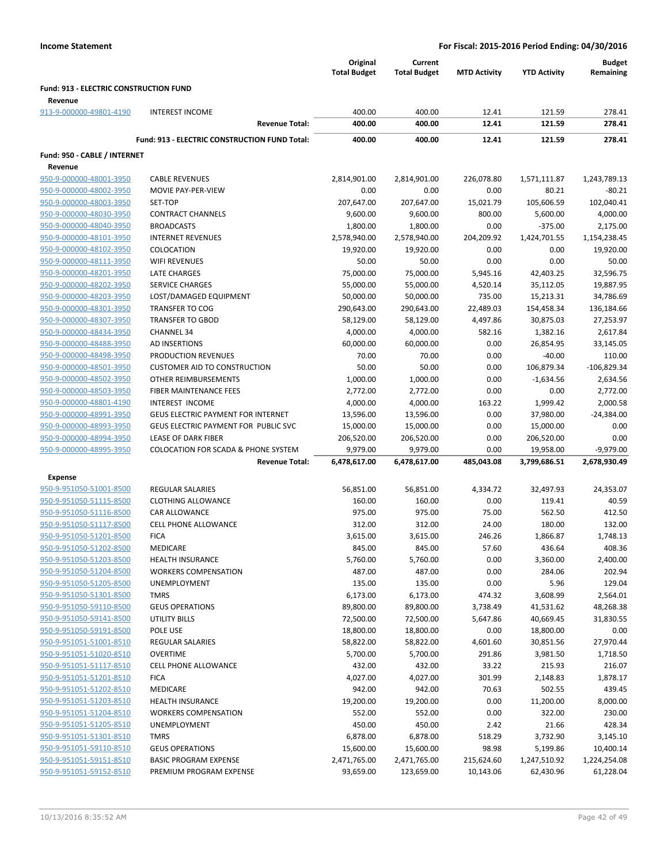|                                               |                                                      | Original<br><b>Total Budget</b> | Current<br><b>Total Budget</b> | <b>MTD Activity</b> | <b>YTD Activity</b> | <b>Budget</b><br>Remaining |
|-----------------------------------------------|------------------------------------------------------|---------------------------------|--------------------------------|---------------------|---------------------|----------------------------|
| <b>Fund: 913 - ELECTRIC CONSTRUCTION FUND</b> |                                                      |                                 |                                |                     |                     |                            |
| Revenue                                       |                                                      |                                 |                                |                     |                     |                            |
| 913-9-000000-49801-4190                       | <b>INTEREST INCOME</b>                               | 400.00                          | 400.00                         | 12.41               | 121.59              | 278.41                     |
|                                               | <b>Revenue Total:</b>                                | 400.00                          | 400.00                         | 12.41               | 121.59              | 278.41                     |
|                                               | <b>Fund: 913 - ELECTRIC CONSTRUCTION FUND Total:</b> | 400.00                          | 400.00                         | 12.41               | 121.59              | 278.41                     |
| Fund: 950 - CABLE / INTERNET                  |                                                      |                                 |                                |                     |                     |                            |
| Revenue                                       |                                                      |                                 |                                |                     |                     |                            |
| 950-9-000000-48001-3950                       | <b>CABLE REVENUES</b>                                | 2,814,901.00                    | 2,814,901.00                   | 226,078.80          | 1,571,111.87        | 1,243,789.13               |
| 950-9-000000-48002-3950                       | MOVIE PAY-PER-VIEW                                   | 0.00                            | 0.00                           | 0.00                | 80.21               | $-80.21$                   |
| 950-9-000000-48003-3950                       | SET-TOP                                              | 207,647.00                      | 207,647.00                     | 15,021.79           | 105,606.59          | 102,040.41                 |
| 950-9-000000-48030-3950                       | <b>CONTRACT CHANNELS</b>                             | 9,600.00                        | 9,600.00                       | 800.00              | 5,600.00            | 4,000.00                   |
| 950-9-000000-48040-3950                       | <b>BROADCASTS</b>                                    | 1,800.00                        | 1,800.00                       | 0.00                | $-375.00$           | 2,175.00                   |
| 950-9-000000-48101-3950                       | <b>INTERNET REVENUES</b>                             | 2,578,940.00                    | 2,578,940.00                   | 204,209.92          | 1,424,701.55        | 1,154,238.45               |
| 950-9-000000-48102-3950                       | COLOCATION                                           | 19,920.00                       | 19,920.00                      | 0.00                | 0.00                | 19,920.00                  |
| 950-9-000000-48111-3950                       | <b>WIFI REVENUES</b>                                 | 50.00                           | 50.00                          | 0.00                | 0.00                | 50.00                      |
| 950-9-000000-48201-3950                       | LATE CHARGES                                         | 75,000.00                       | 75,000.00                      | 5,945.16            | 42,403.25           | 32,596.75                  |
| 950-9-000000-48202-3950                       | <b>SERVICE CHARGES</b>                               | 55,000.00                       | 55,000.00                      | 4,520.14            | 35,112.05           | 19,887.95                  |
| 950-9-000000-48203-3950                       | LOST/DAMAGED EQUIPMENT                               | 50,000.00                       | 50,000.00                      | 735.00              | 15,213.31           | 34,786.69                  |
| 950-9-000000-48301-3950                       | <b>TRANSFER TO COG</b>                               | 290,643.00                      | 290,643.00                     | 22,489.03           | 154,458.34          | 136,184.66                 |
| 950-9-000000-48307-3950                       | <b>TRANSFER TO GBOD</b>                              | 58,129.00                       | 58,129.00                      | 4,497.86            | 30,875.03           | 27,253.97                  |
| 950-9-000000-48434-3950                       | <b>CHANNEL 34</b>                                    | 4,000.00                        | 4,000.00                       | 582.16              | 1,382.16            | 2,617.84                   |
| 950-9-000000-48488-3950                       | AD INSERTIONS                                        | 60,000.00                       | 60,000.00                      | 0.00                | 26,854.95           | 33,145.05                  |
| 950-9-000000-48498-3950                       | PRODUCTION REVENUES                                  | 70.00                           | 70.00                          | 0.00                | $-40.00$            | 110.00                     |
| 950-9-000000-48501-3950                       | <b>CUSTOMER AID TO CONSTRUCTION</b>                  | 50.00                           | 50.00                          | 0.00                | 106,879.34          | $-106,829.34$              |
| 950-9-000000-48502-3950                       | OTHER REIMBURSEMENTS                                 | 1,000.00                        | 1,000.00                       | 0.00                | $-1,634.56$         | 2,634.56                   |
| 950-9-000000-48503-3950                       | FIBER MAINTENANCE FEES                               | 2,772.00                        | 2,772.00                       | 0.00                | 0.00                | 2,772.00                   |
| 950-9-000000-48801-4190                       | INTEREST INCOME                                      | 4,000.00                        | 4,000.00                       | 163.22              | 1,999.42            | 2,000.58                   |
| 950-9-000000-48991-3950                       | <b>GEUS ELECTRIC PAYMENT FOR INTERNET</b>            | 13,596.00                       | 13,596.00                      | 0.00                | 37,980.00           | $-24,384.00$               |
| 950-9-000000-48993-3950                       | GEUS ELECTRIC PAYMENT FOR PUBLIC SVC                 | 15,000.00                       | 15,000.00                      | 0.00                | 15,000.00           | 0.00                       |
| 950-9-000000-48994-3950                       | LEASE OF DARK FIBER                                  | 206,520.00                      | 206,520.00                     | 0.00                | 206,520.00          | 0.00                       |
| 950-9-000000-48995-3950                       | <b>COLOCATION FOR SCADA &amp; PHONE SYSTEM</b>       | 9,979.00                        | 9,979.00                       | 0.00                | 19,958.00           | $-9,979.00$                |
|                                               | <b>Revenue Total:</b>                                | 6,478,617.00                    | 6,478,617.00                   | 485,043.08          | 3,799,686.51        | 2,678,930.49               |
| <b>Expense</b>                                |                                                      |                                 |                                |                     |                     |                            |
| 950-9-951050-51001-8500                       | <b>REGULAR SALARIES</b>                              | 56,851.00                       | 56,851.00                      | 4,334.72            | 32,497.93           | 24,353.07                  |
| 950-9-951050-51115-8500                       | <b>CLOTHING ALLOWANCE</b>                            | 160.00                          | 160.00                         | 0.00                | 119.41              | 40.59                      |
| 950-9-951050-51116-8500                       | <b>CAR ALLOWANCE</b>                                 | 975.00                          | 975.00                         | 75.00               | 562.50              | 412.50                     |
| 950-9-951050-51117-8500                       | <b>CELL PHONE ALLOWANCE</b>                          | 312.00                          | 312.00                         | 24.00               | 180.00              | 132.00                     |
| 950-9-951050-51201-8500                       | <b>FICA</b>                                          | 3,615.00                        | 3,615.00                       | 246.26              | 1,866.87            | 1,748.13                   |
| 950-9-951050-51202-8500                       | <b>MEDICARE</b>                                      | 845.00                          | 845.00                         | 57.60               | 436.64              | 408.36                     |
| 950-9-951050-51203-8500                       | <b>HEALTH INSURANCE</b>                              | 5,760.00                        | 5,760.00                       | 0.00                | 3,360.00            | 2,400.00                   |
| 950-9-951050-51204-8500                       | <b>WORKERS COMPENSATION</b>                          | 487.00                          | 487.00                         | 0.00                | 284.06              | 202.94                     |
| 950-9-951050-51205-8500                       | UNEMPLOYMENT                                         | 135.00                          | 135.00                         | 0.00                | 5.96                | 129.04                     |
| 950-9-951050-51301-8500                       | <b>TMRS</b>                                          | 6,173.00                        | 6,173.00                       | 474.32              | 3,608.99            | 2,564.01                   |
| 950-9-951050-59110-8500                       | <b>GEUS OPERATIONS</b>                               | 89,800.00                       | 89,800.00                      | 3,738.49            | 41,531.62           | 48,268.38                  |
| 950-9-951050-59141-8500                       | <b>UTILITY BILLS</b>                                 | 72,500.00                       | 72,500.00                      | 5,647.86            | 40,669.45           | 31,830.55                  |
| 950-9-951050-59191-8500                       | POLE USE                                             | 18,800.00                       | 18,800.00                      | 0.00                | 18,800.00           | 0.00                       |
| 950-9-951051-51001-8510                       | <b>REGULAR SALARIES</b>                              | 58,822.00                       | 58,822.00                      | 4,601.60            | 30,851.56           | 27,970.44                  |
| 950-9-951051-51020-8510                       | <b>OVERTIME</b>                                      | 5,700.00                        | 5,700.00                       | 291.86              | 3,981.50            | 1,718.50                   |
| 950-9-951051-51117-8510                       | <b>CELL PHONE ALLOWANCE</b>                          | 432.00                          | 432.00                         | 33.22               | 215.93              | 216.07                     |
| 950-9-951051-51201-8510                       | <b>FICA</b>                                          | 4,027.00                        | 4,027.00                       | 301.99              | 2,148.83            | 1,878.17                   |
| 950-9-951051-51202-8510                       | MEDICARE                                             | 942.00                          | 942.00                         | 70.63               | 502.55              | 439.45                     |
| 950-9-951051-51203-8510                       | <b>HEALTH INSURANCE</b>                              | 19,200.00                       | 19,200.00                      | 0.00                | 11,200.00           | 8,000.00                   |
| 950-9-951051-51204-8510                       | <b>WORKERS COMPENSATION</b>                          | 552.00                          | 552.00                         | 0.00                | 322.00              | 230.00                     |
| 950-9-951051-51205-8510                       | UNEMPLOYMENT                                         | 450.00                          | 450.00                         | 2.42                | 21.66               | 428.34                     |
| 950-9-951051-51301-8510                       | <b>TMRS</b>                                          | 6,878.00                        | 6,878.00                       | 518.29              | 3,732.90            | 3,145.10                   |
| 950-9-951051-59110-8510                       | <b>GEUS OPERATIONS</b>                               | 15,600.00                       | 15,600.00                      | 98.98               | 5,199.86            | 10,400.14                  |
| 950-9-951051-59151-8510                       | <b>BASIC PROGRAM EXPENSE</b>                         | 2,471,765.00                    | 2,471,765.00                   | 215,624.60          | 1,247,510.92        | 1,224,254.08               |
| 950-9-951051-59152-8510                       | PREMIUM PROGRAM EXPENSE                              | 93,659.00                       | 123,659.00                     | 10,143.06           | 62,430.96           | 61,228.04                  |
|                                               |                                                      |                                 |                                |                     |                     |                            |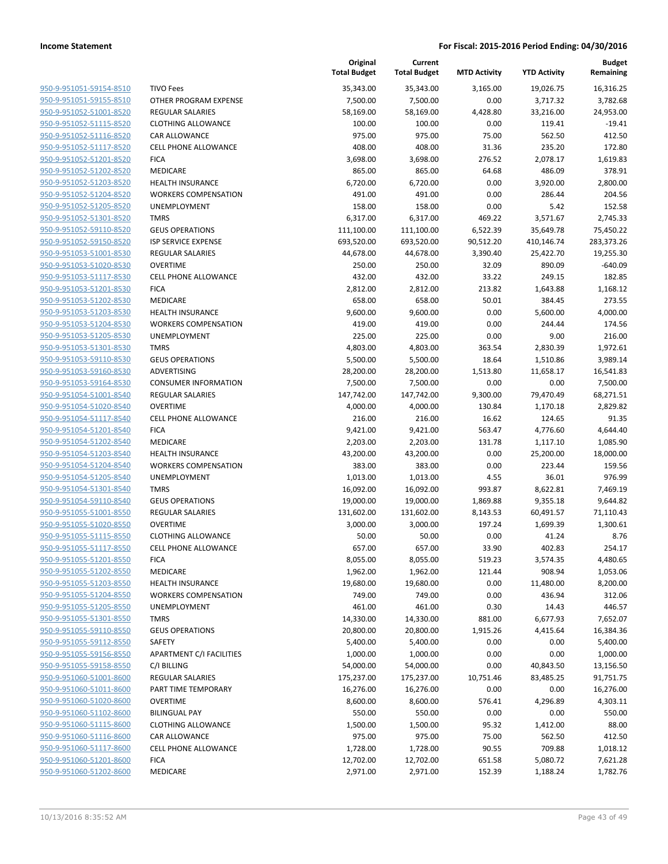| 950-9-951051-59154-8510        |
|--------------------------------|
| 950-9-951051-59155-8510        |
| 950-9-951052-51001-8520        |
| 950-9-951052-51115-8520        |
| <u>950-9-951052-51116-8520</u> |
| 950-9-951052-51117-8520        |
| 950-9-951052-51201-8520        |
| 950-9-951052-51202-8520        |
| 950-9-951052-51203-8520        |
| 950-9-951052-51204-8520        |
| 950-9-951052-51205-8520        |
| 950-9-951052-51301-8520        |
| 950-9-951052-59110-8520        |
| 950-9-951052-59150-8520        |
| <u>950-9-951053-51001-8530</u> |
| 950-9-951053-51020-8530        |
| 950-9-951053-51117-8530        |
| 950-9-951053-51201-8530        |
| 950-9-951053-51202-8530        |
| <u>950-9-951053-51203-8530</u> |
| 950-9-951053-51204-8530        |
| 950-9-951053-51205-8530        |
| 950-9-951053-51301-8530        |
| 950-9-951053-59110-8530        |
| <u>950-9-951053-59160-8530</u> |
| 950-9-951053-59164-8530        |
| 950-9-951054-51001-8540        |
| 950-9-951054-51020-8540        |
| 950-9-951054-51117-8540        |
| 950-9-951054-51201-8540        |
| 950-9-951054-51202-8540        |
| 950-9-951054-51203-8540        |
| 950-9-951054-51204-8540        |
| 950-9-951054-51205-8540        |
| <u>950-9-951054-51301-8540</u> |
| 950-9-951054-59110-8540        |
| 950-9-951055-51001-8550        |
| 950-9-951055-51020-8550        |
| 950-9-951055-51115-8550        |
| 950-9-951055-51117-8550        |
| 950-9-951055-51201-8550        |
| 950-9-951055-51202-8550        |
| 950-9-951055-51203-8550        |
| 950-9-951055-51204-8550        |
| 950-9-951055-51205-8550        |
| 950-9-951055-51301-8550        |
| 950-9-951055-59110-8550        |
| 950-9-951055-59112-8550        |
| 950-9-951055-59156-8550        |
| 950-9-951055-59158-8550        |
| 950-9-951060-51001-8600        |
| 950-9-951060-51011-8600        |
| 950-9-951060-51020-8600        |
| 950-9-951060-51102-8600        |
| 950-9-951060-51115-8600        |
| 950-9-951060-51116-8600        |
| 950-9-951060-51117-8600        |
| 950-9-951060-51201-8600        |
| 950-9-951060-51202-8600        |
|                                |

|                         |                                 | Original<br><b>Total Budget</b> | Current<br><b>Total Budget</b> | <b>MTD Activity</b> | <b>YTD Activity</b> | Budget<br>Remaining |
|-------------------------|---------------------------------|---------------------------------|--------------------------------|---------------------|---------------------|---------------------|
| 950-9-951051-59154-8510 | <b>TIVO Fees</b>                | 35,343.00                       | 35,343.00                      | 3,165.00            | 19,026.75           | 16,316.25           |
| 950-9-951051-59155-8510 | OTHER PROGRAM EXPENSE           | 7,500.00                        | 7,500.00                       | 0.00                | 3,717.32            | 3,782.68            |
| 950-9-951052-51001-8520 | <b>REGULAR SALARIES</b>         | 58,169.00                       | 58,169.00                      | 4,428.80            | 33,216.00           | 24,953.00           |
| 950-9-951052-51115-8520 | <b>CLOTHING ALLOWANCE</b>       | 100.00                          | 100.00                         | 0.00                | 119.41              | $-19.41$            |
| 950-9-951052-51116-8520 | CAR ALLOWANCE                   | 975.00                          | 975.00                         | 75.00               | 562.50              | 412.50              |
| 950-9-951052-51117-8520 | <b>CELL PHONE ALLOWANCE</b>     | 408.00                          | 408.00                         | 31.36               | 235.20              | 172.80              |
| 950-9-951052-51201-8520 | <b>FICA</b>                     | 3,698.00                        | 3,698.00                       | 276.52              | 2,078.17            | 1,619.83            |
| 950-9-951052-51202-8520 | MEDICARE                        | 865.00                          | 865.00                         | 64.68               | 486.09              | 378.91              |
| 950-9-951052-51203-8520 | <b>HEALTH INSURANCE</b>         | 6,720.00                        | 6,720.00                       | 0.00                | 3,920.00            | 2,800.00            |
| 950-9-951052-51204-8520 | <b>WORKERS COMPENSATION</b>     | 491.00                          | 491.00                         | 0.00                | 286.44              | 204.56              |
| 950-9-951052-51205-8520 | <b>UNEMPLOYMENT</b>             | 158.00                          | 158.00                         | 0.00                | 5.42                | 152.58              |
| 950-9-951052-51301-8520 | <b>TMRS</b>                     | 6,317.00                        | 6,317.00                       | 469.22              | 3,571.67            | 2,745.33            |
| 950-9-951052-59110-8520 | <b>GEUS OPERATIONS</b>          | 111,100.00                      | 111,100.00                     | 6,522.39            | 35,649.78           | 75,450.22           |
| 950-9-951052-59150-8520 | <b>ISP SERVICE EXPENSE</b>      | 693,520.00                      | 693,520.00                     | 90,512.20           | 410,146.74          | 283,373.26          |
| 950-9-951053-51001-8530 | REGULAR SALARIES                | 44,678.00                       | 44,678.00                      | 3,390.40            | 25,422.70           | 19,255.30           |
| 950-9-951053-51020-8530 | <b>OVERTIME</b>                 | 250.00                          | 250.00                         | 32.09               | 890.09              | $-640.09$           |
| 950-9-951053-51117-8530 | <b>CELL PHONE ALLOWANCE</b>     | 432.00                          | 432.00                         | 33.22               | 249.15              | 182.85              |
| 950-9-951053-51201-8530 | <b>FICA</b>                     | 2,812.00                        | 2,812.00                       | 213.82              | 1,643.88            | 1,168.12            |
| 950-9-951053-51202-8530 | MEDICARE                        | 658.00                          | 658.00                         | 50.01               | 384.45              | 273.55              |
| 950-9-951053-51203-8530 | <b>HEALTH INSURANCE</b>         | 9,600.00                        | 9,600.00                       | 0.00                | 5,600.00            | 4,000.00            |
| 950-9-951053-51204-8530 | <b>WORKERS COMPENSATION</b>     | 419.00                          | 419.00                         | 0.00                | 244.44              | 174.56              |
| 950-9-951053-51205-8530 | <b>UNEMPLOYMENT</b>             | 225.00                          | 225.00                         | 0.00                | 9.00                | 216.00              |
| 950-9-951053-51301-8530 | <b>TMRS</b>                     | 4,803.00                        | 4,803.00                       | 363.54              | 2,830.39            | 1,972.61            |
| 950-9-951053-59110-8530 | <b>GEUS OPERATIONS</b>          | 5,500.00                        | 5,500.00                       | 18.64               | 1,510.86            | 3,989.14            |
| 950-9-951053-59160-8530 | <b>ADVERTISING</b>              | 28,200.00                       | 28,200.00                      | 1,513.80            | 11,658.17           | 16,541.83           |
| 950-9-951053-59164-8530 | <b>CONSUMER INFORMATION</b>     | 7,500.00                        | 7,500.00                       | 0.00                | 0.00                | 7,500.00            |
| 950-9-951054-51001-8540 | <b>REGULAR SALARIES</b>         | 147,742.00                      | 147,742.00                     | 9,300.00            | 79,470.49           | 68,271.51           |
| 950-9-951054-51020-8540 | <b>OVERTIME</b>                 | 4,000.00                        | 4,000.00                       | 130.84              | 1,170.18            | 2,829.82            |
| 950-9-951054-51117-8540 | <b>CELL PHONE ALLOWANCE</b>     | 216.00                          | 216.00                         | 16.62               | 124.65              | 91.35               |
| 950-9-951054-51201-8540 | <b>FICA</b>                     | 9,421.00                        | 9,421.00                       | 563.47              | 4,776.60            | 4,644.40            |
| 950-9-951054-51202-8540 | MEDICARE                        | 2,203.00                        | 2,203.00                       | 131.78              | 1,117.10            | 1,085.90            |
| 950-9-951054-51203-8540 | <b>HEALTH INSURANCE</b>         | 43,200.00                       | 43,200.00                      | 0.00                | 25,200.00           | 18,000.00           |
| 950-9-951054-51204-8540 | <b>WORKERS COMPENSATION</b>     | 383.00                          | 383.00                         | 0.00                | 223.44              | 159.56              |
| 950-9-951054-51205-8540 | <b>UNEMPLOYMENT</b>             | 1,013.00                        | 1,013.00                       | 4.55                | 36.01               | 976.99              |
| 950-9-951054-51301-8540 | <b>TMRS</b>                     | 16,092.00                       | 16,092.00                      | 993.87              | 8,622.81            | 7,469.19            |
| 950-9-951054-59110-8540 | <b>GEUS OPERATIONS</b>          | 19,000.00                       | 19,000.00                      | 1,869.88            | 9,355.18            | 9,644.82            |
| 950-9-951055-51001-8550 | REGULAR SALARIES                | 131,602.00                      | 131,602.00                     | 8,143.53            | 60,491.57           | 71,110.43           |
| 950-9-951055-51020-8550 | <b>OVERTIME</b>                 | 3,000.00                        | 3,000.00                       | 197.24              | 1,699.39            | 1,300.61            |
| 950-9-951055-51115-8550 | <b>CLOTHING ALLOWANCE</b>       | 50.00                           | 50.00                          | 0.00                | 41.24               | 8.76                |
| 950-9-951055-51117-8550 | CELL PHONE ALLOWANCE            | 657.00                          | 657.00                         | 33.90               | 402.83              | 254.17              |
| 950-9-951055-51201-8550 | <b>FICA</b>                     | 8,055.00                        | 8,055.00                       | 519.23              | 3,574.35            | 4,480.65            |
| 950-9-951055-51202-8550 | MEDICARE                        | 1,962.00                        | 1,962.00                       | 121.44              | 908.94              | 1,053.06            |
| 950-9-951055-51203-8550 | <b>HEALTH INSURANCE</b>         | 19,680.00                       | 19,680.00                      | 0.00                | 11,480.00           | 8,200.00            |
| 950-9-951055-51204-8550 | <b>WORKERS COMPENSATION</b>     | 749.00                          | 749.00                         | 0.00                | 436.94              | 312.06              |
| 950-9-951055-51205-8550 | UNEMPLOYMENT                    | 461.00                          | 461.00                         | 0.30                | 14.43               | 446.57              |
| 950-9-951055-51301-8550 | <b>TMRS</b>                     | 14,330.00                       | 14,330.00                      | 881.00              | 6,677.93            | 7,652.07            |
| 950-9-951055-59110-8550 | <b>GEUS OPERATIONS</b>          | 20,800.00                       | 20,800.00                      | 1,915.26            | 4,415.64            | 16,384.36           |
| 950-9-951055-59112-8550 | SAFETY                          | 5,400.00                        | 5,400.00                       | 0.00                | 0.00                | 5,400.00            |
| 950-9-951055-59156-8550 | <b>APARTMENT C/I FACILITIES</b> | 1,000.00                        | 1,000.00                       | 0.00                | 0.00                | 1,000.00            |
| 950-9-951055-59158-8550 | C/I BILLING                     | 54,000.00                       | 54,000.00                      | 0.00                | 40,843.50           | 13,156.50           |
| 950-9-951060-51001-8600 | <b>REGULAR SALARIES</b>         | 175,237.00                      | 175,237.00                     | 10,751.46           | 83,485.25           | 91,751.75           |
| 950-9-951060-51011-8600 | PART TIME TEMPORARY             | 16,276.00                       | 16,276.00                      | 0.00                | 0.00                | 16,276.00           |
| 950-9-951060-51020-8600 | <b>OVERTIME</b>                 | 8,600.00                        | 8,600.00                       | 576.41              | 4,296.89            | 4,303.11            |
| 950-9-951060-51102-8600 | <b>BILINGUAL PAY</b>            | 550.00                          | 550.00                         | 0.00                | 0.00                | 550.00              |
| 950-9-951060-51115-8600 | <b>CLOTHING ALLOWANCE</b>       | 1,500.00                        | 1,500.00                       | 95.32               | 1,412.00            | 88.00               |
| 950-9-951060-51116-8600 | CAR ALLOWANCE                   | 975.00                          | 975.00                         | 75.00               | 562.50              | 412.50              |
| 950-9-951060-51117-8600 | <b>CELL PHONE ALLOWANCE</b>     | 1,728.00                        | 1,728.00                       | 90.55               | 709.88              | 1,018.12            |
| 950-9-951060-51201-8600 | <b>FICA</b>                     | 12,702.00                       | 12,702.00                      | 651.58              | 5,080.72            | 7,621.28            |
| 950-9-951060-51202-8600 | MEDICARE                        | 2,971.00                        | 2,971.00                       | 152.39              | 1,188.24            | 1,782.76            |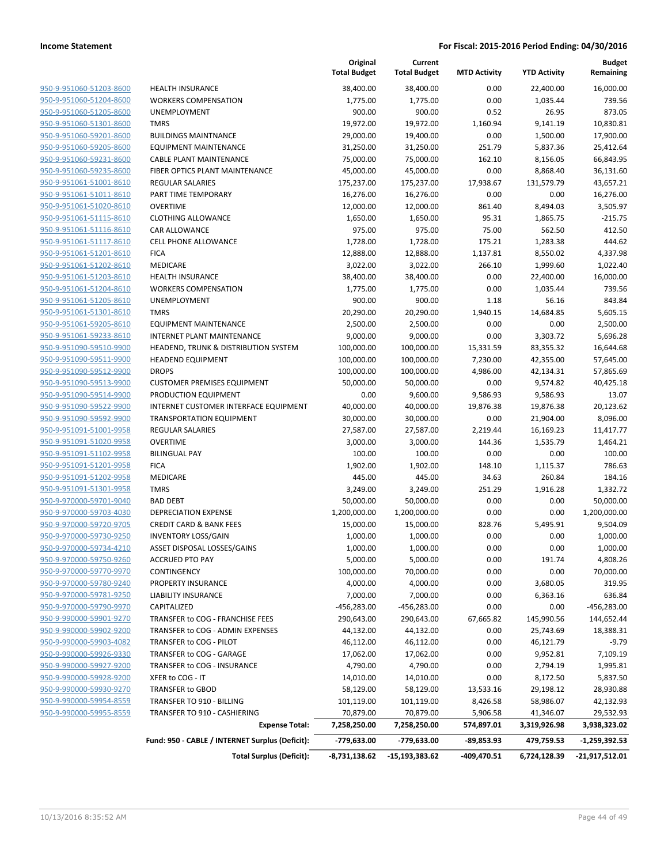|                                |                                                 | Original<br><b>Total Budget</b> | Current<br><b>Total Budget</b> | <b>MTD Activity</b> | <b>YTD Activity</b> | <b>Budget</b><br>Remaining |
|--------------------------------|-------------------------------------------------|---------------------------------|--------------------------------|---------------------|---------------------|----------------------------|
| 950-9-951060-51203-8600        | <b>HEALTH INSURANCE</b>                         | 38,400.00                       | 38,400.00                      | 0.00                | 22,400.00           | 16,000.00                  |
| 950-9-951060-51204-8600        | <b>WORKERS COMPENSATION</b>                     | 1,775.00                        | 1,775.00                       | 0.00                | 1,035.44            | 739.56                     |
| 950-9-951060-51205-8600        | <b>UNEMPLOYMENT</b>                             | 900.00                          | 900.00                         | 0.52                | 26.95               | 873.05                     |
| 950-9-951060-51301-8600        | <b>TMRS</b>                                     | 19,972.00                       | 19,972.00                      | 1,160.94            | 9,141.19            | 10,830.81                  |
| 950-9-951060-59201-8600        | <b>BUILDINGS MAINTNANCE</b>                     | 29,000.00                       | 19,400.00                      | 0.00                | 1,500.00            | 17,900.00                  |
| 950-9-951060-59205-8600        | <b>EQUIPMENT MAINTENANCE</b>                    | 31,250.00                       | 31,250.00                      | 251.79              | 5,837.36            | 25,412.64                  |
| 950-9-951060-59231-8600        | <b>CABLE PLANT MAINTENANCE</b>                  | 75,000.00                       | 75,000.00                      | 162.10              | 8,156.05            | 66,843.95                  |
| 950-9-951060-59235-8600        | FIBER OPTICS PLANT MAINTENANCE                  | 45,000.00                       | 45,000.00                      | 0.00                | 8,868.40            | 36,131.60                  |
| 950-9-951061-51001-8610        | <b>REGULAR SALARIES</b>                         | 175,237.00                      | 175,237.00                     | 17,938.67           | 131,579.79          | 43,657.21                  |
| 950-9-951061-51011-8610        | PART TIME TEMPORARY                             | 16,276.00                       | 16,276.00                      | 0.00                | 0.00                | 16,276.00                  |
| 950-9-951061-51020-8610        | <b>OVERTIME</b>                                 | 12,000.00                       | 12,000.00                      | 861.40              | 8,494.03            | 3,505.97                   |
| 950-9-951061-51115-8610        | <b>CLOTHING ALLOWANCE</b>                       | 1,650.00                        | 1,650.00                       | 95.31               | 1,865.75            | $-215.75$                  |
| 950-9-951061-51116-8610        | CAR ALLOWANCE                                   | 975.00                          | 975.00                         | 75.00               | 562.50              | 412.50                     |
| 950-9-951061-51117-8610        | <b>CELL PHONE ALLOWANCE</b>                     | 1,728.00                        | 1,728.00                       | 175.21              | 1,283.38            | 444.62                     |
| 950-9-951061-51201-8610        | <b>FICA</b>                                     | 12,888.00                       | 12,888.00                      | 1,137.81            | 8,550.02            | 4,337.98                   |
| 950-9-951061-51202-8610        | MEDICARE                                        | 3,022.00                        | 3,022.00                       | 266.10              | 1,999.60            | 1,022.40                   |
| 950-9-951061-51203-8610        | <b>HEALTH INSURANCE</b>                         | 38,400.00                       | 38,400.00                      | 0.00                | 22,400.00           | 16,000.00                  |
| 950-9-951061-51204-8610        | <b>WORKERS COMPENSATION</b>                     | 1,775.00                        | 1,775.00                       | 0.00                | 1,035.44            | 739.56                     |
| 950-9-951061-51205-8610        | <b>UNEMPLOYMENT</b>                             | 900.00                          | 900.00                         | 1.18                | 56.16               | 843.84                     |
| 950-9-951061-51301-8610        | <b>TMRS</b>                                     | 20,290.00                       | 20,290.00                      | 1,940.15            | 14,684.85           | 5,605.15                   |
| 950-9-951061-59205-8610        | <b>EQUIPMENT MAINTENANCE</b>                    | 2,500.00                        | 2,500.00                       | 0.00                | 0.00                | 2,500.00                   |
| 950-9-951061-59233-8610        | INTERNET PLANT MAINTENANCE                      | 9,000.00                        | 9,000.00                       | 0.00                | 3,303.72            | 5,696.28                   |
| 950-9-951090-59510-9900        | HEADEND, TRUNK & DISTRIBUTION SYSTEM            | 100,000.00                      | 100,000.00                     | 15,331.59           | 83,355.32           | 16,644.68                  |
| 950-9-951090-59511-9900        | <b>HEADEND EQUIPMENT</b>                        | 100,000.00                      | 100,000.00                     | 7,230.00            | 42,355.00           | 57,645.00                  |
| 950-9-951090-59512-9900        | <b>DROPS</b>                                    | 100,000.00                      | 100,000.00                     | 4,986.00            | 42,134.31           | 57,865.69                  |
| 950-9-951090-59513-9900        | <b>CUSTOMER PREMISES EQUIPMENT</b>              | 50,000.00                       | 50,000.00                      | 0.00                | 9,574.82            | 40,425.18                  |
| 950-9-951090-59514-9900        | PRODUCTION EQUIPMENT                            | 0.00                            | 9,600.00                       | 9,586.93            | 9,586.93            | 13.07                      |
| 950-9-951090-59522-9900        | INTERNET CUSTOMER INTERFACE EQUIPMENT           | 40,000.00                       | 40,000.00                      | 19,876.38           | 19,876.38           | 20,123.62                  |
| 950-9-951090-59592-9900        | <b>TRANSPORTATION EQUIPMENT</b>                 | 30,000.00                       | 30,000.00                      | 0.00                | 21,904.00           | 8,096.00                   |
| 950-9-951091-51001-9958        | <b>REGULAR SALARIES</b>                         | 27,587.00                       | 27,587.00                      | 2,219.44            | 16,169.23           | 11,417.77                  |
| 950-9-951091-51020-9958        | <b>OVERTIME</b>                                 | 3,000.00                        | 3,000.00                       | 144.36              | 1,535.79            | 1,464.21                   |
| 950-9-951091-51102-9958        | <b>BILINGUAL PAY</b>                            | 100.00                          | 100.00                         | 0.00                | 0.00                | 100.00                     |
| 950-9-951091-51201-9958        | <b>FICA</b>                                     | 1,902.00                        | 1,902.00                       | 148.10              | 1,115.37            | 786.63                     |
| 950-9-951091-51202-9958        | <b>MEDICARE</b>                                 | 445.00                          | 445.00                         | 34.63               | 260.84              | 184.16                     |
| 950-9-951091-51301-9958        | <b>TMRS</b>                                     | 3,249.00                        | 3,249.00                       | 251.29              | 1,916.28            | 1,332.72                   |
| 950-9-970000-59701-9040        | <b>BAD DEBT</b>                                 | 50,000.00                       | 50,000.00                      | 0.00                | 0.00                | 50,000.00                  |
| 950-9-970000-59703-4030        | <b>DEPRECIATION EXPENSE</b>                     | 1,200,000.00                    | 1,200,000.00                   | 0.00                | 0.00                | 1,200,000.00               |
| 950-9-970000-59720-9705        | <b>CREDIT CARD &amp; BANK FEES</b>              | 15,000.00                       | 15,000.00                      | 828.76              | 5,495.91            | 9,504.09                   |
| 950-9-970000-59730-9250        | <b>INVENTORY LOSS/GAIN</b>                      | 1,000.00                        | 1,000.00                       | 0.00                | 0.00                | 1,000.00                   |
| <u>950-9-970000-59734-4210</u> | ASSET DISPOSAL LOSSES/GAINS                     | 1,000.00                        | 1,000.00                       | 0.00                | 0.00                | 1,000.00                   |
| 950-9-970000-59750-9260        | <b>ACCRUED PTO PAY</b>                          | 5,000.00                        | 5,000.00                       | 0.00                | 191.74              | 4,808.26                   |
| 950-9-970000-59770-9970        | CONTINGENCY                                     | 100,000.00                      | 70,000.00                      | 0.00                | 0.00                | 70,000.00                  |
| 950-9-970000-59780-9240        | PROPERTY INSURANCE                              | 4,000.00                        | 4,000.00                       | 0.00                | 3,680.05            | 319.95                     |
| 950-9-970000-59781-9250        | <b>LIABILITY INSURANCE</b>                      | 7,000.00                        | 7,000.00                       | 0.00                | 6,363.16            | 636.84                     |
| 950-9-970000-59790-9970        | CAPITALIZED                                     | -456,283.00                     | -456,283.00                    | 0.00                | 0.00                | -456,283.00                |
| 950-9-990000-59901-9270        | TRANSFER to COG - FRANCHISE FEES                | 290,643.00                      | 290,643.00                     | 67,665.82           | 145,990.56          | 144,652.44                 |
| 950-9-990000-59902-9200        | TRANSFER to COG - ADMIN EXPENSES                | 44,132.00                       | 44,132.00                      | 0.00                | 25,743.69           | 18,388.31                  |
| 950-9-990000-59903-4082        | TRANSFER to COG - PILOT                         | 46,112.00                       | 46,112.00                      | 0.00                | 46,121.79           | $-9.79$                    |
| 950-9-990000-59926-9330        | TRANSFER to COG - GARAGE                        | 17,062.00                       | 17,062.00                      | 0.00                | 9,952.81            | 7,109.19                   |
| 950-9-990000-59927-9200        | TRANSFER to COG - INSURANCE                     | 4,790.00                        | 4,790.00                       | 0.00                | 2,794.19            | 1,995.81                   |
| 950-9-990000-59928-9200        | XFER to COG - IT                                | 14,010.00                       | 14,010.00                      | 0.00                | 8,172.50            | 5,837.50                   |
| 950-9-990000-59930-9270        | TRANSFER to GBOD                                | 58,129.00                       | 58,129.00                      | 13,533.16           | 29,198.12           | 28,930.88                  |
| 950-9-990000-59954-8559        | TRANSFER TO 910 - BILLING                       | 101,119.00                      | 101,119.00                     | 8,426.58            | 58,986.07           | 42,132.93                  |
| 950-9-990000-59955-8559        | TRANSFER TO 910 - CASHIERING                    | 70,879.00                       | 70,879.00                      | 5,906.58            | 41,346.07           | 29,532.93                  |
|                                | <b>Expense Total:</b>                           | 7,258,250.00                    | 7,258,250.00                   | 574,897.01          | 3,319,926.98        | 3,938,323.02               |
|                                | Fund: 950 - CABLE / INTERNET Surplus (Deficit): | -779,633.00                     | -779,633.00                    | $-89,853.93$        | 479,759.53          | -1,259,392.53              |
|                                |                                                 |                                 |                                |                     |                     |                            |
|                                | <b>Total Surplus (Deficit):</b>                 | -8,731,138.62                   | -15,193,383.62                 | -409,470.51         | 6,724,128.39        | -21,917,512.01             |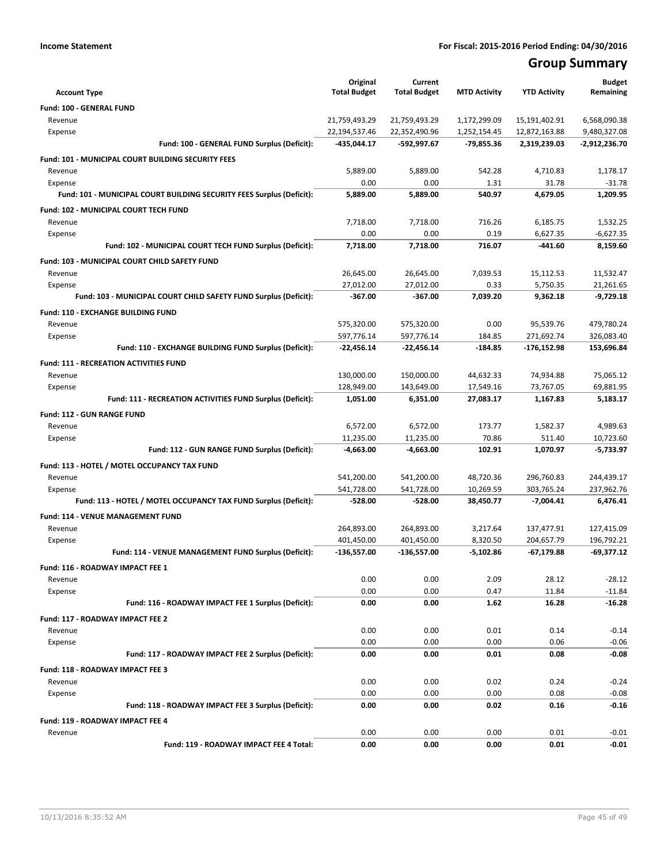## **Group Summary**

| <b>Account Type</b>                                                   | Original<br><b>Total Budget</b> | Current<br><b>Total Budget</b> | <b>MTD Activity</b> | <b>YTD Activity</b> | <b>Budget</b><br>Remaining |
|-----------------------------------------------------------------------|---------------------------------|--------------------------------|---------------------|---------------------|----------------------------|
| Fund: 100 - GENERAL FUND                                              |                                 |                                |                     |                     |                            |
| Revenue                                                               | 21,759,493.29                   | 21,759,493.29                  | 1,172,299.09        | 15,191,402.91       | 6,568,090.38               |
| Expense                                                               | 22,194,537.46                   | 22,352,490.96                  | 1,252,154.45        | 12,872,163.88       | 9,480,327.08               |
| Fund: 100 - GENERAL FUND Surplus (Deficit):                           | -435,044.17                     | -592,997.67                    | -79,855.36          | 2,319,239.03        | -2,912,236.70              |
| <b>Fund: 101 - MUNICIPAL COURT BUILDING SECURITY FEES</b>             |                                 |                                |                     |                     |                            |
| Revenue                                                               | 5,889.00                        | 5,889.00                       | 542.28              | 4,710.83            | 1,178.17                   |
| Expense                                                               | 0.00                            | 0.00                           | 1.31                | 31.78               | $-31.78$                   |
| Fund: 101 - MUNICIPAL COURT BUILDING SECURITY FEES Surplus (Deficit): | 5,889.00                        | 5,889.00                       | 540.97              | 4,679.05            | 1,209.95                   |
| Fund: 102 - MUNICIPAL COURT TECH FUND                                 |                                 |                                |                     |                     |                            |
| Revenue                                                               | 7,718.00                        | 7,718.00                       | 716.26              | 6.185.75            | 1,532.25                   |
| Expense                                                               | 0.00                            | 0.00                           | 0.19                | 6,627.35            | $-6,627.35$                |
| Fund: 102 - MUNICIPAL COURT TECH FUND Surplus (Deficit):              | 7,718.00                        | 7,718.00                       | 716.07              | -441.60             | 8,159.60                   |
| Fund: 103 - MUNICIPAL COURT CHILD SAFETY FUND                         |                                 |                                |                     |                     |                            |
| Revenue                                                               | 26,645.00                       | 26,645.00                      | 7,039.53            | 15,112.53           | 11,532.47                  |
| Expense                                                               | 27,012.00                       | 27,012.00                      | 0.33                | 5,750.35            | 21,261.65                  |
| Fund: 103 - MUNICIPAL COURT CHILD SAFETY FUND Surplus (Deficit):      | -367.00                         | $-367.00$                      | 7,039.20            | 9,362.18            | $-9,729.18$                |
| Fund: 110 - EXCHANGE BUILDING FUND                                    |                                 |                                |                     |                     |                            |
| Revenue                                                               | 575,320.00                      | 575,320.00                     | 0.00                | 95.539.76           | 479,780.24                 |
| Expense                                                               | 597,776.14                      | 597,776.14                     | 184.85              | 271,692.74          | 326,083.40                 |
| Fund: 110 - EXCHANGE BUILDING FUND Surplus (Deficit):                 | $-22,456.14$                    | $-22,456.14$                   | $-184.85$           | -176,152.98         | 153,696.84                 |
| <b>Fund: 111 - RECREATION ACTIVITIES FUND</b>                         |                                 |                                |                     |                     |                            |
| Revenue                                                               | 130,000.00                      | 150,000.00                     | 44,632.33           | 74,934.88           | 75,065.12                  |
| Expense                                                               | 128,949.00                      | 143,649.00                     | 17,549.16           | 73,767.05           | 69,881.95                  |
| Fund: 111 - RECREATION ACTIVITIES FUND Surplus (Deficit):             | 1,051.00                        | 6,351.00                       | 27,083.17           | 1,167.83            | 5,183.17                   |
| <b>Fund: 112 - GUN RANGE FUND</b>                                     |                                 |                                |                     |                     |                            |
| Revenue                                                               | 6,572.00                        | 6,572.00                       | 173.77              | 1,582.37            | 4,989.63                   |
| Expense                                                               | 11,235.00                       | 11,235.00                      | 70.86               | 511.40              | 10,723.60                  |
| Fund: 112 - GUN RANGE FUND Surplus (Deficit):                         | $-4,663.00$                     | $-4,663.00$                    | 102.91              | 1,070.97            | $-5,733.97$                |
| Fund: 113 - HOTEL / MOTEL OCCUPANCY TAX FUND                          |                                 |                                |                     |                     |                            |
| Revenue                                                               | 541,200.00                      | 541,200.00                     | 48,720.36           | 296,760.83          | 244,439.17                 |
| Expense                                                               | 541,728.00                      | 541,728.00                     | 10,269.59           | 303,765.24          | 237,962.76                 |
| Fund: 113 - HOTEL / MOTEL OCCUPANCY TAX FUND Surplus (Deficit):       | -528.00                         | $-528.00$                      | 38,450.77           | $-7,004.41$         | 6,476.41                   |
| Fund: 114 - VENUE MANAGEMENT FUND                                     |                                 |                                |                     |                     |                            |
| Revenue                                                               | 264,893.00                      | 264,893.00                     | 3,217.64            | 137,477.91          | 127,415.09                 |
| Expense                                                               | 401,450.00                      | 401,450.00                     | 8,320.50            | 204,657.79          | 196,792.21                 |
| Fund: 114 - VENUE MANAGEMENT FUND Surplus (Deficit):                  | -136,557.00                     | -136,557.00                    | $-5,102.86$         | -67,179.88          | $-69,377.12$               |
| Fund: 116 - ROADWAY IMPACT FEE 1                                      |                                 |                                |                     |                     |                            |
| Revenue                                                               | 0.00                            | 0.00                           | 2.09                | 28.12               | $-28.12$                   |
| Expense                                                               | 0.00                            | 0.00                           | 0.47                | 11.84               | $-11.84$                   |
| Fund: 116 - ROADWAY IMPACT FEE 1 Surplus (Deficit):                   | 0.00                            | 0.00                           | 1.62                | 16.28               | $-16.28$                   |
| Fund: 117 - ROADWAY IMPACT FEE 2                                      |                                 |                                |                     |                     |                            |
| Revenue                                                               | 0.00                            | 0.00                           | 0.01                | 0.14                | $-0.14$                    |
| Expense                                                               | 0.00                            | 0.00                           | 0.00                | 0.06                | $-0.06$                    |
| Fund: 117 - ROADWAY IMPACT FEE 2 Surplus (Deficit):                   | 0.00                            | 0.00                           | 0.01                | 0.08                | $-0.08$                    |
|                                                                       |                                 |                                |                     |                     |                            |
| Fund: 118 - ROADWAY IMPACT FEE 3<br>Revenue                           | 0.00                            | 0.00                           | 0.02                | 0.24                | $-0.24$                    |
| Expense                                                               | 0.00                            | 0.00                           | 0.00                | 0.08                | $-0.08$                    |
| Fund: 118 - ROADWAY IMPACT FEE 3 Surplus (Deficit):                   | 0.00                            | 0.00                           | 0.02                | 0.16                | $-0.16$                    |
|                                                                       |                                 |                                |                     |                     |                            |
| Fund: 119 - ROADWAY IMPACT FEE 4                                      | 0.00                            | 0.00                           | 0.00                | 0.01                | $-0.01$                    |
| Revenue<br>Fund: 119 - ROADWAY IMPACT FEE 4 Total:                    | 0.00                            | 0.00                           | 0.00                | 0.01                | $-0.01$                    |
|                                                                       |                                 |                                |                     |                     |                            |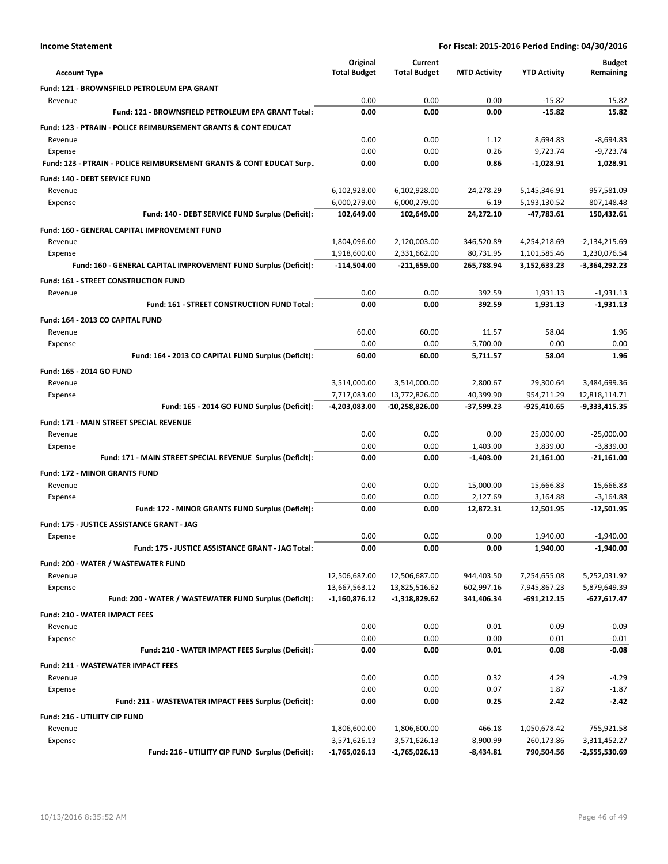|                                                                           | Original            | Current             |                     |                     | <b>Budget</b>   |
|---------------------------------------------------------------------------|---------------------|---------------------|---------------------|---------------------|-----------------|
| <b>Account Type</b>                                                       | <b>Total Budget</b> | <b>Total Budget</b> | <b>MTD Activity</b> | <b>YTD Activity</b> | Remaining       |
| Fund: 121 - BROWNSFIELD PETROLEUM EPA GRANT                               |                     |                     |                     |                     |                 |
| Revenue                                                                   | 0.00                | 0.00                | 0.00                | $-15.82$            | 15.82           |
| Fund: 121 - BROWNSFIELD PETROLEUM EPA GRANT Total:                        | 0.00                | 0.00                | 0.00                | $-15.82$            | 15.82           |
| <b>Fund: 123 - PTRAIN - POLICE REIMBURSEMENT GRANTS &amp; CONT EDUCAT</b> |                     |                     |                     |                     |                 |
| Revenue                                                                   | 0.00                | 0.00                | 1.12                | 8,694.83            | $-8,694.83$     |
| Expense                                                                   | 0.00                | 0.00                | 0.26                | 9,723.74            | $-9,723.74$     |
| Fund: 123 - PTRAIN - POLICE REIMBURSEMENT GRANTS & CONT EDUCAT Surp       | 0.00                | 0.00                | 0.86                | $-1.028.91$         | 1,028.91        |
| <b>Fund: 140 - DEBT SERVICE FUND</b>                                      |                     |                     |                     |                     |                 |
| Revenue                                                                   | 6,102,928.00        | 6,102,928.00        | 24,278.29           | 5,145,346.91        | 957,581.09      |
| Expense                                                                   | 6,000,279.00        | 6,000,279.00        | 6.19                | 5,193,130.52        | 807,148.48      |
| Fund: 140 - DEBT SERVICE FUND Surplus (Deficit):                          | 102,649.00          | 102,649.00          | 24,272.10           | -47,783.61          | 150,432.61      |
| <b>Fund: 160 - GENERAL CAPITAL IMPROVEMENT FUND</b>                       |                     |                     |                     |                     |                 |
| Revenue                                                                   | 1,804,096.00        | 2,120,003.00        | 346,520.89          | 4,254,218.69        | $-2,134,215.69$ |
| Expense                                                                   | 1,918,600.00        | 2,331,662.00        | 80,731.95           | 1,101,585.46        | 1,230,076.54    |
| Fund: 160 - GENERAL CAPITAL IMPROVEMENT FUND Surplus (Deficit):           | -114,504.00         | -211,659.00         | 265,788.94          | 3,152,633.23        | -3,364,292.23   |
| Fund: 161 - STREET CONSTRUCTION FUND                                      |                     |                     |                     |                     |                 |
| Revenue                                                                   | 0.00                | 0.00                | 392.59              | 1,931.13            | $-1,931.13$     |
| Fund: 161 - STREET CONSTRUCTION FUND Total:                               | 0.00                | 0.00                | 392.59              | 1.931.13            | $-1,931.13$     |
| Fund: 164 - 2013 CO CAPITAL FUND                                          |                     |                     |                     |                     |                 |
| Revenue                                                                   | 60.00               | 60.00               | 11.57               | 58.04               | 1.96            |
| Expense                                                                   | 0.00                | 0.00                | $-5,700.00$         | 0.00                | 0.00            |
| Fund: 164 - 2013 CO CAPITAL FUND Surplus (Deficit):                       | 60.00               | 60.00               | 5,711.57            | 58.04               | 1.96            |
| Fund: 165 - 2014 GO FUND                                                  |                     |                     |                     |                     |                 |
| Revenue                                                                   | 3,514,000.00        | 3,514,000.00        | 2,800.67            | 29,300.64           | 3,484,699.36    |
| Expense                                                                   | 7,717,083.00        | 13,772,826.00       | 40,399.90           | 954,711.29          | 12,818,114.71   |
| Fund: 165 - 2014 GO FUND Surplus (Deficit):                               | -4,203,083.00       | -10,258,826.00      | $-37,599.23$        | -925,410.65         | $-9,333,415.35$ |
| Fund: 171 - MAIN STREET SPECIAL REVENUE                                   |                     |                     |                     |                     |                 |
| Revenue                                                                   | 0.00                | 0.00                | 0.00                | 25,000.00           | $-25,000.00$    |
| Expense                                                                   | 0.00                | 0.00                | 1,403.00            | 3,839.00            | $-3,839.00$     |
| Fund: 171 - MAIN STREET SPECIAL REVENUE Surplus (Deficit):                | 0.00                | 0.00                | $-1,403.00$         | 21,161.00           | $-21,161.00$    |
| <b>Fund: 172 - MINOR GRANTS FUND</b>                                      |                     |                     |                     |                     |                 |
| Revenue                                                                   | 0.00                | 0.00                | 15,000.00           | 15,666.83           | $-15.666.83$    |
| Expense                                                                   | 0.00                | 0.00                | 2,127.69            | 3,164.88            | $-3,164.88$     |
| Fund: 172 - MINOR GRANTS FUND Surplus (Deficit):                          | 0.00                | 0.00                | 12,872.31           | 12,501.95           | $-12,501.95$    |
| <b>Fund: 175 - JUSTICE ASSISTANCE GRANT - JAG</b>                         |                     |                     |                     |                     |                 |
| Expense                                                                   | 0.00                | 0.00                | 0.00                | 1,940.00            | $-1,940.00$     |
| Fund: 175 - JUSTICE ASSISTANCE GRANT - JAG Total:                         | 0.00                | 0.00                | 0.00                | 1,940.00            | -1,940.00       |
| Fund: 200 - WATER / WASTEWATER FUND                                       |                     |                     |                     |                     |                 |
| Revenue                                                                   | 12,506,687.00       | 12,506,687.00       | 944,403.50          | 7,254,655.08        | 5,252,031.92    |
| Expense                                                                   | 13,667,563.12       | 13,825,516.62       | 602,997.16          | 7,945,867.23        | 5,879,649.39    |
| Fund: 200 - WATER / WASTEWATER FUND Surplus (Deficit):                    | $-1,160,876.12$     | $-1,318,829.62$     | 341,406.34          | -691,212.15         | $-627,617.47$   |
| <b>Fund: 210 - WATER IMPACT FEES</b>                                      |                     |                     |                     |                     |                 |
| Revenue                                                                   | 0.00                | 0.00                | 0.01                | 0.09                | $-0.09$         |
| Expense                                                                   | 0.00                | 0.00                | 0.00                | 0.01                | $-0.01$         |
| Fund: 210 - WATER IMPACT FEES Surplus (Deficit):                          | 0.00                | 0.00                | 0.01                | 0.08                | $-0.08$         |
| <b>Fund: 211 - WASTEWATER IMPACT FEES</b>                                 |                     |                     |                     |                     |                 |
| Revenue                                                                   | 0.00                | 0.00                | 0.32                | 4.29                | $-4.29$         |
| Expense                                                                   | 0.00                | 0.00                | 0.07                | 1.87                | $-1.87$         |
| Fund: 211 - WASTEWATER IMPACT FEES Surplus (Deficit):                     | 0.00                | 0.00                | 0.25                | 2.42                | $-2.42$         |
| Fund: 216 - UTILIITY CIP FUND                                             |                     |                     |                     |                     |                 |
| Revenue                                                                   | 1,806,600.00        | 1,806,600.00        | 466.18              | 1,050,678.42        | 755,921.58      |
| Expense                                                                   | 3,571,626.13        | 3,571,626.13        | 8,900.99            | 260,173.86          | 3,311,452.27    |
| Fund: 216 - UTILIITY CIP FUND Surplus (Deficit):                          | $-1,765,026.13$     | -1,765,026.13       | $-8,434.81$         | 790,504.56          | $-2,555,530.69$ |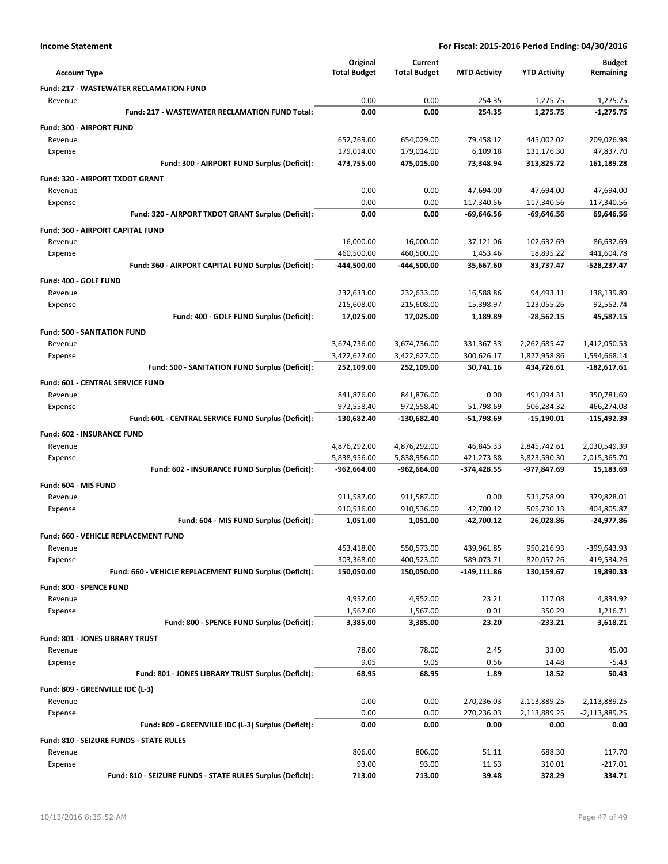|                                                            | Original            | Current             |                     |                     | <b>Budget</b>   |
|------------------------------------------------------------|---------------------|---------------------|---------------------|---------------------|-----------------|
| <b>Account Type</b>                                        | <b>Total Budget</b> | <b>Total Budget</b> | <b>MTD Activity</b> | <b>YTD Activity</b> | Remaining       |
| <b>Fund: 217 - WASTEWATER RECLAMATION FUND</b>             |                     |                     |                     |                     |                 |
| Revenue                                                    | 0.00                | 0.00                | 254.35              | 1,275.75            | $-1,275.75$     |
| Fund: 217 - WASTEWATER RECLAMATION FUND Total:             | 0.00                | 0.00                | 254.35              | 1,275.75            | $-1,275.75$     |
| Fund: 300 - AIRPORT FUND                                   |                     |                     |                     |                     |                 |
| Revenue                                                    | 652,769.00          | 654,029.00          | 79,458.12           | 445,002.02          | 209,026.98      |
| Expense                                                    | 179,014.00          | 179,014.00          | 6,109.18            | 131,176.30          | 47,837.70       |
| Fund: 300 - AIRPORT FUND Surplus (Deficit):                | 473,755.00          | 475,015.00          | 73.348.94           | 313,825.72          | 161,189.28      |
| Fund: 320 - AIRPORT TXDOT GRANT                            |                     |                     |                     |                     |                 |
| Revenue                                                    | 0.00                | 0.00                | 47,694.00           | 47,694.00           | $-47,694.00$    |
| Expense                                                    | 0.00                | 0.00                | 117,340.56          | 117,340.56          | $-117,340.56$   |
| Fund: 320 - AIRPORT TXDOT GRANT Surplus (Deficit):         | 0.00                | 0.00                | -69,646.56          | -69,646.56          | 69,646.56       |
| <b>Fund: 360 - AIRPORT CAPITAL FUND</b>                    |                     |                     |                     |                     |                 |
| Revenue                                                    | 16,000.00           | 16,000.00           | 37,121.06           | 102,632.69          | $-86,632.69$    |
| Expense                                                    | 460,500.00          | 460,500.00          | 1,453.46            | 18,895.22           | 441,604.78      |
| Fund: 360 - AIRPORT CAPITAL FUND Surplus (Deficit):        | -444,500.00         | -444,500.00         | 35,667.60           | 83,737.47           | -528,237.47     |
| Fund: 400 - GOLF FUND                                      |                     |                     |                     |                     |                 |
| Revenue                                                    | 232,633.00          | 232,633.00          | 16,588.86           | 94,493.11           | 138,139.89      |
| Expense                                                    | 215,608.00          | 215,608.00          | 15,398.97           | 123,055.26          | 92,552.74       |
| Fund: 400 - GOLF FUND Surplus (Deficit):                   | 17,025.00           | 17,025.00           | 1,189.89            | $-28,562.15$        | 45,587.15       |
| <b>Fund: 500 - SANITATION FUND</b>                         |                     |                     |                     |                     |                 |
| Revenue                                                    | 3,674,736.00        | 3,674,736.00        | 331,367.33          | 2,262,685.47        | 1,412,050.53    |
| Expense                                                    | 3.422.627.00        | 3,422,627.00        | 300.626.17          | 1,827,958.86        | 1,594,668.14    |
| Fund: 500 - SANITATION FUND Surplus (Deficit):             | 252,109.00          | 252,109.00          | 30,741.16           | 434,726.61          | $-182,617.61$   |
| Fund: 601 - CENTRAL SERVICE FUND                           |                     |                     |                     |                     |                 |
| Revenue                                                    | 841,876.00          | 841,876.00          | 0.00                | 491,094.31          | 350,781.69      |
| Expense                                                    | 972,558.40          | 972,558.40          | 51,798.69           | 506,284.32          | 466,274.08      |
| Fund: 601 - CENTRAL SERVICE FUND Surplus (Deficit):        | -130,682.40         | -130,682.40         | -51,798.69          | $-15,190.01$        | -115,492.39     |
| <b>Fund: 602 - INSURANCE FUND</b>                          |                     |                     |                     |                     |                 |
| Revenue                                                    | 4,876,292.00        | 4,876,292.00        | 46,845.33           | 2,845,742.61        | 2,030,549.39    |
| Expense                                                    | 5,838,956.00        | 5,838,956.00        | 421,273.88          | 3,823,590.30        | 2,015,365.70    |
| Fund: 602 - INSURANCE FUND Surplus (Deficit):              | $-962,664.00$       | $-962,664.00$       | -374,428.55         | -977,847.69         | 15,183.69       |
| Fund: 604 - MIS FUND                                       |                     |                     |                     |                     |                 |
| Revenue                                                    | 911,587.00          | 911,587.00          | 0.00                | 531,758.99          | 379,828.01      |
| Expense                                                    | 910,536.00          | 910,536.00          | 42,700.12           | 505,730.13          | 404,805.87      |
| Fund: 604 - MIS FUND Surplus (Deficit):                    | 1,051.00            | 1,051.00            | -42,700.12          | 26,028.86           | $-24,977.86$    |
| Fund: 660 - VEHICLE REPLACEMENT FUND                       |                     |                     |                     |                     |                 |
| Revenue                                                    | 453,418.00          | 550,573.00          | 439,961.85          | 950,216.93          | -399,643.93     |
| Expense                                                    | 303,368.00          | 400,523.00          | 589,073.71          | 820,057.26          | $-419,534.26$   |
| Fund: 660 - VEHICLE REPLACEMENT FUND Surplus (Deficit):    | 150,050.00          | 150,050.00          | $-149,111.86$       | 130,159.67          | 19,890.33       |
| Fund: 800 - SPENCE FUND                                    |                     |                     |                     |                     |                 |
| Revenue                                                    | 4,952.00            | 4,952.00            | 23.21               | 117.08              | 4,834.92        |
| Expense                                                    | 1,567.00            | 1,567.00            | 0.01                | 350.29              | 1,216.71        |
| Fund: 800 - SPENCE FUND Surplus (Deficit):                 | 3,385.00            | 3,385.00            | 23.20               | -233.21             | 3,618.21        |
| Fund: 801 - JONES LIBRARY TRUST                            |                     |                     |                     |                     |                 |
| Revenue                                                    | 78.00               | 78.00               | 2.45                | 33.00               | 45.00           |
| Expense                                                    | 9.05                | 9.05                | 0.56                | 14.48               | $-5.43$         |
| Fund: 801 - JONES LIBRARY TRUST Surplus (Deficit):         | 68.95               | 68.95               | 1.89                | 18.52               | 50.43           |
| Fund: 809 - GREENVILLE IDC (L-3)                           |                     |                     |                     |                     |                 |
| Revenue                                                    | 0.00                | 0.00                | 270,236.03          | 2,113,889.25        | $-2,113,889.25$ |
| Expense                                                    | 0.00                | 0.00                | 270,236.03          | 2,113,889.25        | $-2,113,889.25$ |
| Fund: 809 - GREENVILLE IDC (L-3) Surplus (Deficit):        | 0.00                | 0.00                | 0.00                | 0.00                | 0.00            |
| Fund: 810 - SEIZURE FUNDS - STATE RULES                    |                     |                     |                     |                     |                 |
| Revenue                                                    | 806.00              | 806.00              | 51.11               | 688.30              | 117.70          |
| Expense                                                    | 93.00               | 93.00               | 11.63               | 310.01              | $-217.01$       |
| Fund: 810 - SEIZURE FUNDS - STATE RULES Surplus (Deficit): | 713.00              | 713.00              | 39.48               | 378.29              | 334.71          |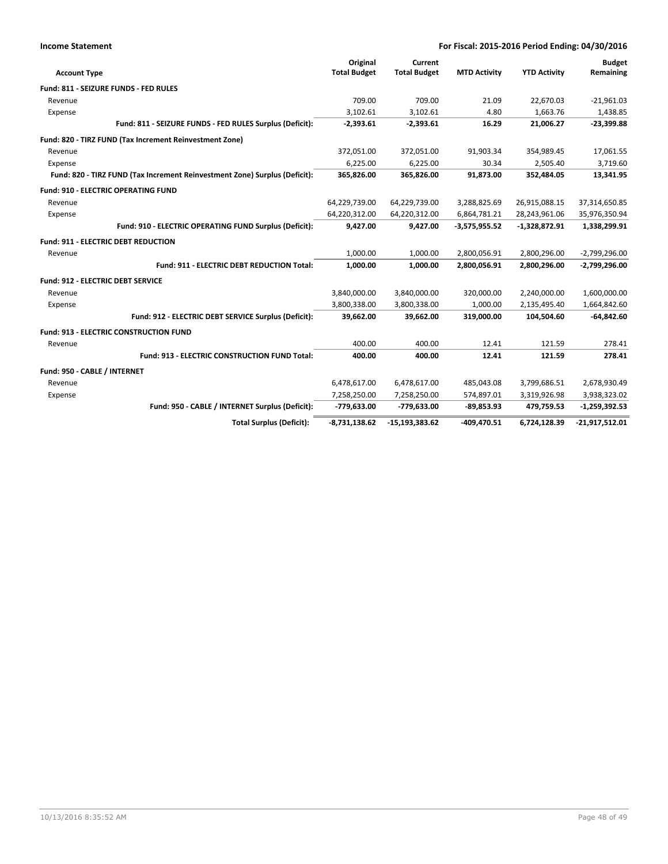| <b>Income Statement</b>           | For Fiscal: 2015-2016 Period Ending: 04/30/2016                            |                                 |                                |                     |                     |                            |
|-----------------------------------|----------------------------------------------------------------------------|---------------------------------|--------------------------------|---------------------|---------------------|----------------------------|
| <b>Account Type</b>               |                                                                            | Original<br><b>Total Budget</b> | Current<br><b>Total Budget</b> | <b>MTD Activity</b> | <b>YTD Activity</b> | <b>Budget</b><br>Remaining |
|                                   | Fund: 811 - SEIZURE FUNDS - FED RULES                                      |                                 |                                |                     |                     |                            |
| Revenue                           |                                                                            | 709.00                          | 709.00                         | 21.09               | 22,670.03           | $-21,961.03$               |
| Expense                           |                                                                            | 3.102.61                        | 3.102.61                       | 4.80                | 1,663.76            | 1,438.85                   |
|                                   | Fund: 811 - SEIZURE FUNDS - FED RULES Surplus (Deficit):                   | $-2,393.61$                     | $-2,393.61$                    | 16.29               | 21,006.27           | $-23,399.88$               |
|                                   | Fund: 820 - TIRZ FUND (Tax Increment Reinvestment Zone)                    |                                 |                                |                     |                     |                            |
| Revenue                           |                                                                            | 372,051.00                      | 372,051.00                     | 91,903.34           | 354,989.45          | 17,061.55                  |
| Expense                           |                                                                            | 6,225.00                        | 6,225.00                       | 30.34               | 2,505.40            | 3,719.60                   |
|                                   | Fund: 820 - TIRZ FUND (Tax Increment Reinvestment Zone) Surplus (Deficit): | 365,826.00                      | 365,826.00                     | 91,873.00           | 352,484.05          | 13,341.95                  |
|                                   | <b>Fund: 910 - ELECTRIC OPERATING FUND</b>                                 |                                 |                                |                     |                     |                            |
| Revenue                           |                                                                            | 64,229,739.00                   | 64,229,739.00                  | 3,288,825.69        | 26,915,088.15       | 37,314,650.85              |
| Expense                           |                                                                            | 64,220,312.00                   | 64,220,312.00                  | 6,864,781.21        | 28,243,961.06       | 35,976,350.94              |
|                                   | Fund: 910 - ELECTRIC OPERATING FUND Surplus (Deficit):                     | 9,427.00                        | 9,427.00                       | $-3,575,955.52$     | $-1,328,872.91$     | 1,338,299.91               |
|                                   | <b>Fund: 911 - ELECTRIC DEBT REDUCTION</b>                                 |                                 |                                |                     |                     |                            |
| Revenue                           |                                                                            | 1,000.00                        | 1,000.00                       | 2,800,056.91        | 2,800,296.00        | $-2,799,296.00$            |
|                                   | Fund: 911 - ELECTRIC DEBT REDUCTION Total:                                 | 1,000.00                        | 1,000.00                       | 2,800,056.91        | 2,800,296.00        | $-2,799,296.00$            |
| Fund: 912 - ELECTRIC DEBT SERVICE |                                                                            |                                 |                                |                     |                     |                            |
| Revenue                           |                                                                            | 3,840,000.00                    | 3,840,000.00                   | 320,000.00          | 2,240,000.00        | 1,600,000.00               |
| Expense                           |                                                                            | 3,800,338.00                    | 3,800,338.00                   | 1,000.00            | 2,135,495.40        | 1,664,842.60               |
|                                   | Fund: 912 - ELECTRIC DEBT SERVICE Surplus (Deficit):                       | 39,662.00                       | 39,662.00                      | 319,000.00          | 104,504.60          | $-64,842.60$               |
|                                   | <b>Fund: 913 - ELECTRIC CONSTRUCTION FUND</b>                              |                                 |                                |                     |                     |                            |
| Revenue                           |                                                                            | 400.00                          | 400.00                         | 12.41               | 121.59              | 278.41                     |
|                                   | Fund: 913 - ELECTRIC CONSTRUCTION FUND Total:                              | 400.00                          | 400.00                         | 12.41               | 121.59              | 278.41                     |
| Fund: 950 - CABLE / INTERNET      |                                                                            |                                 |                                |                     |                     |                            |
| Revenue                           |                                                                            | 6,478,617.00                    | 6,478,617.00                   | 485,043.08          | 3,799,686.51        | 2,678,930.49               |
| Expense                           |                                                                            | 7,258,250.00                    | 7,258,250.00                   | 574,897.01          | 3,319,926.98        | 3,938,323.02               |
|                                   | Fund: 950 - CABLE / INTERNET Surplus (Deficit):                            | -779,633.00                     | -779,633.00                    | $-89,853.93$        | 479,759.53          | $-1,259,392.53$            |
|                                   | <b>Total Surplus (Deficit):</b>                                            | $-8,731,138.62$                 | $-15, 193, 383.62$             | -409.470.51         | 6,724,128.39        | $-21,917,512.01$           |